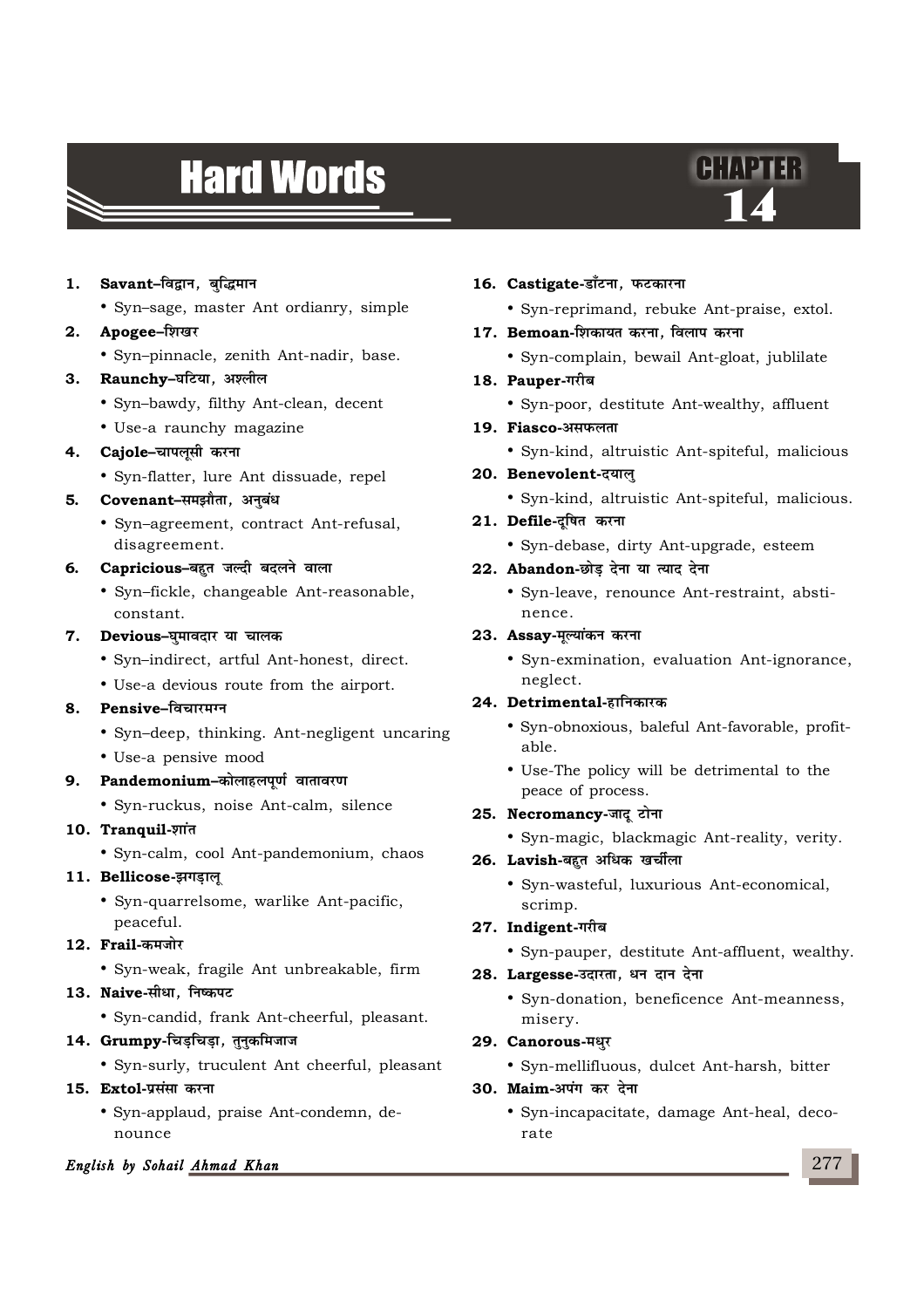# **Hard Words**

# CHAPTER

- 1. **Savant-विद्वान, बद्धिमान** 
	- Syn–sage, master Ant ordianry, simple

## 2. **Apogee**–शिखर

• Syn–pinnacle, zenith Ant-nadir, base.

## 3. **Raunchy-**घटिया, अश्लील

- Syn–bawdy, filthy Ant-clean, decent
- Use-a raunchy magazine

## 4. Cajole–चापलूसी करना

• Syn-flatter, lure Ant dissuade, repel

## 5. Covenant-समझौता, अनुबंध

• Syn–agreement, contract Ant-refusal, disagreement.

## **6.** Capricious-बहुत जल्दी बदलने वाला

• Syn–fickle, changeable Ant-reasonable, constant.

## 7. **Devious**–घुमावदार या चालक

- Syn–indirect, artful Ant-honest, direct.
- Use-a devious route from the airport.

## 8. **Pensive-**विचारमग्न

- Syn–deep, thinking. Ant-negligent uncaring
- Use-a pensive mood

## 9. **Pandemonium**–कोलाहलपर्ण वातावरण

• Syn-ruckus, noise Ant-calm, silence

## 10. **Tranquil-शांत**

• Syn-calm, cool Ant-pandemonium, chaos

## 11. **Bellicose-झगडाल**

• Syn-quarrelsome, warlike Ant-pacific, peaceful.

## 12. **Frail-कमजोर**

• Syn-weak, fragile Ant unbreakable, firm

## 13. Naive-सीधा, निष्कपट

• Syn-candid, frank Ant-cheerful, pleasant.

## 14. Grumpy-चिड़चिड़ा, तुनुकमिजाज

• Syn-surly, truculent Ant cheerful, pleasant

## 15. **Extol-प्रसंसा करना**

• Syn-applaud, praise Ant-condemn, denounce

## **English by Sohail Ahmad Khan**

## **16. Castigate-डाँटना, फटकारना**

• Syn-reprimand, rebuke Ant-praise, extol.

## 17. **Bemoan-**शिकायत करना, विलाप करना

• Syn-complain, bewail Ant-gloat, jublilate

## 18. **Pauper**-गरीब

• Syn-poor, destitute Ant-wealthy, affluent

## 19. **Fiasco**-असफलता

• Syn-kind, altruistic Ant-spiteful, malicious

## 20. Benevolent-दयालु

• Syn-kind, altruistic Ant-spiteful, malicious.

## 21. **Defile-दणित** करना

• Syn-debase, dirty Ant-upgrade, esteem

## 22. **Abandon-**छोड़ देना या त्याद देना

• Syn-leave, renounce Ant-restraint, abstinence.

## 23. **Assay-**मूल्यांकन करना

• Syn-exmination, evaluation Ant-ignorance, neglect.

## **24. Detrimental-हानिकारक**

- Syn-obnoxious, baleful Ant-favorable, profitable.
- Use-The policy will be detrimental to the peace of process.

## **25. Necromancy-जादू टोना**

• Syn-magic, blackmagic Ant-reality, verity.

## **26. Lavish-बहत अधिक खर्चीला**

• Syn-wasteful, luxurious Ant-economical, scrimp.

## $27.$  **Indigent**-गरीब

• Syn-pauper, destitute Ant-affluent, wealthy.

## **28. Largesse-**उदारता, धन दान देना

• Syn-donation, beneficence Ant-meanness, misery.

## 29. **Canorous-मधुर**

• Syn-mellifluous, dulcet Ant-harsh, bitter

## 30. **Maim-अपंग कर देना**

• Syn-incapacitate, damage Ant-heal, decorate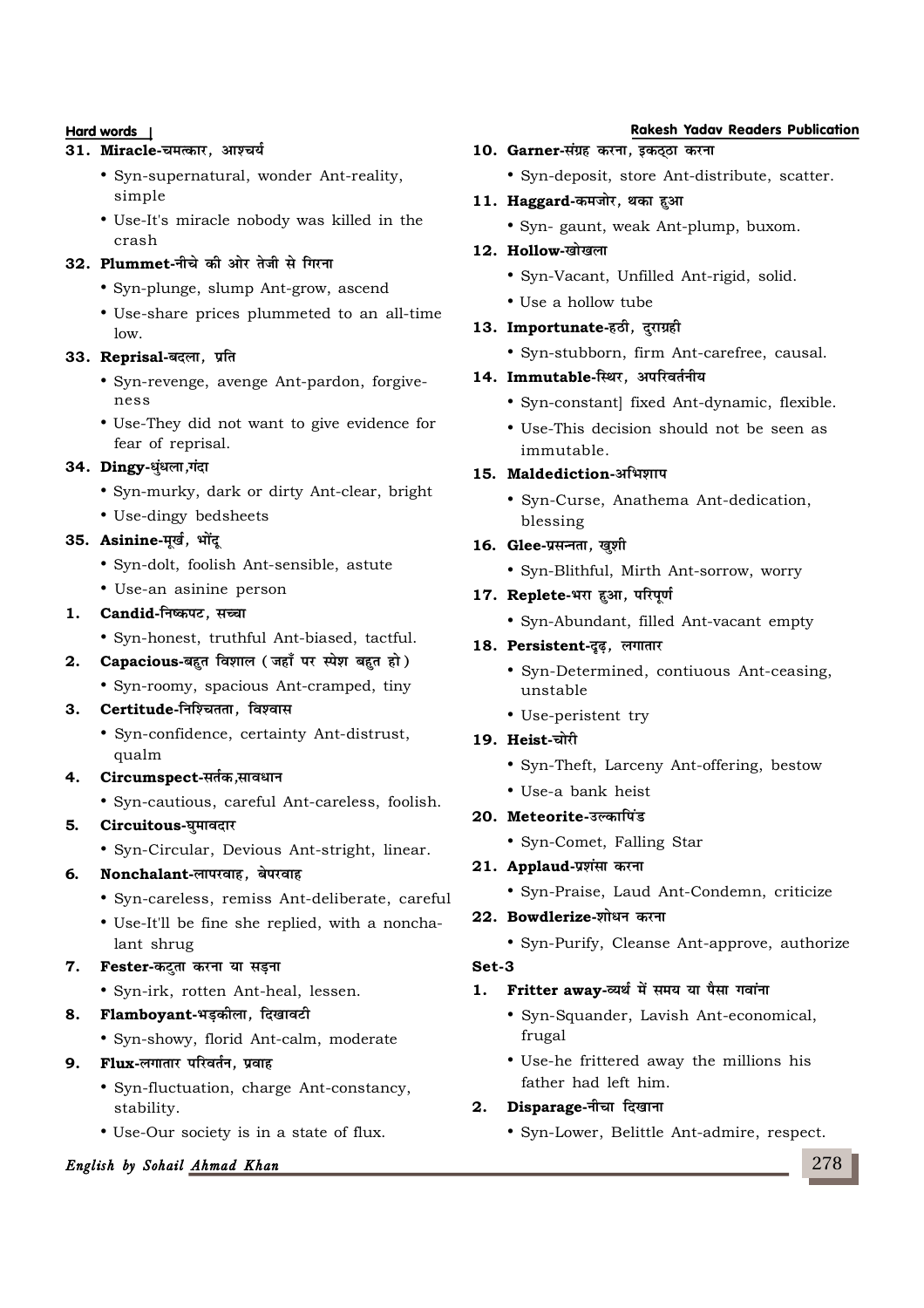## 31. Miracle-चमत्कार, आश्चर्य

- Syn-supernatural, wonder Ant-reality, simple
- Use-It's miracle nobody was killed in the crash

## 32. Plummet-नीचे की ओर तेजी से गिरना

- Syn-plunge, slump Ant-grow, ascend
- Use-share prices plummeted to an all-time low.

#### 33. **Reprisal-बदला**, प्रति

- Syn-revenge, avenge Ant-pardon, forgiveness
- Use-They did not want to give evidence for fear of reprisal.

## **34. Dingy-ध्ंधला,गंदा**

- Syn-murky, dark or dirty Ant-clear, bright
- Use-dingy bedsheets

## **35. Asinine-मर्ख, भोंद**

- Syn-dolt, foolish Ant-sensible, astute
- Use-an asinine person

## 1. **Candid-निष्कपट, सच्चा**

- Syn-honest, truthful Ant-biased, tactful.
- 2. Capacious-बहुत विशाल (जहाँ पर स्पेश बहुत हो)
	- Syn-roomy, spacious Ant-cramped, tiny

## 3. Certitude-निश्चितता, विश्वास

- Syn-confidence, certainty Ant-distrust, qualm
- **4. Circumspect**-सर्तक,सावधान
	- Syn-cautious, careful Ant-careless, foolish.

## 5. **Circuitous**-घमावदार

• Syn-Circular, Devious Ant-stright, linear.

## **6. Nonchalant**-लापरवाह, बेपरवाह

- Syn-careless, remiss Ant-deliberate, careful
- Use-It'll be fine she replied, with a nonchalant shrug

## **7. Fester-**कट्ता करना या सड़ना

• Syn-irk, rotten Ant-heal, lessen.

## 8. **Flamboyant**-भडकीला, दिखावटी

• Syn-showy, florid Ant-calm, moderate

## 9. **Flux**-लगातार परिवर्तन, प्रवाह

- Syn-fluctuation, charge Ant-constancy, stability.
- Use-Our society is in a state of flux.

## **English by Sohail Ahmad Khan**

## **Hard words Rakesh Yadav Readers Publication**

## 10. **Garner**-संग्रह करना, इकदठा करना

• Syn-deposit, store Ant-distribute, scatter.

## 11. **Haggard-कमजोर, थका हुआ**

• Syn- gaunt, weak Ant-plump, buxom.

## 12. **Hollow-**खोखला

- Syn-Vacant, Unfilled Ant-rigid, solid.
- Use a hollow tube

## 13. **Importunate-हठी, दराग्रही**

• Syn-stubborn, firm Ant-carefree, causal.

## 14. Immutable-स्थिर, अपरिवर्तनीय

- Syn-constant] fixed Ant-dynamic, flexible.
- Use-This decision should not be seen as immutable.

## 15. **Maldediction-अभिशाप**

• Syn-Curse, Anathema Ant-dedication, blessing

## 16. Glee-प्रसन्नता, खुशी

• Syn-Blithful, Mirth Ant-sorrow, worry

## 17. **Replete**-भरा हुआ, परिपूर्ण

• Syn-Abundant, filled Ant-vacant empty

## **18. Persistent-दुढ़, लगातार**

- Syn-Determined, contiuous Ant-ceasing, unstable
- Use-peristent try

## 19. **Heist-**चोरी

- Syn-Theft, Larceny Ant-offering, bestow
- Use-a bank heist

## 20. Meteorite-**उल्कापिंड**

- Syn-Comet, Falling Star
- 21. **Applaud**-प्रशंसा करना
	- Syn-Praise, Laud Ant-Condemn, criticize

## 22. **Bowdlerize-**शोधन करना

• Syn-Purify, Cleanse Ant-approve, authorize

## **Set-3**

## 1. **Fritter away-**व्यर्थ में समय या पैसा गवांना

- Syn-Squander, Lavish Ant-economical, frugal
- Use-he frittered away the millions his father had left him.

## **2. Disparage-नीचा दिखाना**

• Syn-Lower, Belittle Ant-admire, respect.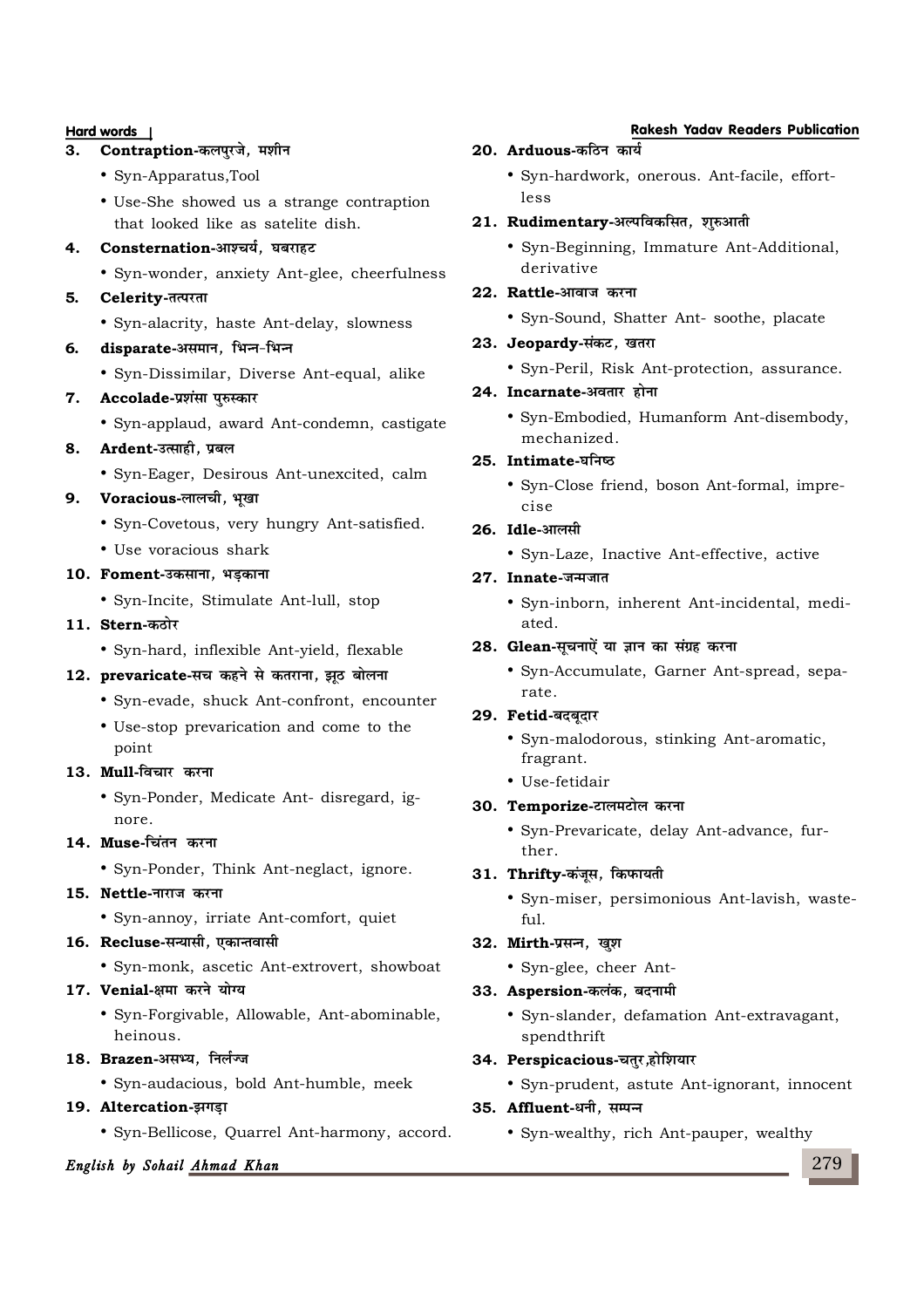## 3. **Contraption-कलप्**रजे, मशीन

- Syn-Apparatus,Tool
- Use-She showed us a strange contraption that looked like as satelite dish.

## **4. Consternation-आश्चर्य, घबराहट**

• Syn-wonder, anxiety Ant-glee, cheerfulness

#### **5. Celerity-r Ri j r k**

• Syn-alacrity, haste Ant-delay, slowness

## **6.** disparate-असमान, भिन्न-भिन्न

• Syn-Dissimilar, Diverse Ant-equal, alike

#### **7. Accolade-प्रशंसा पुरुस्कार**

• Syn-applaud, award Ant-condemn, castigate

### 8. **Ardent-**उत्साही, प्रबल

• Syn-Eager, Desirous Ant-unexcited, calm

## 9. Voracious-लालची, भूखा

- Syn-Covetous, very hungry Ant-satisfied.
- Use voracious shark

## 10. **Foment-उकसाना**. भडकाना

• Syn-Incite, Stimulate Ant-lull, stop

## **11. Stern-**कठोर

• Syn-hard, inflexible Ant-yield, flexable

## 12. **prevaricate**-सच कहने से कतराना, झठ बोलना

- Syn-evade, shuck Ant-confront, encounter
- Use-stop prevarication and come to the point

#### 13. **Mull**-विचार करना

• Syn-Ponder, Medicate Ant- disregard, ignore.

#### <u>14. Muse-चिंतन करना</u>

• Syn-Ponder, Think Ant-neglact, ignore.

## 15. **Nettle-नाराज करना**

• Syn-annoy, irriate Ant-comfort, quiet

## 16. **Recluse-सन्यासी, एकान्तवासी**

• Syn-monk, ascetic Ant-extrovert, showboat

#### 17. Venial-क्षमा करने योग्य

• Syn-Forgivable, Allowable, Ant-abominable, heinous.

## 18. **Brazen-असभ्य, निर्लज्ज**

• Syn-audacious, bold Ant-humble, meek

## 19. Altercation-झगडा

• Syn-Bellicose, Quarrel Ant-harmony, accord.

## **English by Sohail Ahmad Khan**

## **Hard words Rakesh Yadav Readers Publication**

## 20. **Arduous**-कठिन कार्य

• Syn-hardwork, onerous. Ant-facile, effortless

#### 21. Rudimentary-अल्पविकसित, शुरुआती

• Syn-Beginning, Immature Ant-Additional, derivative

## **22. Rattle-आवाज करना**

• Syn-Sound, Shatter Ant- soothe, placate

#### 23. Jeopardy-संकट, खतरा

• Syn-Peril, Risk Ant-protection, assurance.

#### **24. Incarnate-अवतार होना**

• Syn-Embodied, Humanform Ant-disembody, mechanized.

## 25. Intimate-घनिष्ठ

• Syn-Close friend, boson Ant-formal, imprecise

#### **26. Idle-आलमी**

• Syn-Laze, Inactive Ant-effective, active

#### **27.** Innate-जन्मजात

• Syn-inborn, inherent Ant-incidental, mediated.

#### 28. Glean-सूचनाऐं या ज्ञान का संग्रह करना

• Syn-Accumulate, Garner Ant-spread, separate.

## 29. **Fetid-बदबूदार**

- Syn-malodorous, stinking Ant-aromatic, fragrant.
- Use-fetidair

## 30. **Temporize**-टालमटोल करना

• Syn-Prevaricate, delay Ant-advance, further.

## 31. Thrifty-कंजूस, किफायती

• Syn-miser, persimonious Ant-lavish, wasteful.

## **32. Mirth-प्रसन्त, खुश**

• Syn-glee, cheer Ant-

#### 33. Aspersion-कलंक, बदनामी

• Syn-slander, defamation Ant-extravagant, spendthrift

#### 34. **Perspicacious-**चतुर,होशियार

• Syn-prudent, astute Ant-ignorant, innocent

## **35. Affluent-धनी, सम्पन्न**

• Syn-wealthy, rich Ant-pauper, wealthy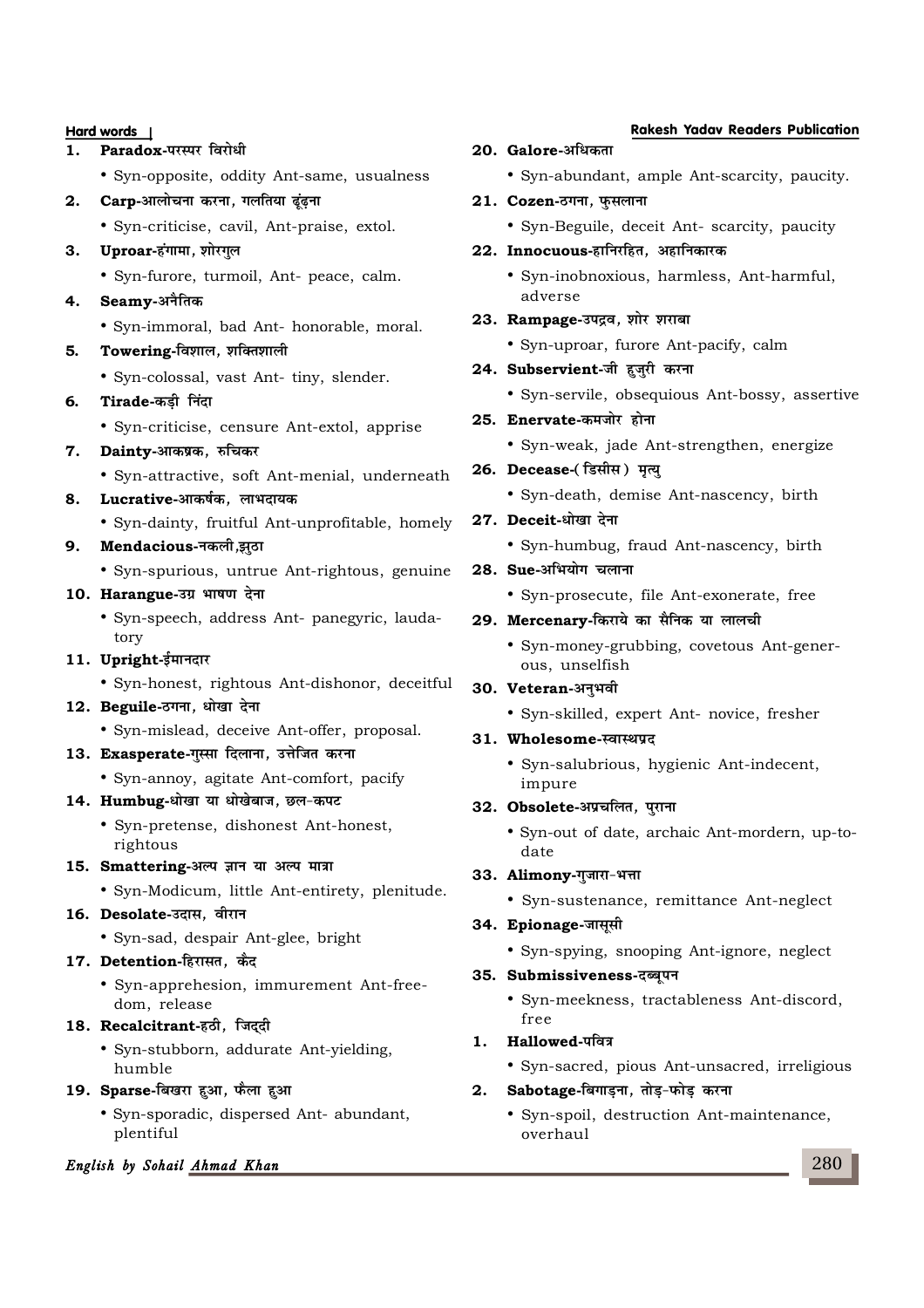- 1. **Paradox-परस्पर विरोधी** 
	- Syn-opposite, oddity Ant-same, usualness
- **2. Carp-आलोचना करना, गलतिया ढंढना** 
	- Syn-criticise, cavil, Ant-praise, extol.
- 3. **Uproar-हंगामा**, शोरगुल
	- Syn-furore, turmoil, Ant- peace, calm.
- **4. Seamv**-अनैतिक
	- Syn-immoral, bad Ant- honorable, moral.
- 5. **Towering-**विशाल, शक्तिशाली
	- Syn-colossal, vast Ant- tiny, slender.
- **6.** Tirade-कडी निंदा
	- Syn-criticise, censure Ant-extol, apprise
- **7. Dainty**-आकष्रक, रुचिकर
	- Syn-attractive, soft Ant-menial, underneath
- 8. Lucrative-आकर्षक, लाभदायक
	- Syn-dainty, fruitful Ant-unprofitable, homely
- 9. **Mendacious-नकली,झुठा** 
	- Syn-spurious, untrue Ant-rightous, genuine

### 10. **Harangue-**उग्र भाषण देना

- Syn-speech, address Ant- panegyric, laudatory
- 11. **Upright-ईमानदार** 
	- Syn-honest, rightous Ant-dishonor, deceitful
- 12. **Beguile**-ठगना, धोखा देना
	- Syn-mislead, deceive Ant-offer, proposal.
- 13. **Exasperate-**गस्सा दिलाना, उत्तेजित करना
	- Syn-annoy, agitate Ant-comfort, pacify
- 14. **Humbug-धोखा या धोखेबाज. छल-कपट** 
	- Syn-pretense, dishonest Ant-honest, rightous
- 15. **Smattering-अल्प** ज्ञान या अल्प मात्रा
	- Syn-Modicum, little Ant-entirety, plenitude.

## 16. Desolate-उदास, वीरान

- Syn-sad, despair Ant-glee, bright
- 17. Detention-हिरासत, कैद
	- Syn-apprehesion, immurement Ant-freedom, release

## 18. **Recalcitrant-हठी.** जिददी

• Syn-stubborn, addurate Ant-yielding, humble

## 19. **Sparse-बिखरा हुआ, फैला हुआ**

• Syn-sporadic, dispersed Ant- abundant, plentiful

## **English by Sohail Ahmad Khan**

## 20. **Galore**-अधिकता

- Syn-abundant, ample Ant-scarcity, paucity.
- 21. **Cozen-**ठगना, फसलाना
	- Syn-Beguile, deceit Ant- scarcity, paucity

## **22. Innocuous**-हानिरहित, अहानिकारक

• Syn-inobnoxious, harmless, Ant-harmful, adverse

## **23. Rampage-उपद्रव, शोर शराबा**

• Syn-uproar, furore Ant-pacify, calm

## **24. Subservient**-जी हजरी करना

• Syn-servile, obsequious Ant-bossy, assertive

## **25. Enervate-कमजोर होना**

- Syn-weak, jade Ant-strengthen, energize
- **26. Decease-**( डिसीस ) मृत्यू
	- Syn-death, demise Ant-nascency, birth

## **27. Deceit**-धोखा देना

• Syn-humbug, fraud Ant-nascency, birth

## **28. Sue-अभियोग चलाना**

• Syn-prosecute, file Ant-exonerate, free

## 29. Mercenary-किराये का सैनिक या लालची

• Syn-money-grubbing, covetous Ant-generous, unselfish

## $30.$  **Veteran-अनुभवी**

• Syn-skilled, expert Ant- novice, fresher

## $31.$  Wholesome-स्वास्थप्रद

• Syn-salubrious, hygienic Ant-indecent, impure

## 32. Obsolete-अप्रचलित, पुराना

• Syn-out of date, archaic Ant-mordern, up-todate

#### 33. Alimony-गुजारा-भत्ता

• Syn-sustenance, remittance Ant-neglect

## **34. Epionage-जासूसी**

• Syn-spying, snooping Ant-ignore, neglect

#### $35.$  **Submissiveness-दब्बूपन**

• Syn-meekness, tractableness Ant-discord, free

#### 1. **Hallowed**-पवित्र

• Syn-sacred, pious Ant-unsacred, irreligious

## 2. **Sabotage-बिगाड़ना, तोड़-फोड़ करना**

• Syn-spoil, destruction Ant-maintenance, overhaul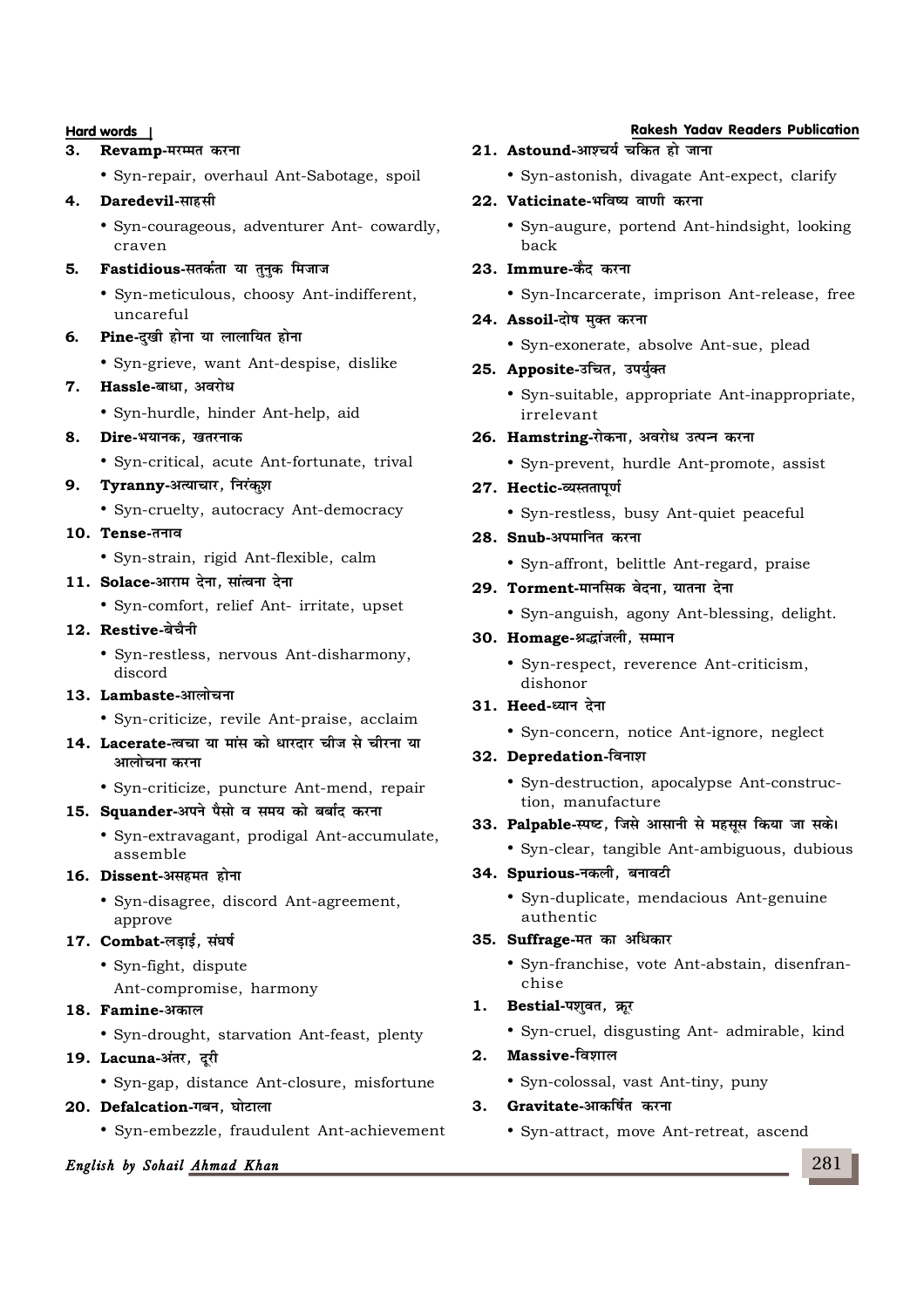### 3. **Revamp-मरम्मत करना**

• Syn-repair, overhaul Ant-Sabotage, spoil

## 4. **Daredevil-साहसी**

• Syn-courageous, adventurer Ant- cowardly, craven

## **5. Fastidious**-सतर्कता या तनक मिजाज

- Syn-meticulous, choosy Ant-indifferent, uncareful
- **6.** Pine-दुखी होना या लालायित होना
	- Syn-grieve, want Ant-despise, dislike

## **7. Hassle-बाधा, अवरोध**

• Syn-hurdle, hinder Ant-help, aid

## **8. Dire**-भयानक. खतरनाक

• Syn-critical, acute Ant-fortunate, trival

## **9. Tyranny**-अत्याचार, निरंकश

• Syn-cruelty, autocracy Ant-democracy

## 10. **Tense-तनाव**

• Syn-strain, rigid Ant-flexible, calm

## 11. **Solace**-आराम देना, सांत्वना देना

• Syn-comfort, relief Ant- irritate, upset

## $12.$  **Restive-बेचैनी**

• Syn-restless, nervous Ant-disharmony, discord

## **13. Lambaste-आलोचना**

- Syn-criticize, revile Ant-praise, acclaim
- 14. Lacerate-त्वचा या मांस को धारदार चीज से चीरना या आलोचना करना
	- Syn-criticize, puncture Ant-mend, repair

## 15. **Squander**-अपने पैसो व समय को बर्बाद करना

• Syn-extravagant, prodigal Ant-accumulate, assemble

## 16. Dissent-असहमत होना

• Syn-disagree, discord Ant-agreement, approve

## 17. **Combat-लड़ाई, संघर्ष**

• Syn-fight, dispute Ant-compromise, harmony

## 18. **Famine-अकाल**

• Syn-drought, starvation Ant-feast, plenty

## 19. Lacuna-अंतर, दूरी

• Syn-gap, distance Ant-closure, misfortune

## 20. Defalcation-गबन, घोटाला

• Syn-embezzle, fraudulent Ant-achievement

## **English by Sohail Ahmad Khan**

## **Hard words Rakesh Yadav Readers Publication**

## 21. **Astound**-आश्चर्य चकित हो जाना

• Syn-astonish, divagate Ant-expect, clarify

## 22. Vaticinate-भविष्य वाणी करना

• Syn-augure, portend Ant-hindsight, looking back

## **23. Immure-कैद करना**

• Syn-Incarcerate, imprison Ant-release, free

## **24. Assoil**-दोष मुक्त करना

• Syn-exonerate, absolve Ant-sue, plead

## **25. Apposite-उचित. उपर्यक्त**

• Syn-suitable, appropriate Ant-inappropriate, irrelevant

## **26. Hamstring-रोकना. अवरोध उत्पन्न करना**

• Syn-prevent, hurdle Ant-promote, assist

## 27. Hectic-व्यस्ततापर्ण

• Syn-restless, busy Ant-quiet peaceful

## **28. Snub-अपमानित करना**

• Syn-affront, belittle Ant-regard, praise

## **29. Torment**-मानसिक वेदना, यातना देना

• Syn-anguish, agony Ant-blessing, delight.

## 30. **Homage-**श्रद्धांजली, सम्मान

• Syn-respect, reverence Ant-criticism, dishonor

## 31. **Heed-ध्यान** देना

• Syn-concern, notice Ant-ignore, neglect

## $32.$  **Depredation-**विनाश

• Syn-destruction, apocalypse Ant-construction, manufacture

## 33. Palpable-स्पष्ट, जिसे आसानी से महसूस किया जा सके।

• Syn-clear, tangible Ant-ambiguous, dubious

## 34. **Spurious**-नकली, बनावटी

• Syn-duplicate, mendacious Ant-genuine authentic

## 35. Suffrage-मत का अधिकार

• Syn-franchise, vote Ant-abstain, disenfranchise

## 1. **Bestial-पशुवत, क्रूर**

• Syn-cruel, disgusting Ant- admirable, kind

## 2. **Massive-विशाल**

• Syn-colossal, vast Ant-tiny, puny

## **3.** Gravitate-आकर्षित करना

• Syn-attract, move Ant-retreat, ascend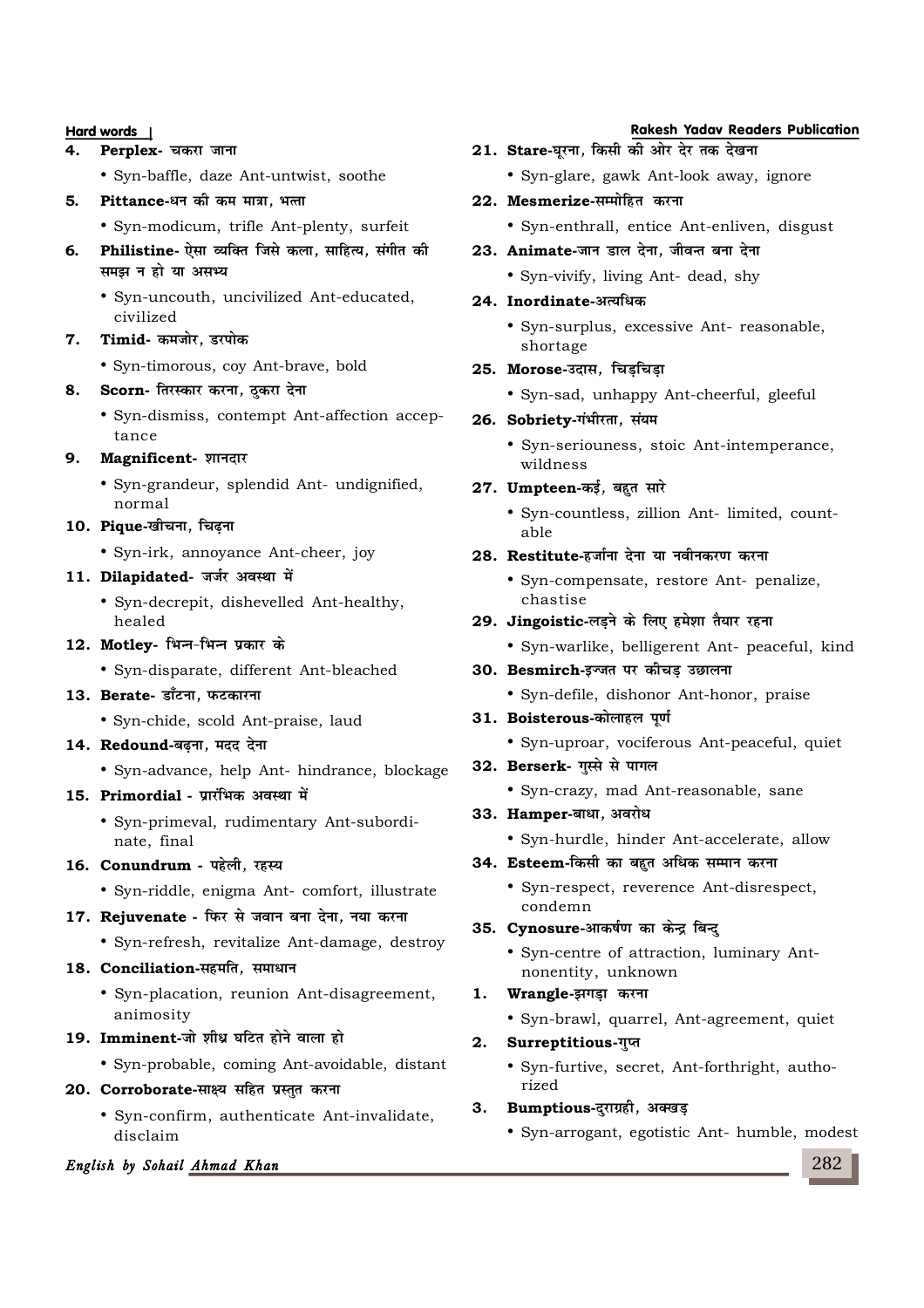- **4. Perplex** चकरा जाना
	- Syn-baffle, daze Ant-untwist, soothe
- **5. Pittance-धन की कम मात्रा. भला** 
	- Syn-modicum, trifle Ant-plenty, surfeit
- **6. Philistine-** ऐसा व्यक्ति जिसे कला, साहित्य, संगीत की समझ न हो या असभ्य
	- Syn-uncouth, uncivilized Ant-educated, civilized
- **7. Timid** कमजोर, डरपोक
	- Syn-timorous, coy Ant-brave, bold
- **8. Scorn** तिरस्कार करना, ठकरा देना
	- Syn-dismiss, contempt Ant-affection acceptance
- 9. **Magnificent-** शानदार
	- Syn-grandeur, splendid Ant- undignified, normal
- 10. **Pique**-खीचना, चिढ़ना
	- Syn-irk, annoyance Ant-cheer, joy

#### 11. **Dilapidated**- जर्जर अवस्था में

- Syn-decrepit, dishevelled Ant-healthy, healed
- 12. Motley- भिन-भिन प्रकार के
	- Syn-disparate, different Ant-bleached
- 13. **Berate** डाँटना, फटकारना
	- Syn-chide, scold Ant-praise, laud
- 14. **Redound-बढना**, मदद देना
	- Syn-advance, help Ant- hindrance, blockage
- 15. **Primordial पारंभिक अवस्था में** 
	- Syn-primeval, rudimentary Ant-subordinate, final
- 16. **Conundrum** पहेली, रहस्य
	- Syn-riddle, enigma Ant- comfort, illustrate
- 17. **Rejuvenate** फिर से जवान बना देना, नया करना
	- Syn-refresh, revitalize Ant-damage, destroy
- 18. **Conciliation-सहमति, समाधान** 
	- Syn-placation, reunion Ant-disagreement, animosity
- 19. **Imminent**-जो शीध्र घटित होने वाला हो
	- Syn-probable, coming Ant-avoidable, distant

#### 20. Corroborate-साक्ष्य सहित प्रस्तुत करना

• Syn-confirm, authenticate Ant-invalidate, disclaim

## **English by Sohail Ahmad Khan**

#### **Hard words Rakesh Yadav Readers Publication**

- 21. Stare-घुरना, किसी की ओर देर तक देखना
	- Syn-glare, gawk Ant-look away, ignore
- 22. Mesmerize-सम्मोहित करना
	- Syn-enthrall, entice Ant-enliven, disgust
- 23. Animate-जान डाल देना, जीवन्त बना देना
	- Syn-vivify, living Ant- dead, shy

#### 24. Inordinate-अत्यधिक

- Syn-surplus, excessive Ant- reasonable, shortage
- $25.$  **Morose**-उदास. चिडचिडा
	- Syn-sad, unhappy Ant-cheerful, gleeful
- **26. Sobriety-गंभीरता, संयम** 
	- Syn-seriouness, stoic Ant-intemperance, wildness

#### **27. Umpteen-**कई. बहत सारे

• Syn-countless, zillion Ant- limited, countable

### 28. Restitute-हर्जाना देना या नवीनकरण करना

- Syn-compensate, restore Ant- penalize, chastise
- 29. **Jingoistic**-लडने के लिए हमेशा तैयार रहना
	- Syn-warlike, belligerent Ant- peaceful, kind

#### 30. **Besmirch-इ**ज्जत पर कीचड़ उछालना

- Syn-defile, dishonor Ant-honor, praise
- 31. **Boisterous**-कोलाहल पूर्ण
	- Syn-uproar, vociferous Ant-peaceful, quiet
- 32. Berserk- गुस्से से पागल
	- Syn-crazy, mad Ant-reasonable, sane
- **33. Hamper-बाधा, अवरोध** 
	- Syn-hurdle, hinder Ant-accelerate, allow

#### 34. **Esteem**-किसी का बहुत अधिक सम्मान करना

• Syn-respect, reverence Ant-disrespect, condemn

#### 35. **Cynosure**-आकर्षण का केन्द्र बिन्द

• Syn-centre of attraction, luminary Antnonentity, unknown

#### 1. Wrangle-झगड़ा करना

• Syn-brawl, quarrel, Ant-agreement, quiet

#### $2.$  **Surreptitious**-गुप्त

• Syn-furtive, secret, Ant-forthright, authorized

#### **3. Bumptious**-दुराग्रही, अक्खड़

• Syn-arrogant, egotistic Ant- humble, modest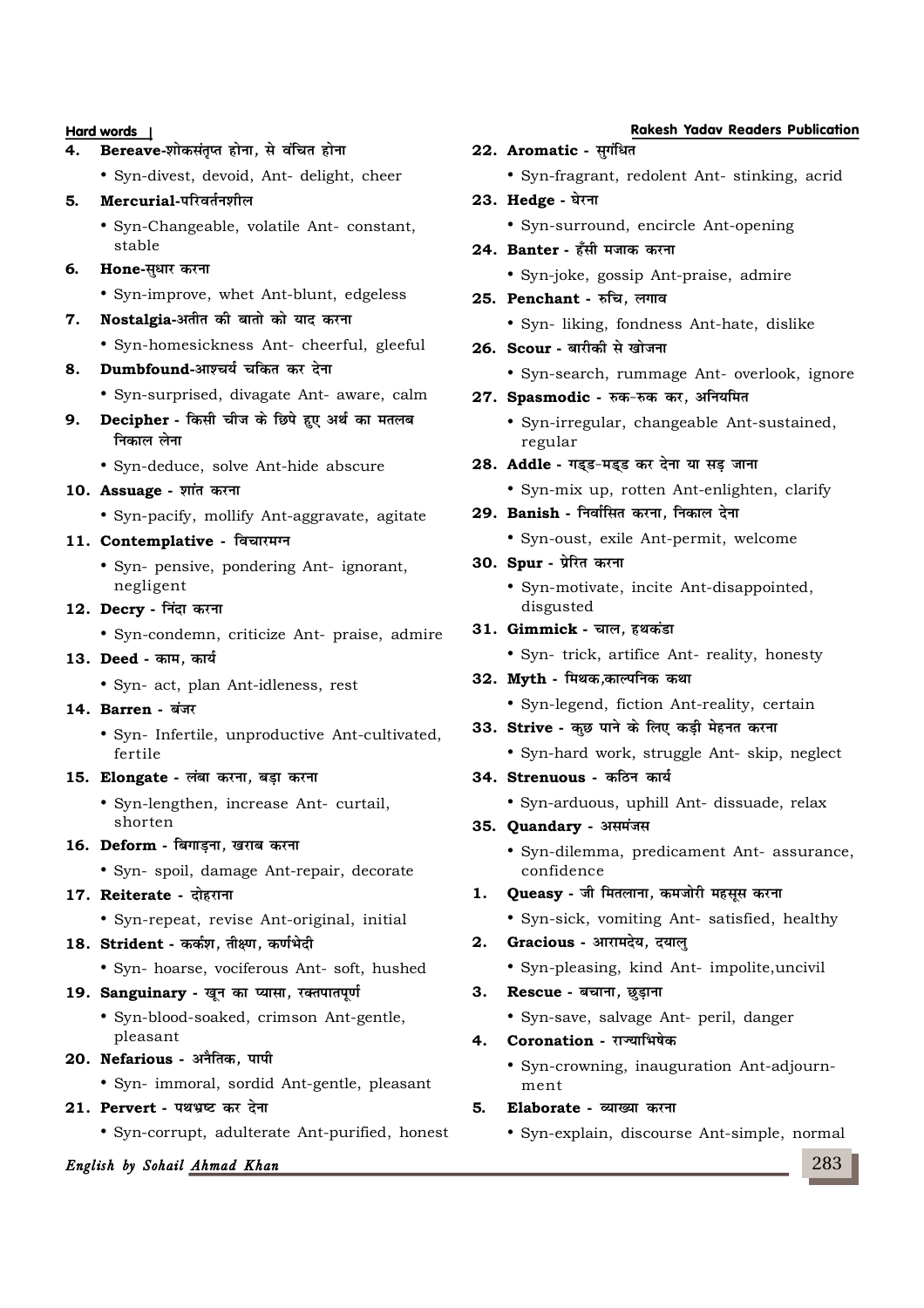- 4. **Bereave**-शोकसंतृप्त होना, से वंचित होना
	- Syn-divest, devoid, Ant- delight, cheer

#### **5.** Mercurial-परिवर्तनशील

• Syn-Changeable, volatile Ant- constant, stable

## **6. Hone-सधार करना**

- Syn-improve, whet Ant-blunt, edgeless
- **7. Nostalgia-अतीत की बातो को याद करना** 
	- Syn-homesickness Ant- cheerful, gleeful

## 8. **Dumbfound**-आश्चर्य चकित कर देना

- Syn-surprised, divagate Ant- aware, calm
- 9. **Decipher** किसी चीज के छिपे हुए अर्थ का मतलब **निकाल** लेना
	- Syn-deduce, solve Ant-hide abscure

#### 10. **Assuage** - शांत करना

• Syn-pacify, mollify Ant-aggravate, agitate

## 11. **Contemplative - विचारमग्न**

• Syn- pensive, pondering Ant- ignorant, negligent

## 12. **Decry** - निंदा करना

• Syn-condemn, criticize Ant- praise, admire

#### 13. **Deed** - काम, कार्य

• Syn- act, plan Ant-idleness, rest

#### **14. Barren - बंजर**

• Syn- Infertile, unproductive Ant-cultivated, fertile

#### 15. **Elongate - लंबा करना, बड़ा करना**

• Syn-lengthen, increase Ant- curtail, shorten

#### 16. **Deform** - बिगाड़ना, खराब करना

• Syn- spoil, damage Ant-repair, decorate

#### 17. **Reiterate - दोहराना**

• Syn-repeat, revise Ant-original, initial

### 18. Strident - कर्कश, तीक्ष्ण, कर्णभेदी

• Syn- hoarse, vociferous Ant- soft, hushed

## 19. Sanguinary - खून का प्यासा, रक्तपातपूर्ण

- Syn-blood-soaked, crimson Ant-gentle, pleasant
- **20. Nefarious अनैतिक, पापी** 
	- Syn- immoral, sordid Ant-gentle, pleasant

## 21. **Pervert** - पथभ्रष्ट कर देना

• Syn-corrupt, adulterate Ant-purified, honest

## **English by Sohail Ahmad Khan**

## **Hard words Rakesh Yadav Readers Publication**

- 22. Aromatic सुगंधित
	- Syn-fragrant, redolent Ant- stinking, acrid

## **23. Hedge - घेरना**

- Syn-surround, encircle Ant-opening
- **24. Banter** हँसी मजाक करना
	- Syn-joke, gossip Ant-praise, admire
- **25. Penchant रुचि, लगाव** 
	- Syn- liking, fondness Ant-hate, dislike
- **26. Scour** बारीकी से खोजना
	- Syn-search, rummage Ant- overlook, ignore

#### 27. **Spasmodic** - रुक-रुक कर, अनियमित

- Syn-irregular, changeable Ant-sustained, regular
- 28. Addle गड्ड-मड्ड कर देना या सड़ जाना
	- Syn-mix up, rotten Ant-enlighten, clarify
- **29. Banish निर्वासित करना, निकाल देना** 
	- Syn-oust, exile Ant-permit, welcome
- **30. Spur** प्रेरित करना
	- Syn-motivate, incite Ant-disappointed, disgusted

#### 31. **Gimmick** - चाल, हथकंडा

- Syn- trick, artifice Ant- reality, honesty
- 32. Myth मिथक,काल्पनिक कथा
	- Syn-legend, fiction Ant-reality, certain
- 33. Strive कछ पाने के लिए कडी मेहनत करना
	- Syn-hard work, struggle Ant- skip, neglect
- **34.** Strenuous कठिन कार्य
	- Syn-arduous, uphill Ant- dissuade, relax
- 35. **Ouandary** असमंजस

• Syn-dilemma, predicament Ant- assurance, confidence

- 1. **Queasy** जी मितलाना, कमजोरी महसूस करना
	- Syn-sick, vomiting Ant- satisfied, healthy

**2. Gracious** - आरामदेय, दयालु

- Syn-pleasing, kind Ant- impolite,uncivil
- 3. **Rescue** बचाना, छड़ाना
	- Syn-save, salvage Ant- peril, danger
- **4.** Coronation राज्याभिषेक
	- Syn-crowning, inauguration Ant-adjournment

#### **5.** Elaborate - व्याख्या करना

• Syn-explain, discourse Ant-simple, normal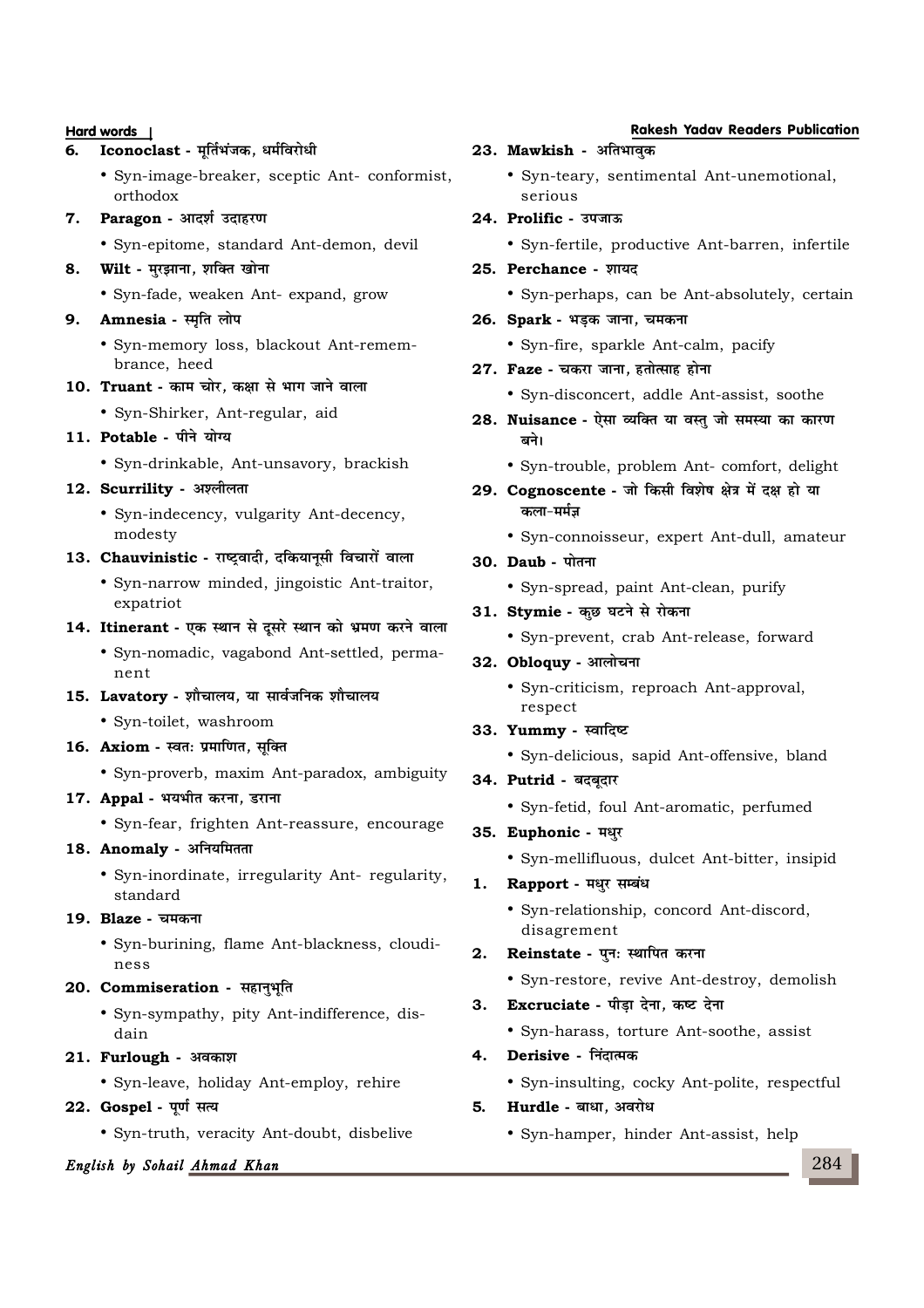- **6. Iconoclast मुर्तिभंजक, धर्मविरोधी** 
	- Syn-image-breaker, sceptic Ant- conformist, orthodox
- **7. Paragon आदर्श उदाहरण** 
	- Syn-epitome, standard Ant-demon, devil
- 8. **Wilt मरझाना, शक्ति खोना** 
	- Syn-fade, weaken Ant- expand, grow

## 9. **Amnesia - स्मृति लोप**

• Syn-memory loss, blackout Ant-remembrance, heed

## 10. **Truant** - काम चोर, कक्षा से भाग जाने वाला

- Syn-Shirker, Ant-regular, aid
- 11. **Potable** पीने योग्य
	- Syn-drinkable, Ant-unsavory, brackish

#### 12. Scurrility - अश्लीलता

- Syn-indecency, vulgarity Ant-decency, modesty
- 13. **Chauvinistic** राष्टवादी. दकियानसी विचारों वाला
	- Syn-narrow minded, jingoistic Ant-traitor, expatriot

### 14. Itinerant - एक स्थान से दसरे स्थान को भ्रमण करने वाला

- Syn-nomadic, vagabond Ant-settled, permanent
- 15. Lavatory शौचालय, या सार्वजनिक शौचालय
	- Syn-toilet, washroom
- 16. **Axiom** स्वतः प्रमाणित, सुक्ति
	- Syn-proverb, maxim Ant-paradox, ambiguity

#### 17. **Appal** - भयभीत करना, डराना

• Syn-fear, frighten Ant-reassure, encourage

#### 18. **Anomaly** - अनियमितता

• Syn-inordinate, irregularity Ant- regularity, standard

#### $19.$  **Blaze** - चमकना

• Syn-burining, flame Ant-blackness, cloudiness

## 20. **Commiseration** - सहानुभूति

• Syn-sympathy, pity Ant-indifference, disdain

#### **21. Furlough - अवकाश**

• Syn-leave, holiday Ant-employ, rehire

#### 22. Gospe1 - पर्ण सत्य

• Syn-truth, veracity Ant-doubt, disbelive

#### **English by Sohail Ahmad Khan**

#### **Hard words Rakesh Yadav Readers Publication**

- **23. Mawkish अतिभावुक** 
	- Syn-teary, sentimental Ant-unemotional, serious
- **24. Prolific उपजाऊ** 
	- Syn-fertile, productive Ant-barren, infertile
- **25. Perchance शायद** 
	- Syn-perhaps, can be Ant-absolutely, certain
- **26. Spark भड़क जाना, चमकना** 
	- Syn-fire, sparkle Ant-calm, pacify
- **27. Faze चकरा जाना. हतोत्साह होना** 
	- Syn-disconcert, addle Ant-assist, soothe
- **28. Nuisance ऐसा व्यक्ति या वस्तु जो समस्या का कारण बने**।
	- Syn-trouble, problem Ant- comfort, delight
- 29. **Cognoscente** जो किसी विशेष क्षेत्र में दक्ष हो या कला-मर्मज
	- Syn-connoisseur, expert Ant-dull, amateur
- 30. **Daub** पोतना
	- Syn-spread, paint Ant-clean, purify
- **31. Stymie** कुछ घटने से रोकना
	- Syn-prevent, crab Ant-release, forward

#### 32. **Obloquy** - आलोचना

• Syn-criticism, reproach Ant-approval, respect

#### **33. Yummv** - स्वादिष्ट

- Syn-delicious, sapid Ant-offensive, bland
- **34. Putrid बदबुदार** 
	- Syn-fetid, foul Ant-aromatic, perfumed
- **35. Euphonic मधुर** 
	- Syn-mellifluous, dulcet Ant-bitter, insipid

### 1. **Rapport** - मधर सम्बंध

• Syn-relationship, concord Ant-discord, disagrement

#### 2. **Reinstate - पुनः स्थापित करना**

- Syn-restore, revive Ant-destroy, demolish
- 3. **Excruciate** पीड़ा देना, कष्ट देना
	- Syn-harass, torture Ant-soothe, assist
- **4. Derisive निंदात्मक** 
	- Syn-insulting, cocky Ant-polite, respectful
- **5. Hurdle बाधा, अवरोध** 
	- Syn-hamper, hinder Ant-assist, help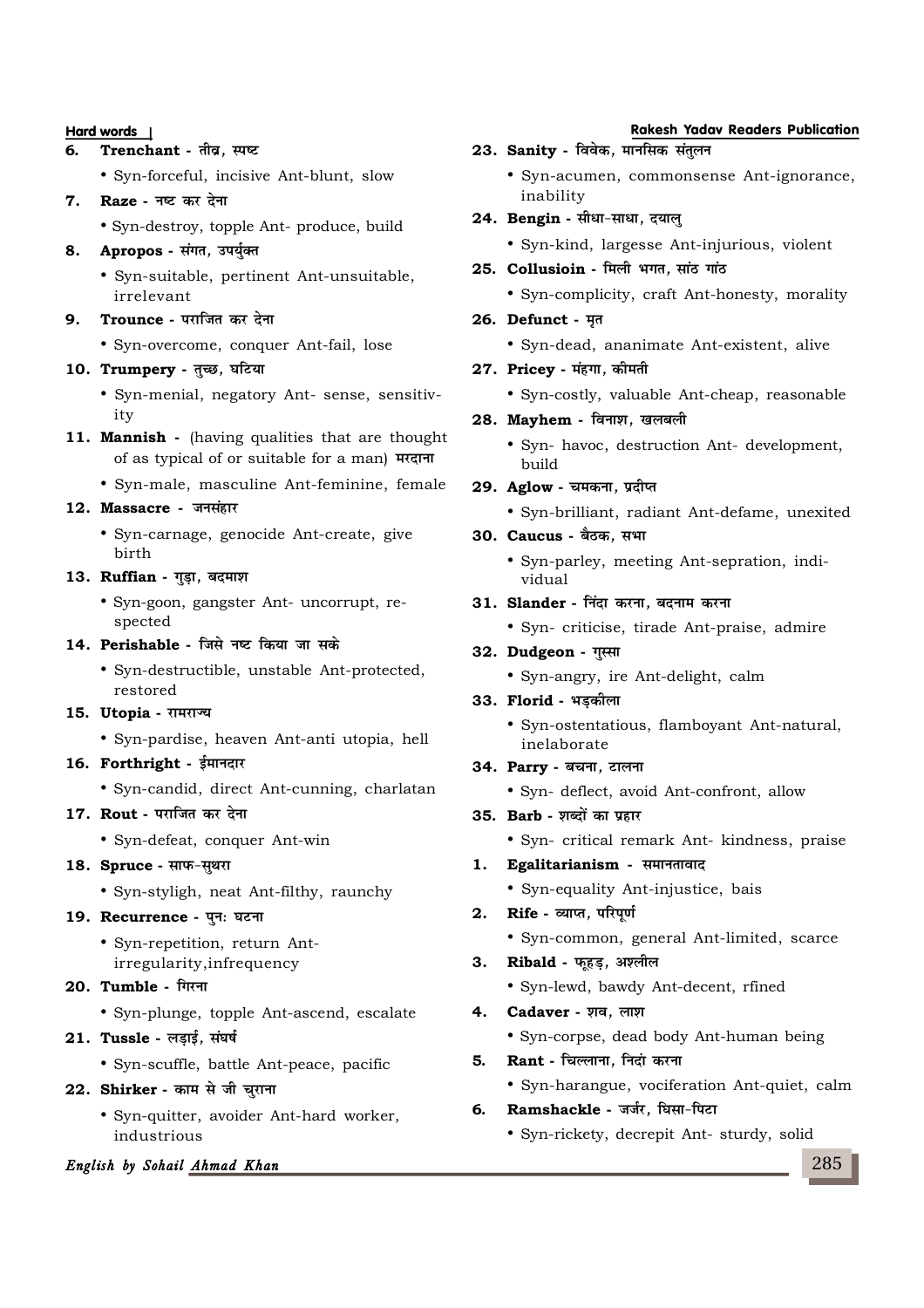- **6.** Trenchant तीव्र, स्पष्ट
	- Syn-forceful, incisive Ant-blunt, slow
- **7. Raze** नष्ट कर देना
	- Syn-destroy, topple Ant- produce, build
- 8. **Apropos संगत, उपर्युक्त** 
	- Syn-suitable, pertinent Ant-unsuitable, irrelevant
- **9. Trounce** पराजित कर देना
	- Syn-overcome, conquer Ant-fail, lose

## **10. Trumperv - तच्छ. घटिया**

- Syn-menial, negatory Ant- sense, sensitivity
- **11. Mannish -** (having qualities that are thought of as typical of or suitable for a man) मरदाना
	- Syn-male, masculine Ant-feminine, female

## 12. Massacre - जनसंहार

• Syn-carnage, genocide Ant-create, give birth

#### **13. Ruffian - गडा. बदमाश**

• Syn-goon, gangster Ant- uncorrupt, respected

## 14. **Perishable** - जिसे नष्ट किया जा सके

• Syn-destructible, unstable Ant-protected, restored

## 15. **Utopia** - रामराज्य

- Syn-pardise, heaven Ant-anti utopia, hell
- 16. Forthright ईमानदार
	- Syn-candid, direct Ant-cunning, charlatan

## **17. Rout** - पराजित कर देना

• Syn-defeat, conquer Ant-win

## 18. **Spruce** - साफ-सथरा

• Syn-styligh, neat Ant-filthy, raunchy

## 19. **Recurrence - पन: घटना**

• Syn-repetition, return Antirregularity,infrequency

## 20. **Tumble - गिरना**

• Syn-plunge, topple Ant-ascend, escalate

## 21. Tussle - लड़ाई, संघर्ष

• Syn-scuffle, battle Ant-peace, pacific

## **22. Shirker** - काम से जी चराना

• Syn-quitter, avoider Ant-hard worker, industrious

## **English by Sohail Ahmad Khan**

### **Hard words Rakesh Yadav Readers Publication**

- 23. Sanity विवेक, मानसिक संतुलन
	- Syn-acumen, commonsense Ant-ignorance, inability
- **24. Bengin सीधा-साधा, दयाल्** 
	- Syn-kind, largesse Ant-injurious, violent
- 25. **Collusioin** मिली भगत, सांठ गांठ
	- Syn-complicity, craft Ant-honesty, morality

## 26. **Defunct** - मृत

• Syn-dead, ananimate Ant-existent, alive

## $27.$  **Pricev** - मंहगा. कीमती

- Syn-costly, valuable Ant-cheap, reasonable
- 28. **Mayhem** विनाश, खलबली
	- Syn- havoc, destruction Ant- development, build

## **29. Aglow - चमकना, प्रदीप्त**

• Syn-brilliant, radiant Ant-defame, unexited

## 30. **Caucus** - बैठक, सभा

• Syn-parley, meeting Ant-sepration, individual

## 31. Slander - निंदा करना, बदनाम करना

• Syn- criticise, tirade Ant-praise, admire

## 32. Dudgeon - गुस्सा

• Syn-angry, ire Ant-delight, calm

## **33. Florid - भड़कीला**

• Syn-ostentatious, flamboyant Ant-natural, inelaborate

## 34. **Parry - बचना, टालना**

• Syn- deflect, avoid Ant-confront, allow

## **35. Barb - शब्दों का प्रहार**

• Syn- critical remark Ant- kindness, praise

## 1. **Egalitarianism - समानतावाद**

- Syn-equality Ant-injustice, bais
- 2. Rife व्याप्त, परिपर्ण
	- Syn-common, general Ant-limited, scarce
- 3. **Ribald फहड, अश्लील** 
	- Syn-lewd, bawdy Ant-decent, rfined
- **4. Cadaver** शव, लाश
	- Syn-corpse, dead body Ant-human being
- **5. Rant चिल्लाना, निंदा करना** 
	- Syn-harangue, vociferation Ant-quiet, calm

## **6. Ramshackle - जर्जर, घिसा-पिटा**

• Syn-rickety, decrepit Ant- sturdy, solid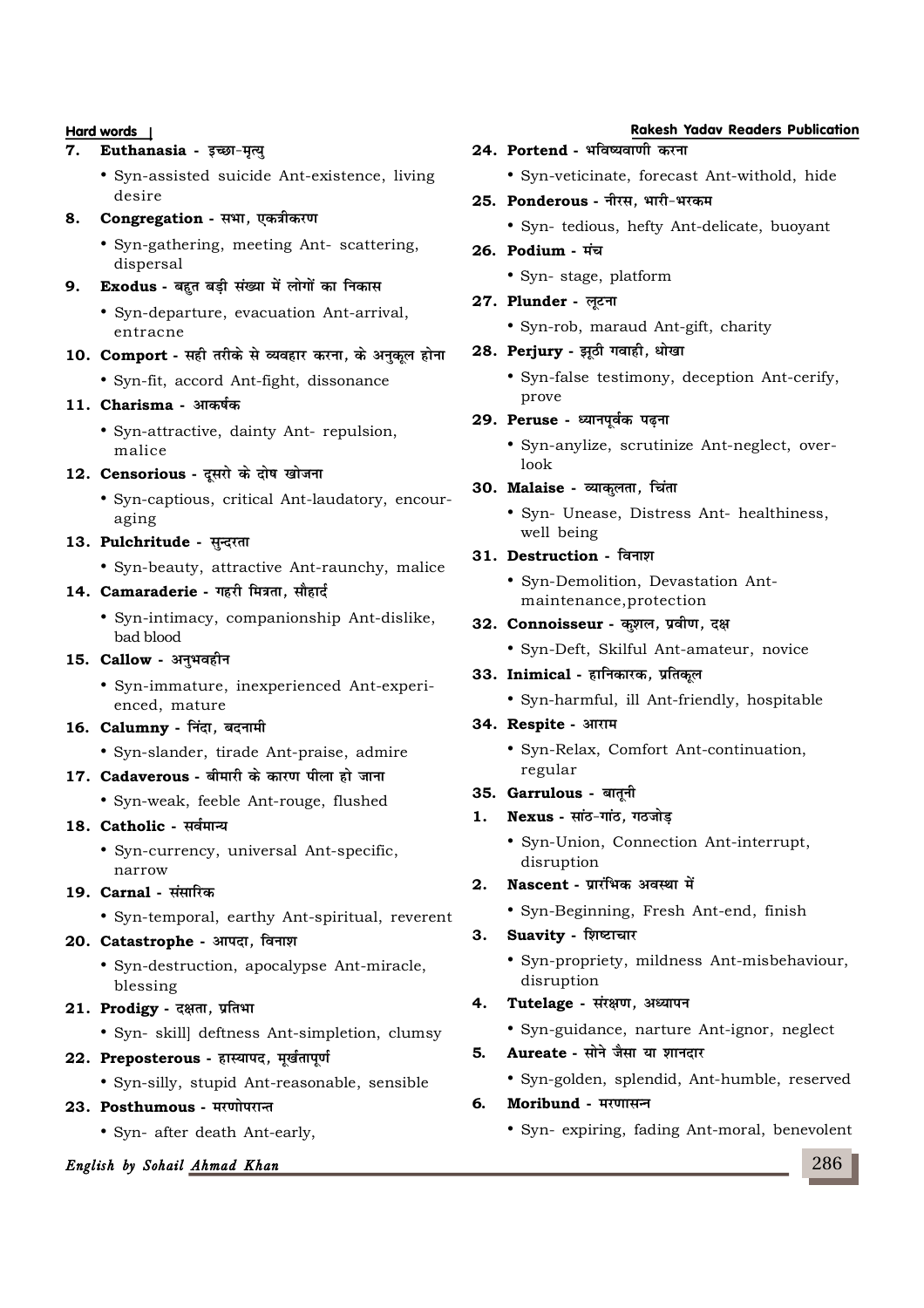#### **7.** Euthanasia - इच्छा-मृत्य्

• Syn-assisted suicide Ant-existence, living desire

## 8. **Congregation** - सभा, एकत्रीकरण

• Syn-gathering, meeting Ant- scattering, dispersal

## 9. **Exodus** - बहुत बड़ी संख्या में लोगों का निकास

• Syn-departure, evacuation Ant-arrival, entracne

#### 10. **Comport** - सही तरीके से व्यवहार करना, के अनुकुल होना

• Syn-fit, accord Ant-fight, dissonance

#### 11. **Charisma - आकर्षक**

• Syn-attractive, dainty Ant- repulsion, malice

## 12. **Censorious** - दूसरो के दोष खोजना

• Syn-captious, critical Ant-laudatory, encouraging

## 13. Pulchritude - सुन्दरता

• Syn-beauty, attractive Ant-raunchy, malice

## 14. **Camaraderie** - गहरी मित्रता, सौहार्द

• Syn-intimacy, companionship Ant-dislike, bad blood

## 15. **Callow** - अनुभवहीन

• Syn-immature, inexperienced Ant-experienced, mature

## 16. **Calumny** - निंदा, बदनामी

• Syn-slander, tirade Ant-praise, admire

## 17. **Cadaverous - बीमारी के कारण पीला हो जाना**

• Syn-weak, feeble Ant-rouge, flushed

## 18. Catholic - सर्वमान्य

• Syn-currency, universal Ant-specific, narrow

## 19. Carnal - संसारिक

• Syn-temporal, earthy Ant-spiritual, reverent

## 20. Catastrophe - आपदा, विनाश

• Syn-destruction, apocalypse Ant-miracle, blessing

## 21. **Prodigy** - दक्षता, प्रतिभा

• Syn- skill] deftness Ant-simpletion, clumsy

## 22. Preposterous - हास्यापद, मूर्खतापूर्ण

• Syn-silly, stupid Ant-reasonable, sensible

## 23. **Posthumous** - मरणोपरान्त

• Syn- after death Ant-early,

## **English by Sohail Ahmad Khan**

### **Hard words Rakesh Yadav Readers Publication**

## **24. Portend - भविष्यवाणी करना**

• Syn-veticinate, forecast Ant-withold, hide

## **25. Ponderous - नीरस. भारी-भरकम**

• Syn- tedious, hefty Ant-delicate, buoyant

## 26. **Podium** - मंच

• Syn- stage, platform

#### $27.$  **Plunder** - लूटना

• Syn-rob, maraud Ant-gift, charity

## **28. Perjury - झठी गवाही, धोखा**

• Syn-false testimony, deception Ant-cerify, prove

## **29. Peruse - ध्यानपूर्वक पढ़ना**

• Syn-anylize, scrutinize Ant-neglect, overlook

## **30. Malaise - व्याकलता. चिंता**

• Syn- Unease, Distress Ant- healthiness, well being

## $31.$  **Destruction** - विनाश

• Syn-Demolition, Devastation Antmaintenance,protection

#### 32. **Connoisseur** - कशल, प्रवीण, दक्ष

• Syn-Deft, Skilful Ant-amateur, novice

## **33. Inimical - हानिकारक, प्रतिकल**

• Syn-harmful, ill Ant-friendly, hospitable

## **34. Respite - आराम**

• Syn-Relax, Comfort Ant-continuation, regular

## $35.$  Garrulous - बातनी

- 1. **Nexus** सांठ-गांठ, गठजोड़
	- Syn-Union, Connection Ant-interrupt, disruption

## **2. Nascent - प्रारंभिक अवस्था में**

• Syn-Beginning, Fresh Ant-end, finish

## 3. Suavity - शिष्टाचार

- Syn-propriety, mildness Ant-misbehaviour, disruption
- **4. Tutelage संरक्षण, अध्यापन** 
	- Syn-guidance, narture Ant-ignor, neglect
- 5. **Aureate** सोने जैसा या शानदार
	- Syn-golden, splendid, Ant-humble, reserved
- **6.** Moribund मरणासन्त
	- Syn- expiring, fading Ant-moral, benevolent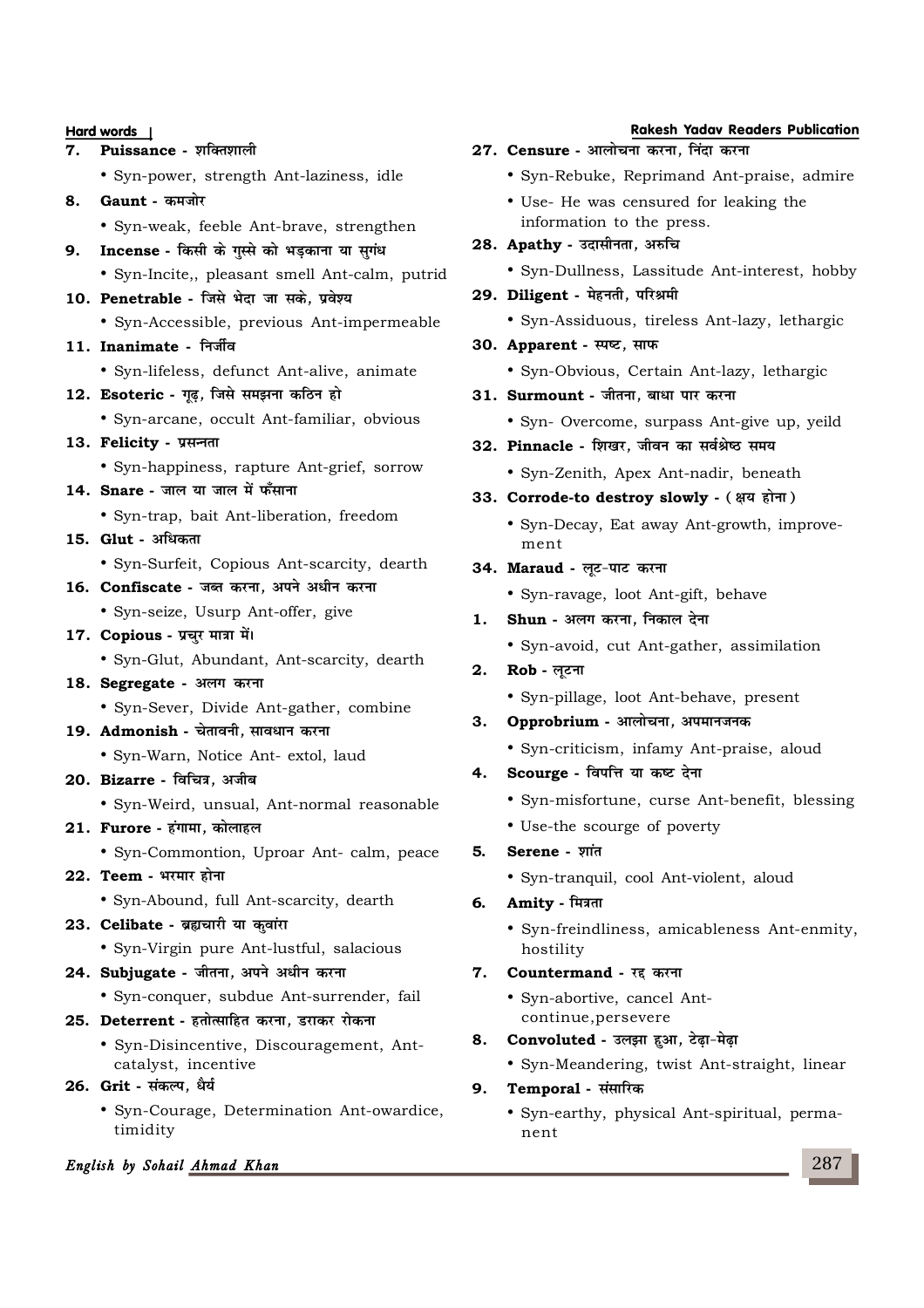- **7.** Puissance शक्तिशाली
	- Syn-power, strength Ant-laziness, idle
- **8. Gaunt** कमजोर
	- Syn-weak, feeble Ant-brave, strengthen
- 9. **Incense** किसी के गस्से को भडकाना या सगंध
	- Syn-Incite,, pleasant smell Ant-calm, putrid
- 10. **Penetrable** जिसे भेदा जा सके, प्रवेश्य
	- Syn-Accessible, previous Ant-impermeable
- 11. Inanimate निर्जीव
	- Syn-lifeless, defunct Ant-alive, animate
- 12. Esoteric गूढ़, जिसे समझना कठिन हो
	- Syn-arcane, occult Ant-familiar, obvious
- 13. **Felicity** प्रसन्नता
	- Syn-happiness, rapture Ant-grief, sorrow
- 14. Snare जाल या जाल में फँसाना
	- Syn-trap, bait Ant-liberation, freedom
- **15. Glut अधिकता** 
	- Syn-Surfeit, Copious Ant-scarcity, dearth
- 16. **Confiscate** जब्त करना, अपने अधीन करना
	- Syn-seize, Usurp Ant-offer, give
- 17. **Copious** प्रचुर मात्रा में।
	- Syn-Glut, Abundant, Ant-scarcity, dearth
- 18. Segregate अलग करना
	- Syn-Sever, Divide Ant-gather, combine
- 19. **Admonish** चेतावनी, सावधान करना
	- Syn-Warn, Notice Ant- extol, laud
- **20. Bizarre विचित्र, अजीब** 
	- Syn-Weird, unsual, Ant-normal reasonable
- 21. **Furore** हंगामा, कोलाहल
	- Syn-Commontion, Uproar Ant- calm, peace
- **22. Teem** भरमार होना
	- Syn-Abound, full Ant-scarcity, dearth
- **23. Celibate ब्रह्मचारी या कवांरा** 
	- Syn-Virgin pure Ant-lustful, salacious
- 24. Subjugate जीतना, अपने अधीन करना
	- Syn-conquer, subdue Ant-surrender, fail

#### **25. Deterrent - हतोत्साहित करना. डराकर रोकना**

- Syn-Disincentive, Discouragement, Antcatalyst, incentive
- **26. Grit संकल्प. धैर्य** 
	- Syn-Courage, Determination Ant-owardice, timidity

#### **English by Sohail Ahmad Khan**

### **Hard words** | **Rakesh Yadav Readers Publication**

- 27. Censure आलोचना करना, निंदा करना
	- Syn-Rebuke, Reprimand Ant-praise, admire
	- Use- He was censured for leaking the information to the press.
- **28. Apathy उदासीनता, अरुचि**

• Syn-Dullness, Lassitude Ant-interest, hobby

- 29. **Diligent** मेहनती, परिश्रमी
	- Syn-Assiduous, tireless Ant-lazy, lethargic
- **30. Apparent स्पष्ट, साफ** 
	- Syn-Obvious, Certain Ant-lazy, lethargic
- 31. **Surmount** जीतना, बाधा पार करना
	- Syn- Overcome, surpass Ant-give up, yeild
- 32. Pinnacle शिखर, जीवन का सर्वश्रेष्ठ समय
	- Syn-Zenith, Apex Ant-nadir, beneath
- 33. Corrode-to destroy slowly (क्षय होना)
	- Syn-Decay, Eat away Ant-growth, improvement
- 34. **Maraud** लूट-पाट करना
	- Syn-ravage, loot Ant-gift, behave
- 1. **Shun** अलग करना, निकाल देना
	- Syn-avoid, cut Ant-gather, assimilation
- $2.$  **Rob** लूटना
	- Syn-pillage, loot Ant-behave, present
- 3. **Opprobrium** आलोचना, अपमानजनक
	- Syn-criticism, infamy Ant-praise, aloud
- **4. Scourge विपत्ति या कष्ट देना** 
	- Syn-misfortune, curse Ant-benefit, blessing
	- Use-the scourge of poverty
- **5. Serene** शांत
	- Syn-tranquil, cool Ant-violent, aloud
- **6. Amity** मित्रता
	- Syn-freindliness, amicableness Ant-enmity, hostility
- **7.** Countermand रद्द करना
	- Syn-abortive, cancel Antcontinue,persevere
- 8. Convoluted उलझा हुआ, टेढ़ा-मेढ़ा
	- Syn-Meandering, twist Ant-straight, linear
- 9. **Temporal** संसारिक
	- Syn-earthy, physical Ant-spiritual, permanent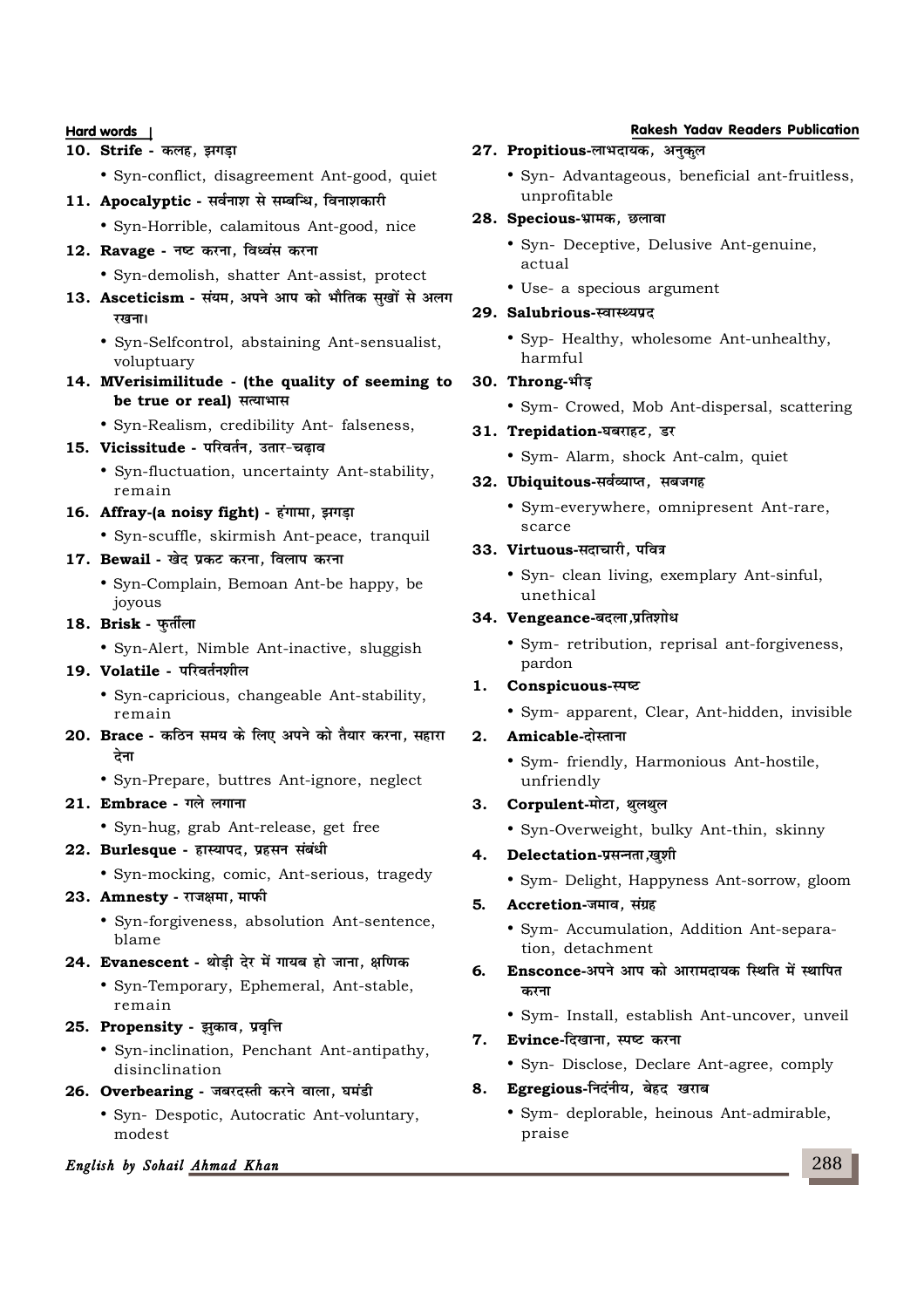### 10. Strife - कलह, झगड़ा

• Syn-conflict, disagreement Ant-good, quiet

#### 11. **Apocalyptic** - सर्वनाश से सम्बन्धि, विनाशकारी

• Syn-Horrible, calamitous Ant-good, nice

### 12. **Ravage - नष्ट करना, विध्वंस करना**

- Syn-demolish, shatter Ant-assist, protect
- 13. Asceticism संयम, अपने आप को भौतिक सखों से अलग  $\overline{\mathbf{v}}$  *i* and  $\overline{\mathbf{v}}$ 
	- Syn-Selfcontrol, abstaining Ant-sensualist, voluptuary
- **14. MVerisimilitude (the quality of seeming to be true or real) सत्याभास** 
	- Syn-Realism, credibility Ant- falseness,

#### 15. Vicissitude - परिवर्तन, उतार-चढ़ाव

• Syn-fluctuation, uncertainty Ant-stability, remain

## 16. Affray-(a noisy fight) - हंगामा, झगड़ा

• Syn-scuffle, skirmish Ant-peace, tranquil

## 17. **Bewail** - खेद प्रकट करना, विलाप करना

• Syn-Complain, Bemoan Ant-be happy, be joyous

#### **18. Brisk - फर्तीला**

• Syn-Alert, Nimble Ant-inactive, sluggish

## 19. Volatile - परिवर्तनशील

- Syn-capricious, changeable Ant-stability, remain
- 20. **Brace कठिन समय के लिए अपने को तैयार करना, सहारा** <u>दे</u>ना
	- Syn-Prepare, buttres Ant-ignore, neglect

#### 21. **Embrace** - गले लगाना

• Syn-hug, grab Ant-release, get free

## 22. **Burlesque - हास्यापद. प्रहसन संबंधी**

• Syn-mocking, comic, Ant-serious, tragedy

#### **23. Amnesty - राजक्षमा, माफी**

• Syn-forgiveness, absolution Ant-sentence, blame

## **24. Evanescent - थोडी देर में गायब हो जाना. क्षणिक**

• Syn-Temporary, Ephemeral, Ant-stable, remain

#### **25. Propensity - झुकाव, प्रवृत्ति**

• Syn-inclination, Penchant Ant-antipathy, disinclination

#### 26. **Overbearing - जबरदस्ती करने वाला, घमंडी**

• Syn- Despotic, Autocratic Ant-voluntary, modest

#### **English by Sohail Ahmad Khan**

#### **Hard words Rakesh Yadav Readers Publication**

## **27. Propitious**-लाभदायक, अनुकुल

• Syn- Advantageous, beneficial ant-fruitless, unprofitable

#### $28.$  **Specious**-भ्रामक, छलावा

- Syn- Deceptive, Delusive Ant-genuine, actual
- Use- a specious argument

#### 29. **Salubrious-स्वास्थ्यप्रद**

• Syp- Healthy, wholesome Ant-unhealthy, harmful

### $30.$  **Throng**-भीड़

• Sym- Crowed, Mob Ant-dispersal, scattering

#### 31. Trepidation-घबराहट, डर

• Sym- Alarm, shock Ant-calm, quiet

#### 32. **Ubiquitous**-सर्वव्याप्त, सबजगह

• Sym-everywhere, omnipresent Ant-rare, scarce

#### **33. Virtuous**-सदाचारी. पवित्र

• Syn- clean living, exemplary Ant-sinful, unethical

#### 34. **Vengeance-बदला, प्रतिशोध**

• Sym- retribution, reprisal ant-forgiveness, pardon

#### 1. **Conspicuous-स्पष्ट**

• Sym- apparent, Clear, Ant-hidden, invisible

#### 2. **Amicable-दोस्ताना**

• Sym- friendly, Harmonious Ant-hostile, unfriendly

#### **3. Corpulent**-मोटा, थुलथुल

• Syn-Overweight, bulky Ant-thin, skinny

#### **4. Delectation-प्रसन्नता,खशी**

• Sym- Delight, Happyness Ant-sorrow, gloom

#### 5. **Accretion-जमाव, संग्रह**

- Sym- Accumulation, Addition Ant-separation, detachment
- **6. Ensconce**-अपने आप को आरामदायक स्थिति में स्थापित <u>करना</u>
	- Sym- Install, establish Ant-uncover, unveil
- **7. Evince-दिखाना. स्पष्ट करना** 
	- Syn- Disclose, Declare Ant-agree, comply

### **8. Egregious**-निदंनीय, बेहद खराब

• Sym- deplorable, heinous Ant-admirable, praise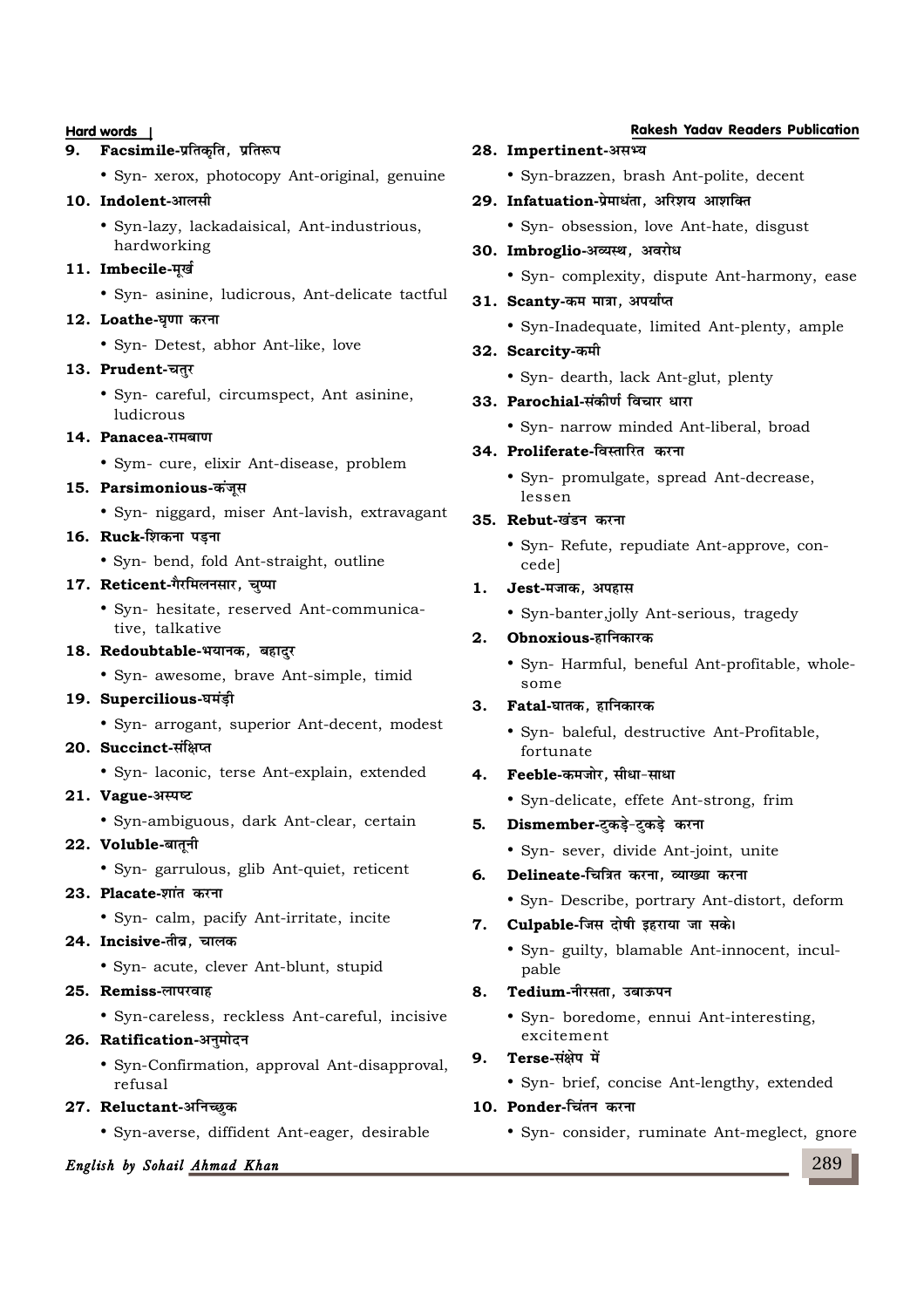- 9. **Facsimile-प्रतिकृति, प्रतिरूप** 
	- Syn- xerox, photocopy Ant-original, genuine

#### 10. **Indolent-आलसी**

• Syn-lazy, lackadaisical, Ant-industrious, hardworking

## 11. **Imbecile-मर्ख**

• Syn- asinine, ludicrous, Ant-delicate tactful

#### 12. Loathe-घणा करना

• Syn- Detest, abhor Ant-like, love

### 13. **Prudent**-चतर

• Syn- careful, circumspect, Ant asinine, ludicrous

#### 14. **Panacea-रामबाण**

• Sym- cure, elixir Ant-disease, problem

#### 15. Parsimonious-कंजस

• Syn- niggard, miser Ant-lavish, extravagant

## 16. **Ruck**-शिकना पडना

• Syn- bend, fold Ant-straight, outline

### 17. **Reticent-गैरमिलनसार, चु**प्पा

• Syn- hesitate, reserved Ant-communicative, talkative

## 18. **Redoubtable-भयानक, बहादर**

• Syn- awesome, brave Ant-simple, timid

#### 19. Supercilious-घमंड़ी

• Syn- arrogant, superior Ant-decent, modest

## 20. Succinct-संक्षिप्त

• Syn- laconic, terse Ant-explain, extended

#### 21. **Vague-अस्पष्ट**

• Syn-ambiguous, dark Ant-clear, certain

#### $22.$  **Voluble-बातूनी**

• Syn- garrulous, glib Ant-quiet, reticent

#### 23. Placate-शांत करना

• Syn- calm, pacify Ant-irritate, incite

## **24. Incisive-rhoz] pkyd**

• Syn- acute, clever Ant-blunt, stupid

## 25. **Remiss-लापरवाह**

• Syn-careless, reckless Ant-careful, incisive

## 26. Ratification-अनुमोदन

• Syn-Confirmation, approval Ant-disapproval, refusal

## $27.$  **Reluctant**-अनिच्छुक

• Syn-averse, diffident Ant-eager, desirable

## **English by Sohail Ahmad Khan**

#### **Hard words Rakesh Yadav Readers Publication** 28. Impertinent-असभ्य

• Syn-brazzen, brash Ant-polite, decent

## 29. **Infatuation-प्रेमाधंता. अरिशय आशक्ति**

• Syn- obsession, love Ant-hate, disgust

## 30. **Imbroglio**-अव्यस्थ, अवरोध

• Syn- complexity, dispute Ant-harmony, ease

## 31. **Scanty-कम मात्रा**, अपर्याप्त

• Syn-Inadequate, limited Ant-plenty, ample

## **32. Scarcity-deh**

• Syn- dearth, lack Ant-glut, plenty

## **33. Parochial-संकीर्ण विचार धारा**

• Syn- narrow minded Ant-liberal, broad

## **34. Proliferate-विस्तारित करना**

• Syn- promulgate, spread Ant-decrease, lessen

## **35. Rebut-**खंडन करना

• Syn- Refute, repudiate Ant-approve, concede]

#### 1. **Jest-मजाक**. अपहास

• Syn-banter,jolly Ant-serious, tragedy

## $2.$  **Obnoxious**-हानिकारक

• Syn- Harmful, beneful Ant-profitable, wholesome

#### **3. Fatal-**घातक, हानिकारक

• Syn- baleful, destructive Ant-Profitable, fortunate

## **4. Feeble-कमजोर, सीधा-साधा**

• Syn-delicate, effete Ant-strong, frim

### **5. Dismember-ट्कड़े-ट्कड़े करना**

• Syn- sever, divide Ant-joint, unite

#### **6. Delineate-**चित्रित करना, व्याख्या करना

• Syn- Describe, portrary Ant-distort, deform

#### 7. Culpable-जिस दोषी इहराया जा सके।

• Syn- guilty, blamable Ant-innocent, inculpable

#### **8. Tedium-नीरसता, उबाऊपन**

• Syn- boredome, ennui Ant-interesting, excitement

## 9. Terse-संक्षेप में

• Syn- brief, concise Ant-lengthy, extended

#### 10. **Ponder-**चिंतन करना

• Syn- consider, ruminate Ant-meglect, gnore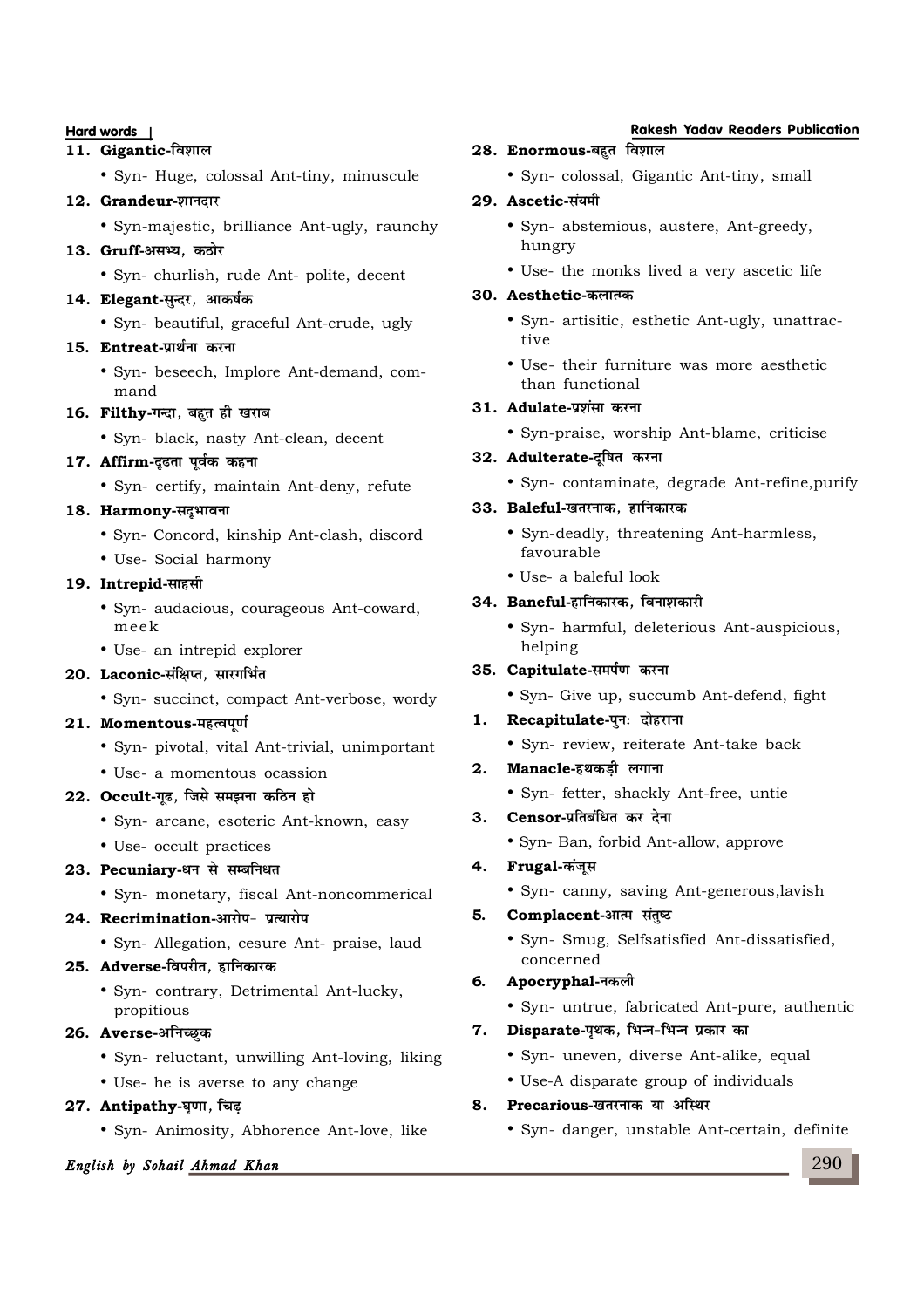#### 11. Gigantic-विशाल

• Syn- Huge, colossal Ant-tiny, minuscule

#### 12. **Grandeur-शानदार**

• Syn-majestic, brilliance Ant-ugly, raunchy

## 13. Gruff-असभ्य, कठोर

• Syn- churlish, rude Ant- polite, decent

## 14. Elegant-सन्दर, आकर्षक

• Syn- beautiful, graceful Ant-crude, ugly

## 15. **Entreat-प्रा**र्थना करना

• Syn- beseech, Implore Ant-demand, command

## 16. **Filthy-गन्दा**, बहुत ही खराब

• Syn- black, nasty Ant-clean, decent

## 17. Affirm-दढता पर्वक कहना

• Syn- certify, maintain Ant-deny, refute

## 18. **Harmonv-सदभावना**

- Syn- Concord, kinship Ant-clash, discord
- Use- Social harmony

## 19. Intrepid-साहसी

- Syn- audacious, courageous Ant-coward, meek
- Use- an intrepid explorer

## 20. Laconic-संक्षिप्त, सारगर्भित

• Syn- succinct, compact Ant-verbose, wordy

## 21. Momentous-महत्वपूर्ण

- Syn- pivotal, vital Ant-trivial, unimportant
- Use- a momentous ocassion

## 22. Occult-गढ. जिसे समझना कठिन हो

- Syn- arcane, esoteric Ant-known, easy
- Use- occult practices

## 23. **Pecuniary**-धन से सम्बनिधत

• Syn- monetary, fiscal Ant-noncommerical

## 24. **Recrimination-आरोप- प्रत्यारोप**

• Syn- Allegation, cesure Ant- praise, laud

## **25. Adverse-विपरीत, हानिकारक**

• Syn- contrary, Detrimental Ant-lucky, propitious

## **26. Averse-अनिच्छक**

- Syn- reluctant, unwilling Ant-loving, liking
- Use- he is averse to any change

## 27. Antipathy-घुणा, चिढ़

• Syn- Animosity, Abhorence Ant-love, like

## **English by Sohail Ahmad Khan**

## **Hard words Rakesh Yadav Readers Publication**

## **28. Enormous-बहुत विशाल**

• Syn- colossal, Gigantic Ant-tiny, small

## **29. Ascetic-संयमी**

- Syn- abstemious, austere, Ant-greedy, hungry
- Use- the monks lived a very ascetic life

## $30.$  **Aesthetic-**कलात्म्क

- Syn- artisitic, esthetic Ant-ugly, unattractive
- Use- their furniture was more aesthetic than functional

## 31. Adulate-प्रशंसा करना

• Syn-praise, worship Ant-blame, criticise

## $32.$  **Adulterate-दुषित** करना

• Syn- contaminate, degrade Ant-refine,purify

## 33. **Baleful**-खतरनाक, हानिकारक

- Syn-deadly, threatening Ant-harmless, favourable
- Use- a baleful look

## 34. **Baneful**-हानिकारक, विनाशकारी

• Syn- harmful, deleterious Ant-auspicious, helping

## 35. Capitulate-समर्पण करना

• Syn- Give up, succumb Ant-defend, fight

## 1. **Recapitulate-पुनः दोहराना**

• Syn- review, reiterate Ant-take back

## 2. **Manacle-हथकडी लगाना**

- Syn- fetter, shackly Ant-free, untie
- 3. **Censor-**प्रतिबंधित कर देना
	- Syn- Ban, forbid Ant-allow, approve

## **4. Frugal-कंजस**

• Syn- canny, saving Ant-generous,lavish

## 5. **Complacent-आत्म संतष्ट**

• Syn- Smug, Selfsatisfied Ant-dissatisfied, concerned

## 6. **Apocryphal-नकली**

- Syn- untrue, fabricated Ant-pure, authentic
- 7. **Disparate-पथक. भिन-भिन प्रकार का** 
	- Syn- uneven, diverse Ant-alike, equal
	- Use-A disparate group of individuals

## **8. Precarious**-खतरनाक या अस्थिर

• Syn- danger, unstable Ant-certain, definite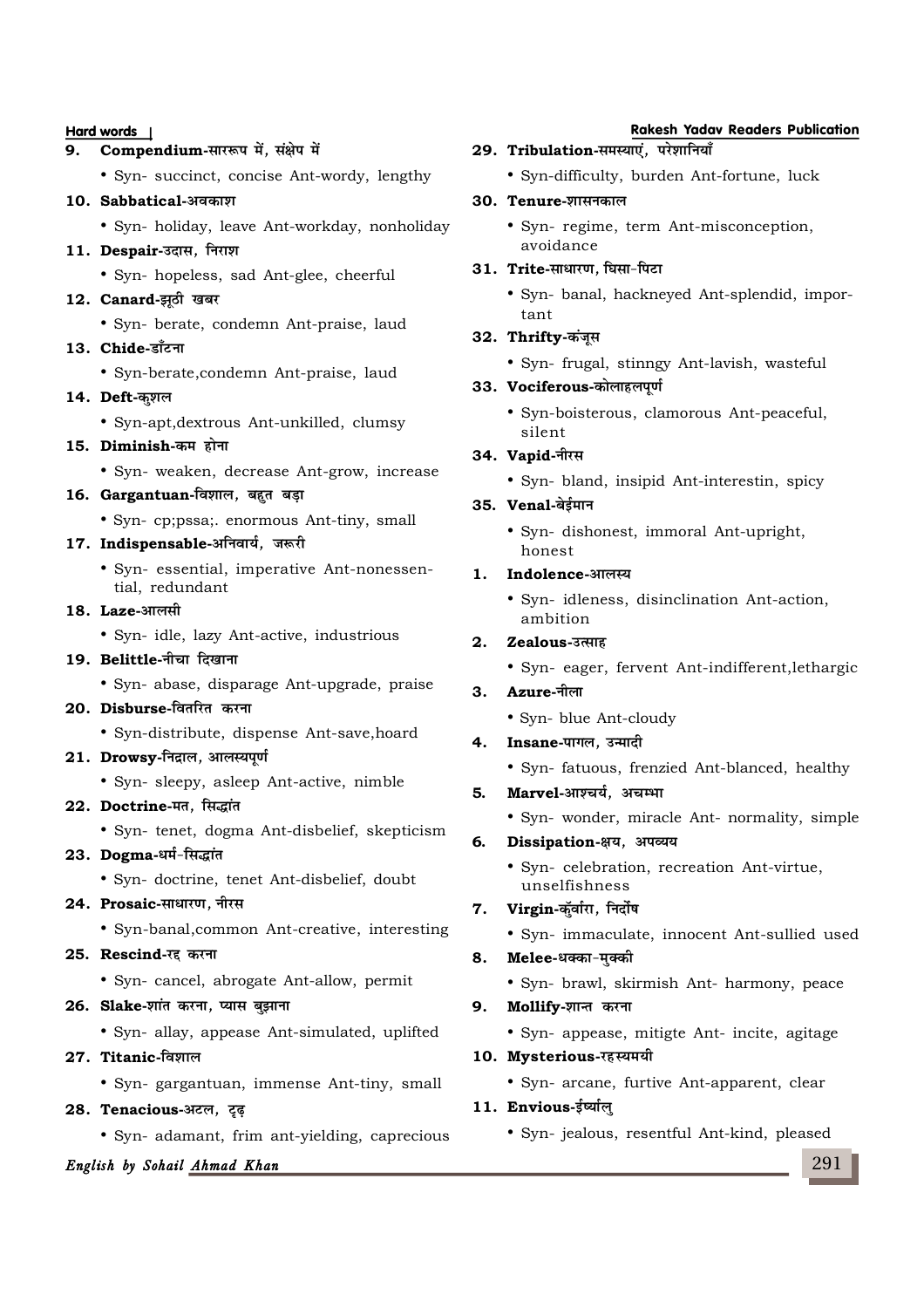- 9. Compendium-साररूप में, संक्षेप में
	- Syn- succinct, concise Ant-wordy, lengthy

#### 10. Sabbatical-अवकाश

• Syn- holiday, leave Ant-workday, nonholiday

### 11. Despair-उदास, निराश

• Syn- hopeless, sad Ant-glee, cheerful

#### 12. **Canard**-झूठी खबर

• Syn- berate, condemn Ant-praise, laud

#### 13. **Chide-डॉटना**

• Syn-berate,condemn Ant-praise, laud

#### 14. **Deft-**कशल

• Syn-apt,dextrous Ant-unkilled, clumsy

### 15. **Diminish-कम होना**

• Syn- weaken, decrease Ant-grow, increase

#### 16. Gargantuan-विशाल, बहुत बड़ा

• Syn- cp;pssa;. enormous Ant-tiny, small

#### 17. **Indispensable-अनिवार्य, जरूरी**

• Syn- essential, imperative Ant-nonessential, redundant

#### **18. Laze-आलसी**

• Syn- idle, lazy Ant-active, industrious

## 19. **Belittle-नीचा दिखाना**

• Syn- abase, disparage Ant-upgrade, praise

## **20. Disburse-वितरित करना**

• Syn-distribute, dispense Ant-save,hoard

## 21. **Drowsy-** निद्राल, आलस्यपूर्ण

• Syn- sleepy, asleep Ant-active, nimble

## 22. Doctrine-मत, सिद्धांत

• Syn- tenet, dogma Ant-disbelief, skepticism

#### 23. Dogma-धर्म-सिद्धांत

• Syn- doctrine, tenet Ant-disbelief, doubt

## 24. Prosaic-साधारण, नीरस

• Syn-banal,common Ant-creative, interesting

#### **25. Rescind-jí djuk**

• Syn- cancel, abrogate Ant-allow, permit

#### 26. Slake-शांत करना, प्यास बुझाना

• Syn- allay, appease Ant-simulated, uplifted

#### 27. Titanic-विशाल

• Syn- gargantuan, immense Ant-tiny, small

#### 28. Tenacious-अटल, ट्रढ़

• Syn- adamant, frim ant-yielding, caprecious

## **English by Sohail Ahmad Khan**

#### **Hard words Rakesh Yadav Readers Publication**

#### 29. Tribulation-समस्याएं, परेशानियाँ

• Syn-difficulty, burden Ant-fortune, luck

#### **30. Tenure-शासनकाल**

• Syn- regime, term Ant-misconception, avoidance

## **31. Trite-साधारण. धिसा-पिटा**

• Syn- banal, hackneyed Ant-splendid, important

## 32. Thrifty-कंजस

• Syn- frugal, stinngy Ant-lavish, wasteful

#### **33. Vociferous-कोलाहलपर्ण**

• Syn-boisterous, clamorous Ant-peaceful, silent

#### 34. **Vapid-नीरस**

• Syn- bland, insipid Ant-interestin, spicy

### $35.$  **Venal-बेईमान**

• Syn- dishonest, immoral Ant-upright, honest

## 1. **Indolence-**आलस्य

• Syn- idleness, disinclination Ant-action, ambition

#### 2. **Zealous-**उत्साह

• Syn- eager, fervent Ant-indifferent,lethargic

#### $3.$  **Azure-नीला**

• Syn- blue Ant-cloudy

## **4. Insane-**पागल, उन्मादी

• Syn- fatuous, frenzied Ant-blanced, healthy

### **5. Marvel-आश्चर्य. अचम्भा**

• Syn- wonder, miracle Ant- normality, simple

#### **6. Dissipation-**क्षय, अपव्यय

• Syn- celebration, recreation Ant-virtue, unselfishness

## *7.* Virgin-क्वॅंबारी, निर्दोष

• Syn- immaculate, innocent Ant-sullied used

#### 8. **Melee-धक्का-मुक्की**

• Syn- brawl, skirmish Ant- harmony, peace

### 9. **Mollify**-शान करना

• Syn- appease, mitigte Ant- incite, agitage

## 10. **Mysterious**-रहस्यमयी

• Syn- arcane, furtive Ant-apparent, clear

#### 11. **Envious-ईर्ष्याल**

• Syn- jealous, resentful Ant-kind, pleased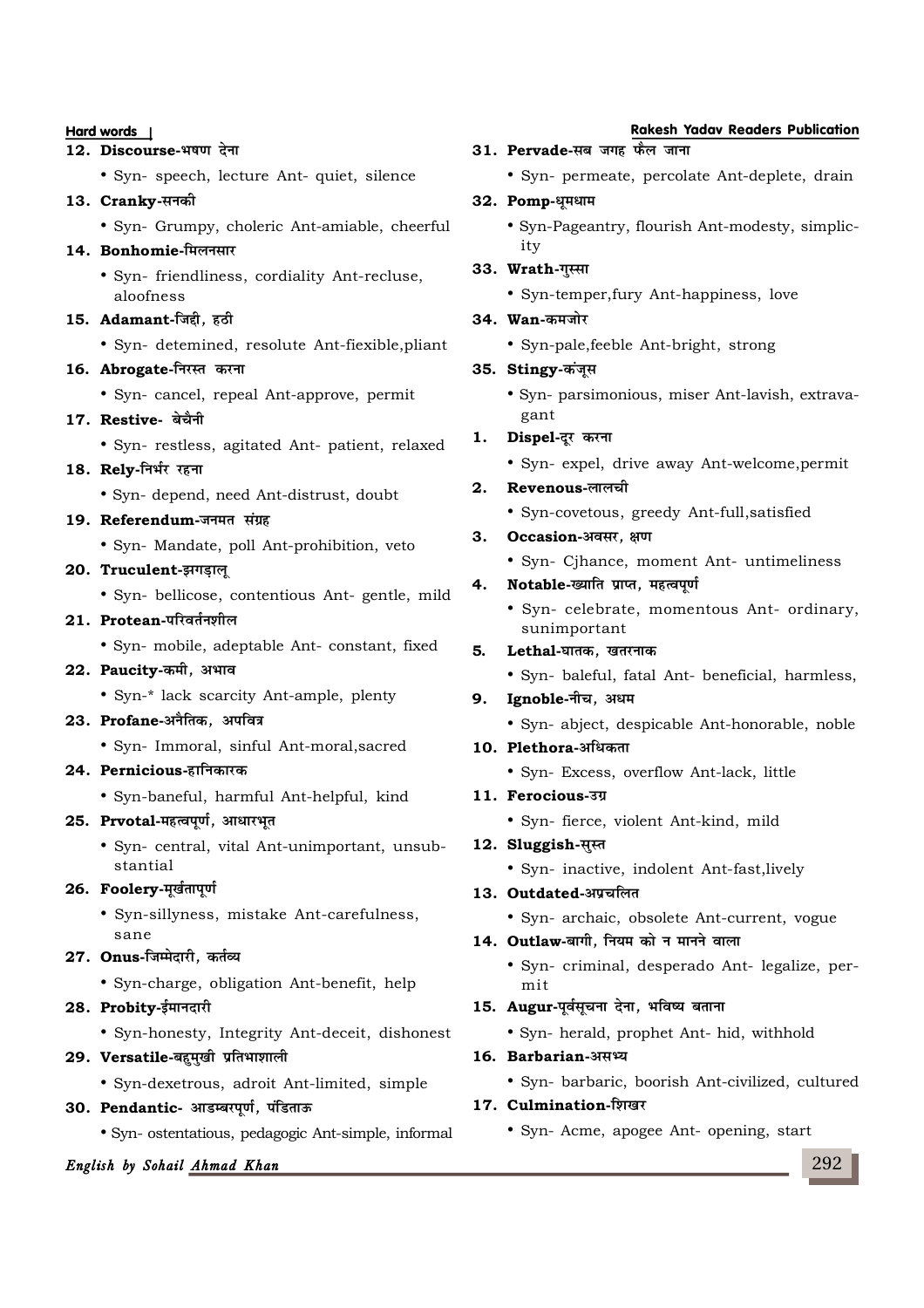### $12.$  **Discourse-भषण देना**

• Syn- speech, lecture Ant- quiet, silence

#### 13. **Cranky**-सनकी

• Syn- Grumpy, choleric Ant-amiable, cheerful

## 14. **Bonhomie-**मिलनसार

• Syn- friendliness, cordiality Ant-recluse, aloofness

## 15. **Adamant**-जिद्दी, हठी

• Syn- detemined, resolute Ant-fiexible,pliant

## 16. **Abrogate-निरस्त** करना

• Syn- cancel, repeal Ant-approve, permit

## $17.$  **Restive-** बेचैनी

• Syn- restless, agitated Ant- patient, relaxed

## 18. **Rely-निर्भर रहना**

• Syn- depend, need Ant-distrust, doubt

## 19. **Referendum-जनमत संग्रह**

• Syn- Mandate, poll Ant-prohibition, veto

## 20. **Truculent-झगड़ाल्**

• Syn- bellicose, contentious Ant- gentle, mild

## 21. Protean-परिवर्तनशील

• Syn- mobile, adeptable Ant- constant, fixed

## **22. Paucity-कमी, अभाव**

• Syn-\* lack scarcity Ant-ample, plenty

## **23. Profane-अनैतिक, अपवित्र**

• Syn- Immoral, sinful Ant-moral,sacred

## **24. Pernicious**-हानिकारक

• Syn-baneful, harmful Ant-helpful, kind

## 25. **Prvotal-महत्वपर्ण, आधारभत**

• Syn- central, vital Ant-unimportant, unsubstantial

## **26. Foolery-मुर्खतापूर्ण**

• Syn-sillyness, mistake Ant-carefulness, sane

## **27. Onus-जिम्मेदारी. कर्तव्य**

• Syn-charge, obligation Ant-benefit, help

## 28. **Probity-ईमानदारी**

• Syn-honesty, Integrity Ant-deceit, dishonest

## 29. Versatile-बहमखी प्रतिभाशाली

• Syn-dexetrous, adroit Ant-limited, simple

## 30. Pendantic- आडम्बरपूर्ण, पंडिताऊ

• Syn- ostentatious, pedagogic Ant-simple, informal

## **English by Sohail Ahmad Khan**

## **Hard words** | **Rakesh Yadav Readers Publication**

### 31. **Pervade**-सब जगह फैल जाना

• Syn- permeate, percolate Ant-deplete, drain

### 32. **Pomp**-धमधाम

• Syn-Pageantry, flourish Ant-modesty, simplicity

## 33. **Wrath-गस्सा**

• Syn-temper,fury Ant-happiness, love

## **34. Wan-**कमजोर

• Syn-pale,feeble Ant-bright, strong

## **35. Stingy-कंजस**

• Syn- parsimonious, miser Ant-lavish, extravagant

### 1. **Dispel-दर करना**

• Syn- expel, drive away Ant-welcome,permit

## **2. Revenous-ykyph**

• Syn-covetous, greedy Ant-full,satisfied

## 3. Occasion-अवसर, क्षण

• Syn- Cjhance, moment Ant- untimeliness

## 4. **Notable-**ख्याति प्राप्त, महत्वपर्ण

• Syn- celebrate, momentous Ant- ordinary, sunimportant

## **5.** Lethal-घातक, खतरनाक

• Syn- baleful, fatal Ant- beneficial, harmless,

## 9. **Ignoble-नीच, अधम**

• Syn- abject, despicable Ant-honorable, noble

## 10. Plethora-अधिकता

• Syn- Excess, overflow Ant-lack, little

## 11. **Ferocious-**उग्र

• Syn- fierce, violent Ant-kind, mild

## 12. **Sluggish-सुस्त**

• Syn- inactive, indolent Ant-fast,lively

## 13. Outdated-अप्रचलित

• Syn- archaic, obsolete Ant-current, vogue

## 14. **Outlaw**-बागी, नियम को न मानने वाला

• Syn- criminal, desperado Ant- legalize, permit

## 15. **Augur**-पूर्वसूचना देना, भविष्य बताना

• Syn- herald, prophet Ant- hid, withhold

## 16. **Barbarian-असभ्य**

• Syn- barbaric, boorish Ant-civilized, cultured

## 17. **Culmination-शिखर**

• Syn- Acme, apogee Ant- opening, start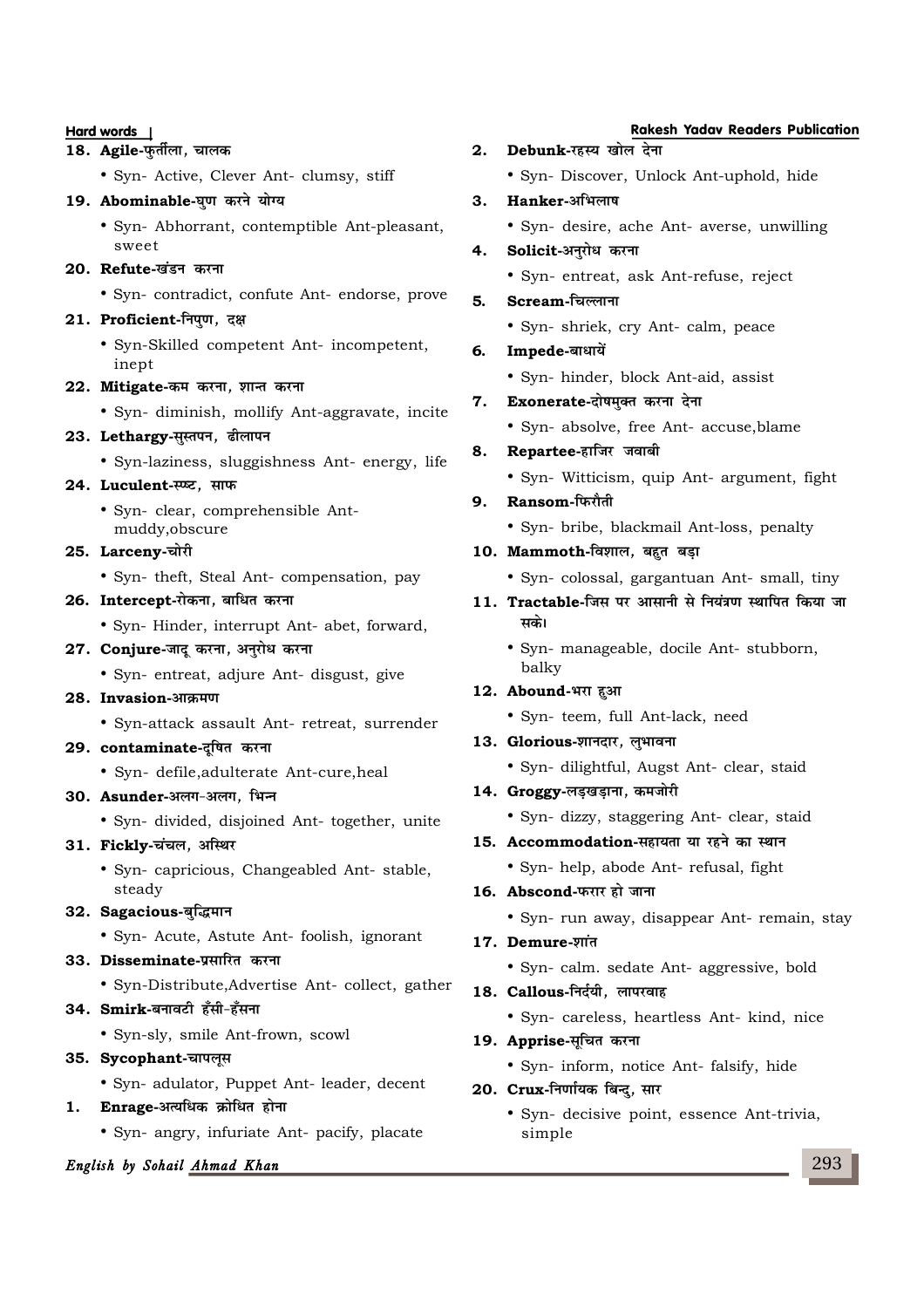#### **18. Agile**-फुर्तीला, चालक

• Syn- Active, Clever Ant- clumsy, stiff

## 19. Abominable-घण करने योग्य

- Syn- Abhorrant, contemptible Ant-pleasant, sweet
- **20. Refute-खंडन करना** 
	- Syn- contradict, confute Ant- endorse, prove

#### 21. Proficient-निपुण, दक्ष

• Syn-Skilled competent Ant- incompetent, inept

#### **22. Mitigate-कम करना, शान्त करना**

• Syn- diminish, mollify Ant-aggravate, incite

## **23. Lethargy-सस्तपन, ढीलापन**

• Syn-laziness, sluggishness Ant- energy, life

#### **24. Luculent-स्प्ट. साफ**

• Syn- clear, comprehensible Antmuddy,obscure

## 25. Larceny-चोरी

• Syn- theft, Steal Ant- compensation, pay

#### **26. Intercept**-रोकना, बाधित करना

• Syn- Hinder, interrupt Ant- abet, forward,

#### 27. **Conjure**-जादू करना, अनुरोध करना

• Syn- entreat, adjure Ant- disgust, give

## 28. **Invasion-आक्रमण**

• Syn-attack assault Ant- retreat, surrender

## 29. **contaminate-दुषित** करना

• Syn- defile,adulterate Ant-cure,heal

## **30. Asunder-अलग-अलग. भिन्न**

• Syn- divided, disjoined Ant- together, unite

## **31. Fickly-चंचल, अस्थिर**

• Syn- capricious, Changeabled Ant- stable, steady

## $32.$  **Sagacious-ब्द्धिमान**

• Syn- Acute, Astute Ant- foolish, ignorant

## **33. Disseminate-प्रसारित करना**

• Syn-Distribute,Advertise Ant- collect, gather

## 34. Smirk-बनावटी हँसी-हँसना

• Syn-sly, smile Ant-frown, scowl

## **35. Sycophant-चापलूस**

• Syn- adulator, Puppet Ant- leader, decent

## 1. **Enrage**-अत्यधिक क्रोधित होना

• Syn- angry, infuriate Ant- pacify, placate

## **English by Sohail Ahmad Khan**

#### **Hard words Rakesh Yadav Readers Publication**

- 2. **Debunk**-रहस्य खोल देना
	- Syn- Discover, Unlock Ant-uphold, hide

## $3.$  **Hanker-अभिलाष**

- Syn- desire, ache Ant- averse, unwilling
- **4.** Solicit-अनुरोध करना
	- Syn- entreat, ask Ant-refuse, reject

## **5.** Scream-चिल्लाना

• Syn- shriek, cry Ant- calm, peace

## **6.** Impede-बाधायें

• Syn- hinder, block Ant-aid, assist

## **7. Exonerate-दोषमक्त करना देना**

• Syn- absolve, free Ant- accuse,blame

## 8. **Repartee-हाजिर जवाबी**

• Syn- Witticism, quip Ant- argument, fight

## 9. **Ransom-**फिरौती

• Syn- bribe, blackmail Ant-loss, penalty

## 10. **Mammoth-**विशाल, बहुत बड़ा

- Syn- colossal, gargantuan Ant- small, tiny
- 11. **Tractable-**जिस पर आसानी से नियंत्रण स्थापित किया जा **l dsA**
	- Syn- manageable, docile Ant- stubborn, balky

## 12. **Abound**-भरा हुआ

• Syn- teem, full Ant-lack, need

## 13. Glorious-शानदार, लभावना

• Syn- dilightful, Augst Ant- clear, staid

## 14. **Groggy**-लडखडाना, कमजोरी

• Syn- dizzy, staggering Ant- clear, staid

## 15. Accommodation-सहायता या रहने का स्थान

• Syn- help, abode Ant- refusal, fight

## **16. Abscond-**फरार हो जाना

• Syn- run away, disappear Ant- remain, stay

## 17. Demure-शांत

• Syn- calm. sedate Ant- aggressive, bold

## 18. **Callous-निर्दयी**, लापरवाह

• Syn- careless, heartless Ant- kind, nice

#### 19. **Apprise-**सूचित करना

• Syn- inform, notice Ant- falsify, hide

## **20. Crux**-निर्णायक बिन्द, सार

• Syn- decisive point, essence Ant-trivia, simple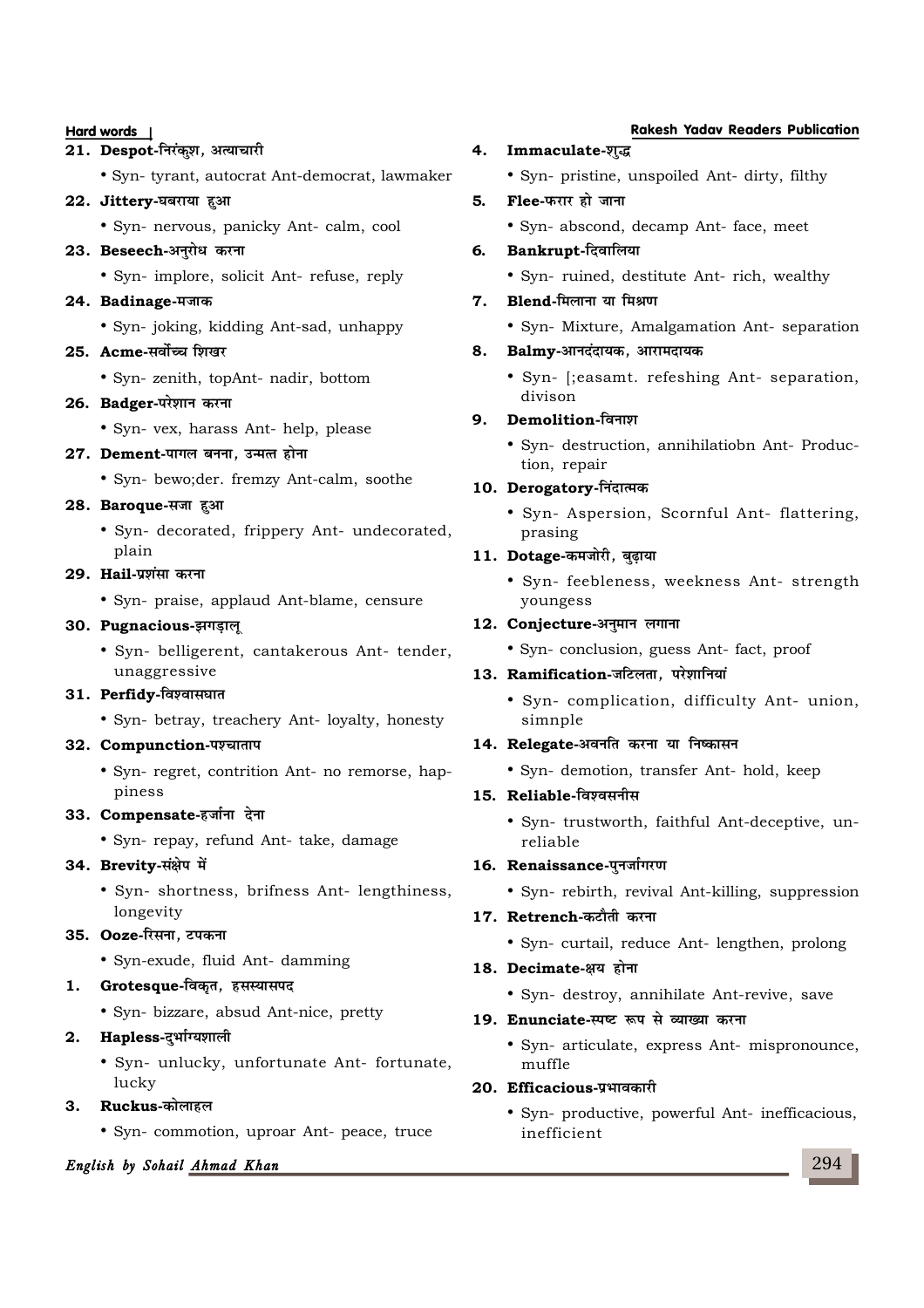- 21. **Despot-निरंक्**श, अत्याचारी
	- Syn- tyrant, autocrat Ant-democrat, lawmaker
- 22. Jittery-घबराया हुआ
	- Syn- nervous, panicky Ant- calm, cool

#### **23. Beseech-अनुरोध करना**

• Syn- implore, solicit Ant- refuse, reply

#### 24. **Badinage-मजाक**

• Syn- joking, kidding Ant-sad, unhappy

### **25. Acme-**सर्वोच्च शिखर

• Syn- zenith, topAnt- nadir, bottom

## **26. Badger-परेशान करना**

• Syn- vex, harass Ant- help, please

## **27. Dement-पागल बनना. उन्मत्त होना**

• Syn- bewo;der. fremzy Ant-calm, soothe

## 28. **Baroque-सजा हुआ**

• Syn- decorated, frippery Ant- undecorated, plain

#### **29. Hail-प्रशंसा करना**

• Syn- praise, applaud Ant-blame, censure

## 30. **Pugnacious-**झगडाल

• Syn- belligerent, cantakerous Ant- tender, unaggressive

## 31. **Perfidy-**विश्वासघात

• Syn- betray, treachery Ant- loyalty, honesty

## $32.$  **Compunction-पश्चाताप**

• Syn- regret, contrition Ant- no remorse, happiness

#### 33. Compensate-हर्जाना देना

• Syn- repay, refund Ant- take, damage

#### **34. Brevity-संक्षेप में**

• Syn- shortness, brifness Ant- lengthiness, longevity

## **35. Ooze-रिसना, टपकना**

• Syn-exude, fluid Ant- damming

## 1. Grotesque-विकृत, हसस्यासपद

• Syn- bizzare, absud Ant-nice, pretty

## 2. **Hapless-दर्भाग्यशाली**

• Syn- unlucky, unfortunate Ant- fortunate, lucky

## **3. Ruckus-dksykgy**

• Syn- commotion, uproar Ant- peace, truce

## **English by Sohail Ahmad Khan**

## **Hard words Rakesh Yadav Readers Publication**

- **4. Immaculate-श्**द्ध
	- Syn- pristine, unspoiled Ant- dirty, filthy

## **5. Flee-**फरार हो जाना

• Syn- abscond, decamp Ant- face, meet

## **6.** Bankrupt-दिवालिया

• Syn- ruined, destitute Ant- rich, wealthy

### **7. Blend-**मिलाना या मिश्रण

• Syn- Mixture, Amalgamation Ant- separation

## **8. Balmy**-आनदंदायक, आरामदायक

• Syn- [;easamt. refeshing Ant- separation, divison

## **9. Demolition-fouk' k**

• Syn- destruction, annihilatiobn Ant- Production, repair

## 10. Derogatory-निंदात्मक

• Syn- Aspersion, Scornful Ant- flattering, prasing

## **11. Dotage-कमजोरी, बढाया**

• Syn- feebleness, weekness Ant- strength youngess

## 12. **Conjecture-अनमान लगाना**

• Syn- conclusion, guess Ant- fact, proof

## 13. Ramification-**जटिलता, परेशानियां**

• Syn- complication, difficulty Ant- union, simnple

## 14. **Relegate**-अवनति करना या निष्कासन

• Syn- demotion, transfer Ant- hold, keep

## 15. Reliable-विश्वसनीस

• Syn- trustworth, faithful Ant-deceptive, unreliable

## **16. Renaissance-पनर्जागरण**

• Syn- rebirth, revival Ant-killing, suppression

## 17. **Retrench-कटौती करना**

• Syn- curtail, reduce Ant- lengthen, prolong

## 18. **Decimate**-क्षय होना

• Syn- destroy, annihilate Ant-revive, save

## 19. **Enunciate-स्पष्ट रूप से व्याख्या करना**

• Syn- articulate, express Ant- mispronounce, muffle

## 20. **Efficacious-प्रभावकारी**

• Syn- productive, powerful Ant- inefficacious, inefficient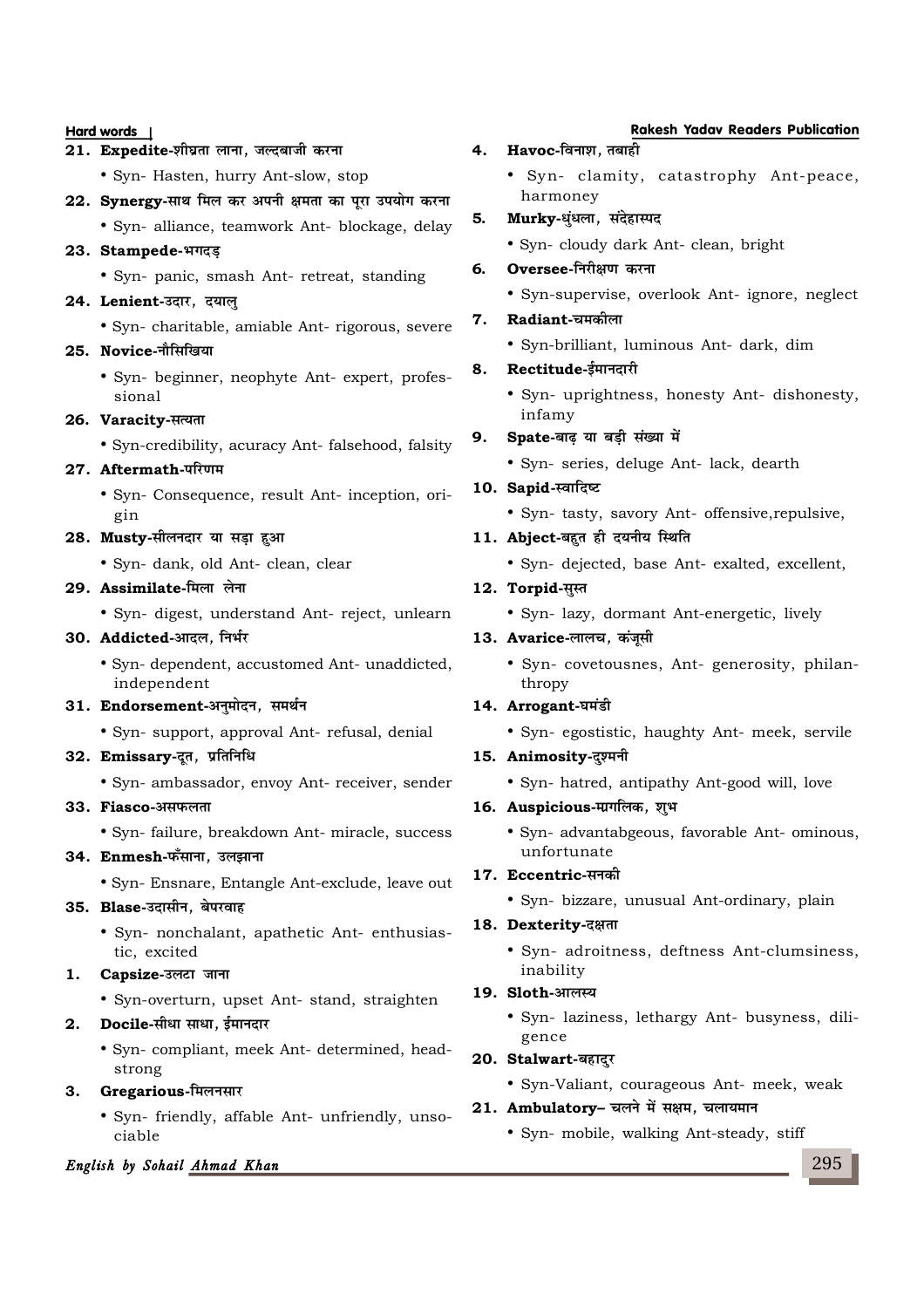### 21. **Expedite-**शीघ्रता लाना, जल्दबाजी करना

- Syn- Hasten, hurry Ant-slow, stop
- 22. Synergy-साथ मिल कर अपनी क्षमता का परा उपयोग करना
	- Syn- alliance, teamwork Ant- blockage, delay

### 23. Stampede-भगदड़

• Syn- panic, smash Ant- retreat, standing

#### **24. Lenient-**उदार, दयाल्

• Syn- charitable, amiable Ant- rigorous, severe

## **25. Novice-नौसिखिया**

• Syn- beginner, neophyte Ant- expert, professional

#### 26. Varacity-सत्यता

• Syn-credibility, acuracy Ant- falsehood, falsity

## **27. Aftermath-परिणम**

• Syn- Consequence, result Ant- inception, origin

## **28. Musty-सीलनदार या सड़ा हुआ**

• Syn- dank, old Ant- clean, clear

## 29. **Assimilate-**मिला लेना

• Syn- digest, understand Ant- reject, unlearn

## 30. Addicted-आदल, निर्भर

• Syn- dependent, accustomed Ant- unaddicted, independent

## 31. Endorsement-अनुमोदन, समर्थन

• Syn- support, approval Ant- refusal, denial

#### 32. Emissary-दूत, प्रतिनिधि

• Syn- ambassador, envoy Ant- receiver, sender

#### **33. Fiasco-असफलता**

• Syn- failure, breakdown Ant- miracle, success

#### **34. Enmesh-फँसाना, उलझाना**

• Syn- Ensnare, Entangle Ant-exclude, leave out

#### **35. Blase-**उदासीन, बेपरवाह

• Syn- nonchalant, apathetic Ant- enthusiastic, excited

#### 1. **Capsize-**उलटा जाना

• Syn-overturn, upset Ant- stand, straighten

## **2. Docile**-सीधा साधा, ईमानदार

• Syn- compliant, meek Ant- determined, headstrong

## 3. Gregarious-मिलनसार

• Syn- friendly, affable Ant- unfriendly, unsociable

## **English by Sohail Ahmad Khan**

## **Hard words Rakesh Yadav Readers Publication**

- **4. Havoc**-विनाश, तबाही
	- Syn- clamity, catastrophy Ant-peace, harmoney
- **5. Murky**-धुंधला, संदेहास्पद
	- Syn- cloudy dark Ant- clean, bright

## **6. Oversee-निरीक्षण करना**

• Syn-supervise, overlook Ant- ignore, neglect

## **7. Radiant-pedhyk**

• Syn-brilliant, luminous Ant- dark, dim

## 8. **Rectitude-ईमानदारी**

• Syn- uprightness, honesty Ant- dishonesty, infamy

## 9. Spate-बाढ़ या बड़ी संख्या में

• Syn- series, deluge Ant- lack, dearth

#### 10. Sapid-स्वादिष्ट

• Syn- tasty, savory Ant- offensive,repulsive,

## 11. **Abject**-बहुत ही दयनीय स्थिति

• Syn- dejected, base Ant- exalted, excellent,

#### 12. Torpid-सस्त

• Syn- lazy, dormant Ant-energetic, lively

## 13. Avarice-लालच, कंजसी

• Syn- covetousnes, Ant- generosity, philanthropy

## 14. **Arrogant-**घमंडी

• Syn- egostistic, haughty Ant- meek, servile

#### 15. **Animosity-दुश्मनी**

• Syn- hatred, antipathy Ant-good will, love

#### **16. Auspicious-मागलिक, शुभ**

• Syn- advantabgeous, favorable Ant- ominous, unfortunate

#### 17. **Eccentric**-सनकी

• Syn- bizzare, unusual Ant-ordinary, plain

#### 18. Dexterity-दक्षता

• Syn- adroitness, deftness Ant-clumsiness, inability

#### 19. Sloth-आलस्य

• Syn- laziness, lethargy Ant- busyness, diligence

#### 20. Stalwart-बहादर

• Syn-Valiant, courageous Ant- meek, weak

#### 21. Ambulatory- चलने में सक्षम, चलायमान

• Syn- mobile, walking Ant-steady, stiff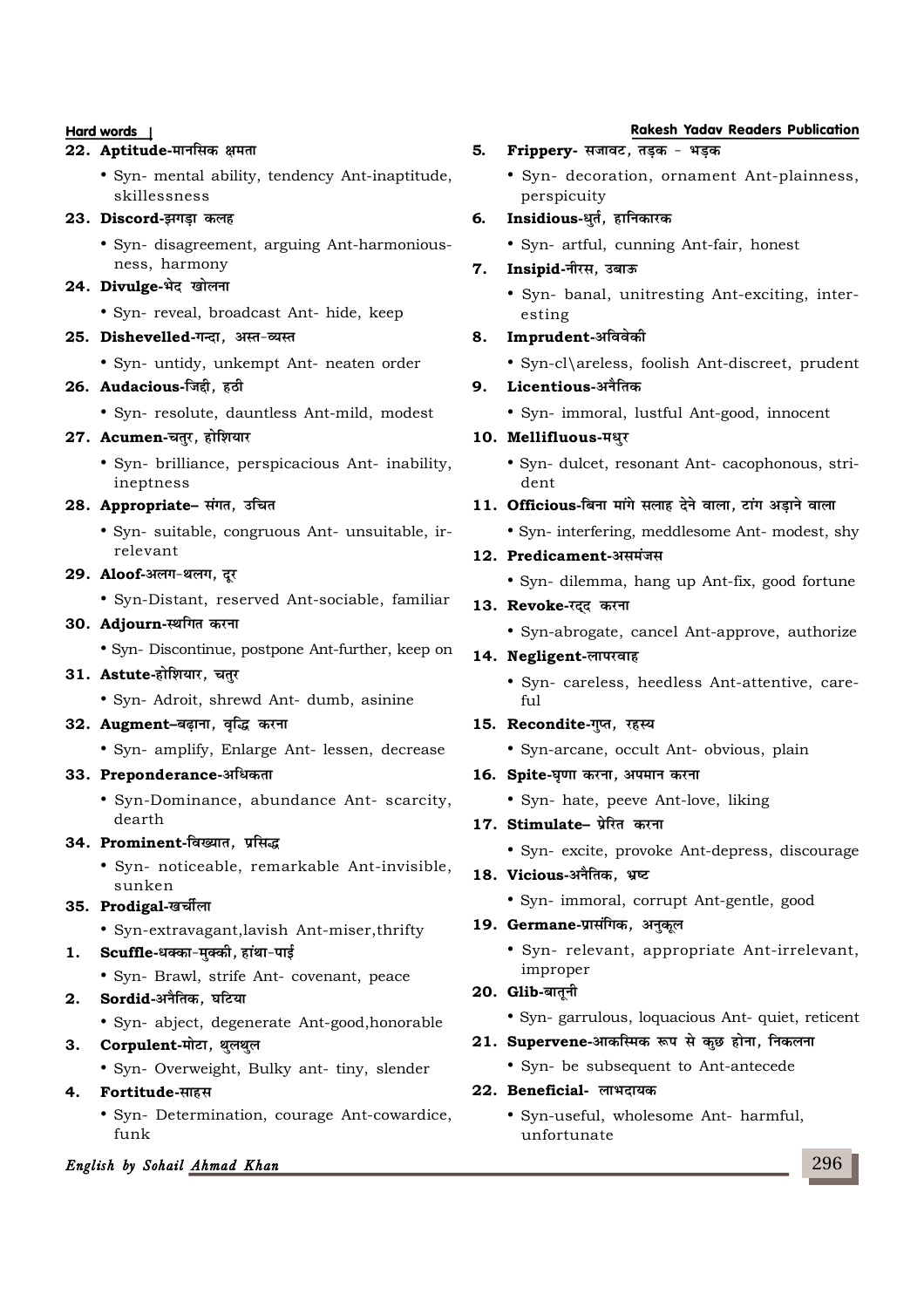#### 22. Aptitude-मानसिक क्षमता

• Syn- mental ability, tendency Ant-inaptitude, skillessness

#### 23. **Discord-**झगडा कलह

• Syn- disagreement, arguing Ant-harmoniousness, harmony

## **24. Divulge-भेद खोलना**

• Syn- reveal, broadcast Ant- hide, keep

#### 25. Dishevelled-गन्दा, अस्त-व्यस्त

• Syn- untidy, unkempt Ant- neaten order

### 26. Audacious-जिही, हठी

• Syn- resolute, dauntless Ant-mild, modest

#### **27. Acumen-चतर, होशियार**

• Syn- brilliance, perspicacious Ant- inability, ineptness

#### 28. Appropriate- संगत, उचित

• Syn- suitable, congruous Ant- unsuitable, irrelevant

## 29. Aloof-अलग-थलग, दूर

• Syn-Distant, reserved Ant-sociable, familiar

#### 30. Adjourn-स्थगित करना

• Syn- Discontinue, postpone Ant-further, keep on

#### **31. Astute-होशियार. चतर**

• Syn- Adroit, shrewd Ant- dumb, asinine

## 32. **Augment**–बढ़ाना, वृद्धि करना

• Syn- amplify, Enlarge Ant- lessen, decrease

#### **33. Preponderance-अधिकता**

• Syn-Dominance, abundance Ant- scarcity, dearth

#### 34. Prominent-विख्यात, प्रसिद्ध

• Syn- noticeable, remarkable Ant-invisible, sunken

#### 35. **Prodigal-**खर्चीला

• Syn-extravagant,lavish Ant-miser,thrifty

#### 1. **Scuffle-धक्का-मक्की, हांथा-पाई**

• Syn- Brawl, strife Ant- covenant, peace

## **2. Sordid**-अनैतिक. घटिया

• Syn- abject, degenerate Ant-good,honorable

## 3. Corpulent-मोटा, थुलथुल

• Syn- Overweight, Bulky ant- tiny, slender

## **4. Fortitude-साहस**

• Syn- Determination, courage Ant-cowardice, funk

## **English by Sohail Ahmad Khan**

#### **Hard words Rakesh Yadav Readers Publication**

- **5. Frippery** सजावट, तड़क भड़क
	- Syn- decoration, ornament Ant-plainness, perspicuity
- **6. Insidious**-धर्त, हानिकारक
	- Syn- artful, cunning Ant-fair, honest

## **7. Insipid**-नीरस. उबाऊ

• Syn- banal, unitresting Ant-exciting, interesting

#### **8. Imprudent-v foosd h**

• Syn-cl\areless, foolish Ant-discreet, prudent

#### $9.$  **Licentious**-अनैतिक

• Syn- immoral, lustful Ant-good, innocent

## 10. **Mellifluous-मधर**

• Syn- dulcet, resonant Ant- cacophonous, strident

## 11. **Officious-**बिना मांगे सलाह देने वाला, टांग अडाने वाला

• Syn- interfering, meddlesome Ant- modest, shy

## 12. Predicament-असमंजस

• Syn- dilemma, hang up Ant-fix, good fortune

#### 13. **Revoke-रदंद करना**

• Syn-abrogate, cancel Ant-approve, authorize

#### 14. **Negligent-लापरवाह**

• Syn- careless, heedless Ant-attentive, careful

### 15. Recondite-गुप्त, रहस्य

• Syn-arcane, occult Ant- obvious, plain

## 16. Spite-**घणा करना, अपमान करना**

• Syn- hate, peeve Ant-love, liking

### 17. Stimulate- प्रेरित करना

• Syn- excite, provoke Ant-depress, discourage

#### 18. Vicious-अनैतिक, भ्रष्ट

• Syn- immoral, corrupt Ant-gentle, good

## 19. Germane-प्रासंगिक, अनुकूल

• Syn- relevant, appropriate Ant-irrelevant, improper

## 20. Glib-बातूनी

• Syn- garrulous, loquacious Ant- quiet, reticent

#### 21. **Supervene**-आकस्मिक रूप से कुछ होना, निकलना

• Syn- be subsequent to Ant-antecede

#### 22. Beneficial- लाभदायक

• Syn-useful, wholesome Ant- harmful, unfortunate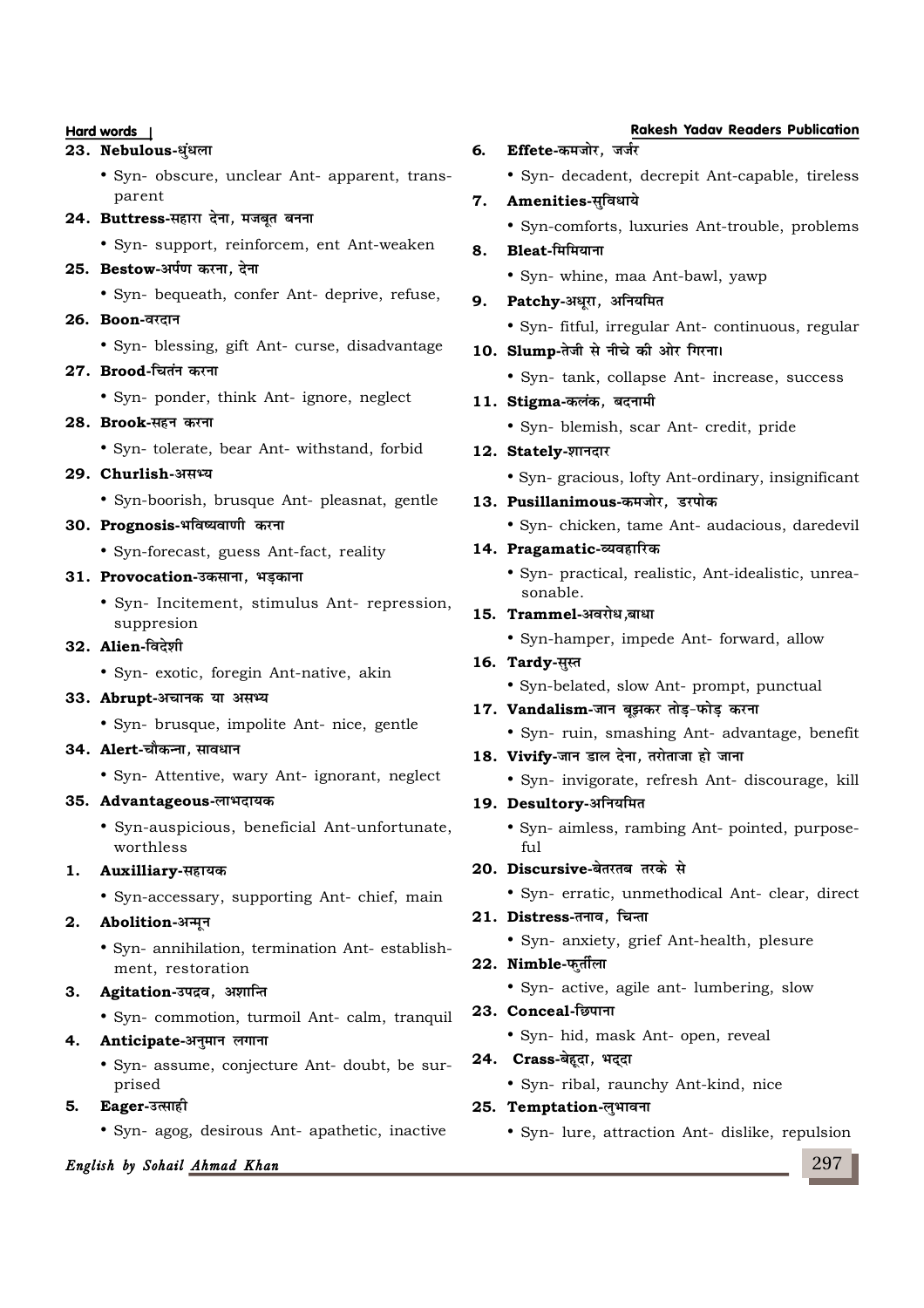#### **23. Nebulous**-ध्ंधला

- Syn- obscure, unclear Ant- apparent, transparent
- 24. **Buttress-सहारा देना, मजबूत बनना** 
	- Syn- support, reinforcem, ent Ant-weaken

#### **25. Bestow-अर्पण करना. देना**

• Syn- bequeath, confer Ant- deprive, refuse,

### 26. **Boon-***वरदान*

• Syn- blessing, gift Ant- curse, disadvantage

#### **27. Brood-चितंन करना**

• Syn- ponder, think Ant- ignore, neglect

#### 28. **Brook-सहन करना**

- Syn- tolerate, bear Ant- withstand, forbid
- 29. Churlish-असभ्य
	- Syn-boorish, brusque Ant- pleasnat, gentle

## **30. Prognosis-**भविष्यवाणी करना

• Syn-forecast, guess Ant-fact, reality

#### $31.$  **Provocation-**उकसाना, भडकाना

• Syn- Incitement, stimulus Ant- repression, suppresion

## $32.$  **Alien-**विदेशी

• Syn- exotic, foregin Ant-native, akin

#### 33. Abrupt-अचानक या असभ्य

• Syn- brusque, impolite Ant- nice, gentle

## **34. Alert**-चौकन्ना, सावधान

• Syn- Attentive, wary Ant- ignorant, neglect

## $35.$  **Advantageous**-लाभदायक

• Syn-auspicious, beneficial Ant-unfortunate, worthless

## 1. **Auxilliary-सहायक**

• Syn-accessary, supporting Ant- chief, main

## $2.$  **Abolition-अन्मून**

• Syn- annihilation, termination Ant- establishment, restoration

## 3. **Agitation-**उपद्रव, अशान्ति

• Syn- commotion, turmoil Ant- calm, tranquil

## **4. Anticipate-अनुमान लगाना**

- Syn- assume, conjecture Ant- doubt, be surprised
- **5. Eager-**उत्साही
	- Syn- agog, desirous Ant- apathetic, inactive

## **English by Sohail Ahmad Khan**

## **Hard words Rakesh Yadav Readers Publication**

- **6.** Effete-कमजोर, जर्जर
	- Syn- decadent, decrepit Ant-capable, tireless

## **7. Amenities-सविधाये**

• Syn-comforts, luxuries Ant-trouble, problems

## **8. Bleat-fefe; kuk**

• Syn- whine, maa Ant-bawl, yawp

## 9. **Patchy**-अधुरा, अनियमित

• Syn- fitful, irregular Ant- continuous, regular

## 10. **Slump-तेजी से नीचे की ओर गिरना।**

• Syn- tank, collapse Ant- increase, success

## 11. Stigma-कलंक, बदनामी

• Syn- blemish, scar Ant- credit, pride

## 12. Stately-शानदार

• Syn- gracious, lofty Ant-ordinary, insignificant

## 13. **Pusillanimous-कमजोर, डरपोक**

• Syn- chicken, tame Ant- audacious, daredevil

## 14. Pragamatic-व्यवहारिक

• Syn- practical, realistic, Ant-idealistic, unreasonable.

## **15. Trammel**-अवरोध,बाधा

• Syn-hamper, impede Ant- forward, allow

## 16. **Tardy**-सस्त

• Syn-belated, slow Ant- prompt, punctual

## 17. Vandalism-जान बझकर तोड-फोड करना

- Syn- ruin, smashing Ant- advantage, benefit
- 18. Vivify-जान डाल देना, तरोताजा हो जाना
	- Syn- invigorate, refresh Ant- discourage, kill

## 19. Desultory-अनियमित

- Syn- aimless, rambing Ant- pointed, purpose $f_{11}$
- **20. Discursive-बेतरतब तरके से** 
	- Syn- erratic, unmethodical Ant- clear, direct

## $21.$  **Distress-तनाव**. चिन्ता

• Syn- anxiety, grief Ant-health, plesure

## **22. Nimble-**फर्तीला

• Syn- active, agile ant- lumbering, slow

## $23.$  **Conceal-** छिपाना

• Syn- hid, mask Ant- open, reveal

## **24. Crass-बेहदा, भद्दा**

• Syn- ribal, raunchy Ant-kind, nice

## $25.$  **Temptation-ल्**भावना

• Syn- lure, attraction Ant- dislike, repulsion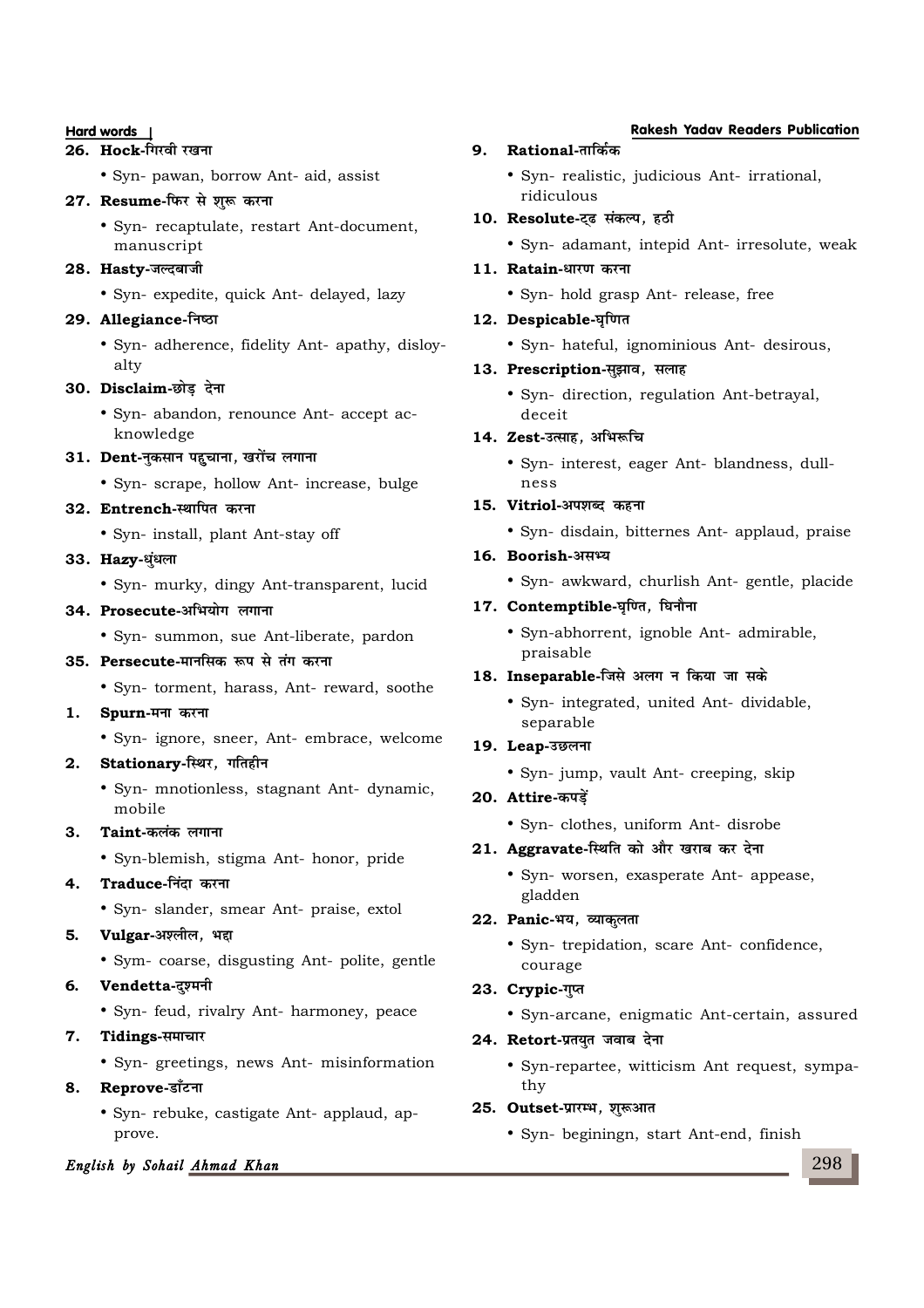### **26. Hock-गिरवी रखना**

• Syn- pawan, borrow Ant- aid, assist

## **27. Resume-**फिर से शुरू करना

• Syn- recaptulate, restart Ant-document, manuscript

## **28. Hastv-जल्दबाजी**

• Syn- expedite, quick Ant- delayed, lazy

## 29. Allegiance-निष्ठा

• Syn- adherence, fidelity Ant- apathy, disloyalty

## 30. Disclaim-छोड देना

• Syn- abandon, renounce Ant- accept acknowledge

## 31. **Dent-नकसान पहचाना**. खरोंच लगाना

• Syn- scrape, hollow Ant- increase, bulge

## 32. Entrench-स्थापित करना

• Syn- install, plant Ant-stay off

## 33. **Hazy**-धुंधला

• Syn- murky, dingy Ant-transparent, lucid

## **34. Prosecute-अभियोग लगाना**

- Syn- summon, sue Ant-liberate, pardon
- 35. **Persecute-मानसिक रूप से तंग करना** 
	- Syn- torment, harass, Ant- reward, soothe

## 1. **Spurn**-मना करना

• Syn- ignore, sneer, Ant- embrace, welcome

## 2. Stationary-स्थिर, गतिहीन

• Syn- mnotionless, stagnant Ant- dynamic, mobile

## **3.** Taint-कलंक लगाना

• Syn-blemish, stigma Ant- honor, pride

## **4.** Traduce-निंदा करना

• Syn- slander, smear Ant- praise, extol

## 5. **Vulgar-अश्लील, भद्दा**

• Sym- coarse, disgusting Ant- polite, gentle

## 6. **Vendetta-दश्मनी**

• Syn- feud, rivalry Ant- harmoney, peace

## **7.** Tidings-समाचार

• Syn- greetings, news Ant- misinformation

## 8. **Reprove**-डाँटना

• Syn- rebuke, castigate Ant- applaud, approve.

## **English by Sohail Ahmad Khan**

## **Hard words Rakesh Yadav Readers Publication**

## 9. **Rational-तार्किक**

• Syn- realistic, judicious Ant- irrational, ridiculous

## 10. **Resolute-ट्ढ संकल्प**, हठी

• Syn- adamant, intepid Ant- irresolute, weak

## 11. **Ratain**-धारण करना

• Syn- hold grasp Ant- release, free

## 12. Despicable-घृणित

• Syn- hateful, ignominious Ant- desirous,

## 13. **Prescription-सझाव. सलाह**

• Syn- direction, regulation Ant-betrayal, deceit

## 14. **Zest-उत्साह. अभिरूचि**

• Syn- interest, eager Ant- blandness, dullness

## 15. **Vitriol**-अपशब्द कहना

• Syn- disdain, bitternes Ant- applaud, praise

## 16. **Boorish-असभ्य**

• Syn- awkward, churlish Ant- gentle, placide

## 17. **Contemptible-**घुण्ति, धिनौना

• Syn-abhorrent, ignoble Ant- admirable, praisable

## 18. Inseparable-जिसे अलग न किया जा सके

• Syn- integrated, united Ant- dividable, separable

## 19. Leap-**उछलना**

• Syn- jump, vault Ant- creeping, skip

## 20. Attire-कपडें

• Syn- clothes, uniform Ant- disrobe

## 21. **Aggravate-**स्थिति को और खराब कर देना

• Syn- worsen, exasperate Ant- appease, gladden

## 22. **Panic**-भय, व्याकुलता

• Syn- trepidation, scare Ant- confidence, courage

## 23. **Crypic-गु**प्त

• Syn-arcane, enigmatic Ant-certain, assured

## **24. Retort-प्रतयत जवाब देना**

• Syn-repartee, witticism Ant request, sympathy

## 25. **Outset-प्रारम्भ, शुरूआत**

• Syn- beginingn, start Ant-end, finish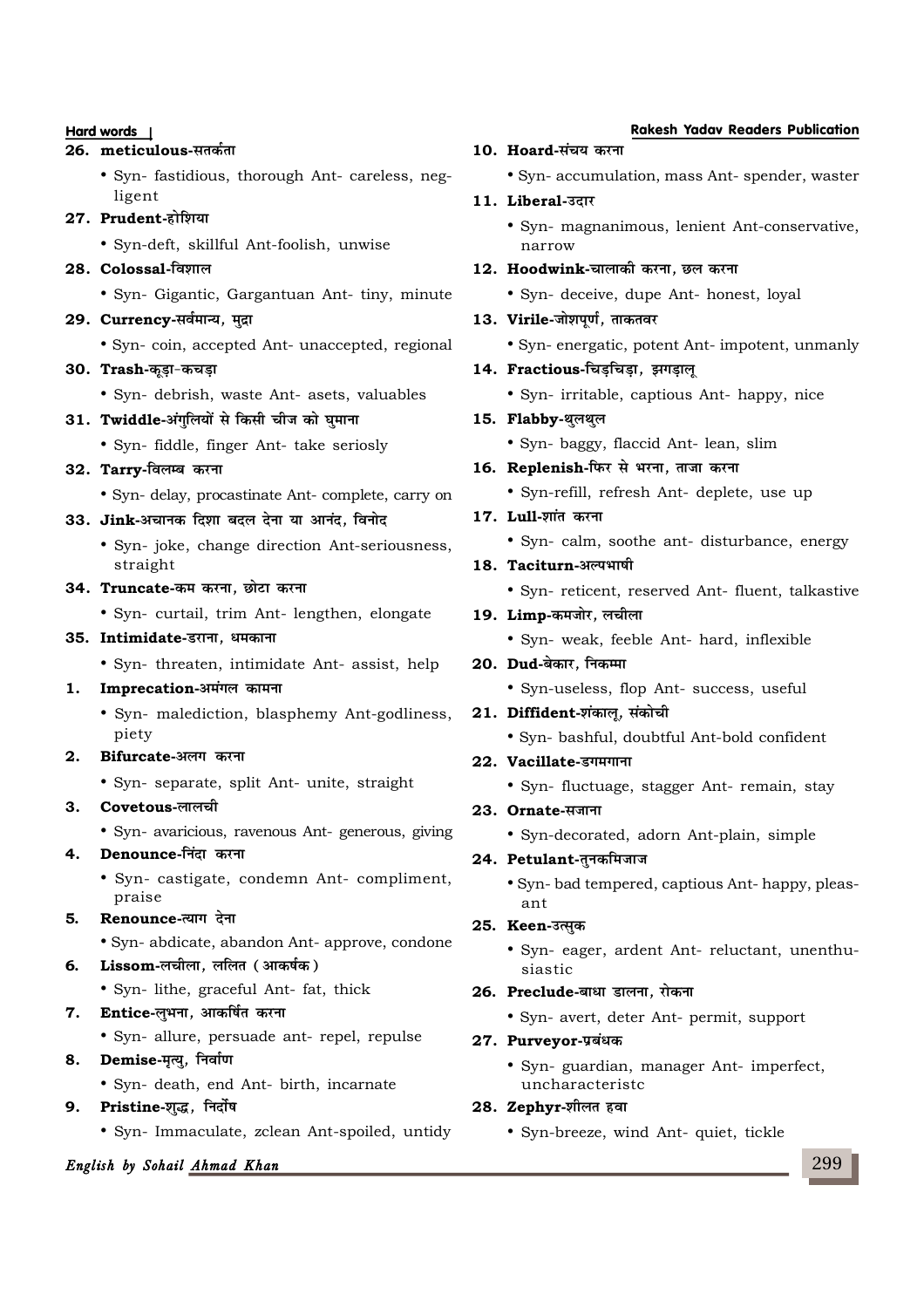#### 26. meticulous-सतर्कता

• Syn- fastidious, thorough Ant- careless, negligent

## **27. Prudent-होशिया**

• Syn-deft, skillful Ant-foolish, unwise

## 28. **Colossal-**विशाल

• Syn- Gigantic, Gargantuan Ant- tiny, minute

## **29. Currency-सर्वमान्य, मुद्रा**

• Syn- coin, accepted Ant- unaccepted, regional

## $30.$  **Trash-कडा-कचडा**

• Syn- debrish, waste Ant- asets, valuables

### 31. **Twiddle**-अंगुलियों से किसी चीज को घमाना

- Syn- fiddle, finger Ant- take seriosly
- 32. Tarry-विलम्ब करना
	- Syn- delay, procastinate Ant- complete, carry on

## 33. Jink-अचानक दिशा बदल देना या आनंद, विनोद

• Syn- joke, change direction Ant-seriousness, straight

## 34. **Truncate-कम करना. छोटा करना**

• Syn- curtail, trim Ant- lengthen, elongate

## **35. Intimidate-डराना, धमकाना**

• Syn- threaten, intimidate Ant- assist, help

## 1. **Imprecation-अमंगल कामना**

• Syn- malediction, blasphemy Ant-godliness, piety

## 2. **Bifurcate-अलग करना**

• Syn- separate, split Ant- unite, straight

## **3. Covetous-ykyph**

• Syn- avaricious, ravenous Ant- generous, giving

## **4. Denounce**-निंदा करना

• Syn- castigate, condemn Ant- compliment, praise

## 5. **Renounce-त्याग देना**

• Syn- abdicate, abandon Ant- approve, condone

## **6. Lissom-लचीला, ललित (आकर्षक)**

- Syn- lithe, graceful Ant- fat, thick
- **7.** Entice-लभना, आकर्षित करना
	- Syn- allure, persuade ant- repel, repulse
- 8. **Demise-**मृत्यू, निर्वाण
	- Syn- death, end Ant- birth, incarnate
- **9.** Pristine-शद्ध. निर्दोष
	- Syn- Immaculate, zclean Ant-spoiled, untidy

## **English by Sohail Ahmad Khan**

#### **Hard words Rakesh Yadav Readers Publication** 10. **Hoard**-संचय करना

• Syn- accumulation, mass Ant- spender, waster

### 11. Liberal-उदार

• Syn- magnanimous, lenient Ant-conservative, narrow

## 12. **Hoodwink-**चालाकी करना, छल करना

• Syn- deceive, dupe Ant- honest, loyal

## 13. Virile-जोशपूर्ण, ताकतवर

• Syn- energatic, potent Ant- impotent, unmanly

## 14. **Fractious-चिडचिडा. झगडाल**

• Syn- irritable, captious Ant- happy, nice

## 15. **Flabby-थलथल**

• Syn- baggy, flaccid Ant- lean, slim

## 16. **Replenish-**फिर से भरना, ताजा करना

• Syn-refill, refresh Ant- deplete, use up

## 17. Lull-शांत करना

• Syn- calm, soothe ant- disturbance, energy

## 18. **Taciturn-अल्पभाषी**

• Syn- reticent, reserved Ant- fluent, talkastive

## **19. Limp-कमजोर. लचीला**

• Syn- weak, feeble Ant- hard, inflexible

## **20. Dud**-बेकार. निकम्मा

• Syn-useless, flop Ant- success, useful

## **21. Diffident-शंकाल, संकोची**

• Syn- bashful, doubtful Ant-bold confident

## 22. Vacillate-डगमगाना

• Syn- fluctuage, stagger Ant- remain, stay

## 23. **Ornate-सजाना**

• Syn-decorated, adorn Ant-plain, simple

## **24. Petulant-तनकमिजाज**

• Syn- bad tempered, captious Ant- happy, pleasant

## **25. Keen-उत्सक**

• Syn- eager, ardent Ant- reluctant, unenthusiastic

## **26. Preclude-बाधा डालना. रोकना**

• Syn- avert, deter Ant- permit, support

#### 27. **Purvevor-**प्रबंधक

• Syn- guardian, manager Ant- imperfect, uncharacteristc

## **28. Zephvr-**शीलत हवा

• Syn-breeze, wind Ant- quiet, tickle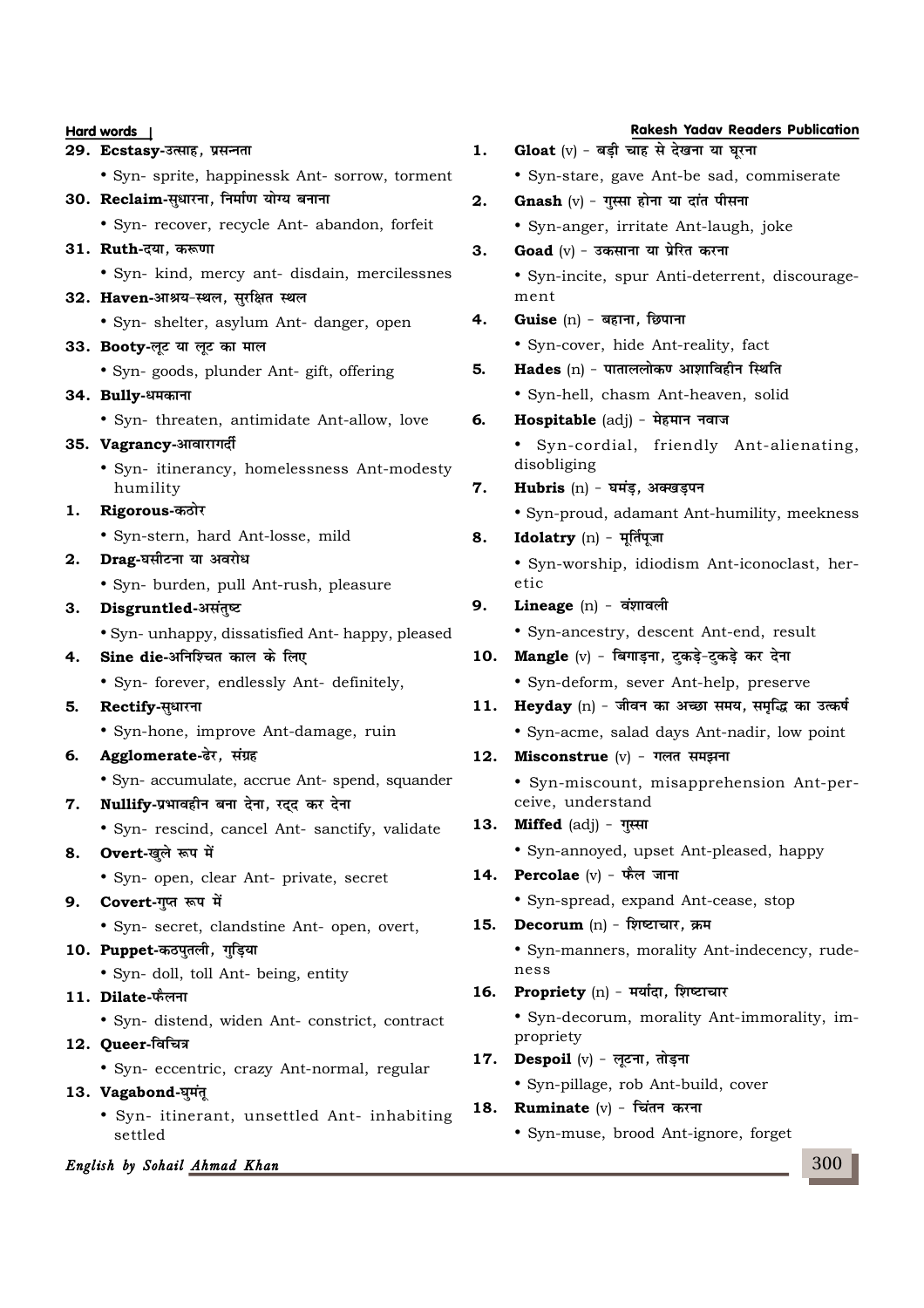**Hard words Rakesh Yadav Readers Publication** 29. **Ecstasy-**उत्साह, प्रसन्नता • Syn- sprite, happinessk Ant- sorrow, torment 30. Reclaim-स़धारना, निर्माण योग्य बनाना • Syn- recover, recycle Ant- abandon, forfeit **31. Ruth**-दया. करूणा • Syn- kind, mercy ant- disdain, mercilessnes 32. **Haven-**आश्रय-स्थल, सुरक्षित स्थल • Syn- shelter, asylum Ant- danger, open 33. **Booty**-लूट या लूट का माल • Syn- goods, plunder Ant- gift, offering 34. **Bully-धमकाना** • Syn- threaten, antimidate Ant-allow, love 35. **Vagrancy**-आवारागर्दी • Syn- itinerancy, homelessness Ant-modesty humility **1. Rigorous-क**ठोर • Syn-stern, hard Ant-losse, mild 2. Drag-घसीटना या अवरोध • Syn- burden, pull Ant-rush, pleasure 3. Disgruntled-असंतुष्ट • Syn- unhappy, dissatisfied Ant- happy, pleased **4. Sine die-v fuf' pr dky ds fy,** • Syn- forever, endlessly Ant- definitely, **5. Rectify-सधारना** • Syn-hone, improve Ant-damage, ruin 6. **Agglomerate-**ढेर, संग्रह • Syn- accumulate, accrue Ant- spend, squander 7. **Nullify-**प्रभावहीन बना देना, रदद कर देना • Syn- rescind, cancel Ant- sanctify, validate 8. **Overt**-खले रूप में • Syn- open, clear Ant- private, secret 9. **Covert-गुप्त रूप में** • Syn- secret, clandstine Ant- open, overt, 10. **Puppet**-कठपतली, गडिया • Syn- doll, toll Ant- being, entity 11. **Dilate-फेलना** • Syn- distend, widen Ant- constrict, contract 12. **Queer-** विचित्र • Syn- eccentric, crazy Ant-normal, regular 13. **Vagabond**-घुमंत् • Syn- itinerant, unsettled Ant- inhabiting settled 1. Gloat (v) - बड़ी चाह से देखना या घरना • Syn-stare, gave Ant-be sad, commiserate 2. **Gnash** (v) - गस्सा होना या दांत पीसना • Syn-anger, irritate Ant-laugh, joke **3.** Goad (v) - उकसाना या प्रेरित करना • Syn-incite, spur Anti-deterrent, discouragement **4.** Guise (n) - बहाना, छिपाना • Syn-cover, hide Ant-reality, fact **5. Hades** (n) - पाताललोकण आशाविहीन स्थिति • Syn-hell, chasm Ant-heaven, solid **6. Hospitable** (adj) - मेहमान नवाज • Syn-cordial, friendly Ant-alienating, disobliging **7. Hubris** (n) - घमंड, अक्खडपन • Syn-proud, adamant Ant-humility, meekness 8. **Idolatry** (n) - मर्तिपजा • Syn-worship, idiodism Ant-iconoclast, heretic 9. Lineage (n) - वंशावली • Syn-ancestry, descent Ant-end, result 10. **Mangle** (v) - बिगाडना, टकडे-टकडे कर देना • Syn-deform, sever Ant-help, preserve 11. **Heyday** (n) - जीवन का अच्छा समय, समद्धि का उत्कर्ष • Syn-acme, salad days Ant-nadir, low point 12. Misconstrue (v) - गलत समझना • Syn-miscount, misapprehension Ant-perceive, understand 13. **Miffed** (adj) - गुस्सा • Syn-annoyed, upset Ant-pleased, happy 14. **Percolae** (v) - फैल जाना • Syn-spread, expand Ant-cease, stop 15. **Decorum** (n) - शिष्टाचार, क्रम • Syn-manners, morality Ant-indecency, rudeness 16. **Propriety** (n) - मर्यादा, शिष्टाचार • Syn-decorum, morality Ant-immorality, impropriety 17. **Despoil** (v) - लूटना, तोड़ना • Syn-pillage, rob Ant-build, cover 18. **Ruminate** (v) - चिंतन करना • Syn-muse, brood Ant-ignore, forget

**English by Sohail Ahmad Khan**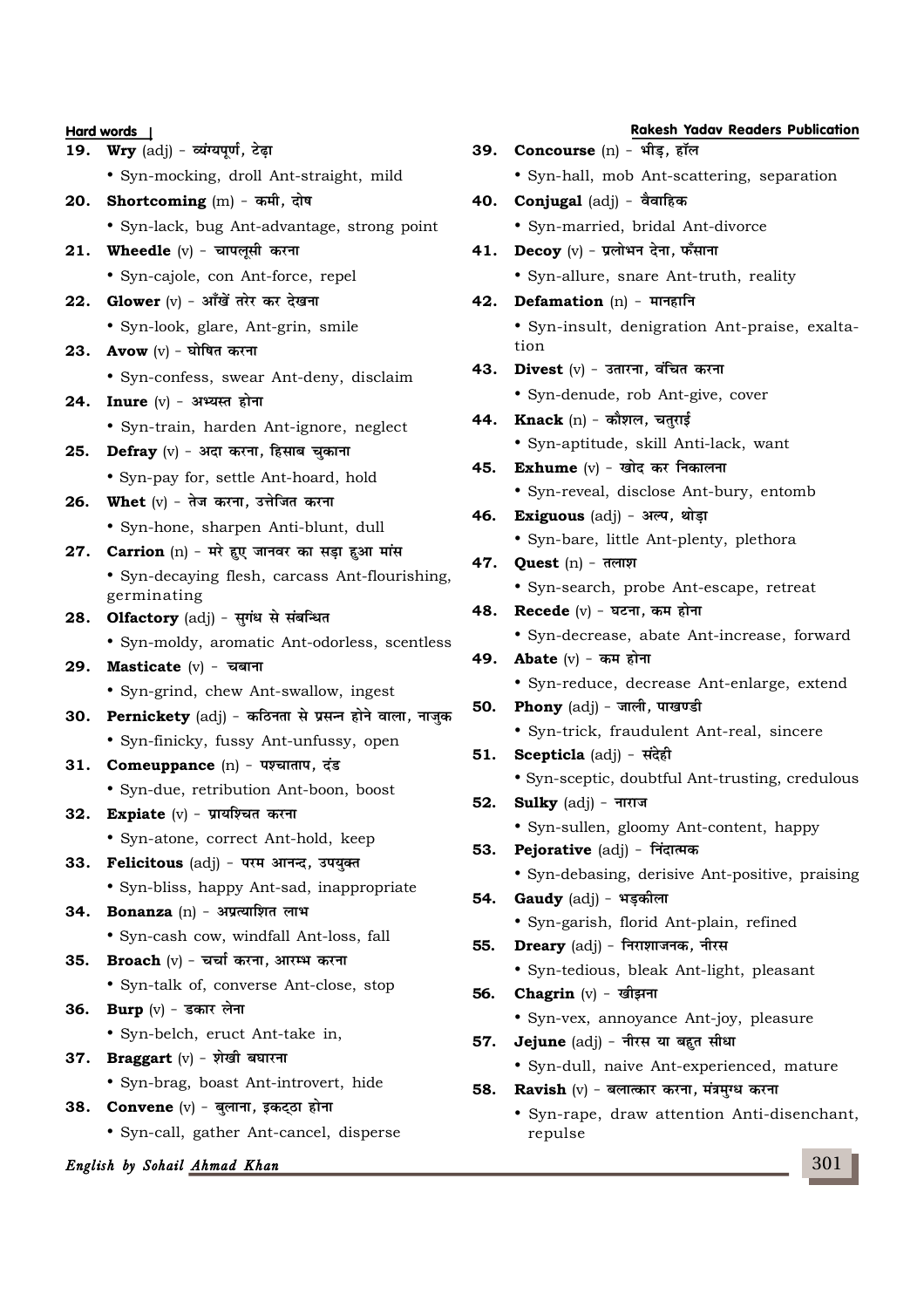**Hard words Rakesh Yadav Readers Publication** 19. Wry (adj) - व्यंग्यपूर्ण, टेढ़ा • Syn-mocking, droll Ant-straight, mild 20. **Shortcoming** (m) - कमी, दोष • Syn-lack, bug Ant-advantage, strong point 21. Wheedle (v) - चापलूसी करना • Syn-cajole, con Ant-force, repel 22. Glower (v) - आँखें तरेर कर देखना • Syn-look, glare, Ant-grin, smile **23. Avow** (v) - घोषित करना • Syn-confess, swear Ant-deny, disclaim 24. **Inure** (v) - अभ्यस्त होना • Syn-train, harden Ant-ignore, neglect **25. Defray** (v) - अदा करना, हिसाब चकाना • Syn-pay for, settle Ant-hoard, hold **26. Whet**  $(v)$  - तेज करना, उत्तेजित करना • Syn-hone, sharpen Anti-blunt, dull 27. Carrion (n) - मरे हुए जानवर का सड़ा हुआ मांस • Syn-decaying flesh, carcass Ant-flourishing, germinating 28. Olfactory (adj) - सुगंध से संबन्धित • Syn-moldy, aromatic Ant-odorless, scentless 29. **Masticate**  $(v)$  - चबाना • Syn-grind, chew Ant-swallow, ingest 30. **Pernickety** (adj) - कठिनता से प्रसन्न होने वाला, नाजक • Syn-finicky, fussy Ant-unfussy, open 31. **Comeuppance** (n) - पश्चाताप, दंड • Syn-due, retribution Ant-boon, boost **32. Expiate** (v) - प्रायश्चित करना • Syn-atone, correct Ant-hold, keep 33. Felicitous (adj) - परम आनन्द, उपयक्त • Syn-bliss, happy Ant-sad, inappropriate 34. **Bonanza** (n) - अप्रत्याशित लाभ • Syn-cash cow, windfall Ant-loss, fall **35. Broach** (v) - चर्चा करना, आरम्भ करना • Syn-talk of, converse Ant-close, stop **36. Burp** (v) - डकार लेना • Syn-belch, eruct Ant-take in, **37. Braggart** (v) - शेखी बघारना • Syn-brag, boast Ant-introvert, hide **38. Convene** (v) - बुलाना, इकट्ठा होना • Syn-call, gather Ant-cancel, disperse **39. Concourse** (n) - भीड़, हॉल • Syn-hall, mob Ant-scattering, separation **40. Conjugal** (adj) - वैवाहिक • Syn-married, bridal Ant-divorce 41. **Decoy** (v) - प्रलोभन देना, फँसाना • Syn-allure, snare Ant-truth, reality **42. Defamation** (n) - मानहानि • Syn-insult, denigration Ant-praise, exaltation **43. Divest** (v) - उतारना, वंचित करना • Syn-denude, rob Ant-give, cover **44. Knack** (n) - कौशल, चतुराई • Syn-aptitude, skill Anti-lack, want **45. Exhume**  $(v)$  - खोद कर निकालना • Syn-reveal, disclose Ant-bury, entomb **46. Exiguous** (adj) - अल्प, थोड़ा • Syn-bare, little Ant-plenty, plethora **47. Quest** (n) - तलाश • Syn-search, probe Ant-escape, retreat **48. Recede** (v) - घटना, कम होना • Syn-decrease, abate Ant-increase, forward **49.** Abate  $(v)$  - कम होना • Syn-reduce, decrease Ant-enlarge, extend **50. Phony** (adj) - जाली, पाखण्डी • Syn-trick, fraudulent Ant-real, sincere 51. **Scepticla** (adj) - संदेही • Syn-sceptic, doubtful Ant-trusting, credulous 52. **Sulky** (adj) - नाराज • Syn-sullen, gloomy Ant-content, happy 53. **Pejorative** (adj) - निंदात्मक • Syn-debasing, derisive Ant-positive, praising 54. **Gaudy** (adj) - भड़कीला • Syn-garish, florid Ant-plain, refined **55. Dreary** (adj) - निराशाजनक, नीरस • Syn-tedious, bleak Ant-light, pleasant **56. Chagrin**  $(v)$  - खीझना • Syn-vex, annoyance Ant-joy, pleasure 57. Jejune (adj) - नीरस या बहुत सीधा • Syn-dull, naive Ant-experienced, mature **58. Ravish** (v) - बलात्कार करना, मंत्रमुग्ध करना • Syn-rape, draw attention Anti-disenchant, repulse

## **English by Sohail Ahmad Khan**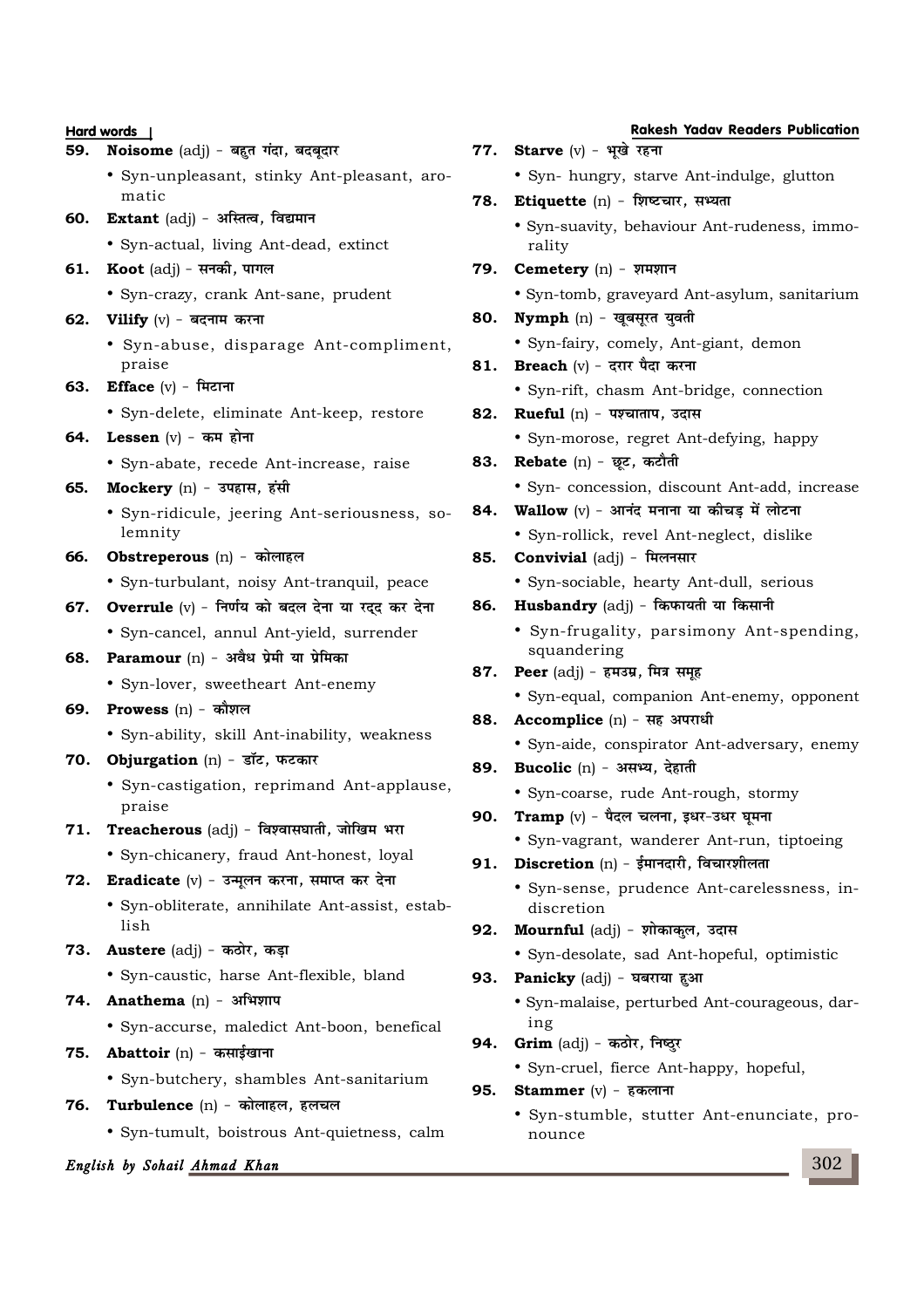**Hard words Rakesh Yadav Readers Publication** 59. Noisome (adj) - बहुत गंदा, बदबुदार • Syn-unpleasant, stinky Ant-pleasant, aromatic **60. Extant** (adj) - अस्तित्व, विद्यमान • Syn-actual, living Ant-dead, extinct **61. Koot** (adi) - सनकी. पागल • Syn-crazy, crank Ant-sane, prudent **62.** Vilify (v) - बदनाम करना • Syn-abuse, disparage Ant-compliment, praise **63. Efface**  $(v)$  - मिटाना • Syn-delete, eliminate Ant-keep, restore **64.** Lessen (v) - कम होना • Syn-abate, recede Ant-increase, raise **65. Mockery** (n) - उपहास, हंसी • Syn-ridicule, jeering Ant-seriousness, solemnity **66. Obstreperous** (n) - कोलाहल • Syn-turbulant, noisy Ant-tranquil, peace **67. Overrule** (v) - निर्णय को बदल देना या रदद कर देना • Syn-cancel, annul Ant-yield, surrender **68. Paramour** (n) - अवैध प्रेमी या प्रेमिका • Syn-lover, sweetheart Ant-enemy **69. Prowess** (n) - कौशल • Syn-ability, skill Ant-inability, weakness 70. Objurgation (n) - डॉट, फटकार • Syn-castigation, reprimand Ant-applause, praise 71. Treacherous (adj) - विश्वासघाती, जोखिम भरा • Syn-chicanery, fraud Ant-honest, loyal 72. **Eradicate** (v) - उन्मलन करना, समाप्त कर देना • Syn-obliterate, annihilate Ant-assist, establish **73. Austere** (adj) - कठोर, कड़ा • Syn-caustic, harse Ant-flexible, bland **74. Anathema** (n) - अभिशाप • Syn-accurse, maledict Ant-boon, benefical **75. Abattoir** (n) - कसाईखाना • Syn-butchery, shambles Ant-sanitarium **76. Turbulence** (n) - कोलाहल, हलचल **77. Starve** (v) - भूखे रहना • Syn- hungry, starve Ant-indulge, glutton **78. Etiquette** (n) - शिष्टचार, सभ्यता • Syn-suavity, behaviour Ant-rudeness, immorality **79. Cemetery** (n) - शमशान squandering discretion ing

• Syn-tumult, boistrous Ant-quietness, calm

## **English by Sohail Ahmad Khan**

• Syn-tomb, graveyard Ant-asylum, sanitarium 80. **Nymph** (n) - खूबसूरत युवती • Syn-fairy, comely, Ant-giant, demon **81. Breach** (v) - दरार पैदा करना • Syn-rift, chasm Ant-bridge, connection 82. Rueful (n) - पश्चाताप, उदास • Syn-morose, regret Ant-defying, happy 83. **Rebate** (n) - छूट, कटौती • Syn- concession, discount Ant-add, increase 84. **Wallow** (v) - आनंद मनाना या कीचड में लोटना • Syn-rollick, revel Ant-neglect, dislike **85. Convivial** (adj) - मिलनसार • Syn-sociable, hearty Ant-dull, serious 86. **Husbandry** (adj) - किफायती या किसानी • Syn-frugality, parsimony Ant-spending, 87. **Peer** (adj) - हमउम्र, मित्र समूह • Syn-equal, companion Ant-enemy, opponent **88. Accomplice** (n) - सह अपराधी • Syn-aide, conspirator Ant-adversary, enemy **89. Bucolic** (n) - असभ्य, देहाती • Syn-coarse, rude Ant-rough, stormy **90. Tramp** (v) - पैदल चलना. इधर-उधर घमना • Syn-vagrant, wanderer Ant-run, tiptoeing 91. Discretion (n) - ईमानदारी, विचारशीलता • Syn-sense, prudence Ant-carelessness, in-92. Mournful (adj) - शोकाकुल, उदास • Syn-desolate, sad Ant-hopeful, optimistic 93. **Panicky** (adj) - घबराया हुआ • Syn-malaise, perturbed Ant-courageous, dar-94. Grim (adj) - कठोर, निष्ठुर • Syn-cruel, fierce Ant-happy, hopeful, 95. **Stammer**  $(v)$  - हकलाना • Syn-stumble, stutter Ant-enunciate, pronounce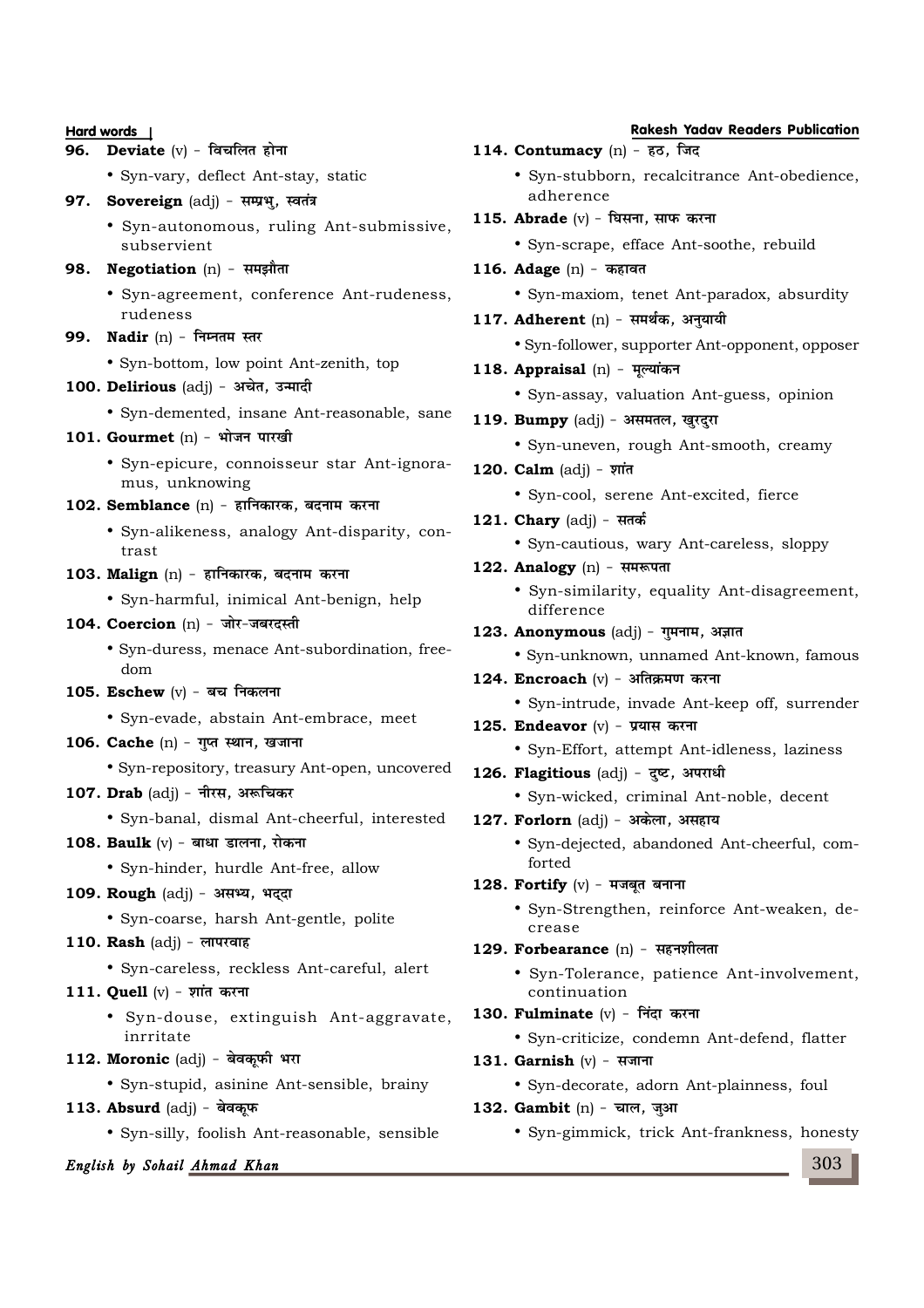## **Hard words** | 96. **Deviate** (v) - विचलित होना • Syn-vary, deflect Ant-stay, static 97. Sovereign (adj) - सम्प्रभु, स्वतंत्र • Syn-autonomous, ruling Ant-submissive, subservient 98. **Negotiation** (n) - समझौता • Syn-agreement, conference Ant-rudeness, rudeness 99. **Nadir** (n) - निम्नतम स्तर • Syn-bottom, low point Ant-zenith, top 100. **Delirious** (adj) - अचेत, उन्मादी • Syn-demented, insane Ant-reasonable, sane 101. Gourmet (n) - भोजन पारखी • Syn-epicure, connoisseur star Ant-ignoramus, unknowing 102. **Semblance** (n) - हानिकारक, बदनाम करना • Syn-alikeness, analogy Ant-disparity, contrast 103. **Malign** (n) - हानिकारक, बदनाम करना • Syn-harmful, inimical Ant-benign, help 104. **Coercion** (n) - जोर-जबरदस्ती • Syn-duress, menace Ant-subordination, freedom 105. **Eschew** (v) - बच निकलना • Syn-evade, abstain Ant-embrace, meet 106. Cache (n) - गुप्त स्थान, खजाना • Syn-repository, treasury Ant-open, uncovered 107. **Drab** (adj) - नीरस, अरूचिकर • Syn-banal, dismal Ant-cheerful, interested 108. **Baulk** (v) - बाधा डालना, रोकना • Syn-hinder, hurdle Ant-free, allow 109. **Rough** (adj) - असभ्य, भददा • Syn-coarse, harsh Ant-gentle, polite 110. **Rash** (adj) - लापरवाह • Syn-careless, reckless Ant-careful, alert 111. Quell (v) - शांत करना • Syn-douse, extinguish Ant-aggravate, inrritate 112. Moronic (adj) - बेवकूफी भरा • Syn-stupid, asinine Ant-sensible, brainy

- 113. Absurd (adj) बेवकूफ
	- Syn-silly, foolish Ant-reasonable, sensible

## **English by Sohail Ahmad Khan**

| <b>Rakesh Yadav Readers Publication</b>                                       |
|-------------------------------------------------------------------------------|
| $114.$ Contumacy $(n)$ - हठ, जिद                                              |
| • Syn-stubborn, recalcitrance Ant-obedience,<br>adherence                     |
| 115. Abrade (v) - घिसना, साफ करना                                             |
| · Syn-scrape, efface Ant-soothe, rebuild                                      |
| 116. Adage $(n)$ - कहावत                                                      |
| · Syn-maxiom, tenet Ant-paradox, absurdity                                    |
| 117. Adherent (n) - समर्थक, अनुयायी                                           |
| • Syn-follower, supporter Ant-opponent, opposer                               |
| 118. Appraisal (n) - मूल्यांकन                                                |
| · Syn-assay, valuation Ant-guess, opinion                                     |
| 119. Bumpy (adj) - असमतल, खुरदुरा                                             |
| • Syn-uneven, rough Ant-smooth, creamy                                        |
| 120. Calm $(\text{adj})$ - शांत                                               |
| • Syn-cool, serene Ant-excited, fierce                                        |
| 121. Chary (adj) - सतर्क                                                      |
| · Syn-cautious, wary Ant-careless, sloppy                                     |
| 122. Analogy (n) - समरूपता                                                    |
| · Syn-similarity, equality Ant-disagreement,<br>difference                    |
| $123.$ Anonymous (adj) - गुमनाम, अज्ञात                                       |
| · Syn-unknown, unnamed Ant-known, famous                                      |
| 124. Encroach (v) - अतिक्रमण करना                                             |
| · Syn-intrude, invade Ant-keep off, surrender                                 |
| 125. Endeavor $(v)$ - प्रयास करना                                             |
| · Syn-Effort, attempt Ant-idleness, laziness                                  |
| 126. Flagitious (adj) - दुष्ट, अपराधी                                         |
| · Syn-wicked, criminal Ant-noble, decent<br>127. Forlorn (adj) - अकेला, असहाय |
| · Syn-dejected, abandoned Ant-cheerful, com-                                  |
| forted                                                                        |
| 128. Fortify $(v)$ - मजबूत बनाना                                              |
| · Syn-Strengthen, reinforce Ant-weaken, de-<br>crease                         |
| 129. Forbearance (n) - सहनशीलता                                               |
| · Syn-Tolerance, patience Ant-involvement,                                    |
| continuation                                                                  |
| 130. Fulminate $(v)$ - निंदा करना                                             |
| · Syn-criticize, condemn Ant-defend, flatter                                  |
| 131. Garnish $(v)$ - सजाना<br>• Syn-decorate, adorn Ant-plainness, foul       |
| 132. Gambit (n) - चाल, जुआ                                                    |
| • Syn-gimmick, trick Ant-frankness, honesty                                   |
|                                                                               |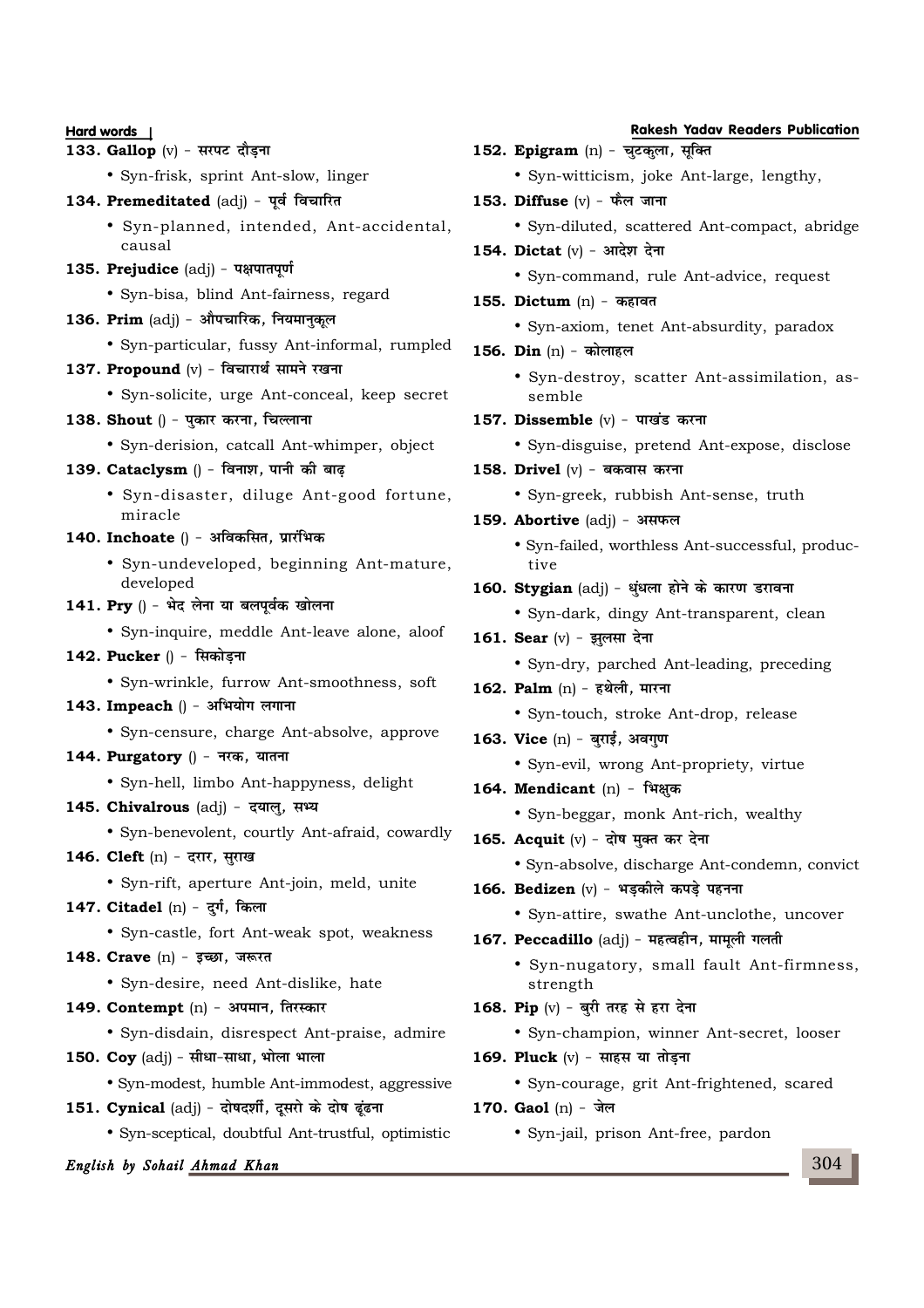**Hard words Rakesh Yadav Readers Publication** 133. Gallop (v) - सरपट दौड़ना • Syn-frisk, sprint Ant-slow, linger 134. Premeditated (adj) - पर्व विचारित • Syn-planned, intended, Ant-accidental, causal 135. Prejudice (adj) - पक्षपातपर्ण • Syn-bisa, blind Ant-fairness, regard 1**36. Prim** (adj) - औपचारिक, नियमानुकुल • Syn-particular, fussy Ant-informal, rumpled 137. **Propound** (v) - विचारार्थ सामने रखना • Syn-solicite, urge Ant-conceal, keep secret 138. **Shout** () - पुकार करना, चिल्लाना • Syn-derision, catcall Ant-whimper, object 139. Cataclysm () - विनाश, पानी की बाढ़ • Syn-disaster, diluge Ant-good fortune, miracle 140. **Inchoate** () - अविकसित, प्रारंभिक • Syn-undeveloped, beginning Ant-mature, developed 141. **Pry** () - भेद लेना या बलपूर्वक खोलना • Syn-inquire, meddle Ant-leave alone, aloof <u>142. Pucker () - सिकोडना</u> • Syn-wrinkle, furrow Ant-smoothness, soft 143. **Impeach** () - अभियोग लगाना • Syn-censure, charge Ant-absolve, approve 144. **Purgatory** () - नरक, यातना • Syn-hell, limbo Ant-happyness, delight 145. Chivalrous (adj) - दयाल, सभ्य • Syn-benevolent, courtly Ant-afraid, cowardly 146. Cleft (n) - दरार, सुराख • Syn-rift, aperture Ant-join, meld, unite 147. Citadel (n) - दर्ग, किला • Syn-castle, fort Ant-weak spot, weakness 148. Crave (n) - इच्छा, जरूरत • Syn-desire, need Ant-dislike, hate 149. **Contempt** (n) - अपमान, तिरस्कार • Syn-disdain, disrespect Ant-praise, admire

- 150. Coy (adj) सीधा-साधा, भोला भाला
	- Syn-modest, humble Ant-immodest, aggressive
- 151. **Cynical** (adj) दोषदर्शी, दूसरो के दोष ढूंढना
	- Syn-sceptical, doubtful Ant-trustful, optimistic

## **English by Sohail Ahmad Khan**

## 152. **Epigram** (n) - चटकला, सुक्ति

- Syn-witticism, joke Ant-large, lengthy,
- 153. **Diffuse** (v) फैल जाना
	- Syn-diluted, scattered Ant-compact, abridge
- 154. Dictat (v) आदेश देना
	- Syn-command, rule Ant-advice, request
- 155. **Dictum** (n) कहावत
	- Syn-axiom, tenet Ant-absurdity, paradox
- 156. **Din** (n) कोलाहल
	- Syn-destroy, scatter Ant-assimilation, assemble
- 157. Dissemble (v) पाखंड करना
	- Syn-disguise, pretend Ant-expose, disclose
- 158. **Drivel** (v) बकवास करना
	- Syn-greek, rubbish Ant-sense, truth
- 159. **Abortive** (adj) असफल
	- Syn-failed, worthless Ant-successful, productive
- 160. Stvgian (adi) धंधला होने के कारण डरावना
	- Syn-dark, dingy Ant-transparent, clean
- 161. Sear (v) झलसा देना
	- Syn-dry, parched Ant-leading, preceding
- 162. **Palm** (n) हथेली, मारना
	- Syn-touch, stroke Ant-drop, release
- 163. Vice (n) बुराई, अवगुण
	- Syn-evil, wrong Ant-propriety, virtue
- 164. **Mendicant** (n) भिक्षुक
	- Syn-beggar, monk Ant-rich, wealthy
- 165. Acquit (v) दोष मुक्त कर देना
	- Syn-absolve, discharge Ant-condemn, convict
- 166. **Bedizen** (v) भड़कीले कपड़े पहनना
	- Syn-attire, swathe Ant-unclothe, uncover
- 167. Peccadillo (adj) महत्वहीन, मामूली गलती
	- Syn-nugatory, small fault Ant-firmness, strength
- 168. Pip (v) बूरी तरह से हरा देना
	- Syn-champion, winner Ant-secret, looser
- 169. **Pluck** (v) साहस या तोड़ना
	- Syn-courage, grit Ant-frightened, scared
- 170. Gao1 (n) जेल
	- Syn-jail, prison Ant-free, pardon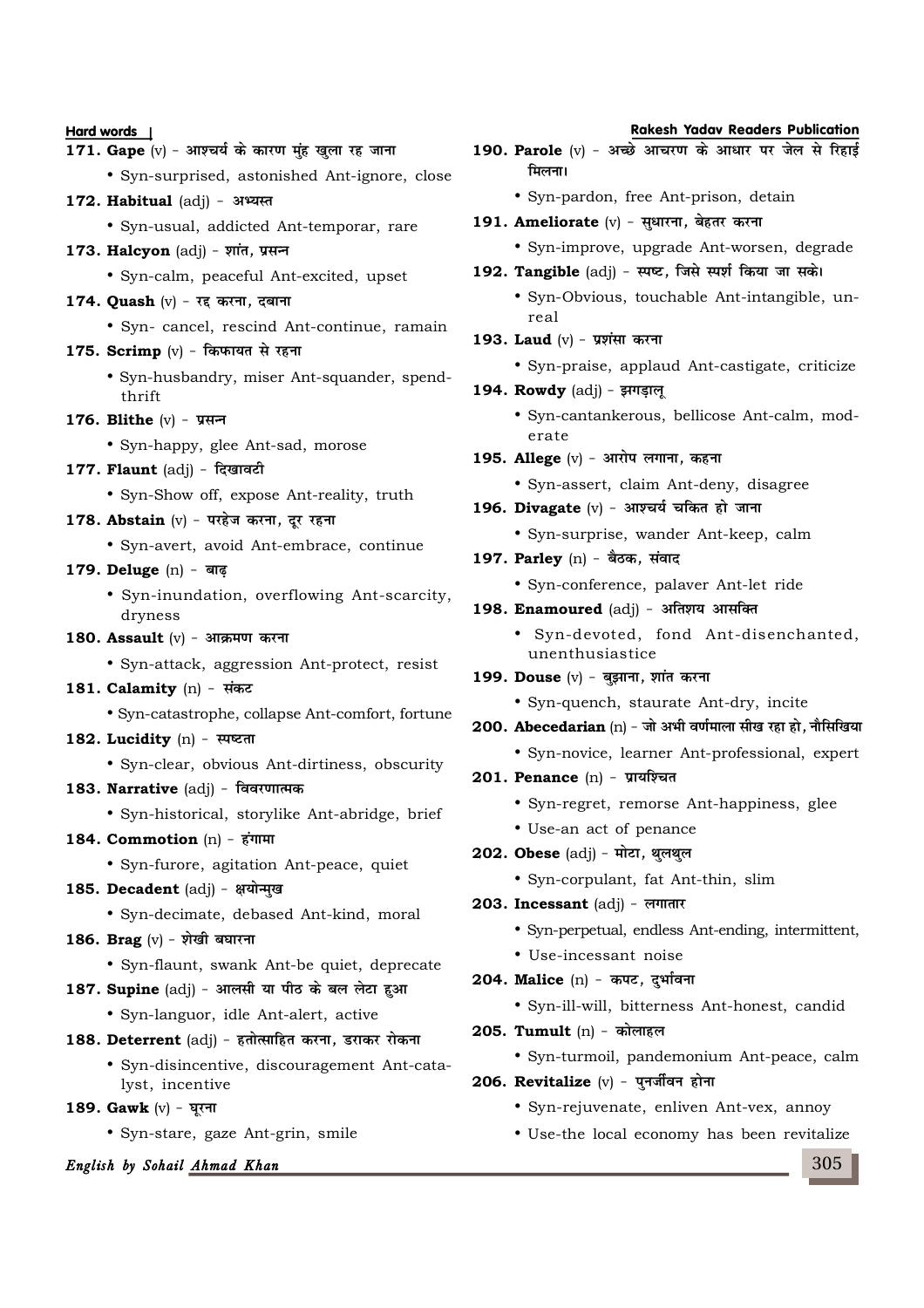**Hard words Rakesh Yadav Readers Publication** 171. Gape (v) - आश्चर्य के कारण मुंह खुला रह जाना • Syn-surprised, astonished Ant-ignore, close 172. **Habitual** (adj) - अभ्यस्त • Syn-usual, addicted Ant-temporar, rare 173. **Halcyon** (adj) - शांत, प्रसन्न • Syn-calm, peaceful Ant-excited, upset 174. **Quash** (v) - रद्द करना, दबाना • Syn- cancel, rescind Ant-continue, ramain 175. Scrimp (v) - किफायत से रहना • Syn-husbandry, miser Ant-squander, spendthrift 176. **Blithe** (v) - प्रसन्न • Syn-happy, glee Ant-sad, morose 177. **Flaunt** (adj) - दिखावटी • Syn-Show off, expose Ant-reality, truth 178. **Abstain** (v) - परहेज करना, दर रहना • Syn-avert, avoid Ant-embrace, continue 179. **Deluge** (n) - बाढ़ • Syn-inundation, overflowing Ant-scarcity, dryness 180. **Assault** (v) - आक्रमण करना • Syn-attack, aggression Ant-protect, resist 181. Calamity (n) - संकट • Syn-catastrophe, collapse Ant-comfort, fortune 182. Lucidity (n) - स्पष्टता • Syn-clear, obvious Ant-dirtiness, obscurity 183. Narrative (adj) - विवरणात्मक • Syn-historical, storylike Ant-abridge, brief 184. **Commotion** (n) - हंगामा • Syn-furore, agitation Ant-peace, quiet 185. Decadent (adj) - क्षयोन्मुख • Syn-decimate, debased Ant-kind, moral 186. **Brag** (v) - शेखी बघारना • Syn-flaunt, swank Ant-be quiet, deprecate 187. Supine (adj) - आलसी या पीठ के बल लेटा हुआ • Syn-languor, idle Ant-alert, active 188. Deterrent (adj) - हतोत्साहित करना, डराकर रोकना • Syn-disincentive, discouragement Ant-catalyst, incentive 189. Gawk (v) - घूरना

• Syn-stare, gaze Ant-grin, smile

#### **English by Sohail Ahmad Khan**

190. Parole (v) - अच्छे आचरण के आधार पर जेल से रिहाई • Syn-pardon, free Ant-prison, detain

- 191. Ameliorate (v) सुधारना, बेहतर करना
	- Syn-improve, upgrade Ant-worsen, degrade
- 192. Tangible (adj) स्पष्ट, जिसे स्पर्श किया जा सके।
	- Syn-Obvious, touchable Ant-intangible, unreal
- 193. Laud (v) प्रशंसा करना

**मिलना**।

- Syn-praise, applaud Ant-castigate, criticize
- 194. **Rowdy** (adj) झगड़ाल्
	- Syn-cantankerous, bellicose Ant-calm, moderate
- 195. Allege (v) आरोप लगाना, कहना
	- Syn-assert, claim Ant-deny, disagree

## 196. Divagate (v) - आश्चर्य चकित हो जाना

- Syn-surprise, wander Ant-keep, calm
- 197. Parley (n) बैठक, संवाद
	- Syn-conference, palaver Ant-let ride
- 198. Enamoured (adj) अतिशय आसक्ति
	- Syn-devoted, fond Ant-disenchanted, unenthusiastice
- 199. Douse (v) बुझाना, शांत करना
	- Syn-quench, staurate Ant-dry, incite
- **200. Abecedarian** (n) जो अभी वर्णमाला सीख रहा हो, नौसिखिया
	- Syn-novice, learner Ant-professional, expert
- 201. **Penance** (n) प्रायश्चित
	- Syn-regret, remorse Ant-happiness, glee
	- Use-an act of penance
- 202. Obese (adj) मोटा, थुलथुल
	- Syn-corpulant, fat Ant-thin, slim
- 203. Incessant (adj) लगातार
	- Syn-perpetual, endless Ant-ending, intermittent,
	- Use-incessant noise
- 204. Malice (n) कपट, दर्भावना
	- Syn-ill-will, bitterness Ant-honest, candid
- **205. Tumult** (n) कोलाहल
	- Syn-turmoil, pandemonium Ant-peace, calm
- 206. Revitalize (v) पुनर्जीवन होना
	- Syn-rejuvenate, enliven Ant-vex, annoy
	- Use-the local economy has been revitalize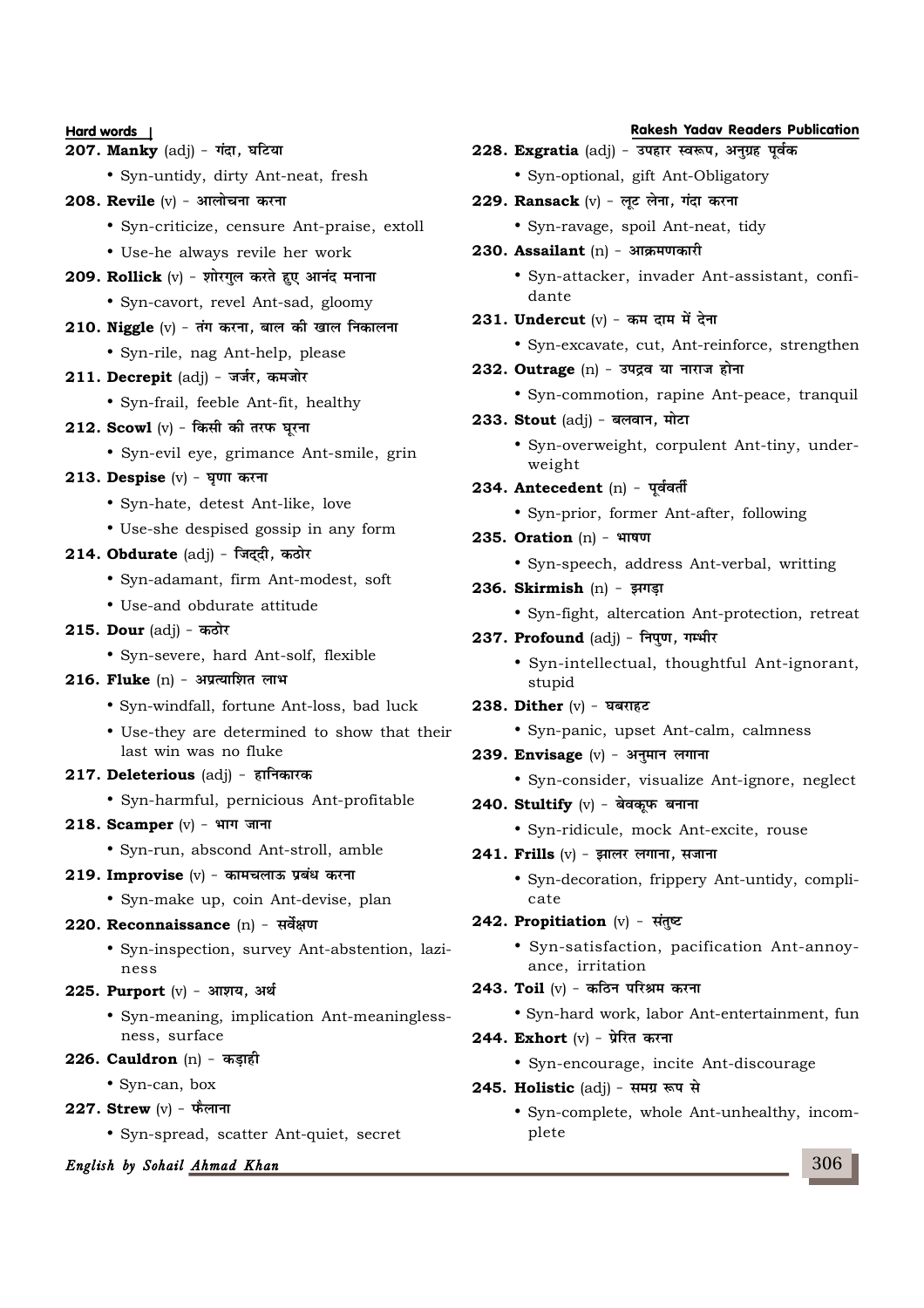- 207. Manky (adj) गंदा, घटिया
	- Syn-untidy, dirty Ant-neat, fresh
- **208. Revile** (v) आलोचना करना
	- Syn-criticize, censure Ant-praise, extoll
	- Use-he always revile her work
- **209. Rollick** (v) शोरगुल करते हुए आनंद मनाना
	- Syn-cavort, revel Ant-sad, gloomy
- **210. Niggle** (v) तंग करना, बाल की खाल निकालना
	- Syn-rile, nag Ant-help, please
- 211. **Decrepit** (adj) जर्जर, कमजोर
	- Syn-frail, feeble Ant-fit, healthy
- 212. Scowl (v) किसी की तरफ घुरना
	- Syn-evil eye, grimance Ant-smile, grin
- 213. **Despise** (v) घृणा करना
	- Syn-hate, detest Ant-like, love
	- Use-she despised gossip in any form
- 214. Obdurate (adj) जिद्दी, कठोर
	- Syn-adamant, firm Ant-modest, soft
	- Use-and obdurate attitude
- **215. Dour** (adj) कठोर
	- Syn-severe, hard Ant-solf, flexible
- 216. **Fluke** (n) अप्रत्याशित लाभ
	- Syn-windfall, fortune Ant-loss, bad luck
	- Use-they are determined to show that their last win was no fluke
- 217. **Deleterious** (adj) हानिकारक
	- Syn-harmful, pernicious Ant-profitable
- 218. Scamper (v) भाग जाना
	- Syn-run, abscond Ant-stroll, amble

#### 219. **Improvise** (v) - कामचलाऊ प्रबंध करना

• Syn-make up, coin Ant-devise, plan

## 220. Reconnaissance (n) - सर्वेक्षण

• Syn-inspection, survey Ant-abstention, laziness

#### **225. Purport** (v) - आशय, अर्थ

- Syn-meaning, implication Ant-meaninglessness, surface
- **226. Cauldron** (n) कड़ाही
	- Syn-can, box
- $227.$  **Strew** (v) फैलाना
	- Syn-spread, scatter Ant-quiet, secret

#### **English by Sohail Ahmad Khan**

- 228. Exgratia (adj) उपहार स्वरूप, अनुग्रह पूर्वक
	- Syn-optional, gift Ant-Obligatory
- 229. **Ransack** (v) लट लेना, गंदा करना
	- Syn-ravage, spoil Ant-neat, tidy
- **230. Assailant** (n) आक्रमणकारी
	- Syn-attacker, invader Ant-assistant, confidante
- 231. **Undercut** (v) कम दाम में देना
	- Syn-excavate, cut, Ant-reinforce, strengthen
- 232. **Outrage** (n) उपदव या नाराज होना
	- Syn-commotion, rapine Ant-peace, tranquil
- 233. Stout (adj) बलवान, मोटा
	- Syn-overweight, corpulent Ant-tiny, underweight
- 234. Antecedent (n) पर्ववर्ती
	- Syn-prior, former Ant-after, following
- **235. Oration** (n) भाषण
	- Syn-speech, address Ant-verbal, writting
- **236. Skirmish** (n) झगडा
	- Syn-fight, altercation Ant-protection, retreat
- 237. **Profound** (adj) निपुण, गम्भीर
	- Syn-intellectual, thoughtful Ant-ignorant, stupid
- **238. Dither** (v) घबराहट
	- Syn-panic, upset Ant-calm, calmness
- **239. Envisage** (v) अनुमान लगाना
	- Syn-consider, visualize Ant-ignore, neglect
- 240. Stultify (v) बेवकूफ बनाना
	- Syn-ridicule, mock Ant-excite, rouse
- 241. **Frills** (v) झालर लगाना, सजाना
	- Syn-decoration, frippery Ant-untidy, complicate
- **242. Propitiation** (v) संतुष्ट
	- Syn-satisfaction, pacification Ant-annoyance, irritation
- 243. **Toil** (v) कठिन परिश्रम करना
	- Syn-hard work, labor Ant-entertainment, fun
- **244. Exhort** (v) प्रेरित करना
	- Syn-encourage, incite Ant-discourage
- 245. **Holistic** (adi) समग्र रूप से
	- Syn-complete, whole Ant-unhealthy, incomplete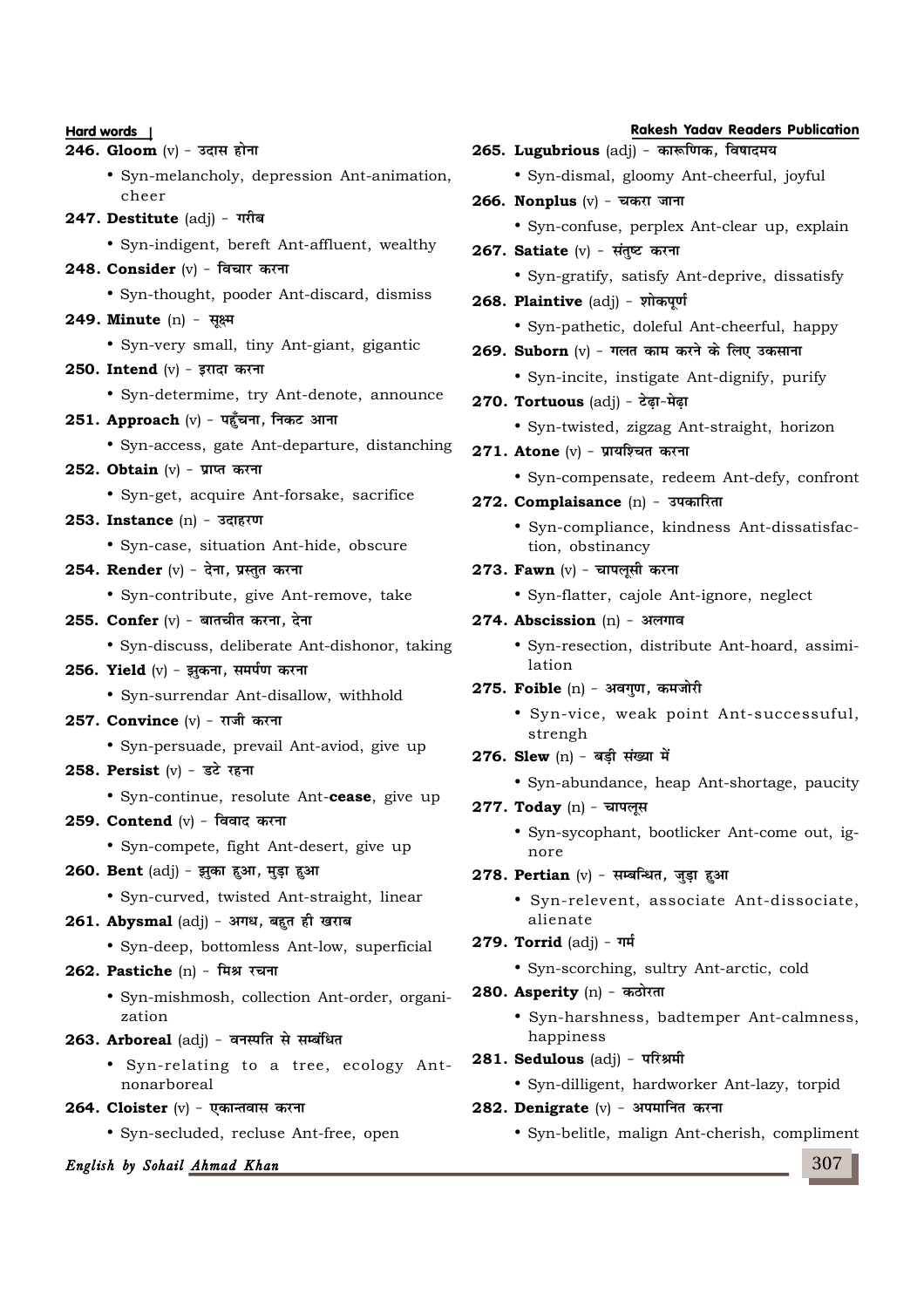**246. Gloom** (v) - उदास होना • Syn-melancholy, depression Ant-animation, cheer 247. Destitute (adj) - गरीब • Syn-indigent, bereft Ant-affluent, wealthy **248. Consider** (v) - विचार करना • Syn-thought, pooder Ant-discard, dismiss **249. Minute** (n) - सूक्ष्म • Syn-very small, tiny Ant-giant, gigantic **250. Intend** (v) - इरादा करना • Syn-determime, try Ant-denote, announce 251. **Approach** (v) - पहुँचना, निकट आना • Syn-access, gate Ant-departure, distanching 252. Obtain (v) - प्राप्त करना • Syn-get, acquire Ant-forsake, sacrifice 253. **Instance** (n) - उदाहरण • Syn-case, situation Ant-hide, obscure 254. **Render** (v) - देना, प्रस्तुत करना • Syn-contribute, give Ant-remove, take 255. **Confer** (v) - बातचीत करना, देना • Syn-discuss, deliberate Ant-dishonor, taking 256. Yield (v) - झुकना, समर्पण करना • Syn-surrendar Ant-disallow, withhold **257. Convince** (v) - राजी करना • Syn-persuade, prevail Ant-aviod, give up **258. Persist** (v) - डटे रहना • Syn-continue, resolute Ant-**cease**, give up 259. **Contend** (v) - विवाद करना • Syn-compete, fight Ant-desert, give up 260. Bent (adj) - झुका हुआ, मुड़ा हुआ • Syn-curved, twisted Ant-straight, linear 261. Abysmal (adj) - अगध, बहुत ही खराब • Syn-deep, bottomless Ant-low, superficial **262. Pastiche** (n) - मिश्र रचना • Syn-mishmosh, collection Ant-order, organization 263. Arboreal (adj) - वनस्पति से सम्बंधित • Syn-relating to a tree, ecology Antnonarboreal 264. Cloister (v) - एकान्तवास करना

• Syn-secluded, recluse Ant-free, open

## **English by Sohail Ahmad Khan**

**Hard words Rakesh Yadav Readers Publication** 265. Lugubrious (adj) - कारूणिक, विषादमय • Syn-dismal, gloomy Ant-cheerful, joyful **266. Nonplus** (v) - चकरा जाना • Syn-confuse, perplex Ant-clear up, explain 267. Satiate (v) - संतुष्ट करना • Syn-gratify, satisfy Ant-deprive, dissatisfy 268. **Plaintive** (adj) - शोकपूर्ण • Syn-pathetic, doleful Ant-cheerful, happy **269. Suborn** (v) - गलत काम करने के लिए उकसाना • Syn-incite, instigate Ant-dignify, purify 270. **Tortuous** (adj) - टेढा-मेढा • Syn-twisted, zigzag Ant-straight, horizon 271. Atone (v) - प्रायश्चित करना • Syn-compensate, redeem Ant-defy, confront 272. **Complaisance** (n) - उपकारिता • Syn-compliance, kindness Ant-dissatisfaction, obstinancy 273. **Fawn** (v) - चापलूसी करना • Syn-flatter, cajole Ant-ignore, neglect **274. Abscission** (n) - अलगाव • Syn-resection, distribute Ant-hoard, assimilation 275. **Foible** (n) - अवगुण, कमजोरी • Syn-vice, weak point Ant-successuful, strengh 276. Slew (n) - बड़ी संख्या में • Syn-abundance, heap Ant-shortage, paucity 277. Today (n) - चापलूस • Syn-sycophant, bootlicker Ant-come out, ignore 278. Pertian (v) - सम्बन्धित, जुड़ा हुआ • Syn-relevent, associate Ant-dissociate, alienate 279. **Torrid** (adj) - गर्म • Syn-scorching, sultry Ant-arctic, cold

- 280. Asperity (n) कठोरता
	- Syn-harshness, badtemper Ant-calmness, happiness
- **281. Sedulous** (adj) परिश्रमी
	- Syn-dilligent, hardworker Ant-lazy, torpid
- 282. Denigrate (v) अपमानित करना
	- Syn-belitle, malign Ant-cherish, compliment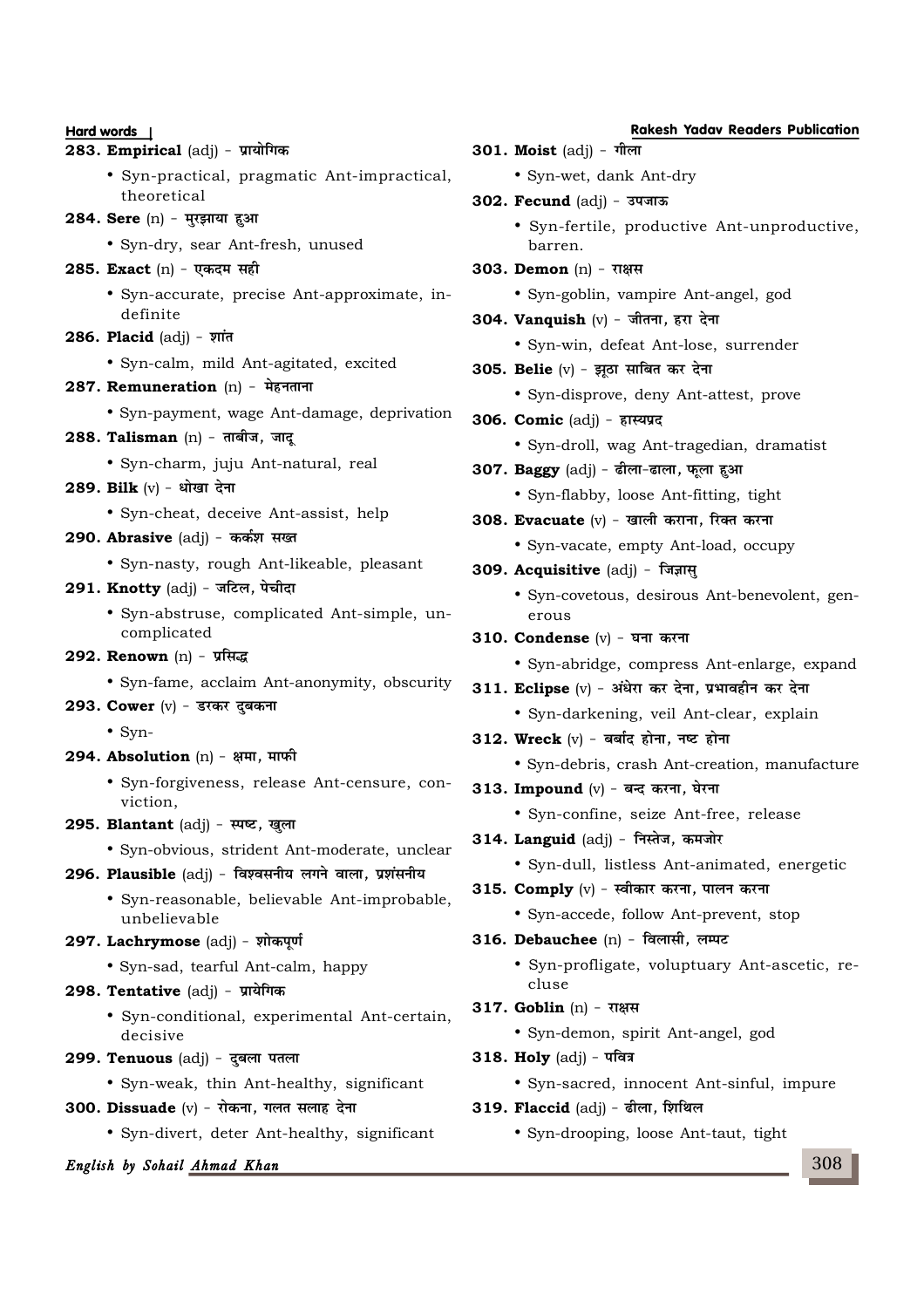- **283. Empirical** (adj) प्रायोगिक
	- Syn-practical, pragmatic Ant-impractical, theoretical
- **284. Sere** (n) मुरझाया हुआ
	- Syn-dry, sear Ant-fresh, unused
- **285. Exact** (n) एकदम सही
	- Syn-accurate, precise Ant-approximate, indefinite
- **286. Placid** (adj) शांत
	- Syn-calm, mild Ant-agitated, excited
- **287. Remuneration** (n) मेहनताना
	- Syn-payment, wage Ant-damage, deprivation
- **288. Talisman** (n) ताबीज, जाद
	- Syn-charm, juju Ant-natural, real
- 289. **Bilk** (v) धोखा देना
	- Syn-cheat, deceive Ant-assist, help
- 290. Abrasive (adj) कर्कश सख्त
	- Syn-nasty, rough Ant-likeable, pleasant
- 291. **Knotty** (adj) जटिल, पेचीदा
	- Syn-abstruse, complicated Ant-simple, uncomplicated
- 292. **Renown** (n) प्रसिद्ध
	- Syn-fame, acclaim Ant-anonymity, obscurity
- 293. Cower (v) डरकर दुबकना
	- Syn-
- **294. Absolution** (n) क्षमा, माफी
	- Syn-forgiveness, release Ant-censure, conviction,
- **295. Blantant** (adj) स्पष्ट, खुला
	- Syn-obvious, strident Ant-moderate, unclear
- **296. Plausible** (adj) विश्वसनीय लगने वाला, प्रशंसनीय
	- Syn-reasonable, believable Ant-improbable, unbelievable
- 297. Lachrymose (adj) शोकपूर्ण
	- Syn-sad, tearful Ant-calm, happy
- 298. **Tentative** (adj) प्रायेगिक
	- Syn-conditional, experimental Ant-certain, decisive
- 299. **Tenuous** (adj) दबला पतला
	- Syn-weak, thin Ant-healthy, significant
- **300. Dissuade** (v) रोकना, गलत सलाह देना
	- Syn-divert, deter Ant-healthy, significant

#### **English by Sohail Ahmad Khan**

## **Hard words Rakesh Yadav Readers Publication**

- 301. **Moist** (adj) गीला
	- Syn-wet, dank Ant-dry
- **302. Fecund** (adj) उपजाऊ
	- Syn-fertile, productive Ant-unproductive, barren.
- **303. Demon** (n) राक्षस
	- Syn-goblin, vampire Ant-angel, god
- 304. Vanquish (v) जीतना, हरा देना
	- Syn-win, defeat Ant-lose, surrender
- **305. Belie** (v) झठा साबित कर देना
	- Syn-disprove, deny Ant-attest, prove
- 306. **Comic** (adj) हास्यप्रद
	- Syn-droll, wag Ant-tragedian, dramatist
- 307. **Baggy** (adj) ढीला-ढाला, फूला हुआ
	- Syn-flabby, loose Ant-fitting, tight
- **308. Evacuate** (v) खाली कराना, रिक्त करना
	- Syn-vacate, empty Ant-load, occupy
- **309. Acquisitive** (adj) जिज्ञास्
	- Syn-covetous, desirous Ant-benevolent, generous
- **310. Condense** (v) घना करना
	- Syn-abridge, compress Ant-enlarge, expand
- **311. Eclipse** (v) अंधेरा कर देना, प्रभावहीन कर देना
	- Syn-darkening, veil Ant-clear, explain
- 312. Wreck (v) बर्बाद होना, नष्ट होना
	- Syn-debris, crash Ant-creation, manufacture
- 313. **Impound** (v) बन्द करना, घेरना
	- Syn-confine, seize Ant-free, release
- 314. Languid (adj) निस्तेज, कमजोर
	- Syn-dull, listless Ant-animated, energetic
- **315. Comply** (v) स्वीकार करना, पालन करना
	- Syn-accede, follow Ant-prevent, stop
- 316. **Debauchee** (n) विलासी, लम्पट
	- Syn-profligate, voluptuary Ant-ascetic, recluse
- **317. Goblin** (n) राक्षस
	- Syn-demon, spirit Ant-angel, god
- 318. **Holy** (adj) पवित्र
	- Syn-sacred, innocent Ant-sinful, impure
- 319. **Flaccid** (adj) ढीला, शिथिल
	- Syn-drooping, loose Ant-taut, tight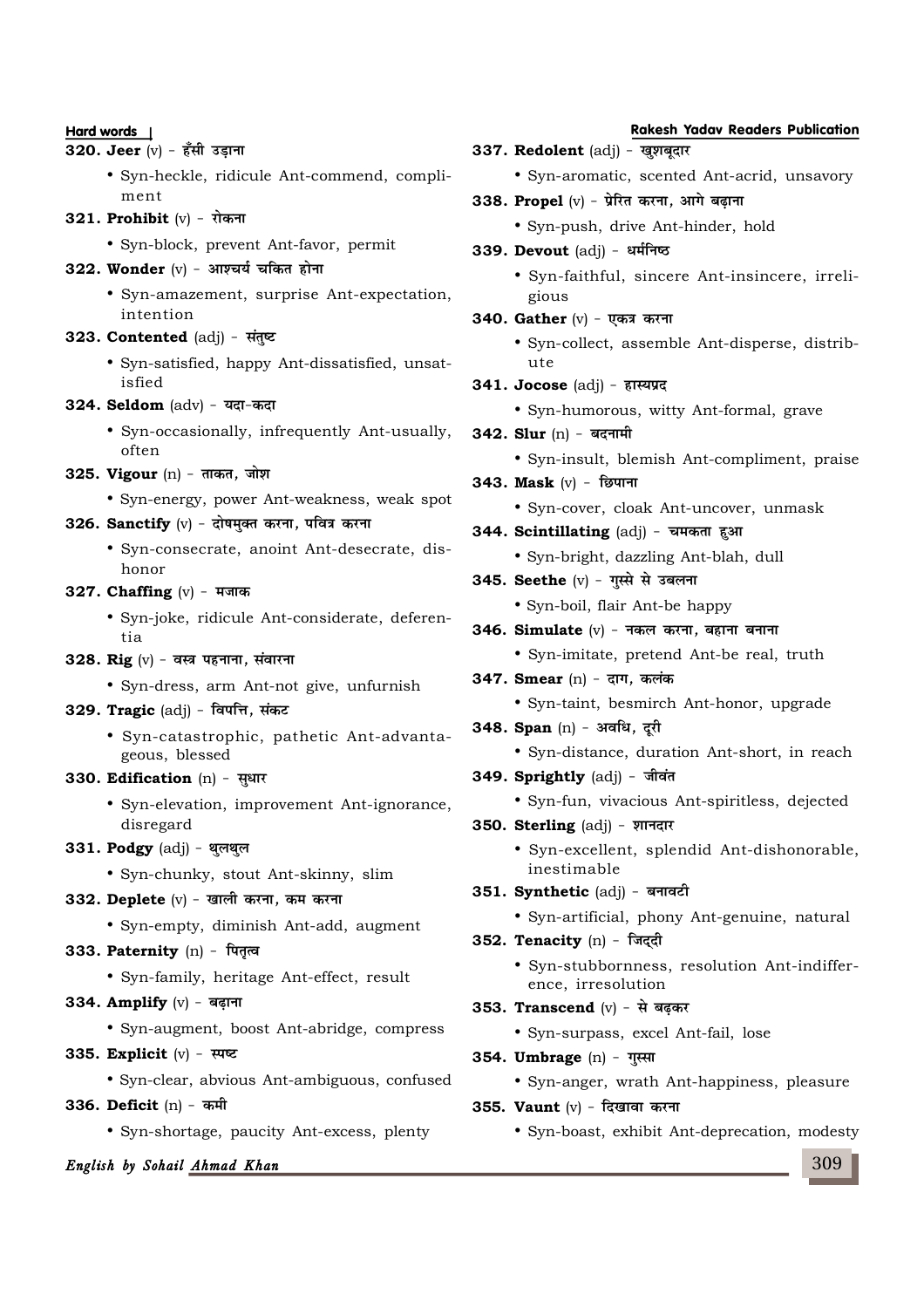- **320. Jeer** (v) हँसी उड़ाना
	- Syn-heckle, ridicule Ant-commend, compliment
- **321. Prohibit**  $(v)$  रोकना
	- Syn-block, prevent Ant-favor, permit

## **322. Wonder** (v) - आश्चर्य चकित होना

- Syn-amazement, surprise Ant-expectation, intention
- 323. Contented (adj) संतष्ट
	- Syn-satisfied, happy Ant-dissatisfied, unsatisfied
- 324. Seldom (adv) यदा-कदा
	- Syn-occasionally, infrequently Ant-usually, often
- **325. Vigour** (n) ताकत, जोश
	- Syn-energy, power Ant-weakness, weak spot
- 326. Sanctify (v) दोषमुक्त करना, पवित्र करना
	- Syn-consecrate, anoint Ant-desecrate, dishonor

#### **327. Chaffing**  $(v)$  - मजाक

- Syn-joke, ridicule Ant-considerate, deferentia
- **328. Rig** (v) वस्त्र पहनाना, संवारना
	- Syn-dress, arm Ant-not give, unfurnish

#### **329. Tragic (adj) - विपत्ति, संकट**

• Syn-catastrophic, pathetic Ant-advantageous, blessed

#### **330. Edification** (n) - सुधार

• Syn-elevation, improvement Ant-ignorance, disregard

#### **331. Podgy** (adj) - थुलथुल

• Syn-chunky, stout Ant-skinny, slim

## 332. Deplete (v) - खाली करना, कम करना

• Syn-empty, diminish Ant-add, augment

#### **333. Paternity** (n) - पितृत्व

• Syn-family, heritage Ant-effect, result

### 334. Amplify (v) - बढ़ाना

• Syn-augment, boost Ant-abridge, compress

#### **335. Explicit**  $(v)$  - स्पष्ट

- Syn-clear, abvious Ant-ambiguous, confused **336. Deficit** (n) - कमी
	- Syn-shortage, paucity Ant-excess, plenty

#### **English by Sohail Ahmad Khan**

#### **Hard words Rakesh Yadav Readers Publication**

- 337. **Redolent** (adj) खुशबूदार
	- Syn-aromatic, scented Ant-acrid, unsavory
- **338. Propel** (v) प्रेरित करना, आगे बढाना
	- Syn-push, drive Ant-hinder, hold
- 339. Devout (adj) धर्मनिष्ठ
	- Syn-faithful, sincere Ant-insincere, irreligious

#### **340. Gather**  $(v)$  - एकत्र करना

• Syn-collect, assemble Ant-disperse, distribute

#### **341. Jocose** (adj) - हास्यप्रद

• Syn-humorous, witty Ant-formal, grave

#### 342. Slur (n) - बदनामी

- Syn-insult, blemish Ant-compliment, praise
- **343. Mask** (v) छिपाना
	- Syn-cover, cloak Ant-uncover, unmask

#### 344. Scintillating (adj) - चमकता हुआ

- Syn-bright, dazzling Ant-blah, dull
- **345. Seethe** (v) गुस्से से उबलना
	- Syn-boil, flair Ant-be happy
- 346. Simulate (v) नकल करना, बहाना बनाना
	- Syn-imitate, pretend Ant-be real, truth
- **347. Smear** (n) दाग, कलंक
	- Syn-taint, besmirch Ant-honor, upgrade
- **348. Span** (n) अवधि, दरी
	- Syn-distance, duration Ant-short, in reach
- 349. Sprightly (adj) जीवंत
	- Syn-fun, vivacious Ant-spiritless, dejected
- **350. Sterling (adj) शानदार**

• Syn-excellent, splendid Ant-dishonorable, inestimable

- 351. Synthetic (adj) बनावटी
	- Syn-artificial, phony Ant-genuine, natural

#### **352. Tenacity** (n) - जिद्दी

- Syn-stubbornness, resolution Ant-indifference, irresolution
- **353. Transcend** (v) से बढकर
	- Syn-surpass, excel Ant-fail, lose
- **354. Umbrage** (n) गुस्सा
	- Syn-anger, wrath Ant-happiness, pleasure
- **355. Vaunt** (v) दिखावा करना
	- Syn-boast, exhibit Ant-deprecation, modesty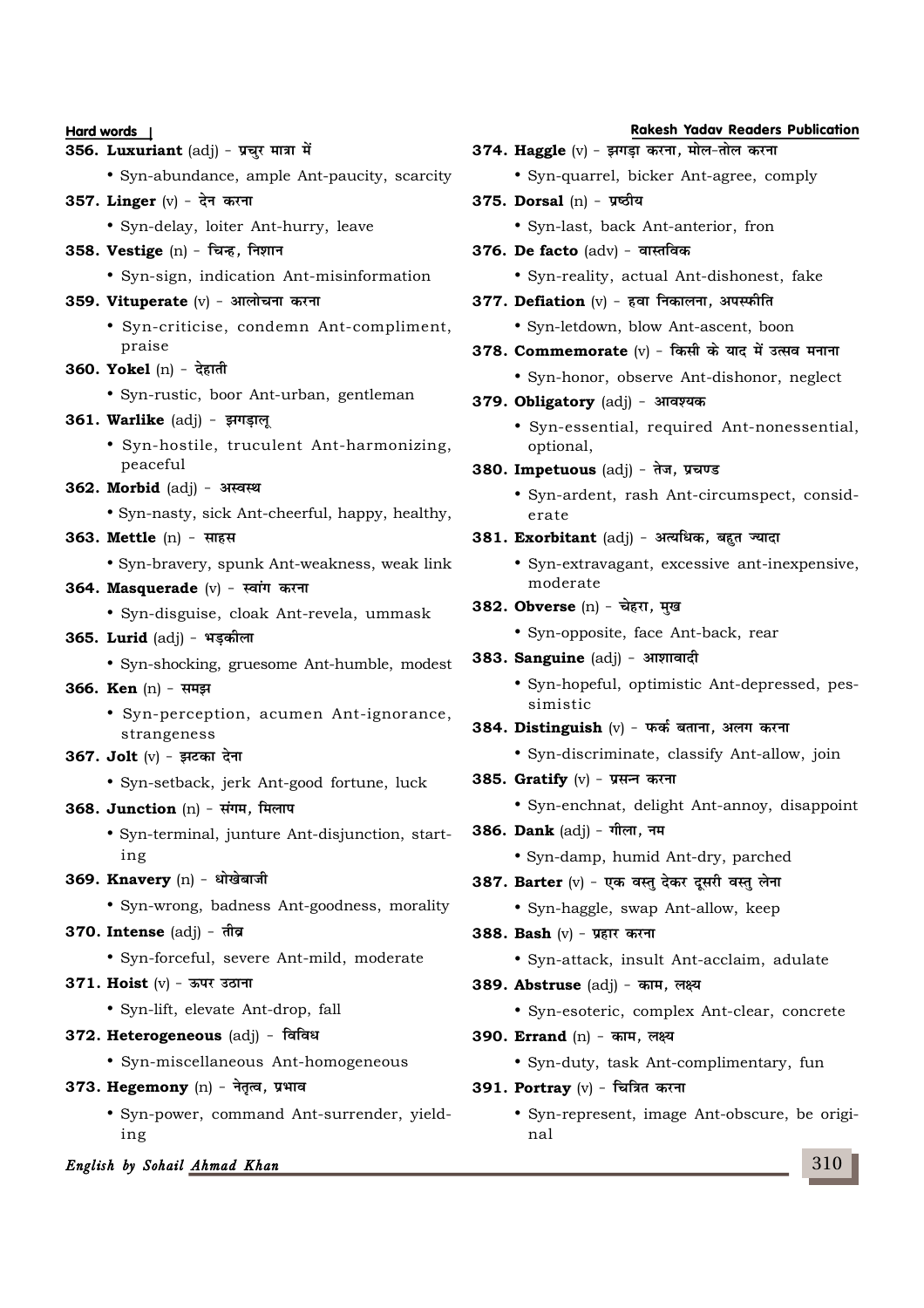**Hard words** | **Rakesh Yadav Readers Publication English by Sohail Ahmad Khan 356. Luxuriant** (adj) - प्रचर मात्रा में • Syn-abundance, ample Ant-paucity, scarcity **357. Linger**  $(v)$  - देन करना • Syn-delay, loiter Ant-hurry, leave **358. Vestige** (n) - चिन्ह, निशान • Syn-sign, indication Ant-misinformation **359. Vituperate** (v) - आलोचना करना • Syn-criticise, condemn Ant-compliment, praise **360. Yokel** (n) - देहाती • Syn-rustic, boor Ant-urban, gentleman **361. Warlike** (adj) - झगड़ालू • Syn-hostile, truculent Ant-harmonizing, peaceful **362. Morbid** (adj) - अस्वस्थ • Syn-nasty, sick Ant-cheerful, happy, healthy, **363. Mettle** (n) - साहस • Syn-bravery, spunk Ant-weakness, weak link **364. Masquerade** (v) - स्वांग करना • Syn-disguise, cloak Ant-revela, ummask **365. Lurid** (adj) - भड़कीला • Syn-shocking, gruesome Ant-humble, modest **366. Ken** (n) - समझ • Syn-perception, acumen Ant-ignorance, strangeness **367. Jolt** (v) - झटका देना • Syn-setback, jerk Ant-good fortune, luck **368. Junction** (n) - संगम, मिलाप • Syn-terminal, junture Ant-disjunction, starting **369. Knavery** (n) - धोखेबाजी • Syn-wrong, badness Ant-goodness, morality **370. Intense** (adj) - तीव्र • Syn-forceful, severe Ant-mild, moderate **371. Hoist** (v) - ऊपर उठाना • Syn-lift, elevate Ant-drop, fall 372. Heterogeneous (adj) - विविध • Syn-miscellaneous Ant-homogeneous 373. **Hegemony** (n) - नेतृत्व, प्रभाव • Syn-power, command Ant-surrender, yielding **374. Haggle** (v) - झगड़ा करना, मोल-तोल करना • Syn-quarrel, bicker Ant-agree, comply **375. Dorsal** (n) - प्रष्ठीय • Syn-last, back Ant-anterior, fron **376. De facto** (adv) - वास्तविक • Syn-reality, actual Ant-dishonest, fake **377. Defiation** (v) - हवा निकालना, अपस्फीति • Syn-letdown, blow Ant-ascent, boon 378. **Commemorate** (v) - किसी के याद में उत्सव मनाना • Syn-honor, observe Ant-dishonor, neglect **379. Obligatory** (adj) - आवश्यक • Syn-essential, required Ant-nonessential, optional, **380. Impetuous** (adj) - तेज, प्रचण्ड • Syn-ardent, rash Ant-circumspect, considerate 381. **Exorbitant** (adj) - अत्यधिक, बहुत ज्यादा • Syn-extravagant, excessive ant-inexpensive, moderate **382. Obverse** (n) - चेहरा, मुख • Syn-opposite, face Ant-back, rear **383. Sanguine** (adj) - आशावादी • Syn-hopeful, optimistic Ant-depressed, pessimistic **384. Distinguish** (v) - फर्क बताना, अलग करना • Syn-discriminate, classify Ant-allow, join **385. Gratify** (v) - प्रसन्न करना • Syn-enchnat, delight Ant-annoy, disappoint 386. **Dank** (adj) - गीला, नम • Syn-damp, humid Ant-dry, parched **387. Barter** (v) - एक वस्तु देकर दूसरी वस्तु लेना • Syn-haggle, swap Ant-allow, keep **388. Bash** (v) - प्रहार करना • Syn-attack, insult Ant-acclaim, adulate 389. Abstruse (adj) - काम, लक्ष्य • Syn-esoteric, complex Ant-clear, concrete **390. Errand** (n) - काम, लक्ष्य • Syn-duty, task Ant-complimentary, fun **391. Portrav** (v) - चित्रित करना • Syn-represent, image Ant-obscure, be original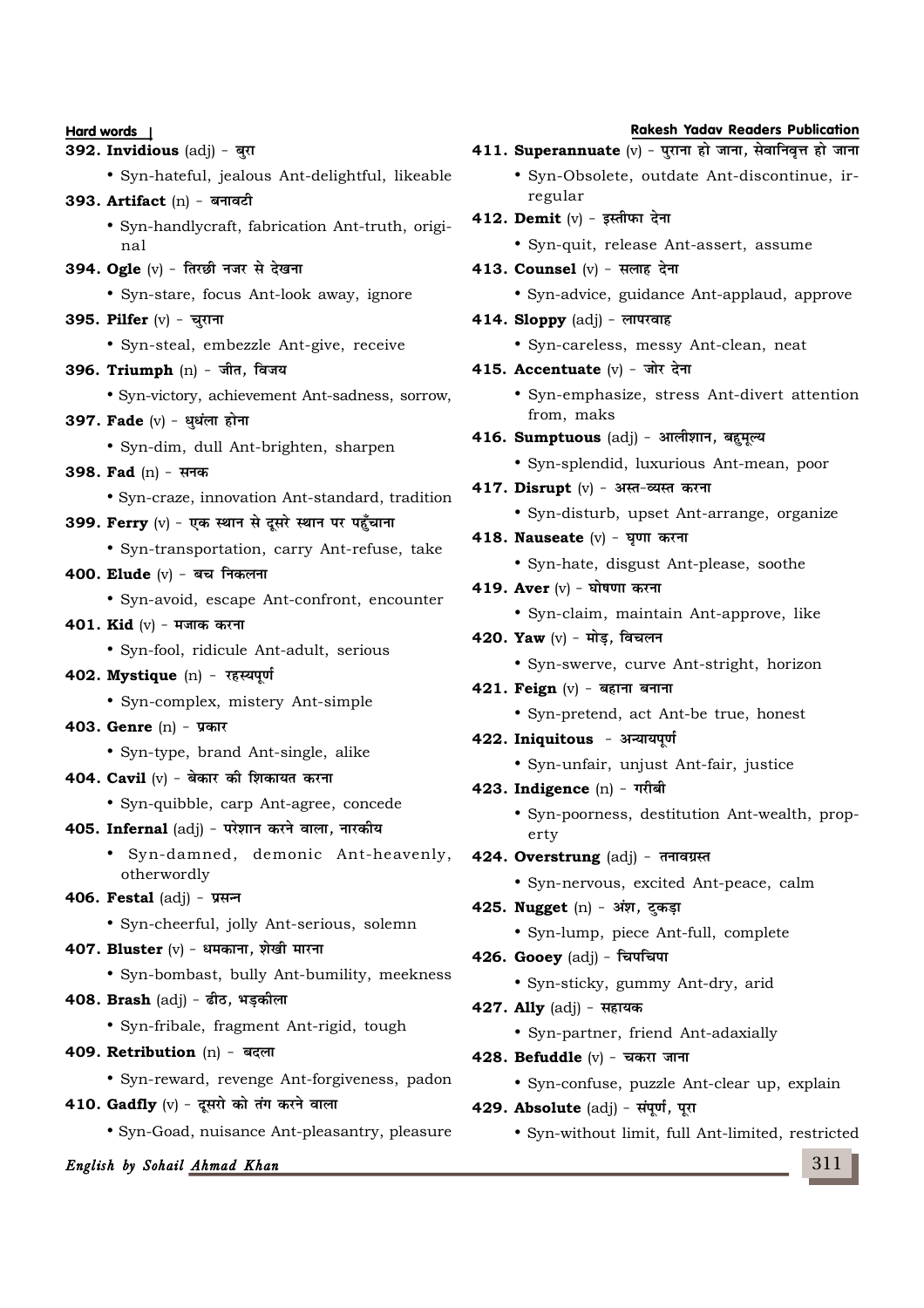**Hard words Rakesh Yadav Readers Publication 392. Invidious** (adj) - बुरा • Syn-hateful, jealous Ant-delightful, likeable **393. Artifact** (n) - बनावटी • Syn-handlycraft, fabrication Ant-truth, original **394. Ogle** (v) - तिरछी नजर से देखना • Syn-stare, focus Ant-look away, ignore **395. Pilfer** (v) - चुराना • Syn-steal, embezzle Ant-give, receive **396. Triumph** (n) - जीत, विजय • Syn-victory, achievement Ant-sadness, sorrow, 397. **Fade** (v) - धुधंला होना • Syn-dim, dull Ant-brighten, sharpen **398. Fad** (n) - सनक • Syn-craze, innovation Ant-standard, tradition **399. Ferry** (v) - एक स्थान से दसरे स्थान पर पहुँचाना • Syn-transportation, carry Ant-refuse, take **400. Elude** (v) - बच निकलना • Syn-avoid, escape Ant-confront, encounter **401. Kid** (v) - मजाक करना • Syn-fool, ridicule Ant-adult, serious **402. Mystique** (n) - रहस्यपूर्ण • Syn-complex, mistery Ant-simple **403. Genre** (n) - प्रकार • Syn-type, brand Ant-single, alike **404. Cavil** (v) - बेकार की शिकायत करना • Syn-quibble, carp Ant-agree, concede **405. Infernal** (adj) - परेशान करने वाला, नारकीय • Syn-damned, demonic Ant-heavenly, otherwordly **406. Festal** (adj) - प्रसन्न • Syn-cheerful, jolly Ant-serious, solemn **407. Bluster** (v) - धमकाना, शेखी मारना • Syn-bombast, bully Ant-bumility, meekness  $408.$  **Brash** (adj) - ढीठ, भड़कीला • Syn-fribale, fragment Ant-rigid, tough **409. Retribution** (n) - बदला • Syn-reward, revenge Ant-forgiveness, padon **410. Gadfly** (v) - दूसरो को तंग करने वाला • Syn-Goad, nuisance Ant-pleasantry, pleasure regular erty

## **English by Sohail Ahmad Khan**

| 411. Superannuate (v) - पुराना हो जाना, सेवानिवृत्त हो जाना |
|-------------------------------------------------------------|
| · Syn-Obsolete, outdate Ant-discontinue, ir-                |
| regular                                                     |
| 412. Demit (v) - इस्तीफा देना                               |
| · Syn-quit, release Ant-assert, assume                      |
| 413. Counsel $(v)$ - सलाह देना                              |
| · Syn-advice, guidance Ant-applaud, approve                 |
| 414. Sloppy (adj) - लापरवाह                                 |
| • Syn-careless, messy Ant-clean, neat                       |
| 415. Accentuate (v) - जोर देना                              |
| • Syn-emphasize, stress Ant-divert attention<br>from, maks  |
| 416. Sumptuous (adj) - आलीशान, बहुमूल्य                     |
| · Syn-splendid, luxurious Ant-mean, poor                    |
| 417. Disrupt $(v)$ - अस्त-व्यस्त करना                       |
| · Syn-disturb, upset Ant-arrange, organize                  |
| 418. Nauseate $(v)$ - घृणा करना                             |
| • Syn-hate, disgust Ant-please, soothe                      |
| 419. Aver $(v)$ - घोषणा करना                                |
| · Syn-claim, maintain Ant-approve, like                     |
| 420. Yaw $(v)$ - मोड़, विचलन                                |
| · Syn-swerve, curve Ant-stright, horizon                    |
| 421. Feign $(v)$ - बहाना बनाना                              |
| • Syn-pretend, act Ant-be true, honest                      |
| 422. Iniquitous - अन्यायपूर्ण                               |
| · Syn-unfair, unjust Ant-fair, justice                      |
| 423. Indigence $(n)$ - गरीबी                                |
| · Syn-poorness, destitution Ant-wealth, prop-<br>erty       |
| 424. Overstrung (adj) - तनावग्रस्त                          |
| · Syn-nervous, excited Ant-peace, calm                      |
| 425. Nugget (n) - अंश, टुकड़ा                               |
| • Syn-lump, piece Ant-full, complete                        |
| 426. Gooey (adj) - चिपचिपा                                  |
| • Syn-sticky, gummy Ant-dry, arid                           |
| 427. Ally (adj) - सहायक                                     |
| · Syn-partner, friend Ant-adaxially                         |
| 428. Befuddle $(v)$ - चकरा जाना                             |
| · Syn-confuse, puzzle Ant-clear up, explain                 |
| 429. Absolute (adj) - संपूर्ण, पूरा                         |
| · Syn-without limit, full Ant-limited, restricted           |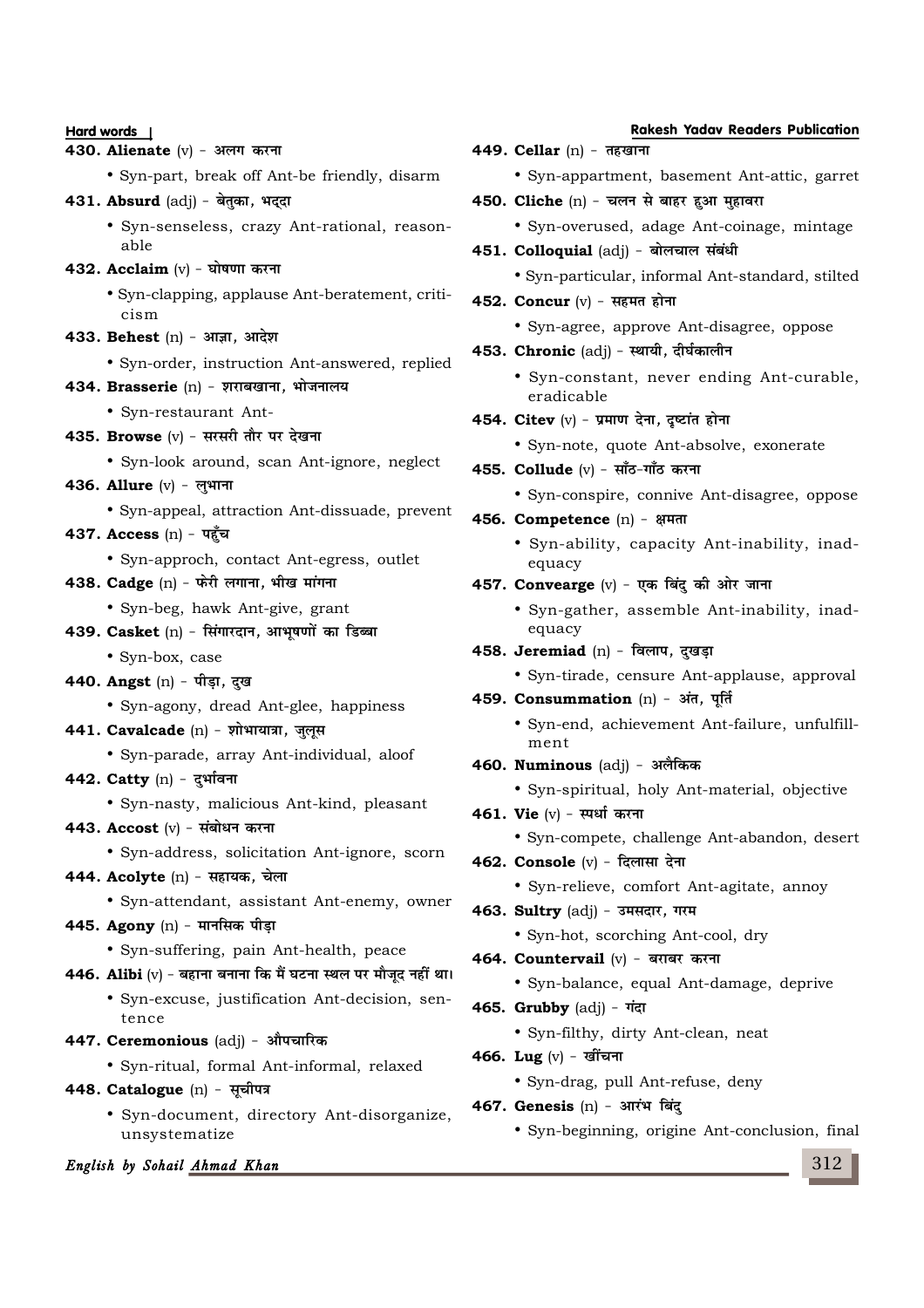## **Hard words Rakesh Yadav Readers Publication English by Sohail Ahmad Khan 430. Alienate** (v) - अलग करना • Syn-part, break off Ant-be friendly, disarm **431. Absurd** (adj) - बेतका, भददा • Syn-senseless, crazy Ant-rational, reasonable **432. Acclaim** (v) - घोषणा करना • Syn-clapping, applause Ant-beratement, criticism **433. Behest** (n) - आज्ञा, आदेश • Syn-order, instruction Ant-answered, replied 434. **Brasserie** (n) - शराबखाना, भोजनालय • Syn-restaurant Ant-**435. Browse** (v) - सरसरी तौर पर देखना • Syn-look around, scan Ant-ignore, neglect **436. Allure**  $(v)$  - लभाना • Syn-appeal, attraction Ant-dissuade, prevent **437. Access** (n) - पहुँच • Syn-approch, contact Ant-egress, outlet **438. Cadge** (n) - फेरी लगाना, भीख मांगना • Syn-beg, hawk Ant-give, grant 439. Casket (n) - सिंगारदान, आभूषणों का डिब्बा • Syn-box, case **440. Angst** (n) - पीड़ा, दख • Syn-agony, dread Ant-glee, happiness **441. Cavalcade** (n) - शोभायात्रा, जुलूस • Syn-parade, array Ant-individual, aloof  $442.$  **Catty** (n) - दर्भावना • Syn-nasty, malicious Ant-kind, pleasant **443. Accost** (v) - संबोधन करना • Syn-address, solicitation Ant-ignore, scorn **444. Acolvte** (n) - सहायक, चेला • Syn-attendant, assistant Ant-enemy, owner **445. Agony** (n) - मानसिक पीडा • Syn-suffering, pain Ant-health, peace **446. Alibi** (v) - बहाना बनाना कि मैं घटना स्थल पर मौजूद नहीं था। • Syn-excuse, justification Ant-decision, sentence **447. Ceremonious** (adj) - औपचारिक • Syn-ritual, formal Ant-informal, relaxed **448. Catalogue** (n) - सूचीपत्र • Syn-document, directory Ant-disorganize, unsystematize **449. Cellar** (n) - तहखाना ment

## **312**

- Syn-appartment, basement Ant-attic, garret
- **450. Cliche** (n) चलन से बाहर हुआ महावरा
	- Syn-overused, adage Ant-coinage, mintage
- **451. Colloquial** (adj) बोलचाल संबंधी

• Syn-particular, informal Ant-standard, stilted

## **452. Concur** (v) - सहमत होना

- Syn-agree, approve Ant-disagree, oppose
- **453. Chronic** (adj) स्थायी, दीर्घकालीन
	- Syn-constant, never ending Ant-curable, eradicable

## **454. Citev** (v) - प्रमाण देना, दृष्टांत होना

- Syn-note, quote Ant-absolve, exonerate
- **455. Collude** (v) साँठ-गाँठ करना
	- Syn-conspire, connive Ant-disagree, oppose

## **456. Competence** (n) - क्षमता

• Syn-ability, capacity Ant-inability, inadequacy

## **457. Convearge** (v) - एक बिंद की ओर जाना

- Syn-gather, assemble Ant-inability, inadequacy
- **458. Jeremiad** (n) विलाप, दुखड़ा
	- Syn-tirade, censure Ant-applause, approval

## **459. Consummation** (n) - अंत, पूर्ति

- Syn-end, achievement Ant-failure, unfulfill-
- **460. Numinous** (adi) अलैकिक
	- Syn-spiritual, holy Ant-material, objective
- **461. Vie** (v) स्पर्धा करना
	- Syn-compete, challenge Ant-abandon, desert
- **462. Console** (v) दिलासा देना
	- Syn-relieve, comfort Ant-agitate, annoy
- **463. Sultry** (adj) उमसदार, गरम
	- Syn-hot, scorching Ant-cool, dry

## **464. Countervail** (v) - बराबर करना

- Syn-balance, equal Ant-damage, deprive
- **465. Grubby** (adj) गंदा
	- Syn-filthy, dirty Ant-clean, neat
- **466. Lug** (v) खींचना
	- Syn-drag, pull Ant-refuse, deny
- **467. Genesis** (n) आरंभ बिंदू
	- Syn-beginning, origine Ant-conclusion, final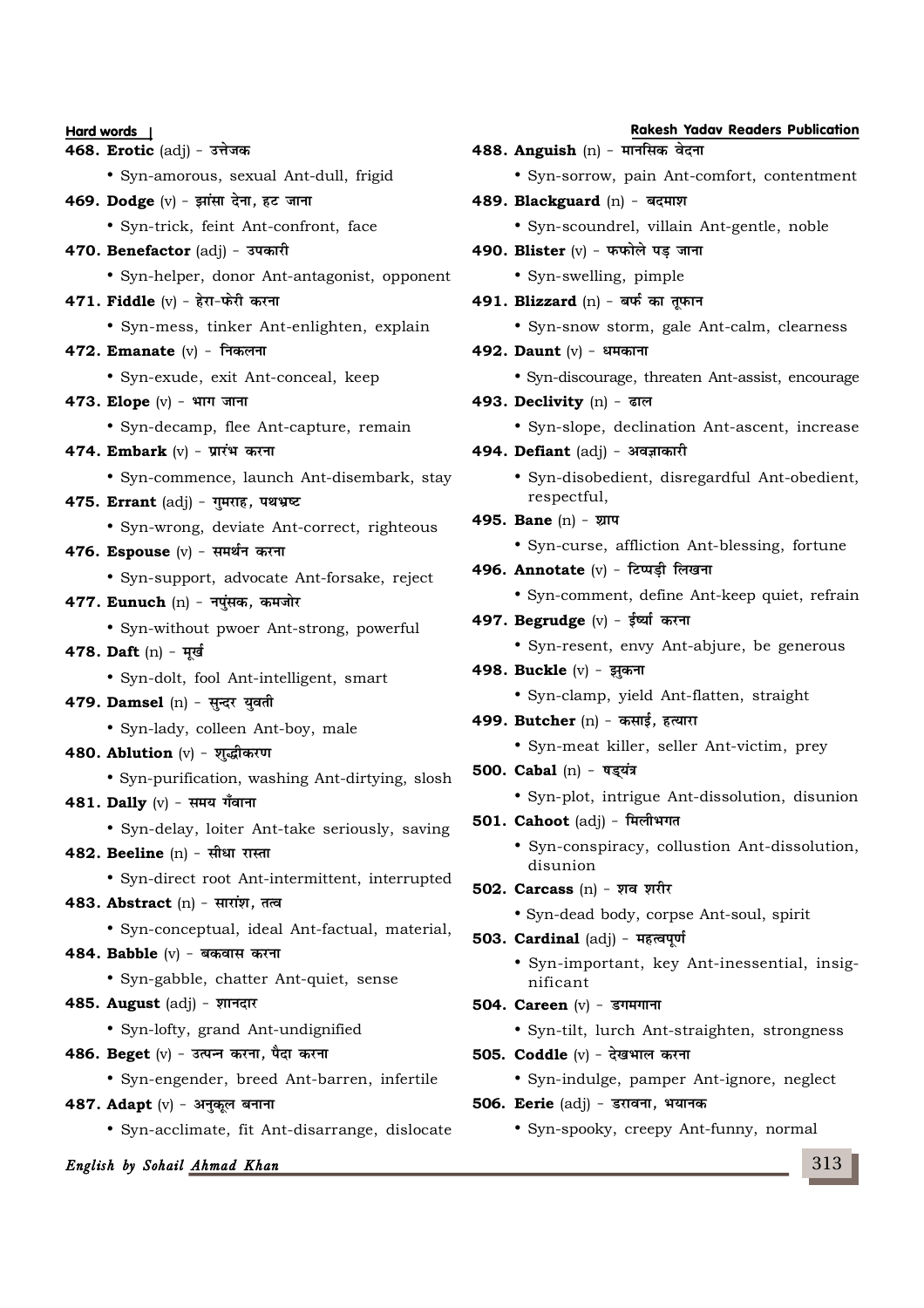**Hard words Rakesh Yadav Readers Publication 468. Erotic** (adj) - उत्तेजक • Syn-amorous, sexual Ant-dull, frigid **469. Dodge** (v) - झांसा देना, हट जाना • Syn-trick, feint Ant-confront, face **470. Benefactor** (adj) - उपकारी • Syn-helper, donor Ant-antagonist, opponent **471. Fiddle** (v) - हेरा-फेरी करना • Syn-mess, tinker Ant-enlighten, explain **472. Emanate**  $(v)$  - निकलना • Syn-exude, exit Ant-conceal, keep  $473.$  **Elope** (v) - भाग जाना • Syn-decamp, flee Ant-capture, remain **474. Embark** (v) - प्रारंभ करना • Syn-commence, launch Ant-disembark, stay **475. Errant** (adj) - गुमराह, पथभ्रष्ट • Syn-wrong, deviate Ant-correct, righteous **476. Espouse** (v) - समर्थन करना • Syn-support, advocate Ant-forsake, reject **477. Eunuch** (n) - नपुंसक, कमजोर • Syn-without pwoer Ant-strong, powerful  $478.$  **Daft** (n) - मूर्ख • Syn-dolt, fool Ant-intelligent, smart **479. Damsel** (n) - सुन्दर युवती • Syn-lady, colleen Ant-boy, male **480. Ablution** (v) - शुद्धीकरण • Syn-purification, washing Ant-dirtying, slosh **481. Dally** (v) - समय गँवाना • Syn-delay, loiter Ant-take seriously, saving **482. Beeline** (n) - सीधा रास्ता • Syn-direct root Ant-intermittent, interrupted **483. Abstract** (n) - सारांश, तत्व • Syn-conceptual, ideal Ant-factual, material, **484. Babble** (v) - बकवास करना • Syn-gabble, chatter Ant-quiet, sense **485. August** (adj) - शानदार • Syn-lofty, grand Ant-undignified **486. Beget** (v) - उत्पन्न करना, पैदा करना • Syn-engender, breed Ant-barren, infertile **487. Adapt** (v) - अनुकूल बनाना • Syn-acclimate, fit Ant-disarrange, dislocate

## **English by Sohail Ahmad Khan**

**488. Anguish** (n) - मानसिक वेदना • Syn-sorrow, pain Ant-comfort, contentment **489. Blackguard** (n) - बदमाश • Syn-scoundrel, villain Ant-gentle, noble **490. Blister** (v) - फफोले पड़ जाना • Syn-swelling, pimple **491. Blizzard** (n) - बर्फ का तुफान • Syn-snow storm, gale Ant-calm, clearness **492. Daunt**  $(v)$  - धमकाना • Syn-discourage, threaten Ant-assist, encourage **493. Declivity** (n) - ढाल • Syn-slope, declination Ant-ascent, increase **494. Defiant** (adj) - अवज्ञाकारी • Syn-disobedient, disregardful Ant-obedient, respectful, **495. Bane** (n) - श्चाप • Syn-curse, affliction Ant-blessing, fortune **496. Annotate** (v) - टिप्पड़ी लिखना • Syn-comment, define Ant-keep quiet, refrain **497. Begrudge** (v) - ईर्ष्या करना • Syn-resent, envy Ant-abjure, be generous **498. Buckle** (v) - झुकना • Syn-clamp, yield Ant-flatten, straight **499. Butcher** (n) - कसाई, हत्यारा • Syn-meat killer, seller Ant-victim, prey 500. Cabal (n) - षड्यंत्र • Syn-plot, intrigue Ant-dissolution, disunion 501. **Cahoot** (adj) - मिलीभगत • Syn-conspiracy, collustion Ant-dissolution, disunion **502. Carcass** (n) - शव शरीर • Syn-dead body, corpse Ant-soul, spirit 503. **Cardinal** (adj) - महत्वपूर्ण • Syn-important, key Ant-inessential, insignificant **504. Careen** (v) - डगमगाना • Syn-tilt, lurch Ant-straighten, strongness 505. Coddle (v) - देखभाल करना • Syn-indulge, pamper Ant-ignore, neglect 506. Eerie (adj) - डरावना, भयानक

- Syn-spooky, creepy Ant-funny, normal
	- **313**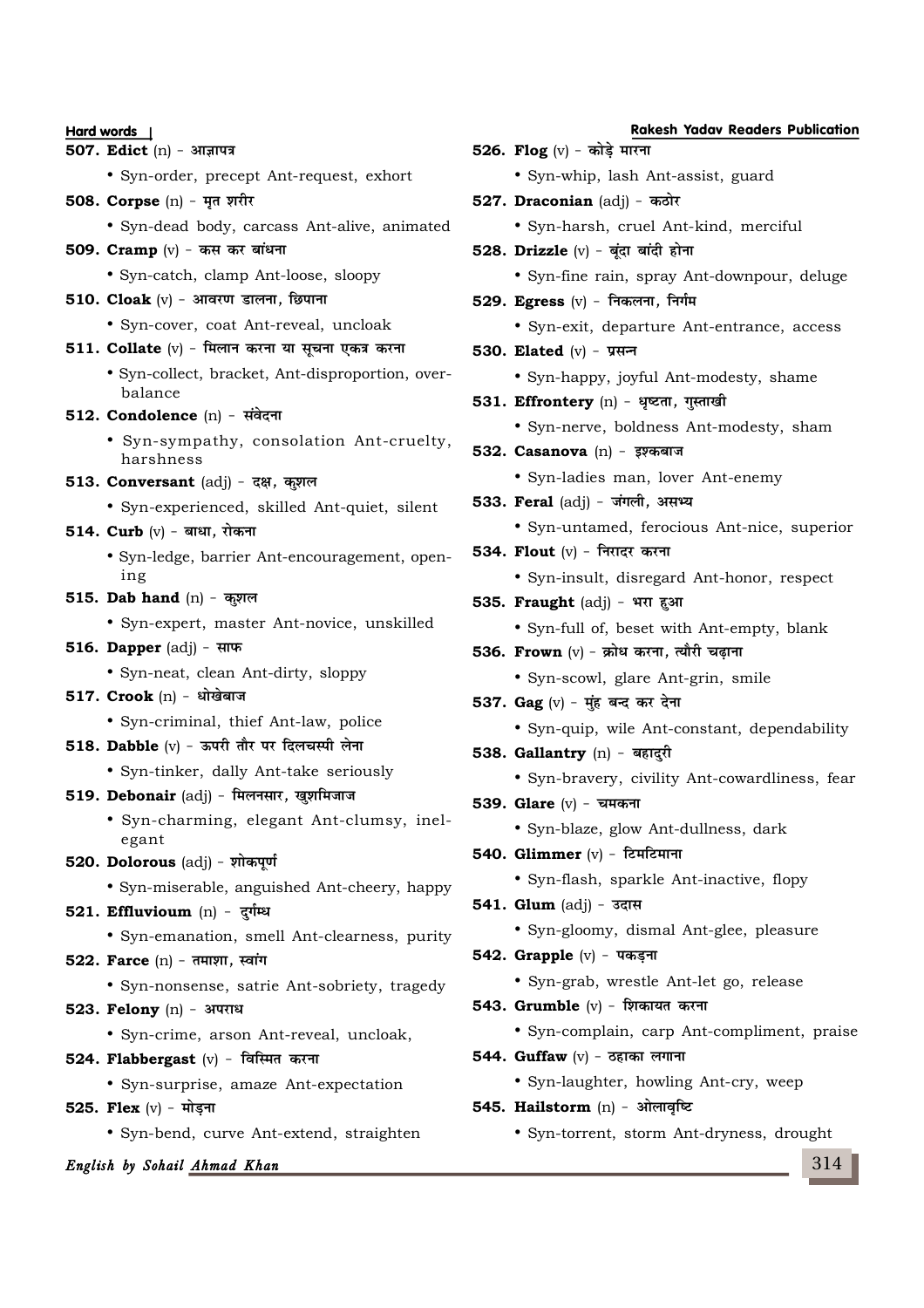**Hard words Rakesh Yadav Readers Publication 507. Edict** (n) - आज्ञापत्र • Syn-order, precept Ant-request, exhort **508. Corpse** (n) - मृत शरीर • Syn-dead body, carcass Ant-alive, animated **509. Cramp** (v) - कस कर बांधना • Syn-catch, clamp Ant-loose, sloopy 510. Cloak (v) - आवरण डालना, छिपाना • Syn-cover, coat Ant-reveal, uncloak **511. Collate** (v) - मिलान करना या सूचना एकत्र करना • Syn-collect, bracket, Ant-disproportion, overbalance 512. Condolence (n) - संवेदना • Syn-sympathy, consolation Ant-cruelty, harshness 513. **Conversant** (adj) - दक्ष, कशल • Syn-experienced, skilled Ant-quiet, silent **514. Curb** (v) - बाधा, रोकना • Syn-ledge, barrier Ant-encouragement, opening **515. Dab hand** (n) - कुशल • Syn-expert, master Ant-novice, unskilled **516. Dapper** (adj) - साफ • Syn-neat, clean Ant-dirty, sloppy **517. Crook** (n) - धोखेबाज • Syn-criminal, thief Ant-law, police 518. Dabble (v) - ऊपरी तौर पर दिलचस्पी लेना • Syn-tinker, dally Ant-take seriously 519. Debonair (adj) - मिलनसार, खुशमिजाज • Syn-charming, elegant Ant-clumsy, inelegant 520. **Dolorous** (adj) - शोकपूर्ण • Syn-miserable, anguished Ant-cheery, happy **521. Effluvioum** (n) - दुर्गम्ध • Syn-emanation, smell Ant-clearness, purity 522. **Farce** (n) - तमाशा, स्वांग • Syn-nonsense, satrie Ant-sobriety, tragedy **523. Felony** (n) - अपराध • Syn-crime, arson Ant-reveal, uncloak, 524. **Flabbergast** (v) - विस्मित करना • Syn-surprise, amaze Ant-expectation  $525.$  **Flex** (v) - मोड़ना • Syn-bend, curve Ant-extend, straighten **526. Flog** (v) - कोड़े मारना • Syn-whip, lash Ant-assist, guard 527. Draconian (adj) - कठोर • Syn-harsh, cruel Ant-kind, merciful 528. **Drizzle** (v) - बूंदा बांदी होना • Syn-fine rain, spray Ant-downpour, deluge **529. Egress** (v) - निकलना, निर्गम • Syn-exit, departure Ant-entrance, access **530. Elated**  $(v)$  - प्रसन्न • Syn-happy, joyful Ant-modesty, shame 531. **Effrontery** (n) - धृष्टता, गुस्ताखी • Syn-nerve, boldness Ant-modesty, sham **532. Casanova** (n) - इश्कबाज • Syn-ladies man, lover Ant-enemy 533. **Feral** (adj) - जंगली, असभ्य • Syn-untamed, ferocious Ant-nice, superior **534. Flout** (v) - निरादर करना • Syn-insult, disregard Ant-honor, respect **535. Fraught** (adj) - भरा हुआ • Syn-full of, beset with Ant-empty, blank **536. Frown** (v) - क्रोध करना, त्यौरी चढ़ाना • Syn-scowl, glare Ant-grin, smile **537. Gag** (v) - मुंह बन्द कर देना • Syn-quip, wile Ant-constant, dependability 538. Gallantry (n) - बहादुरी • Syn-bravery, civility Ant-cowardliness, fear **539. Glare** (v) - चमकना • Syn-blaze, glow Ant-dullness, dark 540. Glimmer (v) - टिमटिमाना • Syn-flash, sparkle Ant-inactive, flopy **541. Glum** (adj) - उदास • Syn-gloomy, dismal Ant-glee, pleasure **542. Grapple** (v) - पकड़ना • Syn-grab, wrestle Ant-let go, release 543. Grumble (v) - शिकायत करना • Syn-complain, carp Ant-compliment, praise 544. **Guffaw** (v) - ठहाका लगाना • Syn-laughter, howling Ant-cry, weep **545. Hailstorm** (n) - ओलावृष्टि • Syn-torrent, storm Ant-dryness, drought

## **English by Sohail Ahmad Khan**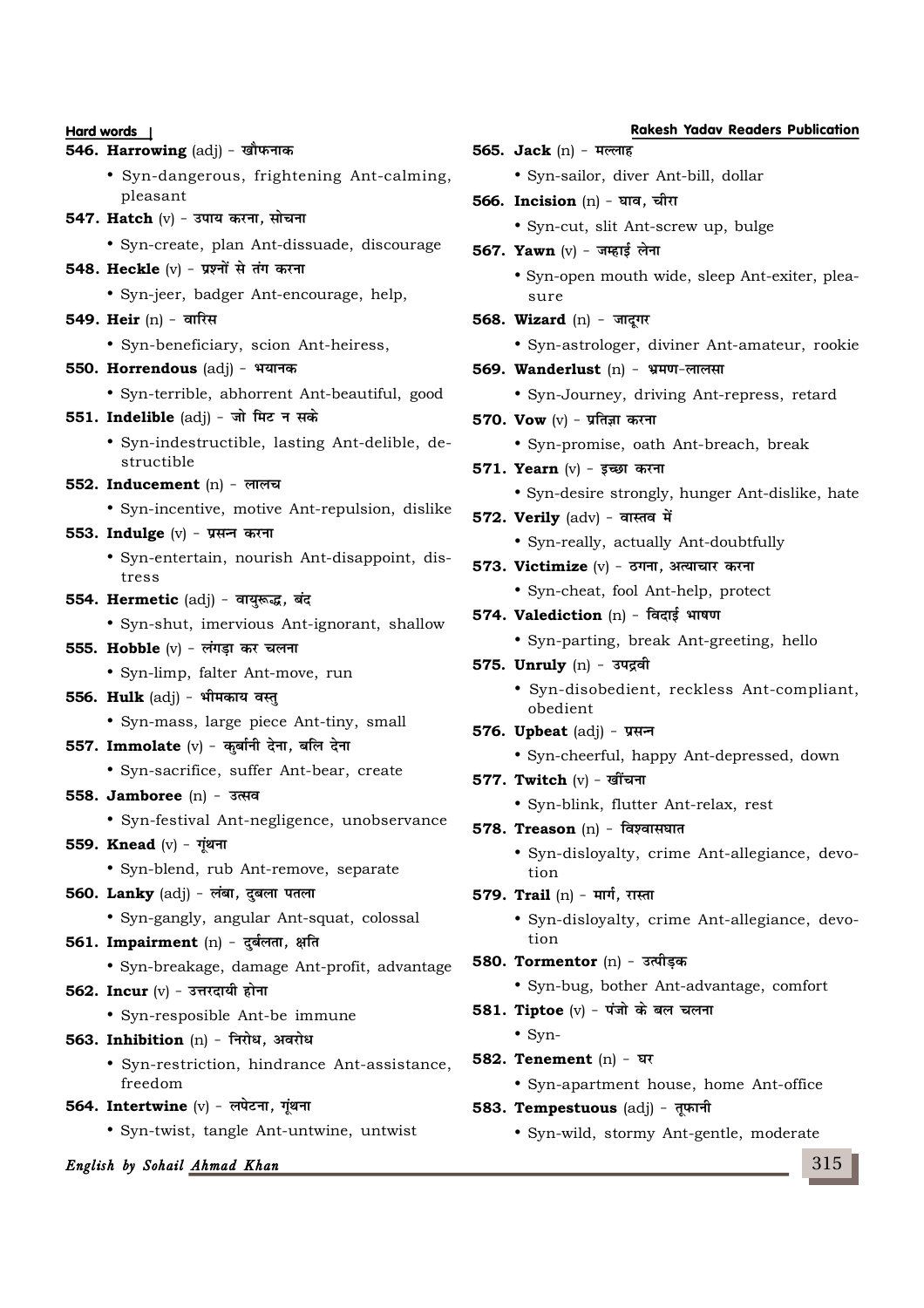**Hard words Rakesh Yadav Readers Publication** 546. **Harrowing** (adj) - खौफनाक • Syn-dangerous, frightening Ant-calming, pleasant 547. **Hatch** (v) - उपाय करना, सोचना • Syn-create, plan Ant-dissuade, discourage 548. Heckle (v) - प्रश्नों से तंग करना • Syn-jeer, badger Ant-encourage, help, **549. Heir** (n) - वारिस • Syn-beneficiary, scion Ant-heiress, **550. Horrendous** (adj) - भयानक • Syn-terrible, abhorrent Ant-beautiful, goo 551. **Indelible** (adj) - जो मिट न सके • Syn-indestructible, lasting Ant-delible, d structible **552. Inducement** (n) - लालच • Syn-incentive, motive Ant-repulsion, dislik **553. Indulge** (v) - प्रसन्न करना • Syn-entertain, nourish Ant-disappoint, di tress 554. Hermetic (adj) - वायुरूद्ध, बंद • Syn-shut, imervious Ant-ignorant, shallow **555. Hobble** (v) - लंगड़ा कर चलना • Syn-limp, falter Ant-move, run 556. **Hulk** (adj) - भीमकाय वस्तु • Syn-mass, large piece Ant-tiny, small 557. Immolate (v) - कुर्बानी देना, बलि देना • Syn-sacrifice, suffer Ant-bear, create 558. **Jamboree** (n) - उत्सव • Syn-festival Ant-negligence, unobservance **559. Knead**  $(v)$  - गंथना • Syn-blend, rub Ant-remove, separate 560. Lanky (adj) - लंबा, दबला पतला • Syn-gangly, angular Ant-squat, colossal 561. **Impairment** (n) - दुर्बलता, क्षति • Syn-breakage, damage Ant-profit, advantage **562. Incur** (v) - उत्तरदायी होना • Syn-resposible Ant-be immune **563. Inhibition** (n) - निरोध, अवरोध • Syn-restriction, hindrance Ant-assistance freedom 564. Intertwine (v) - लपेटना, गृंथना • Syn-twist, tangle Ant-untwine, untwist 565. **Jack** (n) - मल्लाह

#### **English by Sohail Ahmad Khan**

| ıg, | · Syn-sailor, diver Ant-bill, dollar                   |
|-----|--------------------------------------------------------|
|     | <b>566. Incision</b> (n) - घाव, चीरा                   |
|     | • Syn-cut, slit Ant-screw up, bulge                    |
| e   | 567. Yawn (v) - जम्हाई लेना                            |
|     | · Syn-open mouth wide, sleep Ant-exiter, plea-         |
|     | sure                                                   |
|     | 568. Wizard $(n)$ - जादूगर                             |
|     | • Syn-astrologer, diviner Ant-amateur, rookie          |
|     | 569. Wanderlust (n) - भ्रमण-लालसा                      |
| d   | • Syn-Journey, driving Ant-repress, retard             |
|     | 570. Vow $(v)$ - प्रतिज्ञा करना                        |
| le- | • Syn-promise, oath Ant-breach, break                  |
|     | 571. Yearn $(v)$ - इच्छा करना                          |
| ke  | · Syn-desire strongly, hunger Ant-dislike, hate        |
|     | 572. Verily (adv) - वास्तव में                         |
| is- | • Syn-really, actually Ant-doubtfully                  |
|     | 573. Victimize $(v)$ - ठगना, अत्याचार करना             |
|     | • Syn-cheat, fool Ant-help, protect                    |
| w   | 574. Valediction (n) - विदाई भाषण                      |
|     | • Syn-parting, break Ant-greeting, hello               |
|     | 575. Unruly (n) - उपद्रवी                              |
|     | · Syn-disobedient, reckless Ant-compliant,<br>obedient |
|     | 576. Upbeat $(adj)$ - प्रसन्न                          |
|     | · Syn-cheerful, happy Ant-depressed, down              |
|     | 577. Twitch $(v)$ - खींचना                             |
|     | · Syn-blink, flutter Ant-relax, rest                   |
| ce  | 578. Treason $(n)$ - विश्वासघात                        |
|     | · Syn-disloyalty, crime Ant-allegiance, devo-          |
|     | tion                                                   |
|     | 579. Trail (n) - मार्ग, रास्ता                         |
|     | · Syn-disloyalty, crime Ant-allegiance, devo-<br>tion  |
|     | 580. Tormentor (n) - उत्पीड़क                          |
| ige | · Syn-bug, bother Ant-advantage, comfort               |
|     | 581. Tiptoe $(v)$ - पंजो के बल चलना                    |
|     | $\bullet$ Syn-                                         |
| e,  | 582. Tenement (n) - घर                                 |
|     | • Syn-apartment house, home Ant-office                 |
|     | 583. Tempestuous (adj) - तूफानी                        |
|     | • Syn-wild, stormy Ant-gentle, moderate                |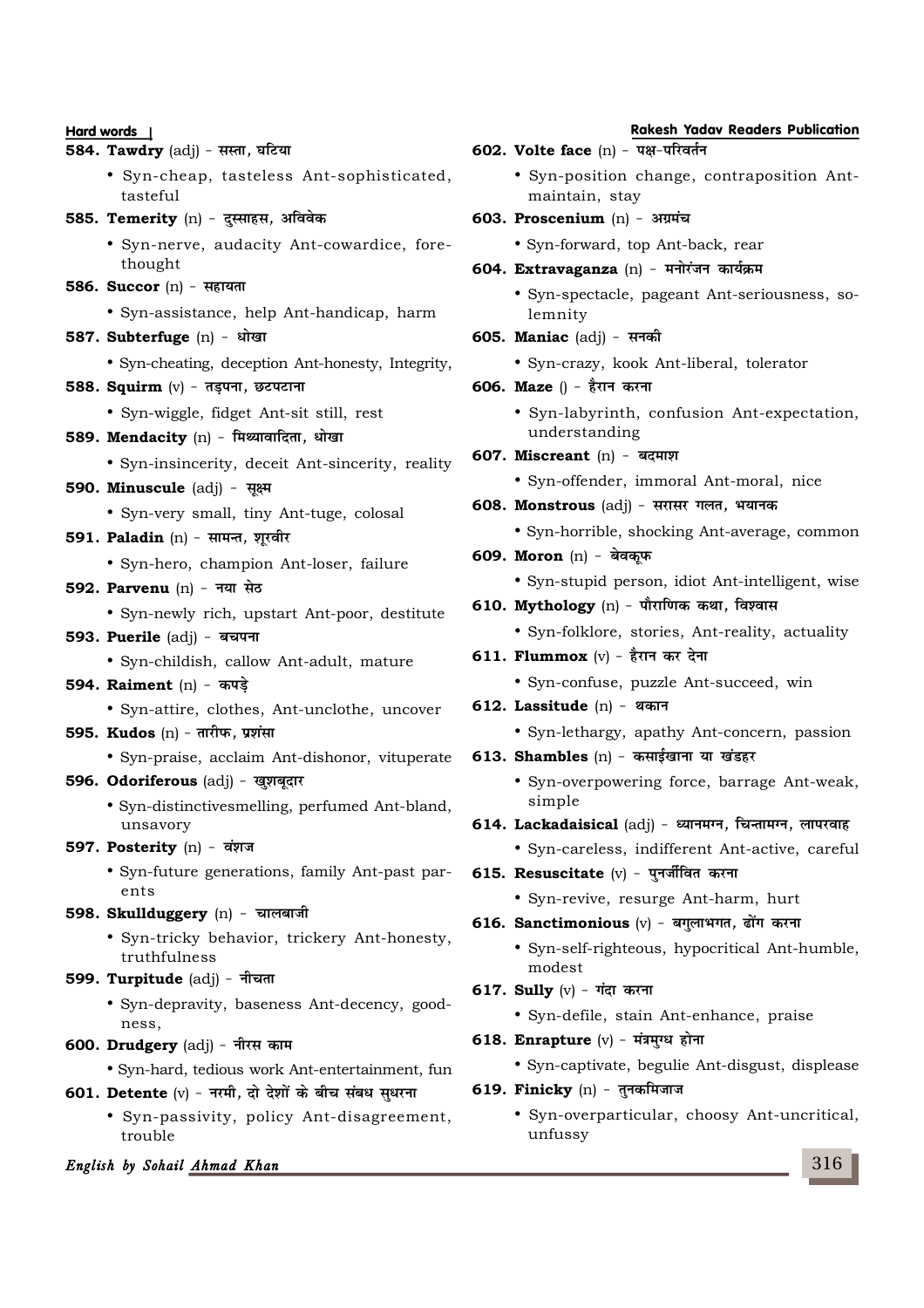**Hard words Rakesh Yadav Readers Publication 584. Tawdry** (adj) - सस्ता, घटिया • Syn-cheap, tasteless Ant-sophisticated, tasteful 585. Temerity (n) - दुस्साहस, अविवेक • Syn-nerve, audacity Ant-cowardice, forethought **586. Succor** (n) - सहायता • Syn-assistance, help Ant-handicap, harm **587. Subterfuge** (n) - धोखा • Syn-cheating, deception Ant-honesty, Integrity, 588. Squirm (v) - तडपना, छटपटाना • Syn-wiggle, fidget Ant-sit still, rest 589. Mendacity (n) - मिथ्यावादिता, धोखा • Syn-insincerity, deceit Ant-sincerity, reality **590. Minuscule** (adj) - सक्ष्म • Syn-very small, tiny Ant-tuge, colosal 591. **Paladin** (n) - सामन्त, शुरवीर • Syn-hero, champion Ant-loser, failure 592. Parvenu (n) - नया सेठ • Syn-newly rich, upstart Ant-poor, destitute **593. Puerile** (adi) - बचपना • Syn-childish, callow Ant-adult, mature **594. Raiment** (n) - कपड़े • Syn-attire, clothes, Ant-unclothe, uncover **595. Kudos** (n) - तारीफ, प्रशंसा • Syn-praise, acclaim Ant-dishonor, vituperate 596. Odoriferous (adj) - खुशबूदार • Syn-distinctivesmelling, perfumed Ant-bland, unsavory **597. Posterity** (n) - वंशज • Syn-future generations, family Ant-past parents **598. Skullduggery** (n) - चालबाजी • Syn-tricky behavior, trickery Ant-honesty, truthfulness 599. Turpitude (adj) - नीचता • Syn-depravity, baseness Ant-decency, goodness, **600. Drudgery** (adj) - नीरस काम • Syn-hard, tedious work Ant-entertainment, fun **601. Detente** (v) - नरमी, दो देशों के बीच संबध सुधरना • Syn-passivity, policy Ant-disagreement, trouble

#### **English by Sohail Ahmad Khan**

- 602. Volte face (n) पक्ष-परिवर्तन
	- Syn-position change, contraposition Antmaintain, stay
- **603. Proscenium** (n) अग्रमंच
	- Syn-forward, top Ant-back, rear
- **604. Extravaganza** (n) मनोरंजन कार्यक्रम
	- Syn-spectacle, pageant Ant-seriousness, solemnity
- **605. Maniac** (adj) सनकी
	- Syn-crazy, kook Ant-liberal, tolerator
- **606. Maze**  $()$  हैरान करना
	- Syn-labyrinth, confusion Ant-expectation, understanding
- **607. Miscreant** (n) बदमाश
	- Syn-offender, immoral Ant-moral, nice
- 608. **Monstrous** (adj) सरासर गलत, भयानक
	- Syn-horrible, shocking Ant-average, common
- **609. Moron** (n) बेवकफ
	- Syn-stupid person, idiot Ant-intelligent, wise
- **610. Mythology** (n) पौराणिक कथा, विश्वास

• Syn-folklore, stories, Ant-reality, actuality

- **611. Flummox** (v) हैरान कर देना
	- Syn-confuse, puzzle Ant-succeed, win
- $612.$  **Lassitude** (n) थकान
	- Syn-lethargy, apathy Ant-concern, passion
- **613. Shambles** (n) कसाईखाना या खंडहर
	- Syn-overpowering force, barrage Ant-weak, simple
- **614. Lackadaisical** (adj) ध्यानमग्न, चिन्तामग्न, लापरवाह
	- Syn-careless, indifferent Ant-active, careful
- **615. Resuscitate** (v) पुनर्जीवित करना
	- Syn-revive, resurge Ant-harm, hurt
- **616. Sanctimonious** (v) बगुलाभगत, ढोंग करना
	- Syn-self-righteous, hypocritical Ant-humble, modest
- **617. Sully** (v) गंदा करना
	- Syn-defile, stain Ant-enhance, praise
- **618. Enrapture** (v) मंत्रमुग्ध होना
	- Syn-captivate, begulie Ant-disgust, displease
- **619. Finicky** (n) तनकमिजाज
	- Syn-overparticular, choosy Ant-uncritical, unfussy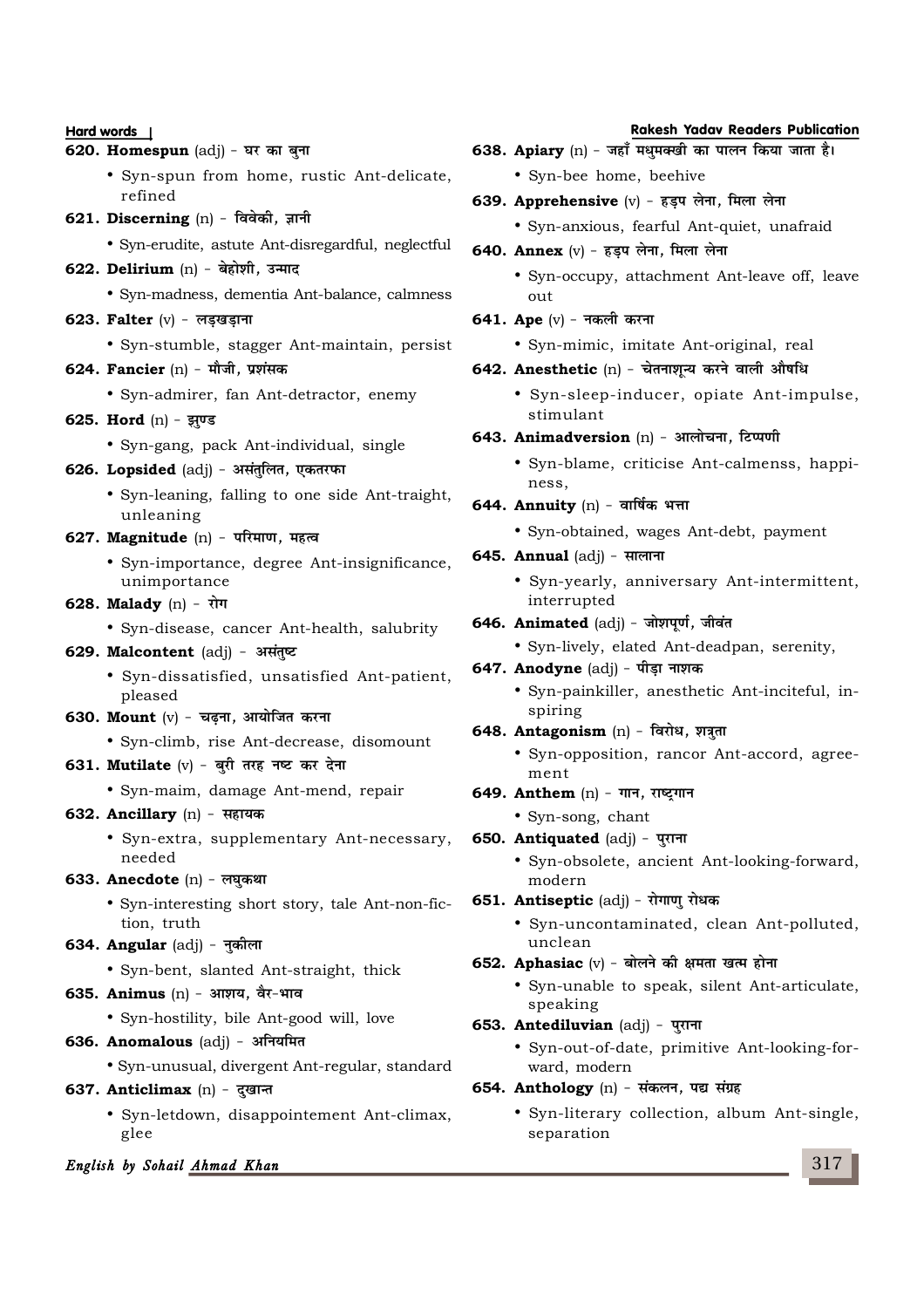- **620. Homespun** (adj) घर का बना
	- Syn-spun from home, rustic Ant-delicate, refined
- **621. Discerning** (n) विवेकी, ज्ञानी
	- Syn-erudite, astute Ant-disregardful, neglectful
- **622. Delirium** (n) बेहोशी. उन्माद
	- Syn-madness, dementia Ant-balance, calmness
- **623. Falter** (v) लड़खड़ाना
	- Syn-stumble, stagger Ant-maintain, persist
- **624. Fancier** (n) मौजी. प्रशंसक
	- Syn-admirer, fan Ant-detractor, enemy
- **625. Hord** (n) झण्ड
	- Syn-gang, pack Ant-individual, single
- 626. Lopsided (adj) असंतुलित, एकतरफा
	- Syn-leaning, falling to one side Ant-traight, unleaning
- 627. Magnitude (n) परिमाण, महत्व
	- Syn-importance, degree Ant-insignificance, unimportance
- **628. Malady** (n) रोग
	- Syn-disease, cancer Ant-health, salubrity

#### 629. Malcontent (adj) - असंतुष्ट

- Syn-dissatisfied, unsatisfied Ant-patient, pleased
- **630. Mount** (v) चढ़ना, आयोजित करना
	- Syn-climb, rise Ant-decrease, disomount
- **631. Mutilate** (v) बुरी तरह नष्ट कर देना
	- Syn-maim, damage Ant-mend, repair
- **632. Ancillary** (n) सहायक
	- Syn-extra, supplementary Ant-necessary, needed

#### **633. Anecdote** (n) - लघकथा

• Syn-interesting short story, tale Ant-non-fiction, truth

#### **634. Angular** (adj) - नकीला

- Syn-bent, slanted Ant-straight, thick
- **635. Animus** (n) आशय, वैर-भाव
	- Syn-hostility, bile Ant-good will, love
- **636. Anomalous** (adj) अनियमित
	- Syn-unusual, divergent Ant-regular, standard
- **637. Anticlimax** (n) दुखान्त
	- Syn-letdown, disappointement Ant-climax, glee

#### **English by Sohail Ahmad Khan**

#### **Hard words Rakesh Yadav Readers Publication**

**638. Apiary** (n) - जहाँ मधुमक्खी का पालन किया जाता है।

• Syn-bee home, beehive

- **639. Apprehensive** (v) हडप लेना, मिला लेना
	- Syn-anxious, fearful Ant-quiet, unafraid
- **640. Annex** (v) हड़प लेना, मिला लेना
	- Syn-occupy, attachment Ant-leave off, leave out
- **641. Ape** (v) नकली करना
	- Syn-mimic, imitate Ant-original, real

#### **642. Anesthetic** (n) - चेतनाशन्य करने वाली औषधि

• Syn-sleep-inducer, opiate Ant-impulse, stimulant

### **643. Animadversion** (n) - आलोचना, टिप्पणी

• Syn-blame, criticise Ant-calmenss, happiness,

#### **644. Annuity** (n) - वार्षिक भत्ता

- Syn-obtained, wages Ant-debt, payment
- **645. Annual** (adj) सालाना
	- Syn-yearly, anniversary Ant-intermittent, interrupted
- **646. Animated** (adj) जोशपर्ण, जीवंत
	- Syn-lively, elated Ant-deadpan, serenity,
- **647. Anodyne** (adj) पीड़ा नाशक
	- Syn-painkiller, anesthetic Ant-inciteful, inspiring
- **648. Antagonism** (n) विरोध, शत्रुता
	- Syn-opposition, rancor Ant-accord, agreement
- **649. Anthem** (n) गान, राष्ट्रगान
	- Syn-song, chant
- **650. Antiquated** (adj) पुराना
	- Syn-obsolete, ancient Ant-looking-forward, modern
- **651. Antiseptic** (adj) रोगाणु रोधक
	- Syn-uncontaminated, clean Ant-polluted, unclean
- **652. Aphasiac** (v) बोलने की क्षमता खत्म होना
	- Syn-unable to speak, silent Ant-articulate, speaking
- **653. Antediluvian** (adj) पुराना
	- Syn-out-of-date, primitive Ant-looking-forward, modern
- **654. Anthology** (n) संकलन, पद्य संग्रह
	- Syn-literary collection, album Ant-single, separation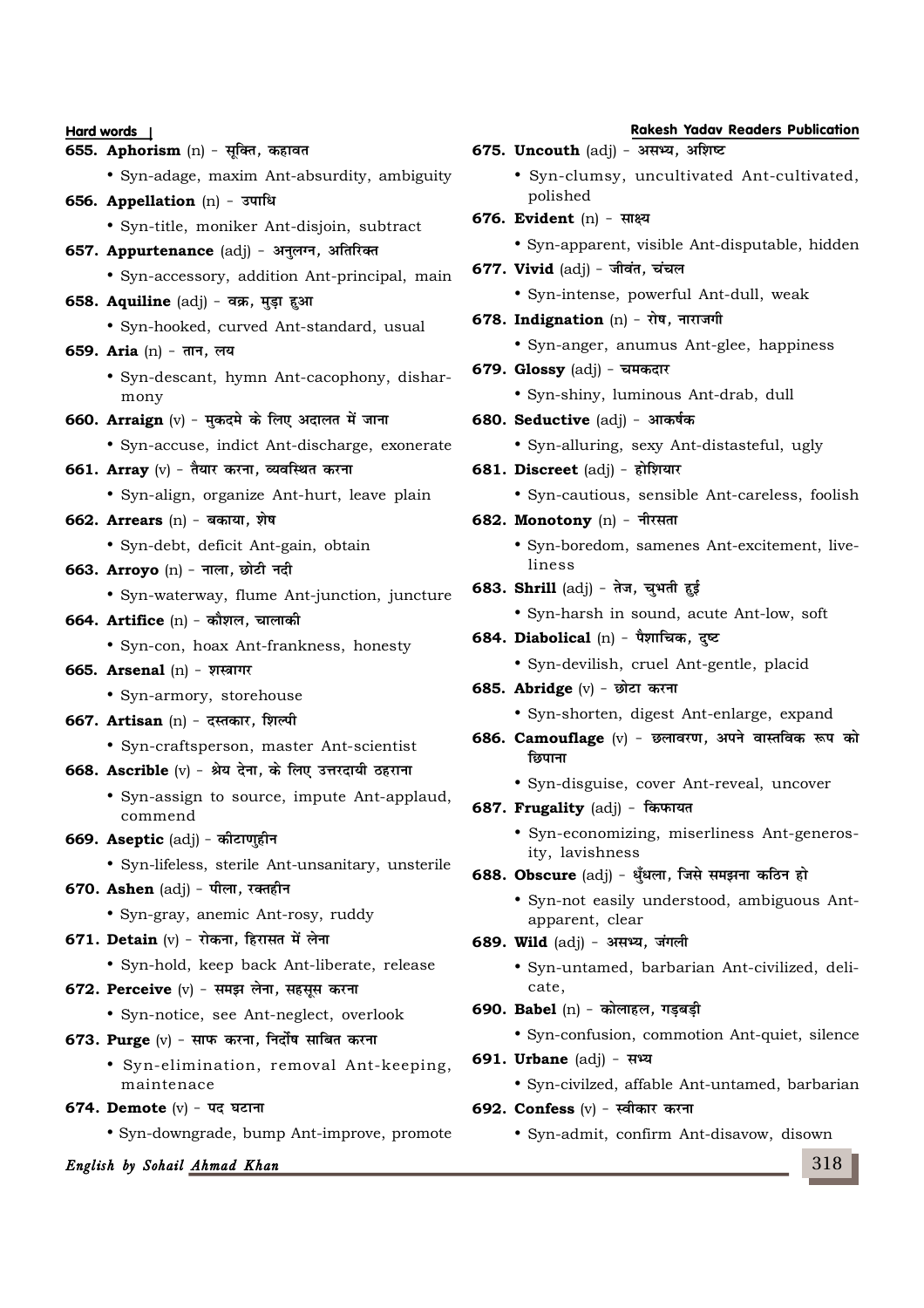**Hard words** | **655. Aphorism** (n) - सूक्ति, कहावत • Syn-adage, maxim Ant-absurdity, ambiguit **656. Appellation** (n) - उपाधि • Syn-title, moniker Ant-disjoin, subtract 657. Appurtenance (adj) - अनुलग्न, अतिरिक्त • Syn-accessory, addition Ant-principal, main **658. Aquiline** (adj) - वक्र, मुड़ा हुआ • Syn-hooked, curved Ant-standard, usual **659. Aria** (n) - तान, लय • Syn-descant, hymn Ant-cacophony, disha mony **660. Arraign** (v) - मुकदमे के लिए अदालत में जाना • Syn-accuse, indict Ant-discharge, exonera **661. Array** (v) - तैयार करना, व्यवस्थित करना • Syn-align, organize Ant-hurt, leave plain **662. Arrears** (n) - बकाया, शेष • Syn-debt, deficit Ant-gain, obtain **663. Arroyo** (n) - नाला, छोटी नदी • Syn-waterway, flume Ant-junction, junctur **664. Artifice** (n) - कौशल, चालाकी • Syn-con, hoax Ant-frankness, honesty **665. Arsenal** (n) - शस्त्रागर • Syn-armory, storehouse **667. Artisan** (n) - दस्तकार, शिल्पी • Syn-craftsperson, master Ant-scientist **668. Ascrible** (v) - श्रेय देना, के लिए उत्तरदायी ठहराना • Syn-assign to source, impute Ant-applaud commend **669. Aseptic** (adj) - कीटाणहीन • Syn-lifeless, sterile Ant-unsanitary, unsterile **670. Ashen** (adj) - पीला, रक्तहीन • Syn-gray, anemic Ant-rosy, ruddy **671. Detain** (v) - रोकना, हिरासत में लेना • Syn-hold, keep back Ant-liberate, release 672. Perceive (v) - समझ लेना, सहसूस करना • Syn-notice, see Ant-neglect, overlook **673. Purge** (v) - साफ करना, निर्दोष साबित करना • Syn-elimination, removal Ant-keeping, maintenace **674. Demote** (v) - पद घटाना

• Syn-downgrade, bump Ant-improve, promote

## **English by Sohail Ahmad Khan**

|      | <b>Rakesh Yadav Readers Publication</b><br>675. Uncouth (adj) - असभ्य, अशिष्ट |
|------|-------------------------------------------------------------------------------|
| ty   | · Syn-clumsy, uncultivated Ant-cultivated,                                    |
|      | polished                                                                      |
|      | 676. Evident (n) - साक्ष्य                                                    |
|      | • Syn-apparent, visible Ant-disputable, hidden                                |
| in   | 677. Vivid (adj) - जीवंत, चंचल                                                |
|      | • Syn-intense, powerful Ant-dull, weak                                        |
|      | 678. Indignation $(n)$ - रोष, नाराजगी                                         |
|      | • Syn-anger, anumus Ant-glee, happiness                                       |
| $r-$ | 679. Glossy $(adj)$ - चमकदार                                                  |
|      | · Syn-shiny, luminous Ant-drab, dull                                          |
|      | 680. Seductive (adj) - आकर्षक                                                 |
| te   | · Syn-alluring, sexy Ant-distasteful, ugly                                    |
|      | 681. Discreet (adj) - होशियार                                                 |
|      | • Syn-cautious, sensible Ant-careless, foolish                                |
|      | 682. Monotony (n) - नीरसता                                                    |
|      | · Syn-boredom, samenes Ant-excitement, live-<br>liness                        |
| re   | 683. Shrill (adj) - तेज, चुभती हुई                                            |
|      | • Syn-harsh in sound, acute Ant-low, soft                                     |
|      | 684. Diabolical (n) - पैशाचिक, दुष्ट                                          |
|      | • Syn-devilish, cruel Ant-gentle, placid                                      |
|      | 685. Abridge $(v)$ - छोटा करना                                                |
|      | · Syn-shorten, digest Ant-enlarge, expand                                     |
|      | 686. Camouflage (v) - छलावरण, अपने वास्तविक रूप को                            |
|      | छिपाना                                                                        |
| d,   | • Syn-disguise, cover Ant-reveal, uncover                                     |
|      | 687. Frugality (adj) - किफायत                                                 |
|      | · Syn-economizing, miserliness Ant-generos-<br>ity, lavishness                |
| ile  | 688. Obscure (adj) - धुँधला, जिसे समझना कठिन हो                               |
|      | · Syn-not easily understood, ambiguous Ant-                                   |
|      | apparent, clear                                                               |
|      | 689. Wild (adj) - असभ्य, जंगली                                                |
|      | • Syn-untamed, barbarian Ant-civilized, deli-<br>cate,                        |
|      | 690. Babel (n) - कोलाहल, गड़बड़ी                                              |
|      | • Syn-confusion, commotion Ant-quiet, silence                                 |
| g,   | 691. Urbane $(adj)$ - सभ्य                                                    |
|      | • Syn-civilzed, affable Ant-untamed, barbarian                                |
|      | 692. Confess $(v)$ - स्वीकार करना                                             |
| ite. | • Syn-admit, confirm Ant-disayow, disown                                      |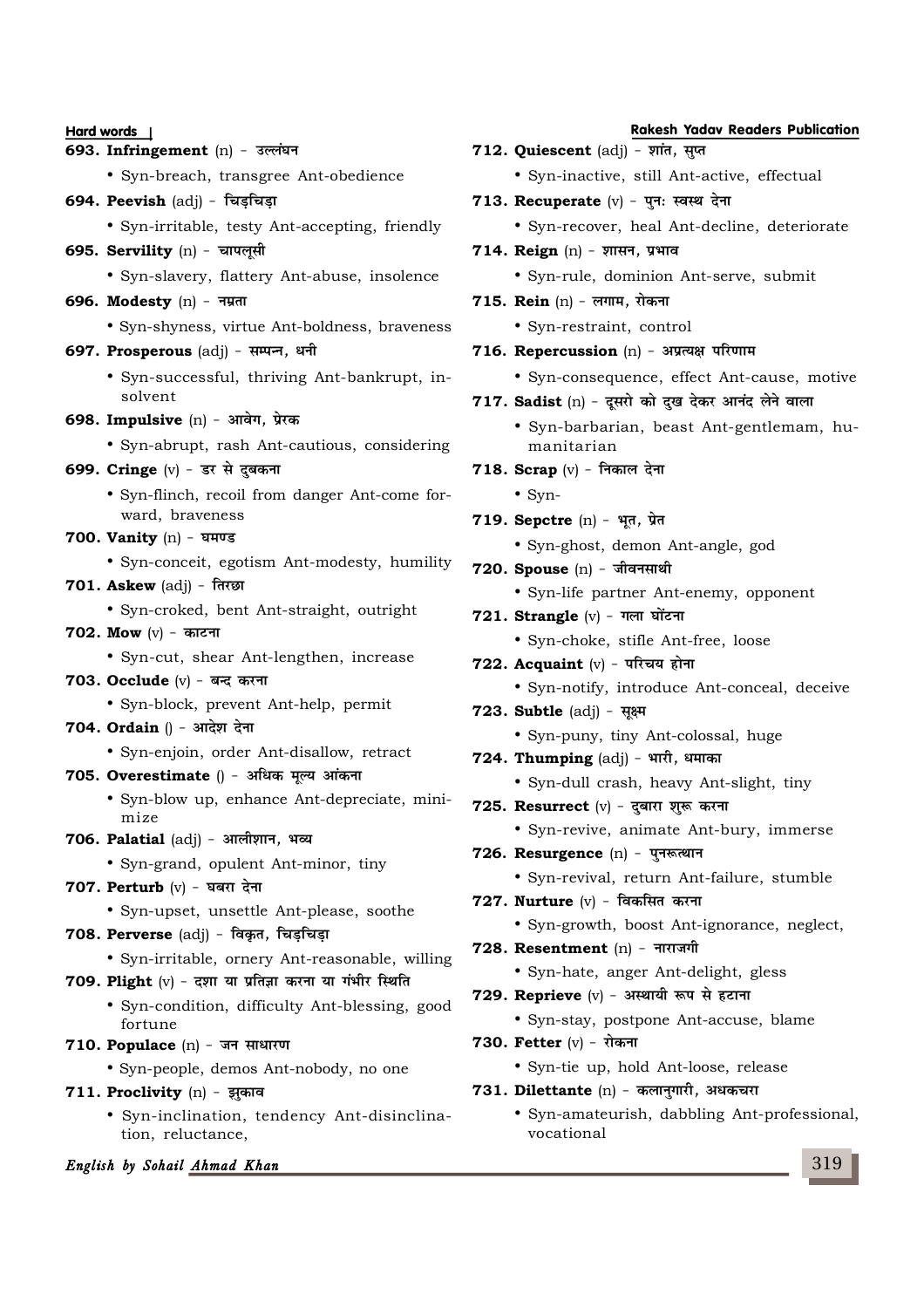**Hard words Rakesh Yadav Readers Publication 693. Infringement** (n) - उल्लंघन • Syn-breach, transgree Ant-obedience **694. Peevish (adj) - चिडचिडा** • Syn-irritable, testy Ant-accepting, friendly **695. Servility** (n) - चापलुसी • Syn-slavery, flattery Ant-abuse, insolence **696. Modesty** (n) - नम्रता • Syn-shyness, virtue Ant-boldness, braveness **697. Prosperous** (adj) - सम्पन्न, धनी • Syn-successful, thriving Ant-bankrupt, insolvent **698. Impulsive** (n) - आवेग, प्रेरक • Syn-abrupt, rash Ant-cautious, considering **699. Cringe** (v) - डर से दबकना • Syn-flinch, recoil from danger Ant-come forward, braveness **700. Vanity** (n) - घमण्ड • Syn-conceit, egotism Ant-modesty, humility **701. Askew** (adj) - तिरछा • Syn-croked, bent Ant-straight, outright **702. Mow** (v) - काटना • Syn-cut, shear Ant-lengthen, increase **703. Occlude** (v) - बन्द करना • Syn-block, prevent Ant-help, permit **704. Ordain () - आदेश देना** • Syn-enjoin, order Ant-disallow, retract 705. Overestimate () - अधिक मुल्य आंकना • Syn-blow up, enhance Ant-depreciate, minimize 706. **Palatial** (adj) - आलीशान, भव्य • Syn-grand, opulent Ant-minor, tiny **707. Perturb** (v) - घबरा देना • Syn-upset, unsettle Ant-please, soothe *708. Perverse (adj) - विकृत, चिड़चिड़ा* • Syn-irritable, ornery Ant-reasonable, willing 709. **Plight** (v) - दशा या प्रतिज्ञा करना या गंभीर स्थिति • Syn-condition, difficulty Ant-blessing, good fortune 710. **Populace** (n) - जन साधारण • Syn-people, demos Ant-nobody, no one  $711.$  **Proclivity** (n) - झुकाव • Syn-

• Syn-inclination, tendency Ant-disinclination, reluctance,

## **English by Sohail Ahmad Khan**

712. **Quiescent** (adj) - शांत, सुप्त • Syn-inactive, still Ant-active, effectual **713. Recuperate** (v) - पन: स्वस्थ देना • Syn-recover, heal Ant-decline, deteriorate  $714.$  **Reign** (n) - शासन, प्रभाव • Syn-rule, dominion Ant-serve, submit **715. Rein** (n) - लगाम, रोकना • Syn-restraint, control **716. Repercussion** (n) - अप्रत्यक्ष परिणाम • Syn-consequence, effect Ant-cause, motive 717. Sadist (n) - दसरो को दख देकर आनंद लेने वाला

• Syn-barbarian, beast Ant-gentlemam, humanitarian

**718. Scrap** (v) - निकाल देना

- **719. Sepctre** (n) भूत, प्रेत
	- Syn-ghost, demon Ant-angle, god
- **720. Spouse** (n) जीवनसाथी
	- Syn-life partner Ant-enemy, opponent
- **721. Strangle** (v) गला घोंटना • Syn-choke, stifle Ant-free, loose
- **722. Acquaint** (v) परिचय होना
	- Syn-notify, introduce Ant-conceal, deceive
- **723. Subtle (adj) सक्ष्म** 
	- Syn-puny, tiny Ant-colossal, huge
- 724. Thumping (adj) भारी, धमाका
	- Syn-dull crash, heavy Ant-slight, tiny
- **725. Resurrect** (v) दबारा शुरू करना
	- Syn-revive, animate Ant-bury, immerse
- **726. Resurgence** (n) पुनरूत्थान

• Syn-revival, return Ant-failure, stumble

- **727. Nurture** (v) विकसित करना
	- Syn-growth, boost Ant-ignorance, neglect,
- **728. Resentment** (n) नाराजगी
	- Syn-hate, anger Ant-delight, gless
- **729. Reprieve** (v) अस्थायी रूप से हटाना
	- Syn-stay, postpone Ant-accuse, blame
- **730. Fetter** (v) रोकना
	- Syn-tie up, hold Ant-loose, release
- 731. Dilettante (n) कलानुगारी, अधकचरा
	- Syn-amateurish, dabbling Ant-professional, vocational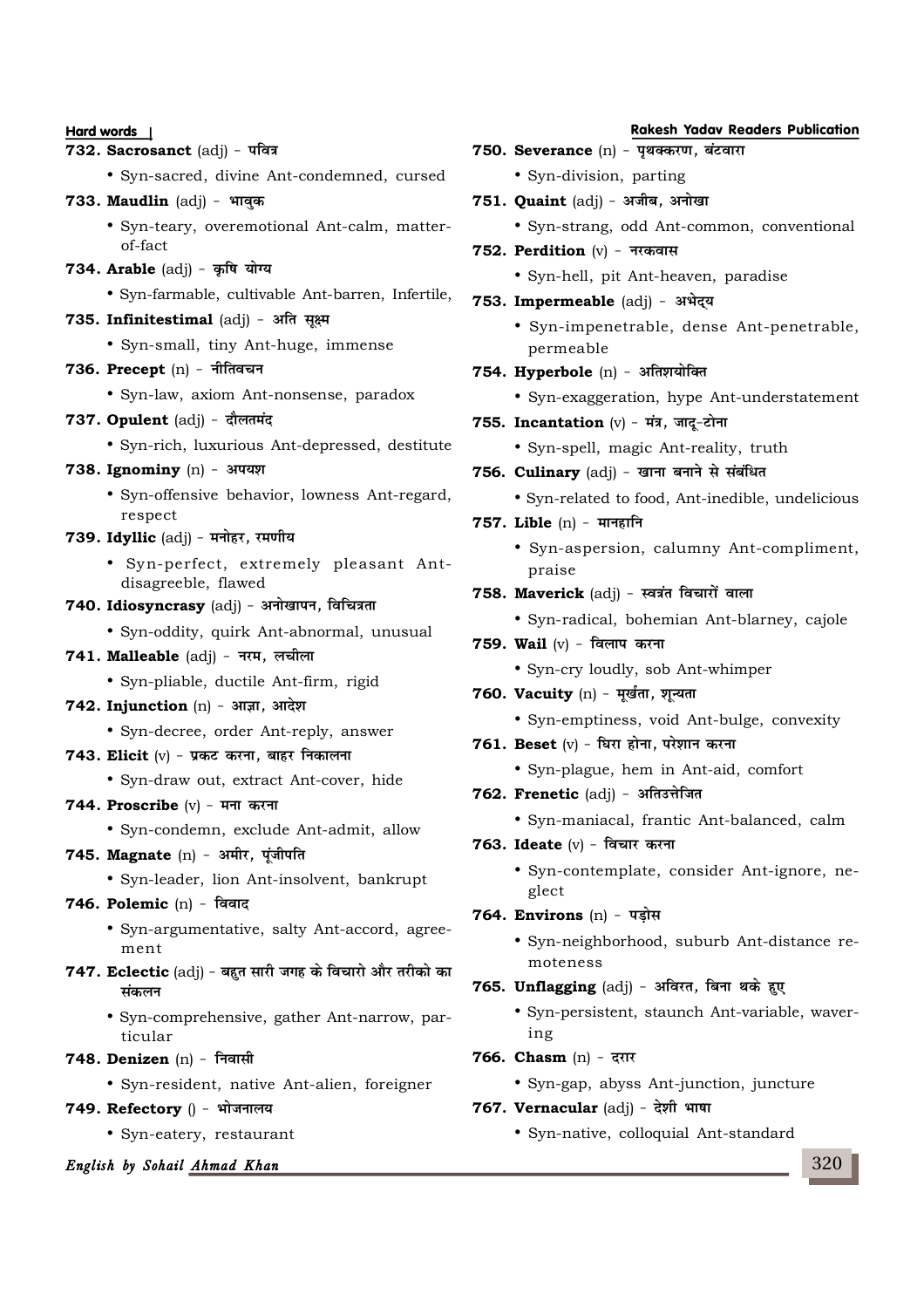- **732. Sacrosanct** (adj) पवित्र
	- Syn-sacred, divine Ant-condemned, cursed
- $733.$  **Maudlin** (adj) भावक
	- Syn-teary, overemotional Ant-calm, matterof-fact
- **734. Arable** (adi) कृषि योग्य
	- Syn-farmable, cultivable Ant-barren, Infertile,

#### 735. Infinitestimal (adj) - अति सूक्ष्म

• Syn-small, tiny Ant-huge, immense

## $736.$  **Precept** (n) - नीतिवचन

- Syn-law, axiom Ant-nonsense, paradox
- **737. Opulent** (adj) दौलतमंद
	- Syn-rich, luxurious Ant-depressed, destitute
- **738. Ignominy** (n) अपयश
	- Syn-offensive behavior, lowness Ant-regard, respect
- 739. **Idyllic** (adj) मनोहर, रमणीय
	- Syn-perfect, extremely pleasant Antdisagreeble, flawed
- 740. Idiosyncrasy (adj) अनोखापन, विचित्रता
	- Syn-oddity, quirk Ant-abnormal, unusual
- **741. Malleable** (adj) नरम, लचीला
	- Syn-pliable, ductile Ant-firm, rigid

## **742. Injunction** (n) - आज्ञा, आदेश

• Syn-decree, order Ant-reply, answer

## 743. Elicit (v) - प्रकट करना, बाहर निकालना

• Syn-draw out, extract Ant-cover, hide

#### **744. Proscribe** (v) - मना करना

- Syn-condemn, exclude Ant-admit, allow
- 745. Magnate (n) अमीर, पूंजीपति
	- Syn-leader, lion Ant-insolvent, bankrupt

#### **746. Polemic** (n) - विवाद

- Syn-argumentative, salty Ant-accord, agreement
- 747. Eclectic (adj) बहुत सारी जगह के विचारो और तरीको का **li**addr
	- Syn-comprehensive, gather Ant-narrow, particular
- **748. Denizen** (n) निवासी
	- Syn-resident, native Ant-alien, foreigner

#### *749. Refectory () - भोजनालय*

• Syn-eatery, restaurant

## **English by Sohail Ahmad Khan**

#### **Hard words Rakesh Yadav Readers Publication**

**750. Severance** (n) - पृथक्करण, बंटवारा

• Syn-division, parting

- 751. **Quaint** (adj) अजीब, अनोखा
	- Syn-strang, odd Ant-common, conventional
- **752. Perdition** (v) नरकवास
	- Syn-hell, pit Ant-heaven, paradise

### **753. Impermeable** (adj) - अभेदय

• Syn-impenetrable, dense Ant-penetrable, permeable

#### 754. **Hyperbole** (n) - अतिशयोक्ति

• Syn-exaggeration, hype Ant-understatement

#### **755. Incantation** (v) - मंत्र, जाद-टोना

• Syn-spell, magic Ant-reality, truth

## 756. Culinary (adj) - खाना बनाने से संबंधित

• Syn-related to food, Ant-inedible, undelicious

### **757. Lible** (n) - मानहानि

• Syn-aspersion, calumny Ant-compliment, praise

#### 758. Maverick (adj) - स्वत्रंत विचारों वाला

• Syn-radical, bohemian Ant-blarney, cajole

## **759. Wail** (v) - विलाप करना

• Syn-cry loudly, sob Ant-whimper

#### 760. Vacuity (n) - मर्खता, शन्यता

• Syn-emptiness, void Ant-bulge, convexity

## **761. Beset** (v) - घिरा होना. परेशान करना

• Syn-plague, hem in Ant-aid, comfort

#### **762. Frenetic** (adj) - अतिउत्तेजित

- Syn-maniacal, frantic Ant-balanced, calm
- **763. Ideate** (v) विचार करना
	- Syn-contemplate, consider Ant-ignore, neglect

#### **764. Environs** (n) - पडोस

• Syn-neighborhood, suburb Ant-distance remoteness

#### 765. Unflagging (adj) - अविरत, बिना थके हुए

- Syn-persistent, staunch Ant-variable, wavering
- **766. Chasm** (n) दरार
	- Syn-gap, abyss Ant-junction, juncture

#### 767. Vernacular (adj) - देशी भाषा

• Syn-native, colloquial Ant-standard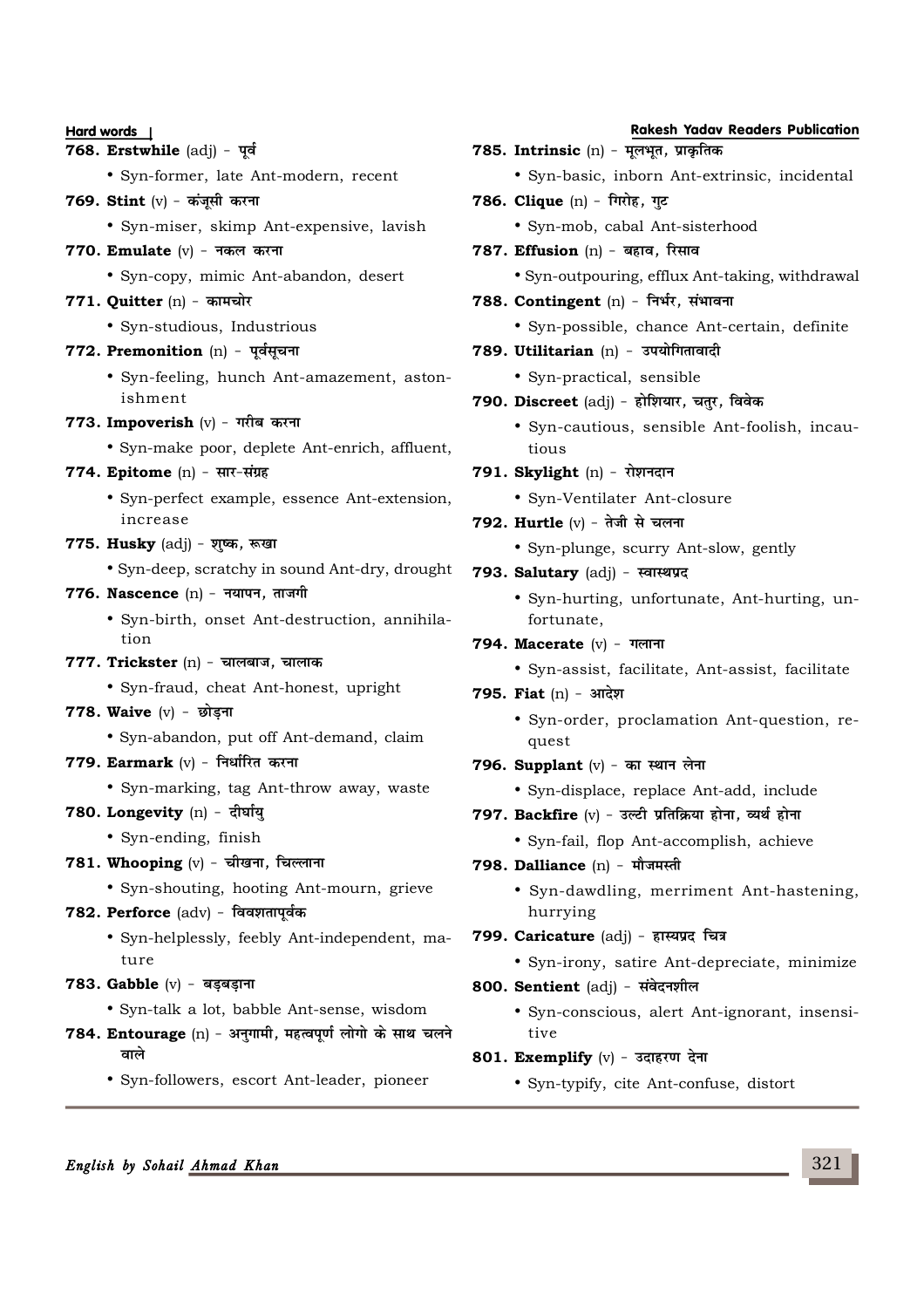**Hard words Rakesh Yadav Readers Publication 768. Erstwhile** (adj) - पूर्व • Syn-former, late Ant-modern, recent **769. Stint** (v) - कंजुसी करना • Syn-miser, skimp Ant-expensive, lavish **770. Emulate** (v) - नकल करना • Syn-copy, mimic Ant-abandon, desert **771. Quitter** (n) - कामचोर • Syn-studious, Industrious  $772.$  **Premonition** (n) - पर्वसचना • Syn-feeling, hunch Ant-amazement, astonishment **773. Impoverish** (v) - गरीब करना • Syn-make poor, deplete Ant-enrich, affluent, **774. Epitome** (n) - सार-संग्रह • Syn-perfect example, essence Ant-extension, increase **775. Husky** (adj) - शष्क, रूखा • Syn-deep, scratchy in sound Ant-dry, drought **776. Nascence** (n) - नयापन, ताजगी • Syn-birth, onset Ant-destruction, annihilation 777. **Trickster** (n) - चालबाज, चालाक • Syn-fraud, cheat Ant-honest, upright  $778.$  Waive (v) - छोड़ना • Syn-abandon, put off Ant-demand, claim **779. Earmark** (v) - निर्धारित करना • Syn-marking, tag Ant-throw away, waste **780. Longevity** (n) - दीर्घाय • Syn-ending, finish **781. Whooping** (v) - चीखना, चिल्लाना • Syn-shouting, hooting Ant-mourn, grieve **782. Perforce** (adv) - विवशतापर्वक • Syn-helplessly, feebly Ant-independent, mature  $783.$  Gabble (v) - बड़बड़ाना • Syn-talk a lot, babble Ant-sense, wisdom 784. Entourage (n) - अनगामी, महत्वपर्ण लोगो के साथ चलने **बाले** 

• Syn-followers, escort Ant-leader, pioneer

**785. Intrinsic** (n) - मुलभूत, प्राकृतिक

• Syn-basic, inborn Ant-extrinsic, incidental

**786. Clique** (n) - गिरोह, गट

• Syn-mob, cabal Ant-sisterhood

**787. Effusion** (n) - बहाव, रिसाव

• Syn-outpouring, efflux Ant-taking, withdrawal

- 788. **Contingent** (n) निर्भर, संभावना
	- Syn-possible, chance Ant-certain, definite
- **789. Utilitarian** (n) उपयोगितावादी
	- Syn-practical, sensible
- **790. Discreet** (adj) होशियार, चतुर, विवेक

• Syn-cautious, sensible Ant-foolish, incautious

- **791. Skylight** (n) रोशनदान
	- Syn-Ventilater Ant-closure
- 792. Hurtle (v) तेजी से चलना
	- Syn-plunge, scurry Ant-slow, gently
- **793. Salutary** (adi) स्वास्थप्रद
	- Syn-hurting, unfortunate, Ant-hurting, unfortunate,
- **794. Macerate** (v) गलाना
	- Syn-assist, facilitate, Ant-assist, facilitate
- **795. Fiat** (n) आदेश
	- Syn-order, proclamation Ant-question, request
- 796. Supplant (v) का स्थान लेना

• Syn-displace, replace Ant-add, include

- **797. Backfire** (v) उल्टी प्रतिक्रिया होना, व्यर्थ होना
	- Syn-fail, flop Ant-accomplish, achieve
- **798. Dalliance** (n) मौजमस्ती
	- Syn-dawdling, merriment Ant-hastening, hurrying
- **799. Caricature** (adj) हास्यप्रद चित्र
	- Syn-irony, satire Ant-depreciate, minimize
- 800. Sentient (adj) संवेदनशील
	- Syn-conscious, alert Ant-ignorant, insensitive
- 801. **Exemplify** (v) उदाहरण देना
	- Syn-typify, cite Ant-confuse, distort

**English by Sohail Ahmad Khan**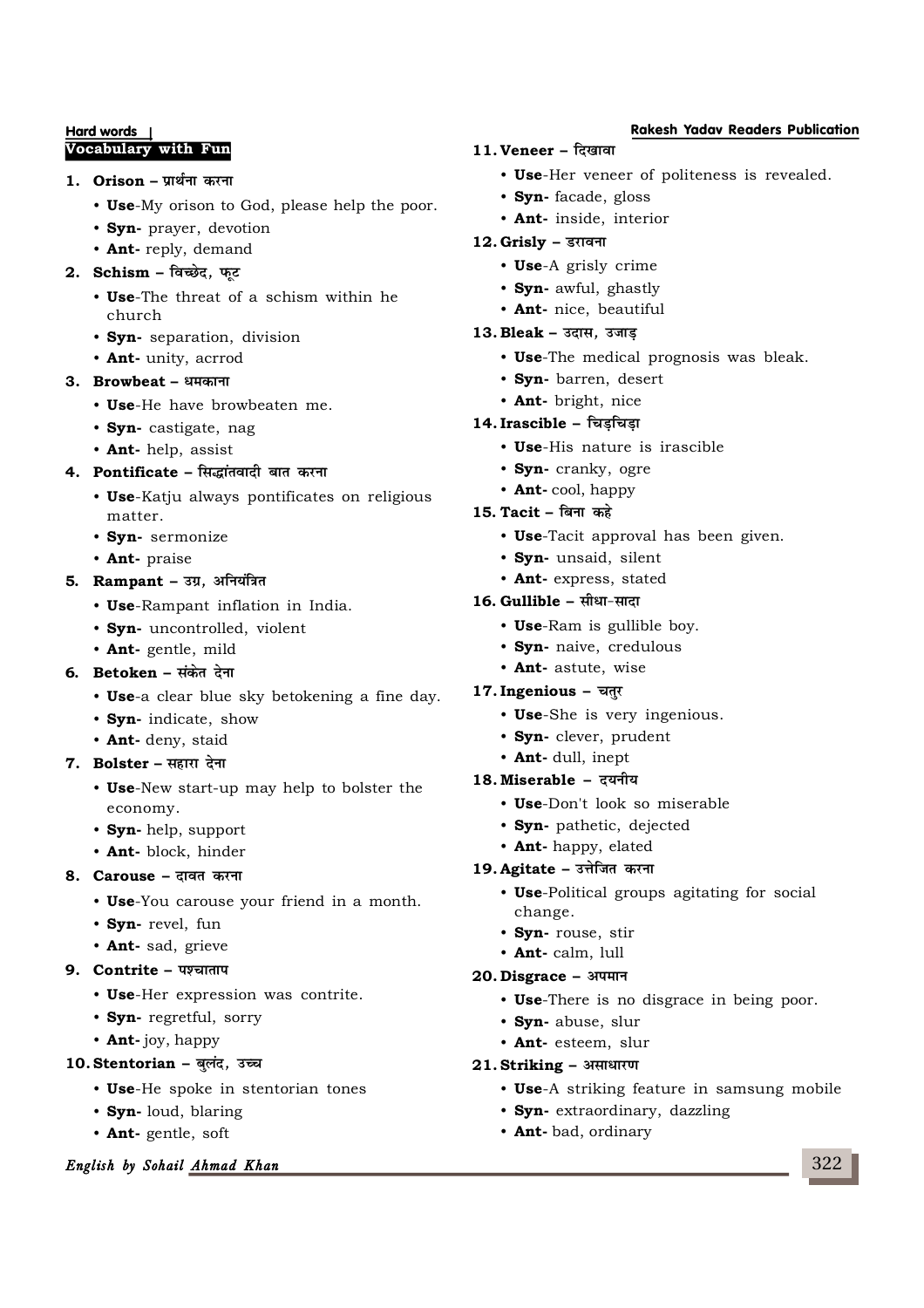## **Vocabulary with Fun**

#### 1. **Orison – प्रार्थना करना**

- **Use**-My orison to God, please help the poor.
- **Syn-** prayer, devotion
- **Ant-** reply, demand

## **2. Schism** – विच्छेद. फट

- **Use**-The threat of a schism within he church
- **Syn-** separation, division
- **Ant-** unity, acrrod

## 3. **Browbeat – धमकाना**

- **Use**-He have browbeaten me.
- **Syn-** castigate, nag
- **Ant-** help, assist

## **4. Pontificate – सिद्धांतवादी बात करना**

- **Use**-Katju always pontificates on religious matter.
- **Syn-** sermonize
- **Ant-** praise

## 5. **Rampant - उग्र, अनियंत्रित**

- **Use**-Rampant inflation in India.
- **Syn-** uncontrolled, violent
- **Ant-** gentle, mild
- **6. Betoken संकेत देना** 
	- **Use**-a clear blue sky betokening a fine day.
	- **Syn-** indicate, show
	- **Ant-** deny, staid

## 7. **Bolster** – सहारा देना

- **Use**-New start-up may help to bolster the economy.
- **Syn-** help, support
- **Ant-** block, hinder

## 8. **Carouse – दावत करना**

- **Use**-You carouse your friend in a month.
- **Syn-** revel, fun
- **Ant-** sad, grieve

## 9. **Contrite - पश्चाताप**

- **Use**-Her expression was contrite.
- **Syn-** regretful, sorry
- **Ant-** joy, happy

## 10. Stentorian - बुलंद, उच्च

- **Use**-He spoke in stentorian tones
- **Syn-** loud, blaring
- **Ant-** gentle, soft

## **English by Sohail Ahmad Khan**

## <u>**11. Veneer – दिखावा**</u>

- **Use**-Her veneer of politeness is revealed.
- **Syn-** facade, gloss
- **Ant-** inside, interior

## 12. Grisly - डरावना

- **Use**-A grisly crime
- **Syn-** awful, ghastly
- **Ant-** nice, beautiful

## **13. Bleak - उदास, उजाड**

- **Use**-The medical prognosis was bleak.
- **Syn-** barren, desert
- **Ant-** bright, nice

## 14. Irascible - चिड़चिड़ा

- **Use**-His nature is irascible
- **Syn-** cranky, ogre
- **Ant-** cool, happy
- 15. **Tacit** बिना कहे
	- **Use**-Tacit approval has been given.
	- **Syn-** unsaid, silent
	- **Ant-** express, stated

## 16. Gullible - सीधा-सादा

- **Use**-Ram is gullible boy.
- **Syn-** naive, credulous
- **Ant-** astute, wise

## 17. Ingenious - चतुर

- **Use**-She is very ingenious.
- **Syn-** clever, prudent
- **Ant-** dull, inept

## 18. Miserable - दयनीय

- **Use**-Don't look so miserable
- **Syn-** pathetic, dejected
- **Ant-** happy, elated

## 19. **Agitate – उत्तेजित करना**

- **Use**-Political groups agitating for social change.
- **Syn-** rouse, stir
- **Ant-** calm, lull

## **20. Disgrace – अपमान**

- **Use**-There is no disgrace in being poor.
- **Syn-** abuse, slur
- **Ant-** esteem, slur

## **21. Striking - असाधारण**

- **Use**-A striking feature in samsung mobile
- **Syn-** extraordinary, dazzling
- **Ant-** bad, ordinary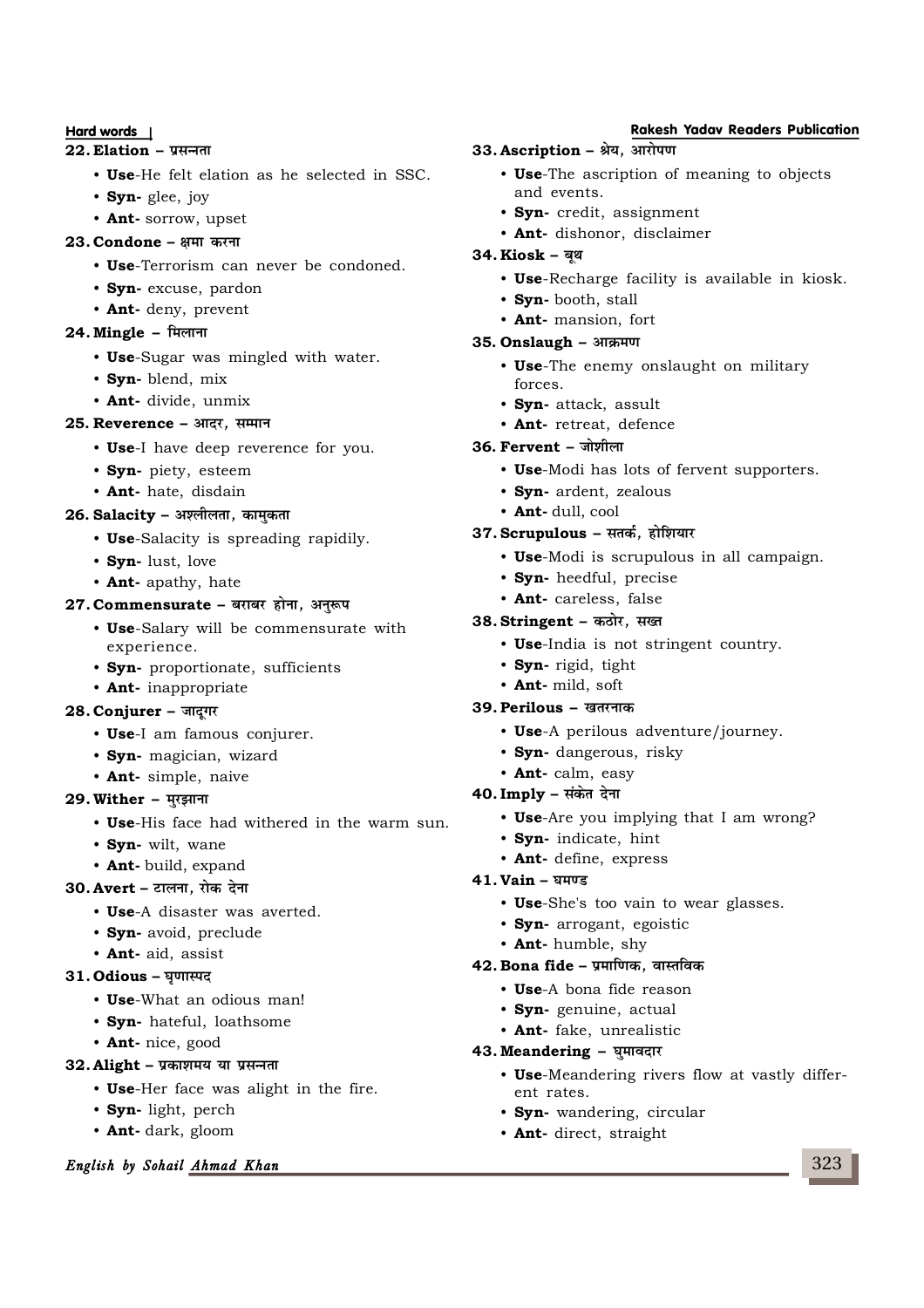#### $22$ . **Elation – प्र**सन्नता

- **Use**-He felt elation as he selected in SSC.
- **Syn-** glee, joy
- **Ant-** sorrow, upset

#### **23. Condone – क्षमा करना**

- **Use**-Terrorism can never be condoned.
- **Syn-** excuse, pardon
- **Ant-** deny, prevent

### 24. **Mingle - मिलाना**

- **Use**-Sugar was mingled with water.
- **Syn-** blend, mix
- **Ant-** divide, unmix

#### 25. **Reverence - आदर, सम्मान**

- **Use**-I have deep reverence for you.
- **Syn-** piety, esteem
- **Ant-** hate, disdain

#### 26. Salacity - अश्लीलता, कामुकता

- **Use**-Salacity is spreading rapidily.
- **Syn-** lust, love
- **Ant-** apathy, hate

#### 27. **Commensurate - बराबर होना**, अनुरूप

- **Use**-Salary will be commensurate with experience.
- **Syn-** proportionate, sufficients
- **Ant-** inappropriate

### **28. Conjurer - जाद्गर**

- **Use**-I am famous conjurer.
- **Syn-** magician, wizard
- **Ant-** simple, naive
- **29. Wither मुरझाना** 
	- **Use**-His face had withered in the warm sun.
	- **Syn-** wilt, wane
	- **Ant-** build, expand

#### **30. Avert –** टालना, रोक देना

- **Use**-A disaster was averted.
- **Syn-** avoid, preclude
- **Ant-** aid, assist

### $31.$  Odious - घृणास्पद

- **Use**-What an odious man!
- **Syn-** hateful, loathsome
- **Ant-** nice, good

#### 32. Alight - प्रकाशमय या प्रसन्नता

- **Use**-Her face was alight in the fire.
- **Syn-** light, perch
- **Ant-** dark, gloom

#### **English by Sohail Ahmad Khan**

## **Hard words Rakesh Yadav Readers Publication**

- **33. Ascription श्रेय, आरोपण** 
	- **Use**-The ascription of meaning to objects and events.
	- **Syn-** credit, assignment
	- **Ant-** dishonor, disclaimer

#### 84. **Kiosk –** बूथ

- **Use**-Recharge facility is available in kiosk.
- **Syn-** booth, stall
- **Ant-** mansion, fort

#### 35. Onslaugh - आक्रमण

- **Use**-The enemy onslaught on military forces.
- **Syn-** attack, assult
- **Ant-** retreat, defence

#### **36. Fervent - जोशीला**

- **Use**-Modi has lots of fervent supporters.
- **Syn-** ardent, zealous
- **Ant-** dull, cool

#### 37. Scrupulous - सतर्क, होशियार

- **Use**-Modi is scrupulous in all campaign.
- **Syn-** heedful, precise
- **Ant-** careless, false

## 38. Stringent - कठोर, सख्त

- **Use**-India is not stringent country.
- **Syn-** rigid, tight
- **Ant-** mild, soft

## **39. Perilous – खतरनाक**

- **Use**-A perilous adventure/journey.
- **Syn-** dangerous, risky
- **Ant-** calm, easy
- **40. Imply संकेत देना** 
	- **Use**-Are you implying that I am wrong?
	- **Syn-** indicate, hint
	- **Ant-** define, express

## **41. Vain - घमण्ड**

- **Use**-She's too vain to wear glasses.
- **Syn-** arrogant, egoistic
- **Ant-** humble, shy

## **42. Bona fide - प्रमाणिक, वास्तविक**

- **Use**-A bona fide reason
- **Syn-** genuine, actual
- **Ant-** fake, unrealistic
- **43. Meandering घुमावदार** 
	- **Use**-Meandering rivers flow at vastly different rates.
	- **Syn-** wandering, circular
	- **Ant-** direct, straight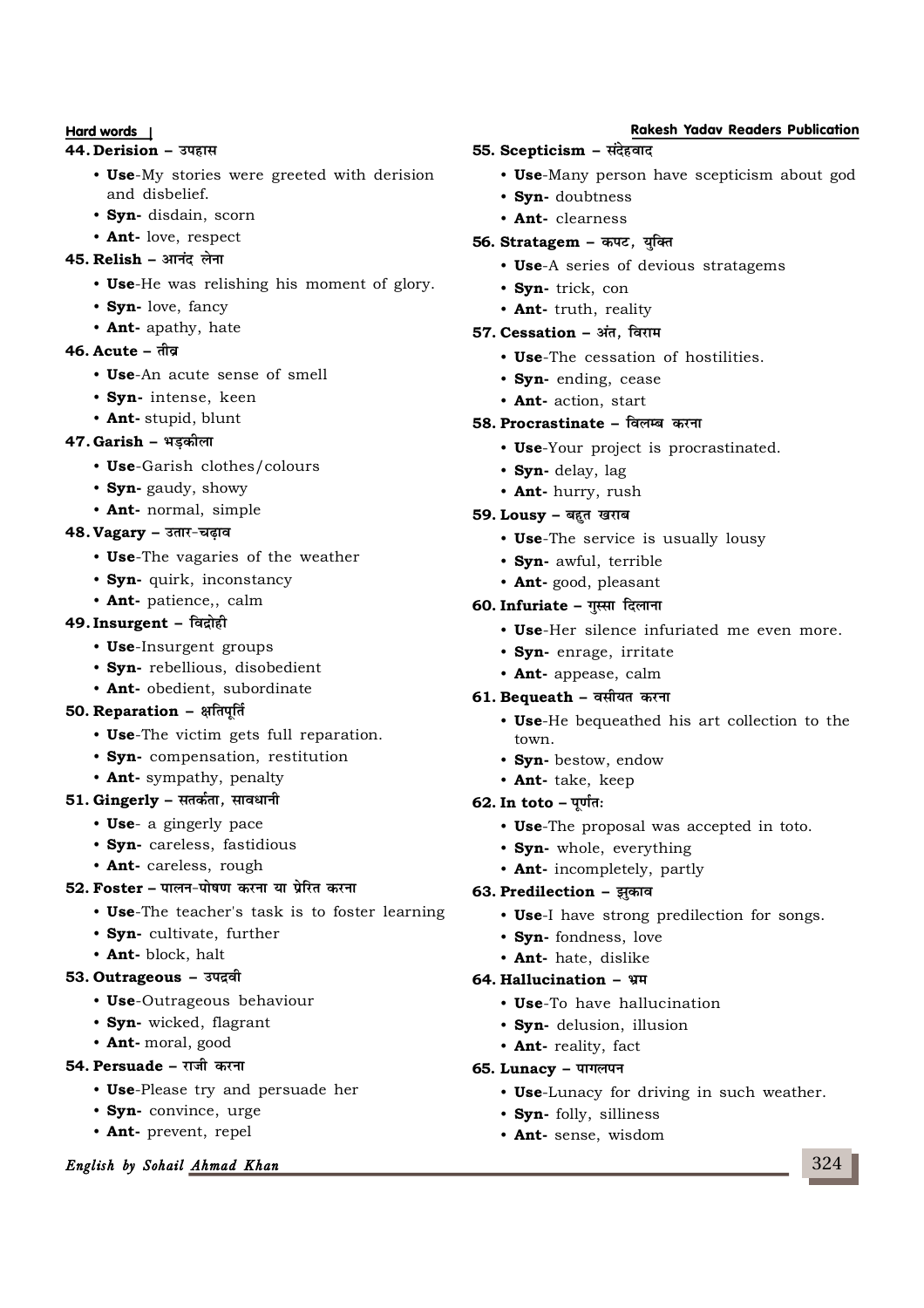#### **44. Derision - उपहास**

- **Use**-My stories were greeted with derision and disbelief.
- **Syn-** disdain, scorn
- **Ant-** love, respect

## **45. Relish - आनंद लेना**

- **Use**-He was relishing his moment of glory.
- **Syn-** love, fancy
- **Ant-** apathy, hate

## **46. Acute – rhoz**

- **Use**-An acute sense of smell
- **Syn-** intense, keen
- **Ant-** stupid, blunt

## $47.$  Garish - भड़कीला

- **Use**-Garish clothes/colours
- **Syn-** gaudy, showy
- **Ant-** normal, simple

## **48. Vagary - उतार-चढ़ाव**

- **Use**-The vagaries of the weather
- **Syn-** quirk, inconstancy
- **Ant-** patience,, calm

## **49. Insurgent - विद्रोही**

- **Use**-Insurgent groups
- **Syn-** rebellious, disobedient
- **Ant-** obedient, subordinate

## $50.$  **Reparation - & and Right**

- **Use**-The victim gets full reparation.
- **Syn-** compensation, restitution
- **Ant-** sympathy, penalty

## 51. Gingerly - सतर्कता, सावधानी

- **Use** a gingerly pace
- **Syn-** careless, fastidious
- **Ant-** careless, rough

## **52. Foster – पालन-पोषण करना या प्रेरित करना**

- **Use**-The teacher's task is to foster learning
- **Syn-** cultivate, further
- **Ant-** block, halt

## 53. Outrageous - उपदवी

- **Use**-Outrageous behaviour
- **Syn-** wicked, flagrant
- **Ant-** moral, good

## **54. Persuade – राजी करना**

- **Use**-Please try and persuade her
- **Syn-** convince, urge
- **Ant-** prevent, repel

## **English by Sohail Ahmad Khan**

## **Hard words Rakesh Yadav Readers Publication**

- **55. Scepticism संदेहवाद** 
	- **Use**-Many person have scepticism about god
	- **Syn-** doubtness
	- **Ant-** clearness

#### 56. Stratagem - कपट, युक्ति

- **Use**-A series of devious stratagems
- **Syn-** trick, con
- **Ant-** truth, reality

## 57. **Cessation - अंत, विराम**

- **Use**-The cessation of hostilities.
- **Syn-** ending, cease
- **Ant-** action, start

#### **58. Procrastinate - विलम्ब करना**

- **Use**-Your project is procrastinated.
- **Syn-** delay, lag
- **Ant-** hurry, rush

#### 59. Lousy - बहुत खराब

- **Use**-The service is usually lousy
- **Syn-** awful, terrible
- **Ant-** good, pleasant

### **60. Infuriate – गस्सा दिलाना**

- **Use**-Her silence infuriated me even more.
- **Syn-** enrage, irritate
- **Ant-** appease, calm

## **61. Bequeath - वसीयत करना**

- **Use**-He bequeathed his art collection to the town.
- **Syn-** bestow, endow
- **Ant-** take, keep

## **62. In toto – पूर्णतः**

- **Use**-The proposal was accepted in toto.
- **Syn-** whole, everything
- **Ant-** incompletely, partly

## $63.$  **Predilection - झुकाव**

- **Use**-I have strong predilection for songs.
- **Syn-** fondness, love
- **Ant-** hate, dislike

#### **64. Hallucination – Hkze**

- **Use**-To have hallucination
- **Syn-** delusion, illusion
- **Ant-** reality, fact

## **65. Lunacy - पागलपन**

- **Use**-Lunacy for driving in such weather.
- **Syn-** folly, silliness
- **Ant-** sense, wisdom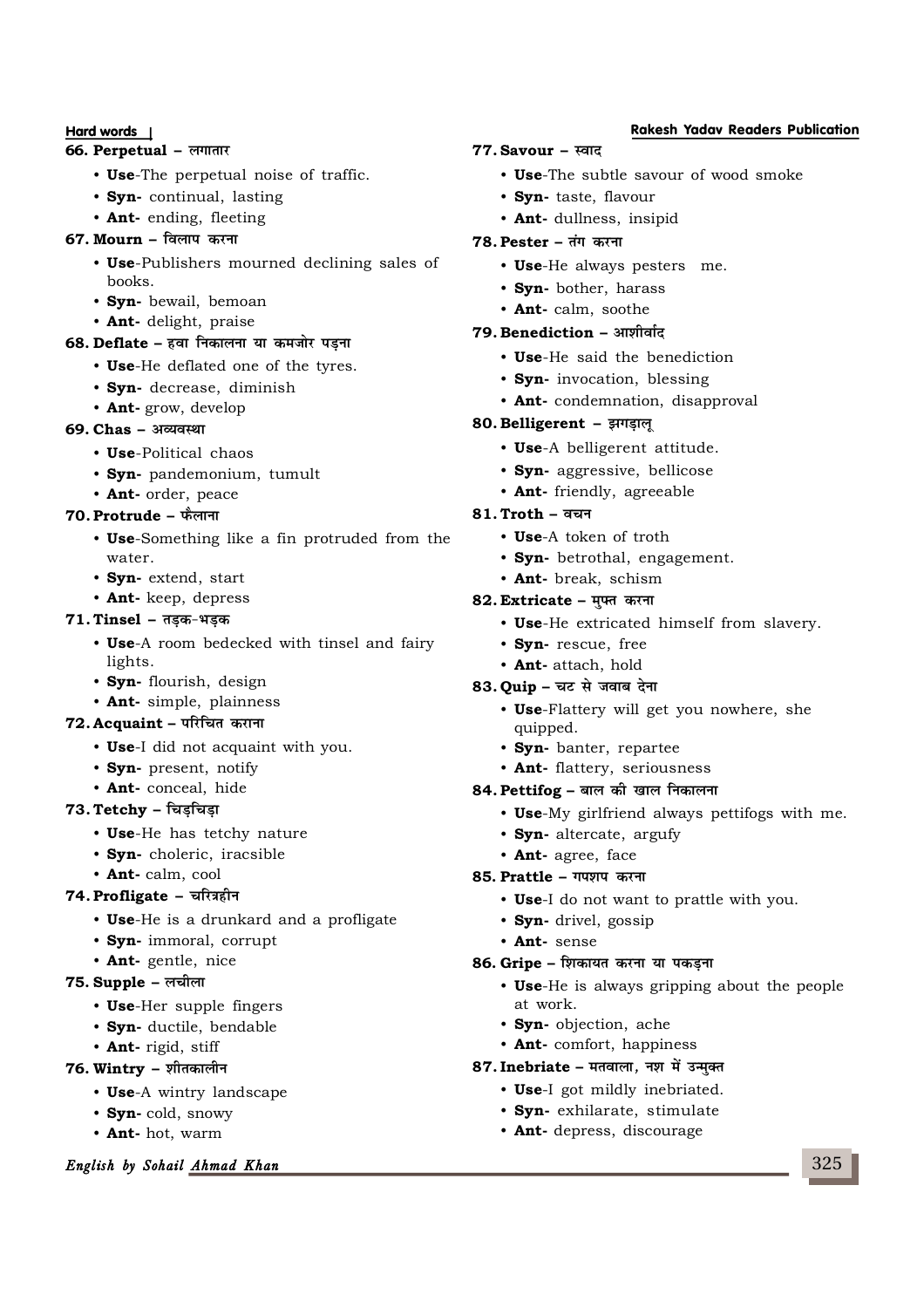### **66. Perpetual – लगातार**

- **Use**-The perpetual noise of traffic.
- **Syn-** continual, lasting
- **Ant-** ending, fleeting

### **67. Mourn - विलाप करना**

- **Use**-Publishers mourned declining sales of books.
- **Syn-** bewail, bemoan
- **Ant-** delight, praise

## **68. Deflate – हवा निकालना या कमजोर पडना**

- **Use**-He deflated one of the tyres.
- **Syn-** decrease, diminish
- **Ant-** grow, develop

#### **69. Chas – अव्यवस्था**

- **Use**-Political chaos
- **Syn-** pandemonium, tumult
- **Ant-** order, peace

## **70. Protrude – फैलाना**

- **Use**-Something like a fin protruded from the water.
- **Syn-** extend, start
- **Ant-** keep, depress

## $71.$  **Tinsel** - तड़क-भड़क

- **Use**-A room bedecked with tinsel and fairy lights.
- **Syn-** flourish, design
- **Ant-** simple, plainness

## **72. Acquaint – परिचित कराना**

- **Use**-I did not acquaint with you.
- **Syn-** present, notify
- **Ant-** conceal, hide

## **73. Tetchy –** चिड़चिड़ा

- **Use**-He has tetchy nature
- **Syn-** choleric, iracsible
- **Ant-** calm, cool

## **74. Profligate - चरित्रहीन**

- **Use**-He is a drunkard and a profligate
- **Syn-** immoral, corrupt
- **Ant-** gentle, nice

## $75.$  **Supple –** लचीला

- **Use**-Her supple fingers
- **Syn-** ductile, bendable
- **Ant-** rigid, stiff

## **76. Wintry – शीतकालीन**

- **Use**-A wintry landscape
- **Syn-** cold, snowy
- **Ant-** hot, warm

## **English by Sohail Ahmad Khan**

### **77. Savour – स्वाद**

- **Use**-The subtle savour of wood smoke
- **Syn-** taste, flavour
- **Ant-** dullness, insipid

## **78. Pester – तंग करना**

- **Use**-He always pesters me.
- **Syn-** bother, harass
- **Ant-** calm, soothe

## **79. Benediction - आशीर्वाद**

- **Use**-He said the benediction
- **Syn-** invocation, blessing
- **Ant-** condemnation, disapproval

### 80. **Belligerent - झगड़ालू**

- **Use**-A belligerent attitude.
- **Syn-** aggressive, bellicose
- **Ant-** friendly, agreeable

## **81. Troth – opu**

- **Use**-A token of troth
- **Syn-** betrothal, engagement.
- **Ant-** break, schism

## 82. Extricate – मुफ्त करना

- **Use**-He extricated himself from slavery.
- **Syn-** rescue, free
- **Ant-** attach, hold

## 83. **Quip** – चट से जवाब देना

- **Use**-Flattery will get you nowhere, she quipped.
- **Syn-** banter, repartee
- **Ant-** flattery, seriousness

## 84. Pettifog – बाल की खाल निकालना

- **Use**-My girlfriend always pettifogs with me.
- **Syn-** altercate, argufy
- **Ant-** agree, face

## 85. Prattle – गपशप करना

- **Use**-I do not want to prattle with you.
- **Syn-** drivel, gossip
- **Ant-** sense

## **86. Gripe – शिकायत करना या पकडना**

- **Use**-He is always gripping about the people at work.
- **Syn-** objection, ache
- **Ant-** comfort, happiness

## 87. Inebriate – मतवाला, नश में उन्मक्त

- **Use**-I got mildly inebriated.
- **Syn-** exhilarate, stimulate
- **Ant-** depress, discourage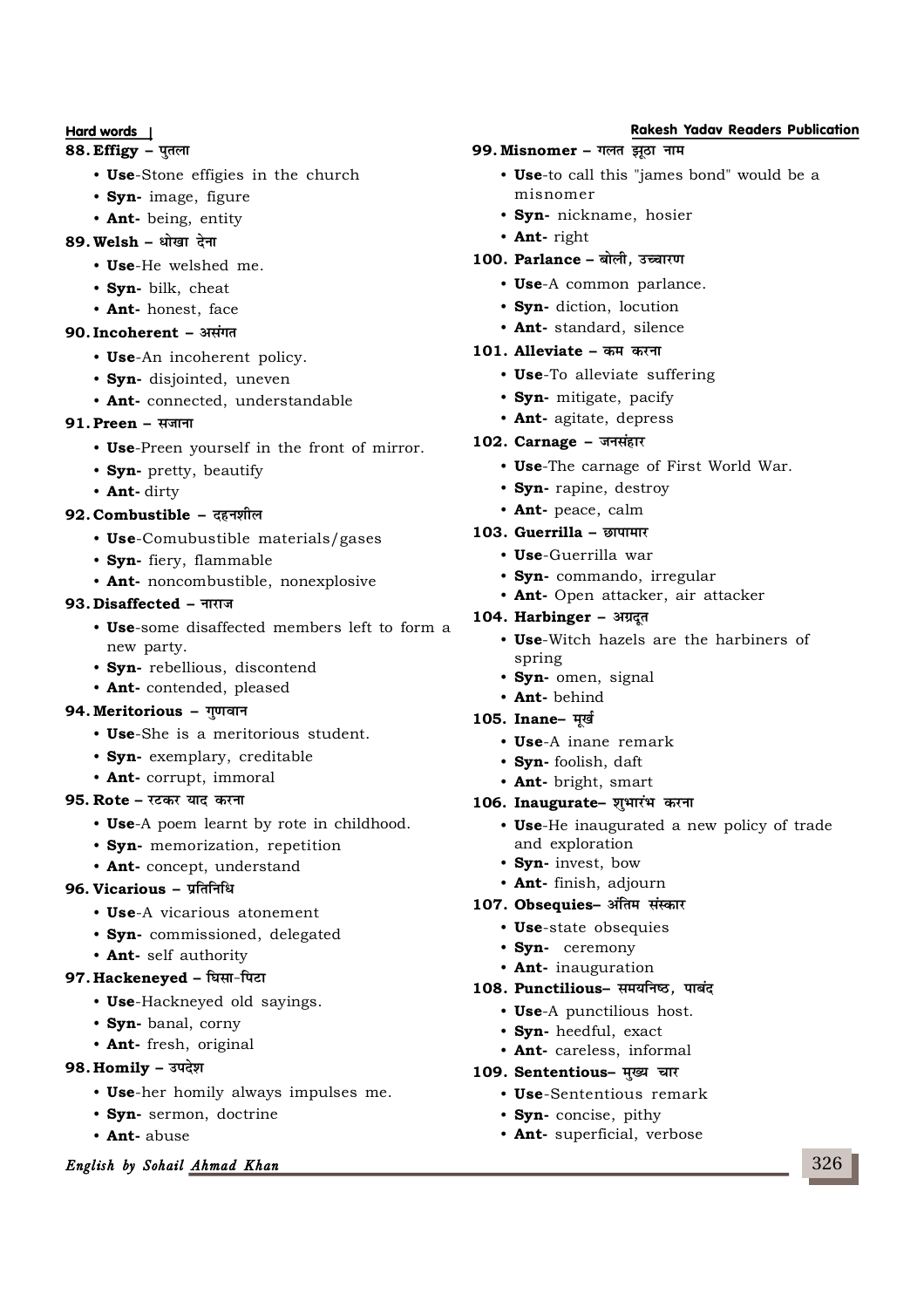- 88. **Effigy** पुतला
	- **Use**-Stone effigies in the church
	- **Syn-** image, figure
	- **Ant-** being, entity

## 89. Welsh - धोखा देना

- **Use**-He welshed me.
- **Syn-** bilk, cheat
- **Ant-** honest, face

## 90. Incoherent - असंगत

- **Use**-An incoherent policy.
- **Syn-** disjointed, uneven
- **Ant-** connected, understandable

## **91. Preen - सजाना**

- **Use**-Preen yourself in the front of mirror.
- **Syn-** pretty, beautify
- **Ant-** dirty

## **92. Combustible – दहनशील**

- **Use**-Comubustible materials/gases
- **Syn-** fiery, flammable
- **Ant-** noncombustible, nonexplosive

## 93. Disaffected - नाराज

- **Use**-some disaffected members left to form a new party.
- **Syn-** rebellious, discontend
- **Ant-** contended, pleased

## 94. Meritorious - गुणवान

- **Use**-She is a meritorious student.
- **Syn-** exemplary, creditable
- **Ant-** corrupt, immoral

## 95. Rote – **रटकर याद करना**

- **Use**-A poem learnt by rote in childhood.
- **Syn-** memorization, repetition
- **Ant-** concept, understand

## 96. Vicarious - प्रतिनिधि

- **Use**-A vicarious atonement
- **Syn-** commissioned, delegated
- **Ant-** self authority

## 97. Hackeneyed - घिसा-पिटा

- **Use**-Hackneyed old sayings.
- **Syn-** banal, corny
- **Ant-** fresh, original

## **98. Homily - उपदेश**

- **Use**-her homily always impulses me.
- **Syn-** sermon, doctrine
- **Ant-** abuse

## **English by Sohail Ahmad Khan**

## **Hard words Rakesh Yadav Readers Publication**

- 99. **Misnomer गलत झठा नाम** 
	- **Use**-to call this "james bond" would be a misnomer
	- **Syn-** nickname, hosier
	- **Ant-** right

## 100. **Parlance - बोली**, उच्चारण

- **Use**-A common parlance.
- **Syn-** diction, locution
- **Ant-** standard, silence

## 101. Alleviate – कम करना

- **Use**-To alleviate suffering
- **Syn-** mitigate, pacify
- **Ant-** agitate, depress

## 102. Carnage - जनसंहार

- **Use**-The carnage of First World War.
- **Syn-** rapine, destroy
- **Ant-** peace, calm

## 103. **Guerrilla – छापामार**

- **Use**-Guerrilla war
- **Syn-** commando, irregular
- **Ant-** Open attacker, air attacker

## 104. **Harbinger - अग्रद्**त

- **Use**-Witch hazels are the harbiners of spring
- **Syn-** omen, signal
- **Ant-** behind

## 105. Inane- मुर्ख

- **Use**-A inane remark
- **Syn-** foolish, daft
- **Ant-** bright, smart

## 106. Inaugurate– शुभारंभ करना

- **Use**-He inaugurated a new policy of trade and exploration
- **Syn-** invest, bow
- **Ant-** finish, adjourn

## 107. Obsequies- अंतिम संस्कार

- **Use**-state obsequies
- **Syn-** ceremony
- **Ant-** inauguration

## 108. Punctilious- समयनिष्ठ, पाबंद

- **Use**-A punctilious host.
- **Syn-** heedful, exact
- **Ant-** careless, informal

## 109. Sententious- मुख्य चार

- **Use**-Sententious remark
- **Syn-** concise, pithy
- **Ant-** superficial, verbose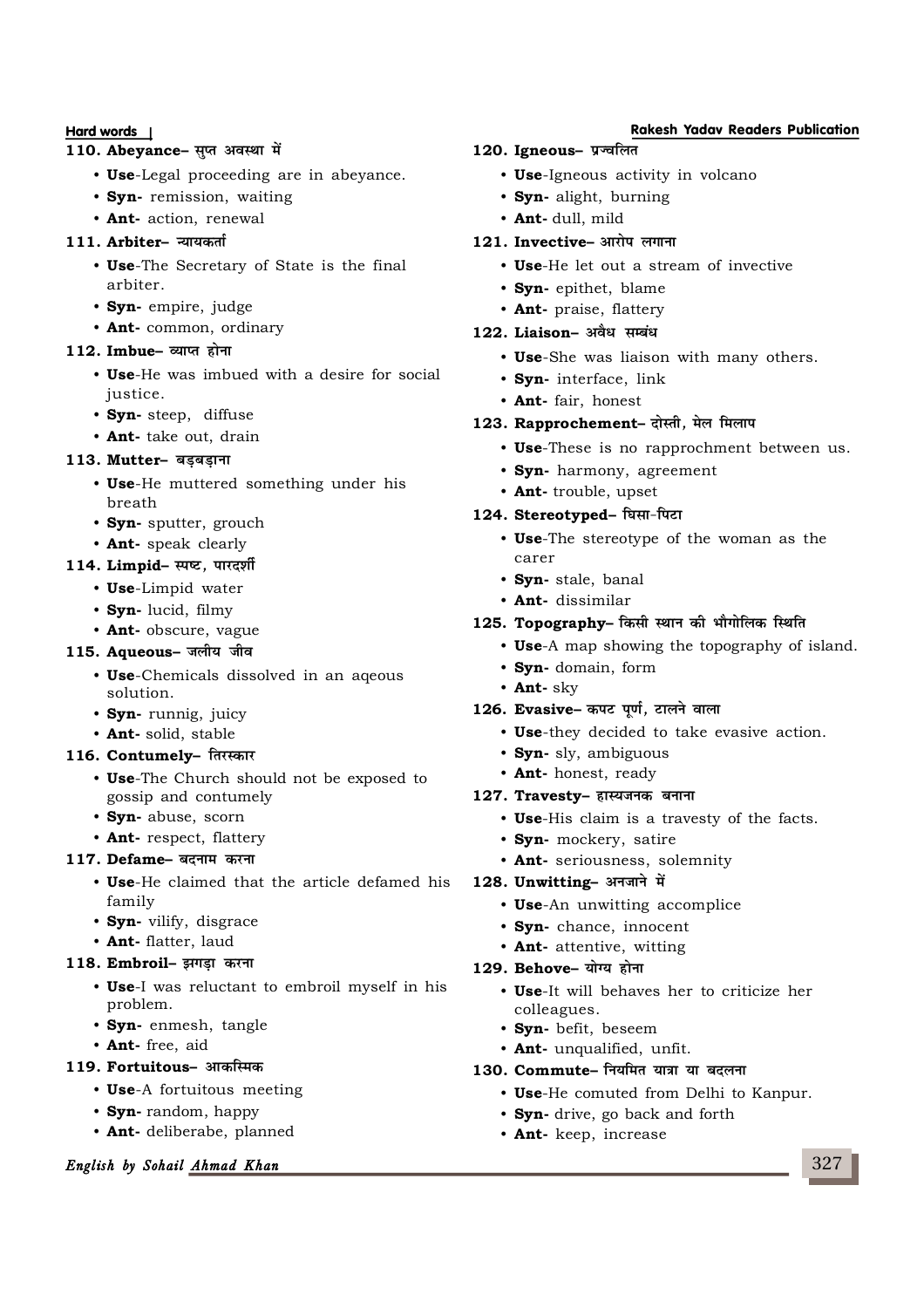## 110. Abeyance- सुप्त अवस्था में

- **Use**-Legal proceeding are in abeyance.
- **Syn-** remission, waiting
- **Ant-** action, renewal

### 111. **Arbiter** न्यायकर्ता

- **Use**-The Secretary of State is the final arbiter.
- **Syn-** empire, judge
- **Ant-** common, ordinary

#### 112. **Imbue** व्याप्त होना

- **Use**-He was imbued with a desire for social justice.
- **Syn-** steep, diffuse
- **Ant-** take out, drain

#### $113.$  **Mutter-** बड़बड़ाना

- **Use**-He muttered something under his breath
- **Syn-** sputter, grouch
- **Ant-** speak clearly

## 114. Limpid- स्पष्ट, पारदर्शी

- **Use**-Limpid water
- **Syn-** lucid, filmy
- **Ant-** obscure, vague

### 115. **Aqueous**- जलीय जीव

- **Use**-Chemicals dissolved in an aqeous solution.
- **Syn-** runnig, juicy
- **Ant-** solid, stable

## 116. **Contumely- तिरस्कार**

- **Use**-The Church should not be exposed to gossip and contumely
- **Syn-** abuse, scorn
- **Ant-** respect, flattery

## 117. **Defame** वदनाम करना

- **Use**-He claimed that the article defamed his family
- **Syn-** vilify, disgrace
- **Ant-** flatter, laud

## 118. **Embroil**- झगडा करना

- **Use**-I was reluctant to embroil myself in his problem.
- **Syn-** enmesh, tangle
- **Ant-** free, aid

## 119. Fortuitous- आकस्मिक

- **Use**-A fortuitous meeting
- **Syn-** random, happy
- **Ant-** deliberabe, planned

## **English by Sohail Ahmad Khan**

#### **Hard words Rakesh Yadav Readers Publication** 120. Igneous- प्रज्वलित

- **Use**-Igneous activity in volcano
- **Syn-** alight, burning
- **Ant-** dull, mild

### **121. Invective– आरोप लगाना**

- **Use**-He let out a stream of invective
- **Syn-** epithet, blame
- **Ant-** praise, flattery

## 122. Liaison- अवैध सम्बंध

- **Use**-She was liaison with many others.
- **Syn-** interface, link
- **Ant-** fair, honest

#### 123. Rapprochement- दोस्ती, मेल मिलाप

- **Use**-These is no rapprochment between us.
- **Syn-** harmony, agreement
- **Ant-** trouble, upset

#### 124. Stereotyped- घिसा-पिटा

- **Use**-The stereotype of the woman as the carer
- **Syn-** stale, banal
- **Ant-** dissimilar

### 125. **Topography**– किसी स्थान की भौगोलिक स्थिति

- **Use**-A map showing the topography of island.
- **Syn-** domain, form
- **Ant-** sky

## 126. Evasive- कपट पर्ण. टालने वाला

- **Use**-they decided to take evasive action.
- **Syn-** sly, ambiguous
- **Ant-** honest, ready

## 127. Travesty- हास्यजनक बनाना

- **Use**-His claim is a travesty of the facts.
- **Syn-** mockery, satire
- **Ant-** seriousness, solemnity

## 128. Unwitting- अनजाने में

- **Use**-An unwitting accomplice
- **Syn-** chance, innocent
- **Ant-** attentive, witting

## 129. **Behove** योग्य होना

- **Use**-It will behaves her to criticize her colleagues.
- **Syn-** befit, beseem
- **Ant-** unqualified, unfit.

#### 130. **Commute**– नियमित यात्रा या बदलना

- **Use**-He comuted from Delhi to Kanpur.
- **Syn-** drive, go back and forth
- **Ant-** keep, increase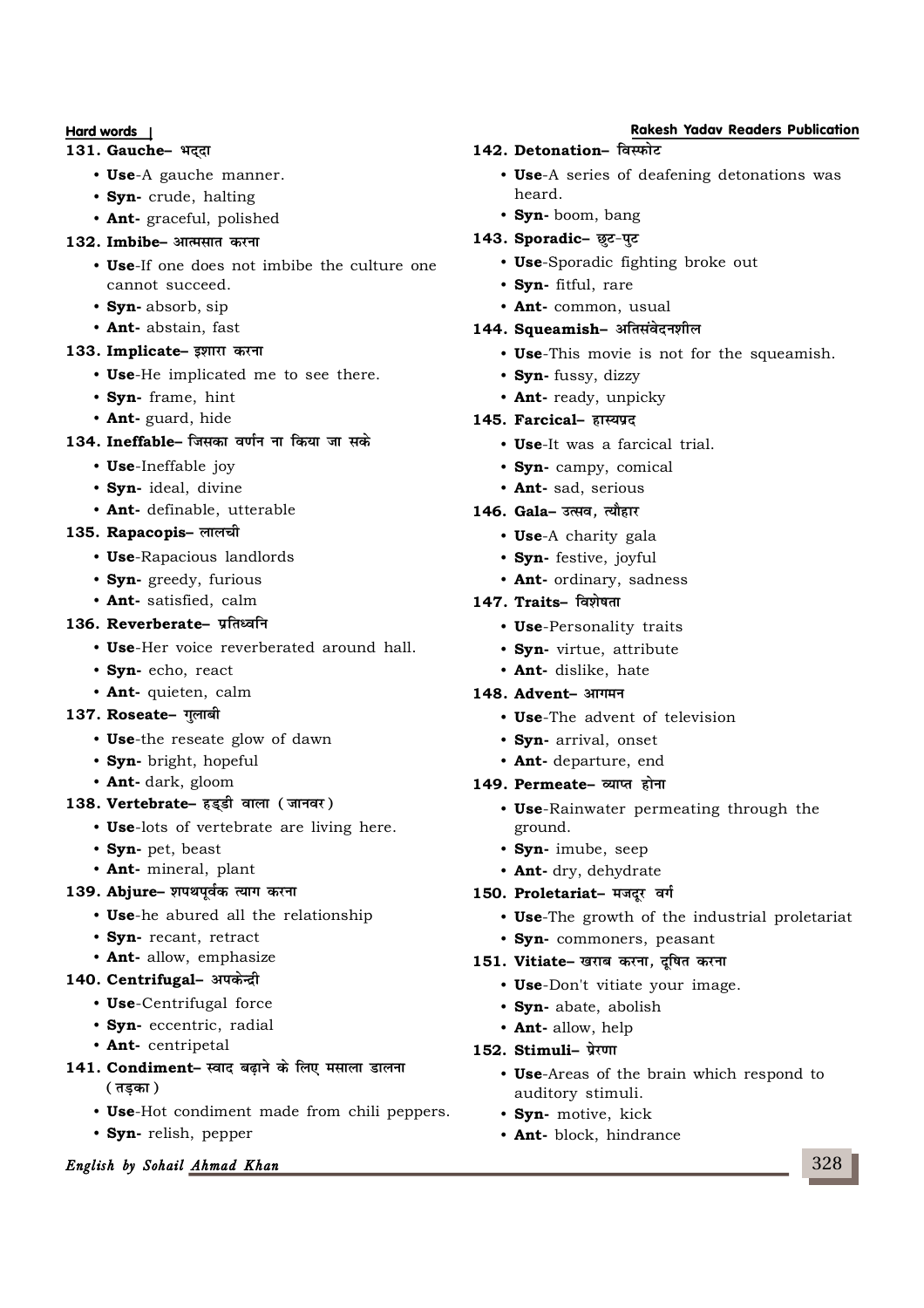#### $131.$  **Gauche-** भददा

- **Use**-A gauche manner.
- **Syn-** crude, halting
- **Ant-** graceful, polished

## 132. **Imbibe**– आत्मसात करना

- **Use**-If one does not imbibe the culture one cannot succeed.
- **Syn-** absorb, sip
- **Ant-** abstain, fast

## 133. Implicate- इशारा करना

- **Use**-He implicated me to see there.
- **Syn-** frame, hint
- **Ant-** guard, hide

## 134. **Ineffable**– जिसका वर्णन ना किया जा सके

- **Use**-Ineffable joy
- **Syn-** ideal, divine
- **Ant-** definable, utterable

## **135. Rapacopis-** लालची

- **Use**-Rapacious landlords
- **Syn-** greedy, furious
- **Ant-** satisfied, calm

## 136. Reverberate- प्रतिध्वनि

- **Use**-Her voice reverberated around hall.
- **Syn-** echo, react
- **Ant-** quieten, calm

## 137. Roseate- गुलाबी

- **Use**-the reseate glow of dawn
- **Syn-** bright, hopeful
- **Ant-** dark, gloom

## 138. **Vertebrate**– हड्डी वाला (जानवर)

- **Use**-lots of vertebrate are living here.
- **Syn-** pet, beast
- **Ant-** mineral, plant

## 139. **Abjure**– शपथपूर्वक त्याग करना

- **Use**-he abured all the relationship
- **Syn-** recant, retract
- **Ant-** allow, emphasize

## 140. Centrifugal- अपकेन्द्री

- **Use**-Centrifugal force
- **Syn-** eccentric, radial
- **Ant-** centripetal
- 141. **Condiment** स्वाद बढ़ाने के लिए मसाला डालना **(तडका)** 
	- **Use**-Hot condiment made from chili peppers.
	- **Syn-** relish, pepper

## **English by Sohail Ahmad Khan**

## **Hard words Rakesh Yadav Readers Publication**

## **142. Detonation- विस्फोट**

- **Use**-A series of deafening detonations was heard.
- **Syn-** boom, bang
- 143. Sporadic- छूट-पुट
	- **Use**-Sporadic fighting broke out
	- **Syn-** fitful, rare
	- **Ant-** common, usual

## 144. Squeamish- अतिसंवेदनशील

- **Use**-This movie is not for the squeamish.
- 
- **Syn-** fussy, dizzy
- **Ant-** ready, unpicky

## 145. **Farcical** हास्यप्रद

- **Use**-It was a farcical trial.
- **Syn-** campy, comical
- **Ant-** sad, serious
- **146. Gala- उत्सव. त्यौहार** 
	- **Use**-A charity gala
	- **Syn-** festive, joyful
	- **Ant-** ordinary, sadness

## 147. **Traits** - विशेषता

- **Use**-Personality traits
- **Syn-** virtue, attribute
- **Ant-** dislike, hate
- $148.$  **Advent** आगमन
	- **Use**-The advent of television
	- **Syn-** arrival, onset
	- **Ant-** departure, end

## 149. **Permeate**– व्याप्त होना

- **Use**-Rainwater permeating through the ground.
- **Syn-** imube, seep
- **Ant-** dry, dehydrate
- 150. Proletariat- मजदूर वर्ग
	- **Use**-The growth of the industrial proletariat
	- **Syn-** commoners, peasant

## 151. Vitiate- खराब करना, दषित करना

- **Use**-Don't vitiate your image.
- **Syn-** abate, abolish
- **Ant-** allow, help

## 152. Stimuli- प्रेरणा

- **Use**-Areas of the brain which respond to auditory stimuli.
- **Syn-** motive, kick
- **Ant-** block, hindrance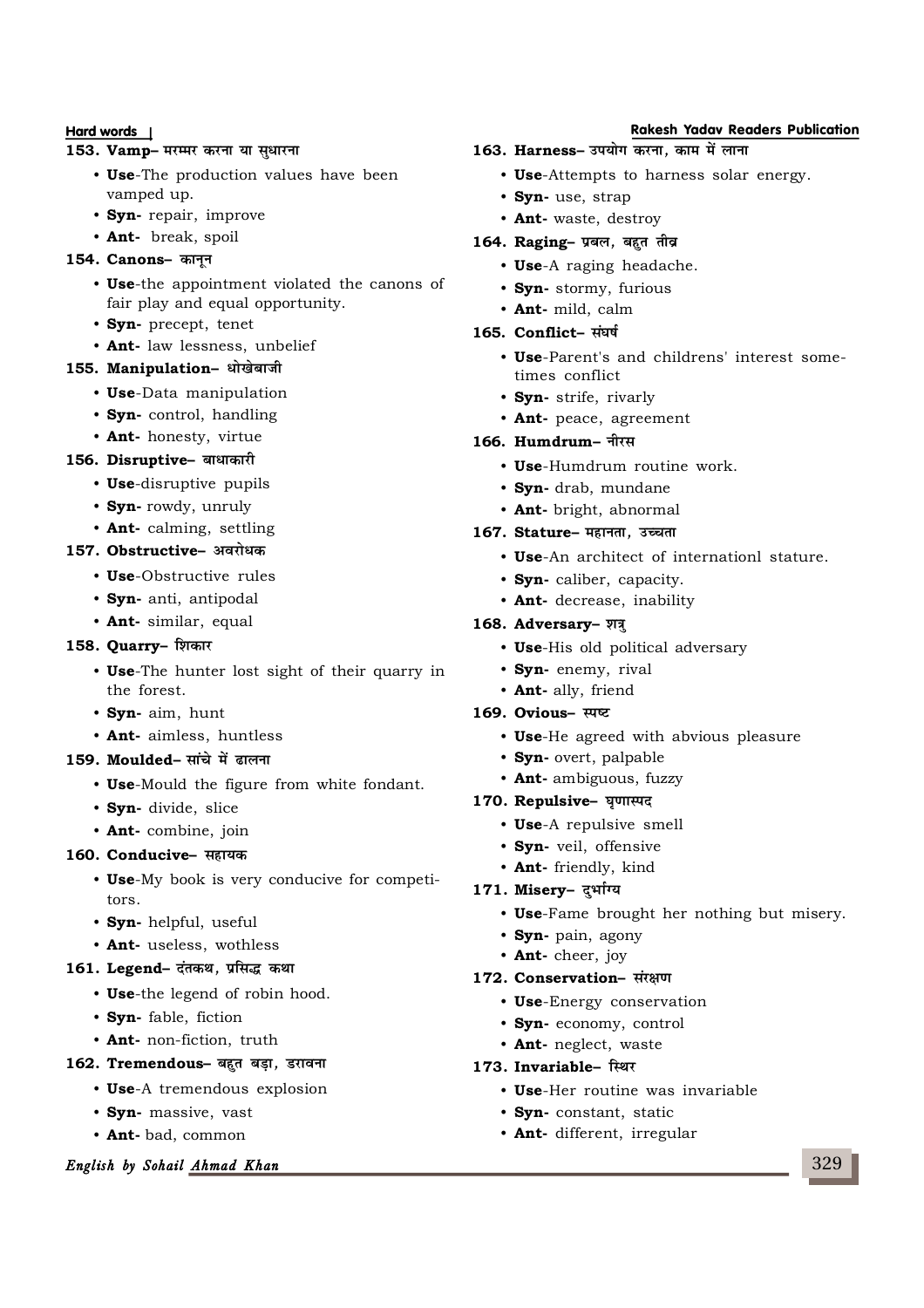### 153. **Vamp**- **HRHK** करना या सुधारना

- **Use**-The production values have been vamped up.
- **Syn-** repair, improve
- **Ant-** break, spoil

## $154.$  **Canons-** कानून

- **Use**-the appointment violated the canons of fair play and equal opportunity.
- **Syn-** precept, tenet
- **Ant-** law lessness, unbelief

## 155. Manipulation- धोखेबाजी

- **Use**-Data manipulation
- **Syn-** control, handling
- **Ant-** honesty, virtue

## 156. Disruptive– बाधाकारी

- **Use**-disruptive pupils
- **Syn-** rowdy, unruly
- **Ant-** calming, settling

## **157. Obstructive-** अवरोधक

- **Use**-Obstructive rules
- **Syn-** anti, antipodal
- **Ant-** similar, equal

## 158. **Quarry** - शिकार

- **Use**-The hunter lost sight of their quarry in the forest.
- **Syn-** aim, hunt
- **Ant-** aimless, huntless

## 159. Moulded- सांचे में ढालना

- **Use**-Mould the figure from white fondant.
- **Syn-** divide, slice
- **Ant-** combine, join

## 160. Conducive– सहायक

- **Use**-My book is very conducive for competitors.
- **Syn-** helpful, useful
- **Ant-** useless, wothless

## 161. Legend- दंतकथ, प्रसिद्ध कथा

- **Use**-the legend of robin hood.
- **Syn-** fable, fiction
- **Ant-** non-fiction, truth

## 162. **Tremendous** वहत बड़ा, डरावना

- **Use**-A tremendous explosion
- **Syn-** massive, vast
- **Ant-** bad, common

## **English by Sohail Ahmad Khan**

## **Hard words Rakesh Yadav Readers Publication**

- 163. **Harness- उपयोग करना, काम में लाना** 
	- **Use**-Attempts to harness solar energy.
	- **Syn-** use, strap
	- **Ant-** waste, destroy

## 164. **Raging** - प्रबल, बहुत तीव्र

- **Use**-A raging headache.
- **Syn-** stormy, furious
- **Ant-** mild, calm

## 165. **Conflict- संघर्ष**

- **Use**-Parent's and childrens' interest sometimes conflict
- **Syn-** strife, rivarly
- **Ant-** peace, agreement

## 166. **Humdrum**– नीरस

- **Use**-Humdrum routine work.
- **Syn-** drab, mundane
- **Ant-** bright, abnormal

## 167. Stature- महानता, उच्चता

- **Use**-An architect of internationl stature.
- **Syn-** caliber, capacity.
- **Ant-** decrease, inability

## 168. Adversary- शत्र

- **Use**-His old political adversary
- **Syn-** enemy, rival
- **Ant-** ally, friend

## 169. Ovious- स्पष्ट

- **Use**-He agreed with abvious pleasure
- **Syn-** overt, palpable
- **Ant-** ambiguous, fuzzy

## 170. Repulsive- घृणास्पद

- **Use**-A repulsive smell
- **Syn-** veil, offensive
- **Ant-** friendly, kind

## 171. Misery- दर्भाग्य

- **Use**-Fame brought her nothing but misery.
- **Syn-** pain, agony
- **Ant-** cheer, joy

## 172. Conservation- संरक्षण

- **Use**-Energy conservation
- **Syn-** economy, control
- **Ant-** neglect, waste

## 173. **Invariable-** स्थिर

- **Use**-Her routine was invariable
- **Syn-** constant, static
- **Ant-** different, irregular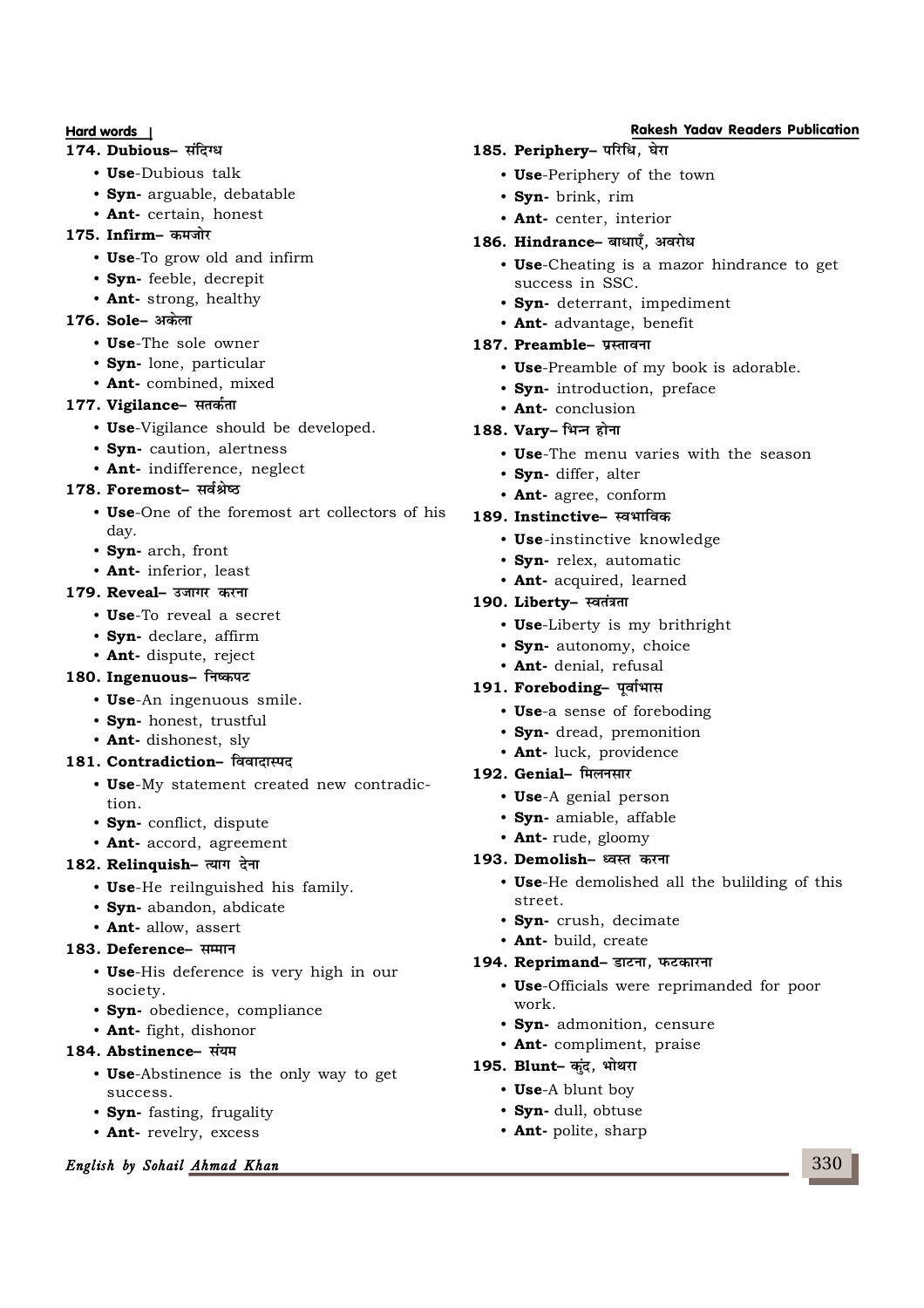## 174. **Dubious-** संदिग्ध

- **Use**-Dubious talk
- **Syn-** arguable, debatable
- **Ant-** certain, honest

## **175. Infirm**– कमजोर

- **Use**-To grow old and infirm
- **Syn-** feeble, decrepit
- **Ant-** strong, healthy

## $176.$  **Sole-** अकेला

- **Use**-The sole owner
- **Syn-** lone, particular
- **Ant-** combined, mixed

## 177. Vigilance- सतर्कता

- **Use**-Vigilance should be developed.
- **Syn-** caution, alertness
- **Ant-** indifference, neglect

## 178. **Foremost-** सर्वश्रेष्ठ

- **Use**-One of the foremost art collectors of his day.
- **Syn-** arch, front
- **Ant-** inferior, least

## 179. **Reveal** उजागर करना

- **Use**-To reveal a secret
- **Syn-** declare, affirm
- **Ant-** dispute, reject

## 180. Ingenuous- निष्कपट

- **Use**-An ingenuous smile.
- **Syn-** honest, trustful
- **Ant-** dishonest, sly

## 181. **Contradiction-** विवादास्पद

- **Use**-My statement created new contradiction.
- **Syn-** conflict, dispute
- **Ant-** accord, agreement

## 182. Relinquish- त्याग देना

- **Use**-He reilnguished his family.
- **Syn-** abandon, abdicate
- **Ant-** allow, assert

## $183.$  **Deference**– सम्मान

- **Use**-His deference is very high in our society.
- **Syn-** obedience, compliance
- **Ant-** fight, dishonor

## 184. Abstinence- संयम

- **Use**-Abstinence is the only way to get success.
- **Syn-** fasting, frugality
- **Ant-** revelry, excess

## **English by Sohail Ahmad Khan**

## **Hard words Rakesh Yadav Readers Publication**

- 185. **Periphery** परिधि, घेरा
	- **Use**-Periphery of the town
	- **Syn-** brink, rim
	- **Ant-** center, interior

## **186. Hindrance- बाधाएँ, अवरोध**

- **Use**-Cheating is a mazor hindrance to get success in SSC.
- **Syn-** deterrant, impediment
- **Ant-** advantage, benefit

## 187. Preamble– प्रस्तावना

- **Use**-Preamble of my book is adorable.
- **Syn-** introduction, preface
- **Ant-** conclusion

## $188.$  **Varv**- भिन्न होना

- **Use**-The menu varies with the season
- **Syn-** differ, alter
- **Ant-** agree, conform

## 189. Instinctive- स्वभाविक

- **Use**-instinctive knowledge
- **Syn-** relex, automatic
- **Ant-** acquired, learned

## 190. Liberty- स्वतंत्रता

- **Use**-Liberty is my brithright
- **Syn-** autonomy, choice
- **Ant-** denial, refusal

## 191. Foreboding- पूर्वाभास

- **Use**-a sense of foreboding
- **Syn-** dread, premonition
- **Ant-** luck, providence

## 192. **Genial**- मिलनसार

- **Use**-A genial person
- **Syn-** amiable, affable
- **Ant-** rude, gloomy

## 193. **Demolish**– ध्वस्त करना

- **Use**-He demolished all the bulilding of this street.
- **Syn-** crush, decimate
- **Ant-** build, create

## 194. **Reprimand**– डाटना, फटकारना

- **Use**-Officials were reprimanded for poor work.
- **Syn-** admonition, censure
- **Ant-** compliment, praise

## 195. **Blunt**– कुंद, भोथरा

- **Use**-A blunt boy
- **Syn-** dull, obtuse
- **Ant-** polite, sharp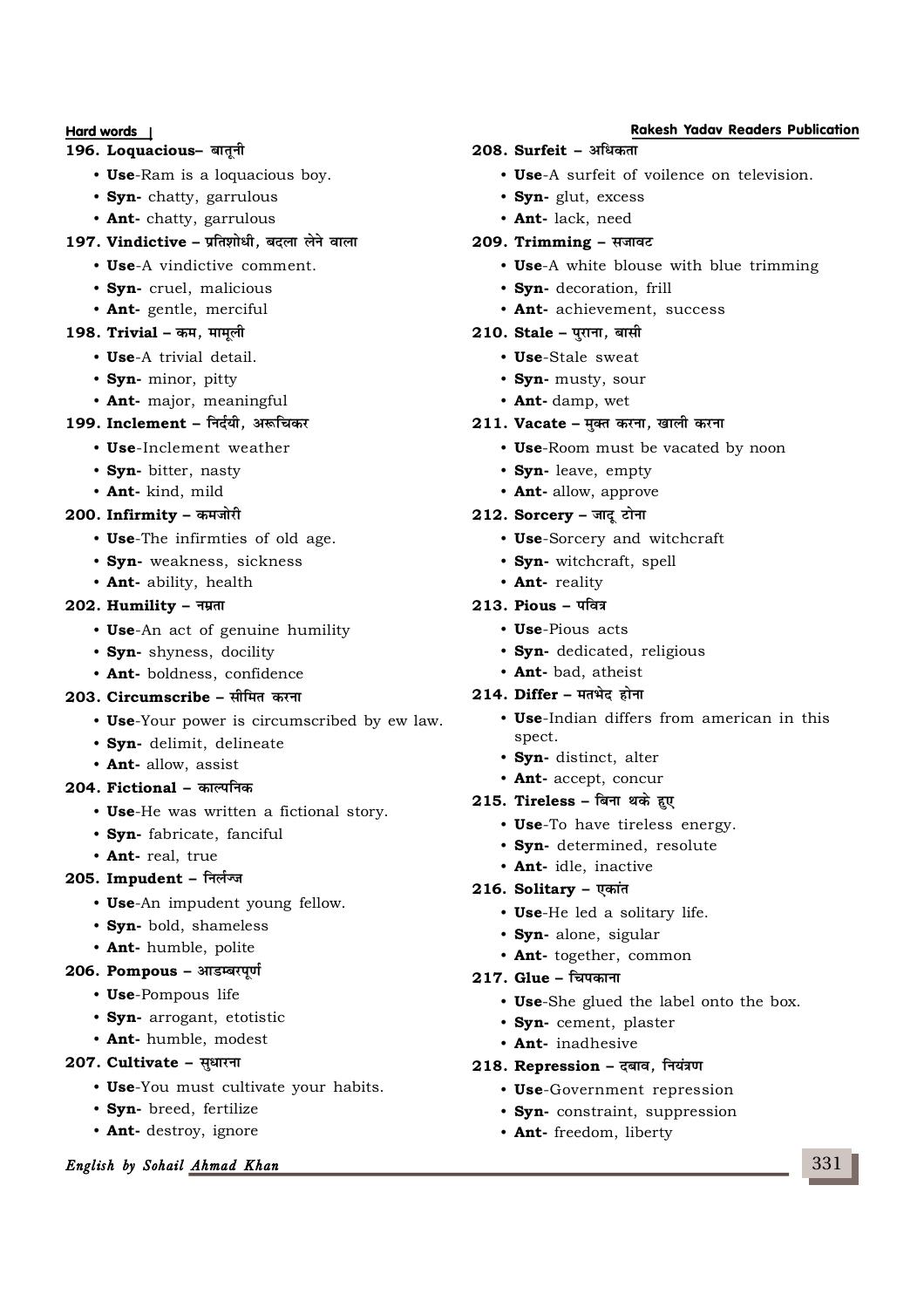#### 196. Loquacious- बातूनी

- **Use**-Ram is a loquacious boy.
- **Syn-** chatty, garrulous
- **Ant-** chatty, garrulous
- 197. Vindictive प्रतिशोधी, बदला लेने वाला
	- **Use**-A vindictive comment.
	- **Syn-** cruel, malicious
	- **Ant-** gentle, merciful

### 198. Trivial – कम, मामली

- **Use**-A trivial detail.
- **Syn-** minor, pitty
- **Ant-** major, meaningful
- 199. **Inclement निर्दयी**. अरूचिकर
	- **Use**-Inclement weather
	- **Syn-** bitter, nasty
	- **Ant-** kind, mild
- **200. Infirmity कमजोरी** 
	- **Use**-The infirmties of old age.
	- **Syn-** weakness, sickness
	- **Ant-** ability, health

## 202. **Humility - नम्रता**

- **Use**-An act of genuine humility
- **Syn-** shyness, docility
- **Ant-** boldness, confidence
- 203. Circumscribe सीमित करना
	- **Use**-Your power is circumscribed by ew law.
	- **Syn-** delimit, delineate
	- **Ant-** allow, assist

## 204. Fictional - काल्पनिक

- **Use**-He was written a fictional story.
- **Syn-** fabricate, fanciful
- **Ant-** real, true

## **205. Impudent – निर्लज्ज**

- **Use**-An impudent young fellow.
- **Syn-** bold, shameless
- **Ant-** humble, polite

## 206. **Pompous - आडम्बरपूर्ण**

- **Use**-Pompous life
- **Syn-** arrogant, etotistic
- **Ant-** humble, modest

## 207. **Cultivate - स्थारना**

- **Use**-You must cultivate your habits.
- **Syn-** breed, fertilize
- **Ant-** destroy, ignore

## **English by Sohail Ahmad Khan**

## **Hard words Rakesh Yadav Readers Publication**

- 208. Surfeit अधिकता
	- **Use**-A surfeit of voilence on television.
	- **Syn-** glut, excess
	- **Ant-** lack, need

## $209.$  **Trimming - सजावट**

- **Use**-A white blouse with blue trimming
- **Syn-** decoration, frill
- **Ant-** achievement, success

### 210. Stale - पराना, बासी

- **Use**-Stale sweat
- **Syn-** musty, sour
- **Ant-** damp, wet

#### 211. **Vacate – मुक्त करना, खाली करना**

- **Use**-Room must be vacated by noon
- **Syn-** leave, empty
- **Ant-** allow, approve
- $212.$  **Sorcery जाद् टोना** 
	- **Use**-Sorcery and witchcraft
	- **Syn-** witchcraft, spell
	- **Ant-** reality

## $213.$  **Pious - पवित्र**

- **Use**-Pious acts
- **Syn-** dedicated, religious
- **Ant-** bad, atheist

## $214.$  **Differ** – मतभेद होना

- **Use**-Indian differs from american in this spect.
- **Syn-** distinct, alter
- **Ant-** accept, concur

## 215. Tireless - बिना थके हुए

- **Use**-To have tireless energy.
- **Syn-** determined, resolute
- **Ant-** idle, inactive

## **216. Solitary - एकांत**

- **Use**-He led a solitary life.
- **Syn-** alone, sigular
- **Ant-** together, common

## $217.$  Glue - चिपकाना

- **Use**-She glued the label onto the box.
- **Syn-** cement, plaster
- **Ant-** inadhesive

#### 218. **Repression - दबाव, नियंत्रण**

- **Use**-Government repression
- **Syn-** constraint, suppression
- **Ant-** freedom, liberty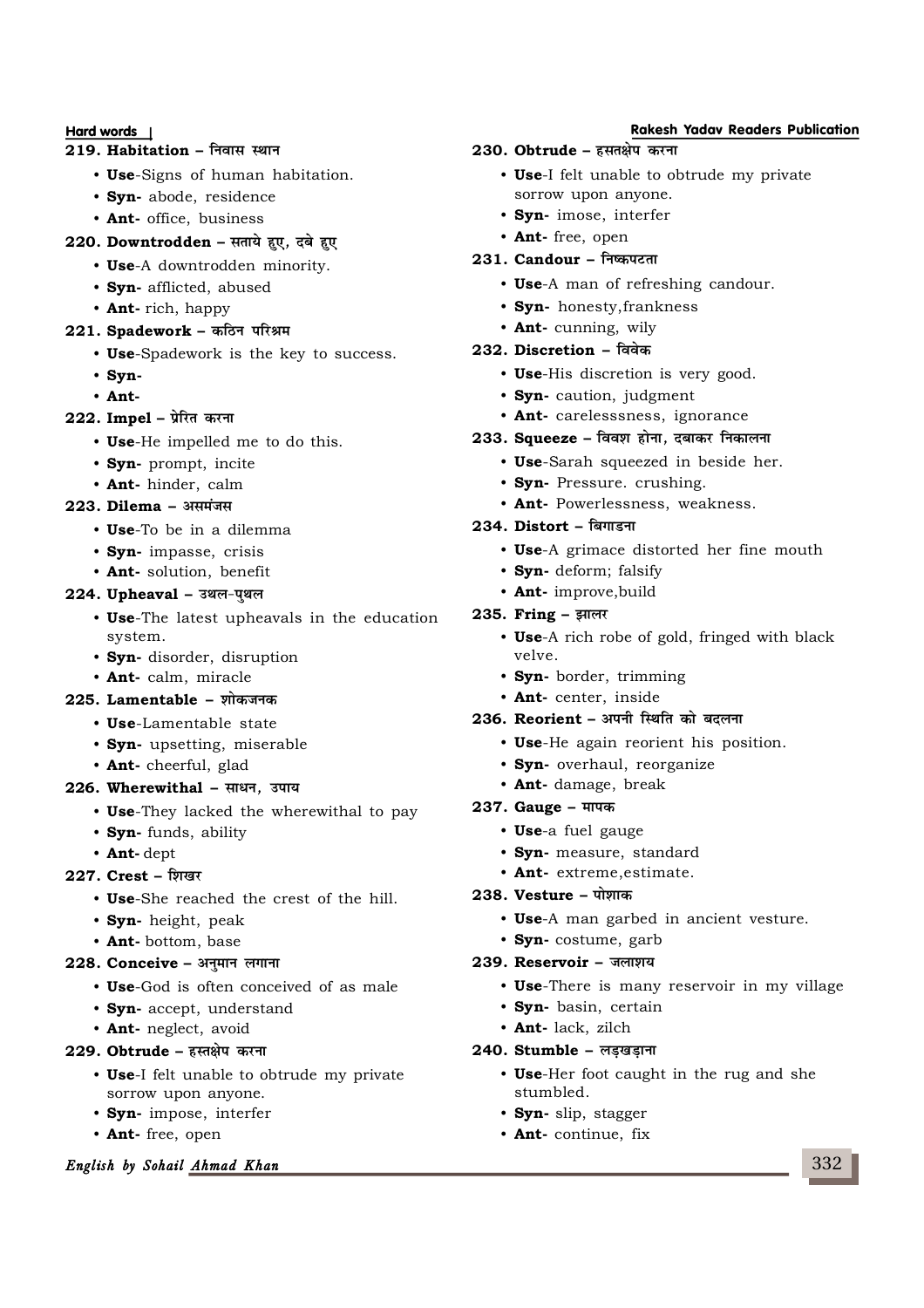## 219. **Habitation - निवास स्थान**

- **Use**-Signs of human habitation.
- **Syn-** abode, residence
- **Ant-** office, business
- 220. **Downtrodden सताये हुए, दबे हुए** 
	- **Use**-A downtrodden minority.
		- **Syn-** afflicted, abused
		- **Ant-** rich, happy

### 221. **Spadework - कठिन परिश्रम**

- **Use**-Spadework is the key to success.
- **Syn-**
- **Ant-**

## **222. Impel – प्रे**रित करना

- **Use**-He impelled me to do this.
- **Syn-** prompt, incite
- **Ant-** hinder, calm

## **223. Dilema - असमंजस**

- **Use**-To be in a dilemma
- **Syn-** impasse, crisis
- **Ant-** solution, benefit

#### 224. **Upheaval - उथल-पुथल**

- **Use**-The latest upheavals in the education system.
- **Syn-** disorder, disruption
- **Ant-** calm, miracle

## **225. Lamentable – शोकजनक**

- **Use**-Lamentable state
- **Syn-** upsetting, miserable
- **Ant-** cheerful, glad

## 226. Wherewithal - साधन, उपाय

- **Use**-They lacked the wherewithal to pay
- **Syn-** funds, ability
- **Ant-** dept

## **227. Crest - शिखर**

- **Use**-She reached the crest of the hill.
- **Syn-** height, peak
- **Ant-** bottom, base

## 228. **Conceive - अनुमान लगाना**

- **Use**-God is often conceived of as male
- **Syn-** accept, understand
- **Ant-** neglect, avoid

## **229. Obtrude – हस्तक्षेप करना**

- **Use**-I felt unable to obtrude my private sorrow upon anyone.
- **Syn-** impose, interfer
- **Ant-** free, open

## **English by Sohail Ahmad Khan**

#### **Hard words Rakesh Yadav Readers Publication**

- 230. Obtrude हसतक्षेप करना
	- **Use**-I felt unable to obtrude my private sorrow upon anyone.
	- **Syn-** imose, interfer
	- **Ant-** free, open

#### 231. **Candour - निष्कपटता**

- **Use**-A man of refreshing candour.
- **Syn-** honesty,frankness
- **Ant-** cunning, wily

## $232.$  **Discretion - विवेक**

- **Use**-His discretion is very good.
- **Syn-** caution, judgment
- **Ant-** carelesssness, ignorance

## 233. Squeeze – विवश होना, दबाकर निकालना

- **Use**-Sarah squeezed in beside her.
- **Syn-** Pressure. crushing.
- **Ant-** Powerlessness, weakness.

## $234.$  **Distort - बिगाडना**

- **Use**-A grimace distorted her fine mouth
- **Syn-** deform; falsify
- **Ant-** improve,build

## **235. Fring - झालर**

- **Use**-A rich robe of gold, fringed with black velve.
- **Syn-** border, trimming
- **Ant-** center, inside

## 236. **Reorient - अपनी स्थिति को बदलना**

- **Use**-He again reorient his position.
- **Syn-** overhaul, reorganize
- **Ant-** damage, break

## 237. Gauge - मापक

- **Use**-a fuel gauge
- **Syn-** measure, standard
- **Ant-** extreme,estimate.

## $238.$  **Vesture - पोशाक**

- **Use**-A man garbed in ancient vesture.
- **Syn-** costume, garb

#### 239. **Reservoir - जलाशय**

- **Use**-There is many reservoir in my village
- **Syn-** basin, certain
- **Ant-** lack, zilch

## **240. Stumble - लडखडाना**

- **Use**-Her foot caught in the rug and she stumbled.
- **Syn-** slip, stagger
- **Ant-** continue, fix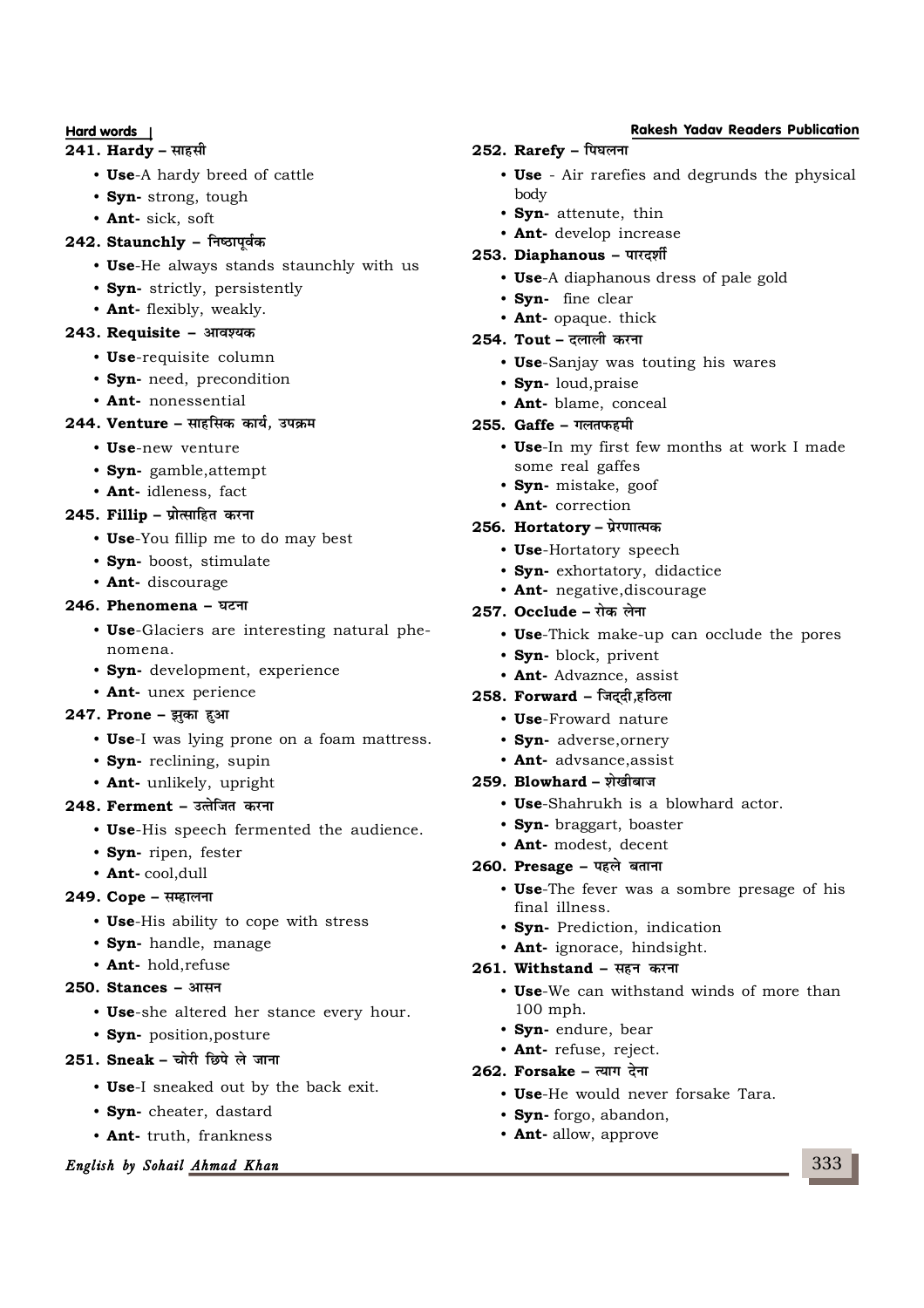#### **241. Hardy – साहसी**

- **Use**-A hardy breed of cattle
- **Syn-** strong, tough
- **Ant-** sick, soft

## 242. Staunchly - निष्ठापूर्वक

- **Use**-He always stands staunchly with us
- **Syn-** strictly, persistently
- **Ant-** flexibly, weakly.

## 243. **Requisite - आवश्यक**

- **Use**-requisite column
- **Syn-** need, precondition
- **Ant-** nonessential

## **244. Venture – साहसिक कार्य. उपक्रम**

- **Use**-new venture
- **Syn-** gamble,attempt
- **Ant-** idleness, fact
- **245. Fillip प्रोत्साहित करना** 
	- **Use**-You fillip me to do may best
	- **Syn-** boost, stimulate
	- **Ant-** discourage

## **246. Phenomena - घटना**

- **Use**-Glaciers are interesting natural phenomena.
- **Syn-** development, experience
- **Ant-** unex perience

## **247. Prone – झुका हुआ**

- **Use**-I was lying prone on a foam mattress.
- **Syn-** reclining, supin
- **Ant-** unlikely, upright

## **248. Ferment – उत्तेजित करना**

- **Use**-His speech fermented the audience.
- **Syn-** ripen, fester
- **Ant-** cool,dull

## **249. Cope – सम्हालना**

- **Use**-His ability to cope with stress
- **Syn-** handle, manage
- **Ant-** hold,refuse

## $250.$  **Stances - आसन**

- **Use**-she altered her stance every hour.
- **Syn-** position,posture

## **251. Sneak - चोरी छिपे ले जाना**

- **Use**-I sneaked out by the back exit.
- **Syn-** cheater, dastard
- **Ant-** truth, frankness

## **English by Sohail Ahmad Khan**

## **252. Rarefy - पिघलना**

- **Use**  Air rarefies and degrunds the physical body
- **Syn-** attenute, thin
- **Ant-** develop increase

## **253. Diaphanous - पारदर्शी**

- **Use**-A diaphanous dress of pale gold
- **Syn-** fine clear
- **Ant-** opaque. thick

## **254. Tout – दलाली करना**

- **Use**-Sanjay was touting his wares
- **Syn-** loud,praise
- **Ant-** blame, conceal

## **255. Gaffe – गलतफहमी**

- **Use**-In my first few months at work I made some real gaffes
- **Syn-** mistake, goof
- **Ant-** correction

## **256. Hortatory – प्रेरणात्मक**

- **Use**-Hortatory speech
- **Syn-** exhortatory, didactice
- **Ant-** negative,discourage

## **257. Occlude – रोक लेना**

- **Use**-Thick make-up can occlude the pores
- **Syn-** block, privent
- **Ant-** Advaznce, assist

## 258. **Forward - जिद्दी,हठिला**

- **Use**-Froward nature
- **Syn-** adverse,ornery
- **Ant-** advsance,assist

## **259. Blowhard - शेखीबाज**

- **Use**-Shahrukh is a blowhard actor.
- **Syn-** braggart, boaster
- **Ant-** modest, decent

## **260. Presage – पहले बताना**

- **Use**-The fever was a sombre presage of his final illness.
- **Syn-** Prediction, indication
- **Ant-** ignorace, hindsight.

## **261. Withstand - सहन करना**

- **Use**-We can withstand winds of more than 100 mph.
- **Syn-** endure, bear
- **Ant-** refuse, reject.

## **262. Forsake - त्याग देना**

- **Use**-He would never forsake Tara.
- **Syn-** forgo, abandon,
- **Ant-** allow, approve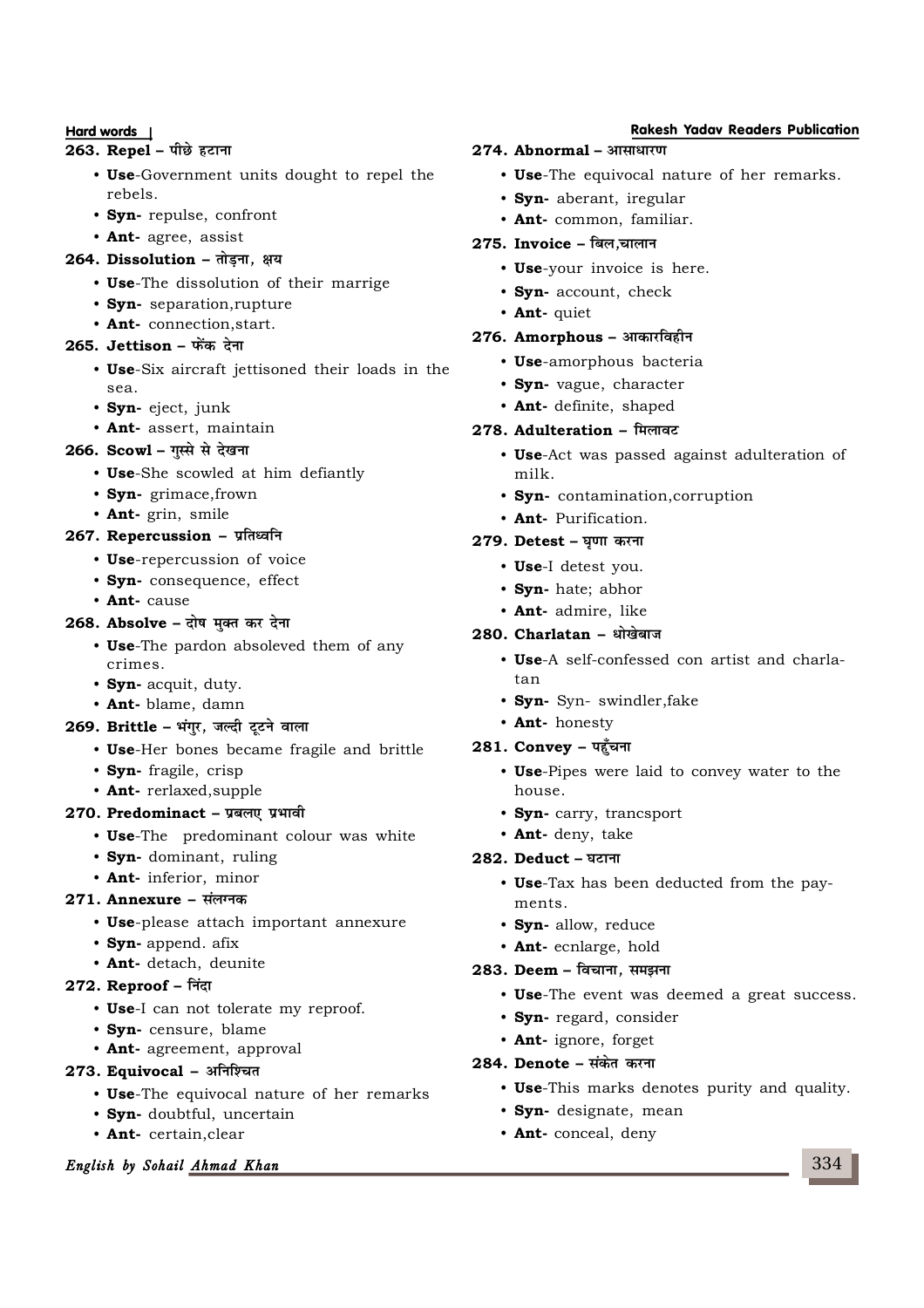#### **263. Repel – पीछे हटाना**

- **Use**-Government units dought to repel the rebels.
- **Syn-** repulse, confront
- **Ant-** agree, assist

## **264. Dissolution – तोडना. क्षय**

- **Use**-The dissolution of their marrige
- **Syn-** separation,rupture
- **Ant-** connection,start.

## **265. Jettison – फेंक देना**

- **Use**-Six aircraft jettisoned their loads in the sea.
- **Syn-** eject, junk
- **Ant-** assert, maintain

## **266. Scowl** – गुस्से से देखना

- **Use**-She scowled at him defiantly
- **Syn-** grimace,frown
- **Ant-** grin, smile

## 267. Repercussion - प्रतिध्वनि

- **Use**-repercussion of voice
- **Syn-** consequence, effect
- **Ant-** cause

## **268. Absolve – दोष मक्त कर देना**

- **Use**-The pardon absoleved them of any crimes.
- **Syn-** acquit, duty.
- **Ant-** blame, damn

## 269. **Brittle - भंगुर, जल्दी टूटने वाला**

- **Use**-Her bones became fragile and brittle
- **Syn-** fragile, crisp
- **Ant-** rerlaxed,supple

## 270. Predominact - प्रबलए प्रभावी

- **Use**-The predominant colour was white
- **Syn-** dominant, ruling
- **Ant-** inferior, minor

## 271. **Annexure - संलग्नक**

- **Use**-please attach important annexure
- **Syn-** append. afix
- **Ant-** detach, deunite

## $272.$  **Reproof** – निंदा

- **Use**-I can not tolerate my reproof.
- **Syn-** censure, blame
- **Ant-** agreement, approval

## 273. **Equivocal - अनिश्चित**

- **Use**-The equivocal nature of her remarks
- **Syn-** doubtful, uncertain
- **Ant-** certain,clear

## **English by Sohail Ahmad Khan**

## **Hard words Rakesh Yadav Readers Publication**

- **274. Abnormal आसाधारण** 
	- **Use**-The equivocal nature of her remarks.
	- **Syn-** aberant, iregular
	- **Ant-** common, familiar.

## 275. **Invoice - बिल,चालान**

- **Use**-your invoice is here.
- **Syn-** account, check
- **Ant-** quiet

## 276. Amorphous - आकारविहीन

- **Use**-amorphous bacteria
- **Syn-** vague, character
- **Ant-** definite, shaped

## **278. Adulteration – मिलावट**

- **Use**-Act was passed against adulteration of milk.
- **Syn-** contamination,corruption
- **Ant-** Purification.

## **279. Detest – घणा करना**

- **Use**-I detest you.
- **Syn-** hate; abhor
- **Ant-** admire, like

## 280. Charlatan - धोखेबाज

- **Use**-A self-confessed con artist and charlatan
- **Syn-** Syn- swindler,fake
- **Ant-** honesty

## $281.$  **Convey - पहुँचना**

- **Use**-Pipes were laid to convey water to the house.
- **Syn-** carry, trancsport
- **Ant-** deny, take

## $282.$  **Deduct** – घटाना

- **Use**-Tax has been deducted from the payments.
- **Syn-** allow, reduce
- **Ant-** ecnlarge, hold

## **283. Deem - विचाना, समझना**

- **Use**-The event was deemed a great success.
- **Syn-** regard, consider
- **Ant-** ignore, forget
- 284. **Denote** संकेत करना
	- **Use**-This marks denotes purity and quality.
	- **Syn-** designate, mean
	- **Ant-** conceal, deny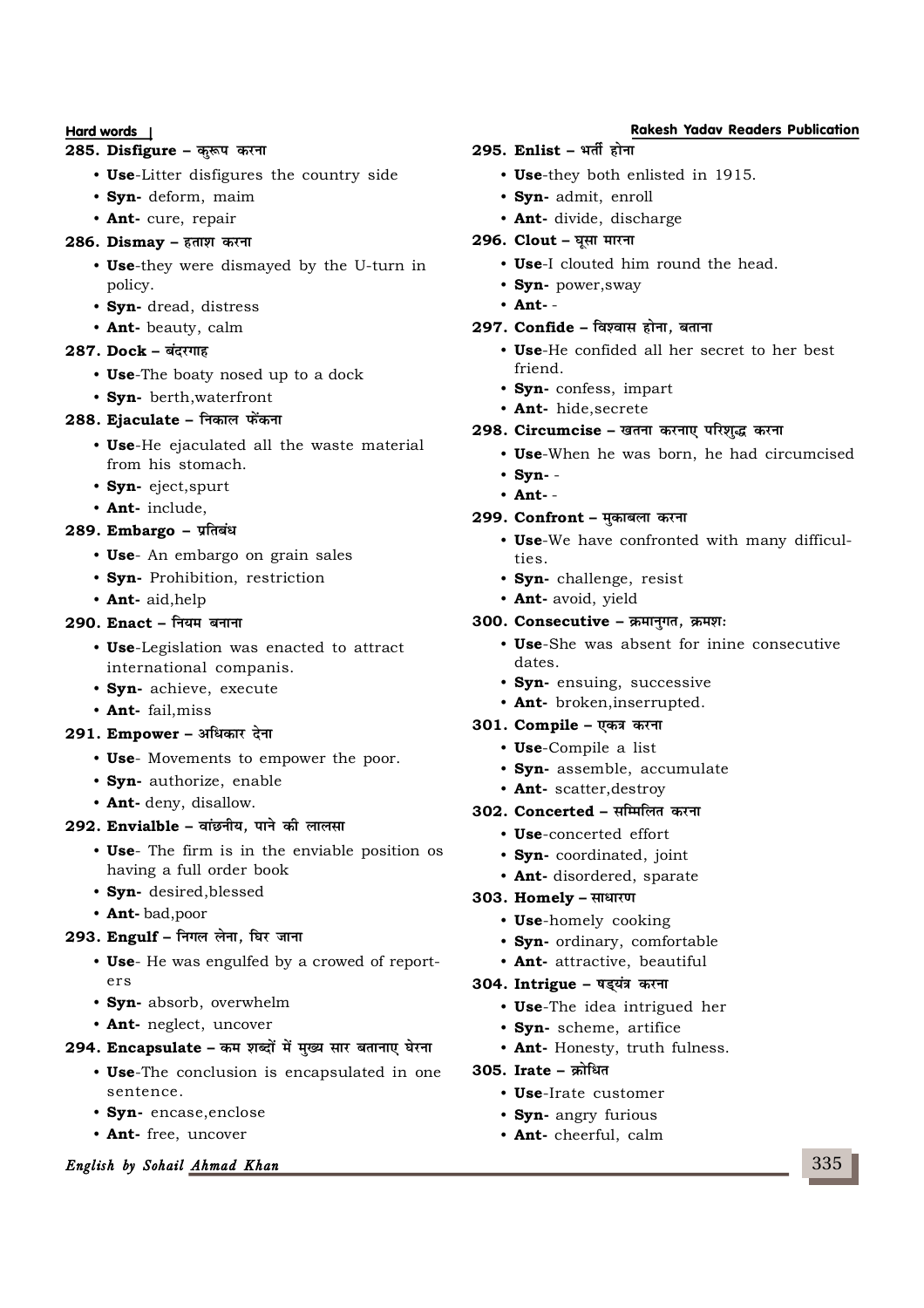## 285. Disfigure - कुरूप करना

- **Use**-Litter disfigures the country side
- **Syn-** deform, maim
- **Ant-** cure, repair

#### 286. **Dismay** – हताश करना

- **Use**-they were dismayed by the U-turn in policy.
- **Syn-** dread, distress
- **Ant-** beauty, calm

## 287. **Dock - बंदरगाह**

- **Use**-The boaty nosed up to a dock
- **Syn-** berth,waterfront

## **288. Ejaculate – निकाल फेंकना**

- **Use**-He ejaculated all the waste material from his stomach.
- **Syn-** eject,spurt
- **Ant-** include,

## 289. **Embargo - प्रतिबंध**

- **Use** An embargo on grain sales
- **Syn-** Prohibition, restriction
- **Ant-** aid,help

## $290.$  **Enact** – नियम बनाना

- **Use**-Legislation was enacted to attract international companis.
- **Syn-** achieve, execute
- **Ant-** fail,miss

#### **291. Empower - अधिकार देना**

- **Use** Movements to empower the poor.
- **Syn-** authorize, enable
- **Ant-** deny, disallow.

## 292. Envialble - वांछनीय, पाने की लालसा

- **Use** The firm is in the enviable position os having a full order book
- **Syn-** desired,blessed
- **Ant-** bad,poor

## 293. Engulf - निगल लेना, घिर जाना

- **Use** He was engulfed by a crowed of reporters
- **Syn-** absorb, overwhelm
- **Ant-** neglect, uncover

## 294. Encapsulate - कम शब्दों में मुख्य सार बतानाए घेरना

- **Use**-The conclusion is encapsulated in one sentence.
- **Syn-** encase,enclose
- **Ant-** free, uncover

## **English by Sohail Ahmad Khan**

## $295.$  **Enlist** – भर्ती होना

- **Use**-they both enlisted in 1915.
- **Syn-** admit, enroll
- **Ant-** divide, discharge
- **296. Clout घूसा मारना** 
	- **Use**-I clouted him round the head.
	- **Syn-** power,sway
	- **Ant-** -

#### 297. **Confide - विश्वास होना**, बताना

- **Use**-He confided all her secret to her best friend.
- **Syn-** confess, impart
- **Ant-** hide,secrete

#### 298. Circumcise – खतना करनाए परिशुद्ध करना

- **Use**-When he was born, he had circumcised
- **Syn-** -
- **Ant-** -

#### **299. Confront – मुकाबला करना**

- **Use**-We have confronted with many difficulties.
- **Syn-** challenge, resist
- **Ant-** avoid, yield
- 300. Consecutive क्रमान्गत, क्रमश:
	- **Use**-She was absent for inine consecutive dates.
	- **Syn-** ensuing, successive
	- **Ant-** broken,inserrupted.

## 301. **Compile - एकत्र करना**

- **Use**-Compile a list
- **Syn-** assemble, accumulate
- **Ant-** scatter,destroy

### 302. **Concerted – सम्मिलित करना**

- **Use**-concerted effort
- **Syn-** coordinated, joint
- **Ant-** disordered, sparate

#### **303. Homely - साधारण**

- **Use**-homely cooking
- **Syn-** ordinary, comfortable
- **Ant-** attractive, beautiful

### 304. Intrigue - षड्यंत्र करना

- **Use**-The idea intrigued her
- **Syn-** scheme, artifice
- **Ant-** Honesty, truth fulness.

## **305. Irate – Øksf/ r**

- **Use**-Irate customer
- **Syn-** angry furious
- **Ant-** cheerful, calm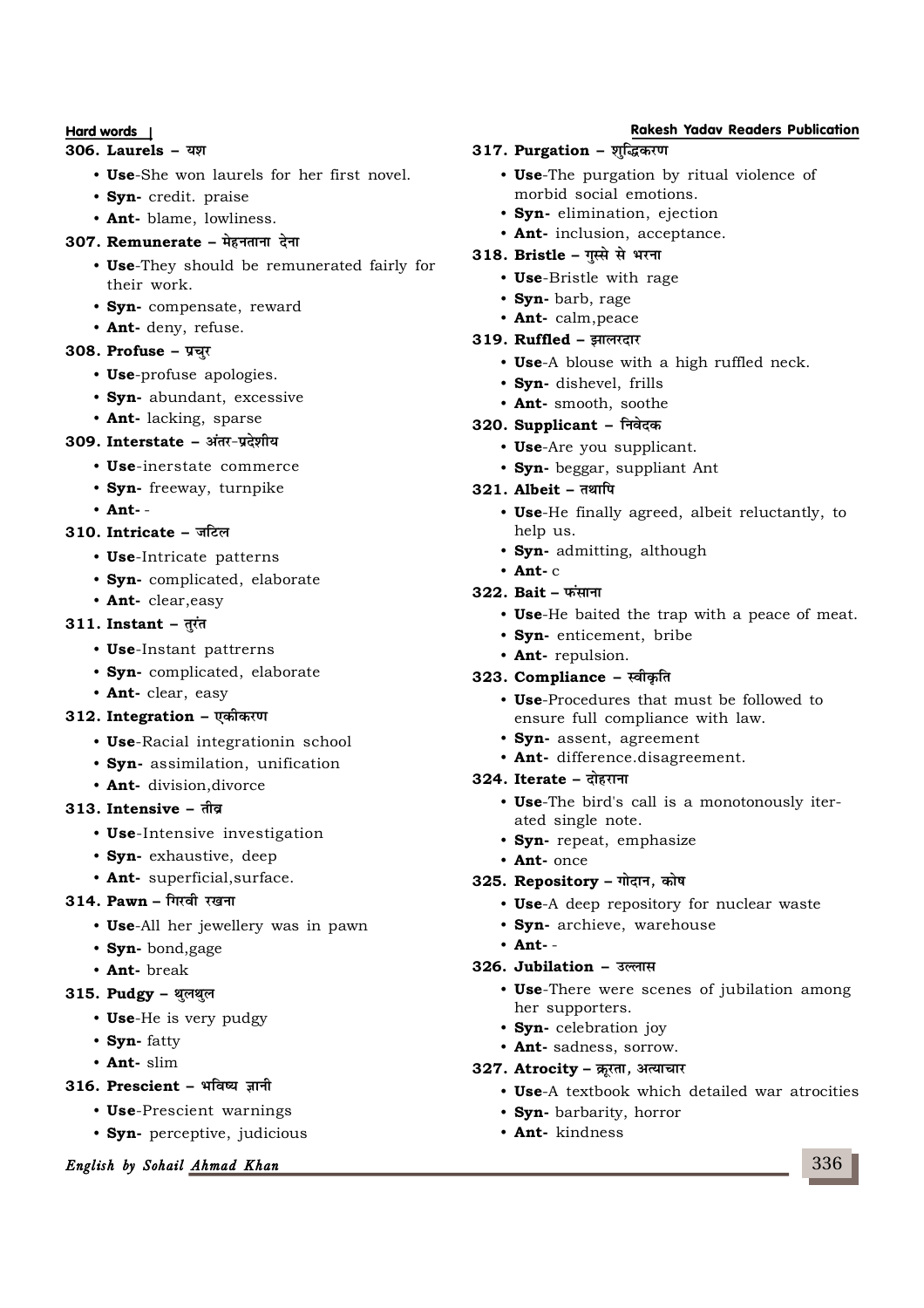#### **306. Laurels - यश**

- **Use**-She won laurels for her first novel.
- **Syn-** credit. praise
- **Ant-** blame, lowliness.

## 307. **Remunerate – मेहनताना देना**

- **Use**-They should be remunerated fairly for their work.
- **Syn-** compensate, reward
- **Ant-** deny, refuse.

## **308. Profuse – i zpqj**

- **Use**-profuse apologies.
- **Syn-** abundant, excessive
- **Ant-** lacking, sparse

## **309. Interstate – अंतर-प्रदेशीय**

- **Use**-inerstate commerce
- **Syn-** freeway, turnpike
- **Ant-** -

## **310. Intricate - जटिल**

- **Use**-Intricate patterns
- **Syn-** complicated, elaborate
- **Ant-** clear,easy

## 311. **Instant** – तरंत

- **Use**-Instant pattrerns
- **Syn-** complicated, elaborate
- **Ant-** clear, easy

## **312.** Integration - एकीकरण

- **Use**-Racial integrationin school
- **Syn-** assimilation, unification
- **Ant-** division,divorce

## **313. Intensive – rhoz**

- **Use**-Intensive investigation
- **Syn-** exhaustive, deep
- **Ant-** superficial,surface.

## **314. Pawn - गिरवी रखना**

- **Use**-All her jewellery was in pawn
- **Syn-** bond,gage
- **Ant-** break

## 315. **Pudgy - थुलथुल**

- **Use**-He is very pudgy
- **Syn-** fatty
- **Ant-** slim

## $316.$  **Prescient - भविष्य जानी**

- **Use**-Prescient warnings
- **Syn-** perceptive, judicious

## **English by Sohail Ahmad Khan**

## **Hard words Rakesh Yadav Readers Publication**

## 317. Purgation - शुद्धिकरण

- **Use**-The purgation by ritual violence of morbid social emotions.
- **Syn-** elimination, ejection
- **Ant-** inclusion, acceptance.

## **318. Bristle – गुस्से से भरना**

- **Use**-Bristle with rage
- **Syn-** barb, rage
- **Ant-** calm,peace

## **319. Ruffled – झालखार**

- **Use**-A blouse with a high ruffled neck.
- **Syn-** dishevel, frills
- **Ant-** smooth, soothe

## 320. Supplicant - निवेदक

- **Use**-Are you supplicant.
- **Syn-** beggar, suppliant Ant

## **321. Albeit – तथापि**

- **Use**-He finally agreed, albeit reluctantly, to help us.
- **Syn-** admitting, although

## • **Ant-** c

## **322. Bait – फंसाना**

- **Use**-He baited the trap with a peace of meat.
- **Syn-** enticement, bribe
- **Ant-** repulsion.

## **323. Compliance - स्वीकृति**

- **Use**-Procedures that must be followed to ensure full compliance with law.
- **Syn-** assent, agreement
- **Ant-** difference.disagreement.

## **324.** Iterate – दोहराना

- **Use**-The bird's call is a monotonously iterated single note.
- **Syn-** repeat, emphasize
- **Ant-** once

## **325. Repository - गोदान, कोष**

- **Use**-A deep repository for nuclear waste
- **Syn-** archieve, warehouse
- **Ant-** -

## 326. **Jubilation - उल्लास**

- **Use**-There were scenes of jubilation among her supporters.
- **Syn-** celebration joy
- **Ant-** sadness, sorrow.

## 327. Atrocity – क्रूरता, अत्याचार

- **Use**-A textbook which detailed war atrocities
- **Syn-** barbarity, horror
- **Ant-** kindness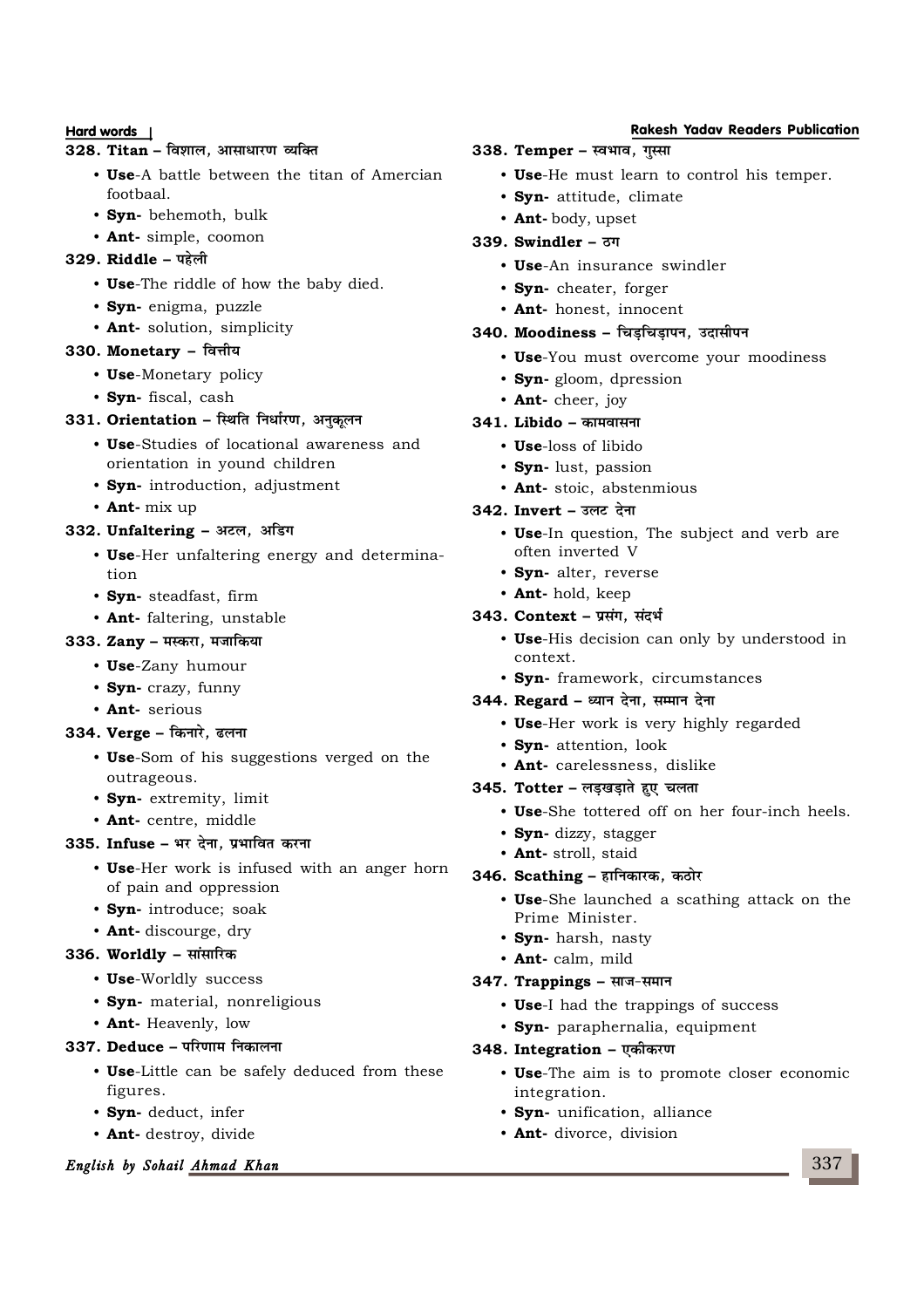## 328. Titan - विशाल, आसाधारण व्यक्ति

- **Use**-A battle between the titan of Amercian footbaal.
- **Syn-** behemoth, bulk
- **Ant-** simple, coomon

#### **329. Riddle – i gsyh**

- **Use**-The riddle of how the baby died.
- **Syn-** enigma, puzzle
- **Ant-** solution, simplicity

#### 330. **Monetary - वित्तीय**

- **Use**-Monetary policy
- **Syn-** fiscal, cash

#### 331. Orientation - स्थिति निर्धारण, अनुकूलन

- **Use**-Studies of locational awareness and orientation in yound children
- **Syn-** introduction, adjustment
- **Ant-** mix up

## 332. **Unfaltering - अटल, अडिग**

- **Use**-Her unfaltering energy and determination
- **Syn-** steadfast, firm
- **Ant-** faltering, unstable

## **333. Zany - मस्करा, मजाकिया**

- **Use**-Zany humour
- **Syn-** crazy, funny
- **Ant-** serious

#### **334. Verge – किनारे, ढलना**

- **Use**-Som of his suggestions verged on the outrageous.
- **Syn-** extremity, limit
- **Ant-** centre, middle

## **335. Infuse – भर देना. प्रभावित करना**

- **Use**-Her work is infused with an anger horn of pain and oppression
- **Syn-** introduce; soak
- **Ant-** discourge, dry

#### **336. Worldly – सांसारिक**

- **Use**-Worldly success
- **Syn-** material, nonreligious
- **Ant-** Heavenly, low

## 337. **Deduce – परिणाम निकालना**

- **Use**-Little can be safely deduced from these figures.
- **Syn-** deduct, infer
- **Ant-** destroy, divide

## **English by Sohail Ahmad Khan**

#### **Hard words Rakesh Yadav Readers Publication**

- 338. **Temper स्वभाव, गुस्सा** 
	- **Use**-He must learn to control his temper.
	- **Syn-** attitude, climate
	- **Ant-** body, upset
- **339. Swindler Bx**
	- **Use**-An insurance swindler
	- **Syn-** cheater, forger
	- **Ant-** honest, innocent

#### **340. Moodiness - चिडचिडापन, उदासीपन**

- **Use**-You must overcome your moodiness
- **Syn-** gloom, dpression
- **Ant-** cheer, joy

#### **341. Libido – dkeokl uk**

- **Use**-loss of libido
- **Syn-** lust, passion
- **Ant-** stoic, abstenmious

## **342. Invert – उलट देना**

- **Use**-In question, The subject and verb are often inverted V
- **Syn-** alter, reverse
- **Ant-** hold, keep

#### **343. Context - प्रसंग, संदर्भ**

- **Use**-His decision can only by understood in context.
- **Syn-** framework, circumstances

#### 344. **Regard – ध्यान देना, सम्मान देना**

- **Use**-Her work is very highly regarded
- **Syn-** attention, look
- **Ant-** carelessness, dislike

## **345. Totter – लड़खड़ाते हुए चलता**

- **Use**-She tottered off on her four-inch heels.
- **Syn-** dizzy, stagger
- **Ant-** stroll, staid

#### **346. Scathing – हानिकारक, कठोर**

- **Use**-She launched a scathing attack on the Prime Minister.
- **Syn-** harsh, nasty
- **Ant-** calm, mild

#### **347. Trappings - साज-समान**

- **Use**-I had the trappings of success
- **Syn-** paraphernalia, equipment

#### **348.** Integration - एकीकरण

- **Use**-The aim is to promote closer economic integration.
- **Syn-** unification, alliance
- **Ant-** divorce, division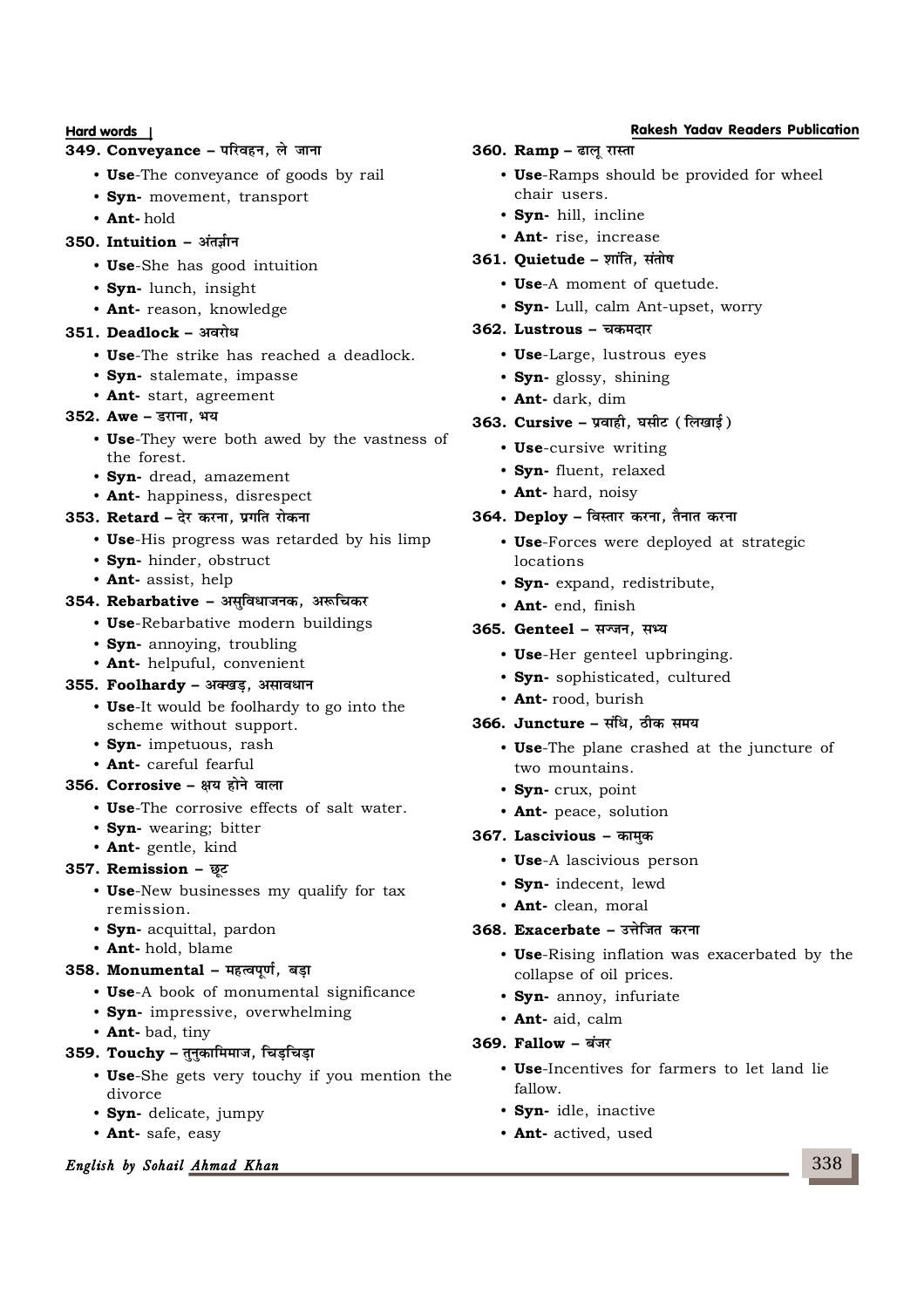## **349. Conveyance - परिवहन, ले जाना**

- **Use**-The conveyance of goods by rail
- **Syn-** movement, transport
- **Ant-** hold

### **350. Intuition - अंतर्ज़ान**

- **Use**-She has good intuition
- **Syn-** lunch, insight
- **Ant-** reason, knowledge

## **351. Deadlock - अवरोध**

- **Use**-The strike has reached a deadlock.
- **Syn-** stalemate, impasse
- **Ant-** start, agreement

## $352.$  Awe - डराना, भय

- **Use**-They were both awed by the vastness of the forest.
- **Syn-** dread, amazement
- **Ant-** happiness, disrespect

### 353. Retard – देर करना, प्रगति रोकना

- **Use**-His progress was retarded by his limp
- **Syn-** hinder, obstruct
- **Ant-** assist, help

## 354. Rebarbative - असुविधाजनक, अरूचिकर

- **Use**-Rebarbative modern buildings
- **Syn-** annoying, troubling
- **Ant-** helpuful, convenient

## **355. Foolhardy - अक्खड, असावधान**

- **Use**-It would be foolhardy to go into the scheme without support.
- **Syn-** impetuous, rash
- **Ant-** careful fearful

#### **356. Corrosive – क्षय होने वाला**

- **Use**-The corrosive effects of salt water.
- **Syn-** wearing; bitter
- **Ant-** gentle, kind

## **357. Remission - छूट**

- **Use**-New businesses my qualify for tax remission.
- **Syn-** acquittal, pardon
- **Ant-** hold, blame

## 358. Monumental - महत्वपूर्ण, बड़ा

- **Use**-A book of monumental significance
- **Syn-** impressive, overwhelming
- **Ant-** bad, tiny

## 359. **Touchy** – तुनुकामिमाज, चिड़चिड़ा

- **Use**-She gets very touchy if you mention the divorce
- **Syn-** delicate, jumpy
- **Ant-** safe, easy

## **English by Sohail Ahmad Khan**

## **360. Ramp – ढालु रास्ता**

- **Use**-Ramps should be provided for wheel chair users.
- **Syn-** hill, incline
- **Ant-** rise, increase

## **361. Ouietude – शांति. संतोष**

- **Use**-A moment of quetude.
- **Syn-** Lull, calm Ant-upset, worry

## $362.$  **Lustrous - चकमदार**

- **Use**-Large, lustrous eyes
- **Syn-** glossy, shining
- **Ant-** dark, dim

## 363. Cursive - प्रवाही, घसीट (लिखाई)

- **Use**-cursive writing
- **Syn-** fluent, relaxed
- **Ant-** hard, noisy

#### **364. Deploy –** विस्तार करना, तैनात करना

- **Use**-Forces were deployed at strategic locations
- **Syn-** expand, redistribute,
- **Ant-** end, finish

## 365. Genteel - सज्जन, सभ्य

- **Use**-Her genteel upbringing.
- **Syn-** sophisticated, cultured
- **Ant-** rood, burish

#### 366. Juncture - संधि, ठीक समय

- **Use**-The plane crashed at the juncture of two mountains.
- **Syn-** crux, point
- **Ant-** peace, solution

## $367.$  Lascivious - कामुक

- **Use**-A lascivious person
- **Syn-** indecent, lewd
- **Ant-** clean, moral

#### **368. Exacerbate – उत्तेजित करना**

- **Use**-Rising inflation was exacerbated by the collapse of oil prices.
- **Syn-** annoy, infuriate
- **Ant-** aid, calm

#### **369. Fallow - बंजर**

- **Use**-Incentives for farmers to let land lie fallow.
- **Syn-** idle, inactive
- **Ant-** actived, used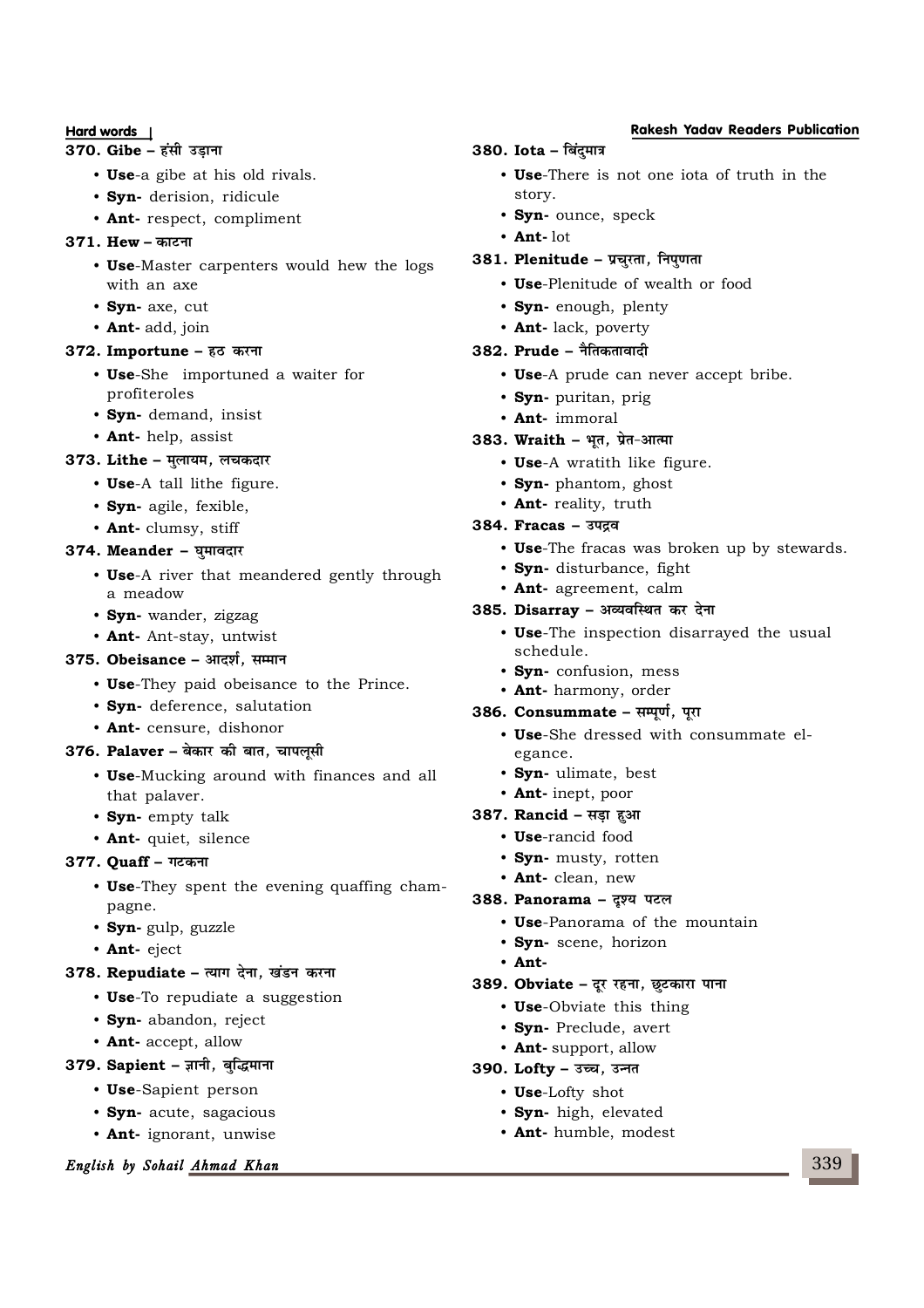#### **370. Gibe – हंसी उड़ाना**

- **Use**-a gibe at his old rivals.
- **Syn-** derision, ridicule
- **Ant-** respect, compliment

#### $371.$  **Hew** – काटना

- **Use**-Master carpenters would hew the logs with an axe
- **Syn-** axe, cut
- **Ant-** add, join

#### 372. **Importune** – हठ करना

- **Use**-She importuned a waiter for profiteroles
- **Syn-** demand, insist
- **Ant-** help, assist

## 373. Lithe - मुलायम, लचकदार

- **Use**-A tall lithe figure.
- **Syn-** agile, fexible,
- **Ant-** clumsy, stiff

## 374. **Meander - घ्मावदार**

- **Use**-A river that meandered gently through a meadow
- **Syn-** wander, zigzag
- **Ant-** Ant-stay, untwist

## 375. **Obeisance - आदर्श, सम्मान**

- **Use**-They paid obeisance to the Prince.
- **Syn-** deference, salutation
- **Ant-** censure, dishonor

## **376. Palaver – बेकार की बात, चापलूसी**

- **Use**-Mucking around with finances and all that palaver.
- **Syn-** empty talk
- **Ant-** quiet, silence

## $377.$  **Quaff** – गटकना

- **Use**-They spent the evening quaffing champagne.
- **Syn-** gulp, guzzle
- **Ant-** eject

## 378. Repudiate – त्याग देना, खंडन करना

- **Use**-To repudiate a suggestion
- **Syn-** abandon, reject
- **Ant-** accept, allow

## 379. Sapient - ज्ञानी, बुद्धिमाना

- **Use**-Sapient person
- **Syn-** acute, sagacious
- **Ant-** ignorant, unwise

## **English by Sohail Ahmad Khan**

## $380.$  **Iota** – बिंदमात्र

- **Use**-There is not one iota of truth in the story.
- **Syn-** ounce, speck
- **Ant-** lot

## 381. **Plenitude - प्रचुरता, निप्**णता

- **Use**-Plenitude of wealth or food
- **Syn-** enough, plenty

## • **Ant-** lack, poverty

## **382. Prude – नैतिकतावादी**

- **Use**-A prude can never accept bribe.
- **Syn-** puritan, prig
- **Ant-** immoral

## 383. Wraith - भत. प्रेत-आत्मा

- **Use**-A wratith like figure.
- **Syn-** phantom, ghost
- **Ant-** reality, truth

## **384. Fracas - उपद्रव**

- **Use**-The fracas was broken up by stewards.
- **Syn-** disturbance, fight
- **Ant-** agreement, calm

#### **385. Disarray - अव्यवस्थित कर देना**

- **Use**-The inspection disarrayed the usual schedule.
- **Syn-** confusion, mess
- **Ant-** harmony, order

## 386. **Consummate - सम्पर्ण. परा**

- **Use**-She dressed with consummate elegance.
- **Syn-** ulimate, best
- **Ant-** inept, poor

## **387. Rancid - सड़ा हुआ**

- **Use**-rancid food
- **Syn-** musty, rotten
- **Ant-** clean, new

## 388. **Panorama - दृश्य पटल**

- **Use**-Panorama of the mountain
- **Syn-** scene, horizon
- **Ant-**

## 389. Obviate – दूर रहना, छूटकारा पाना

- **Use**-Obviate this thing
- **Syn-** Preclude, avert
- **Ant-** support, allow

## **390. Lofty - उच्च, उन्तत**

- **Use**-Lofty shot
- **Syn-** high, elevated
- **Ant-** humble, modest

**339**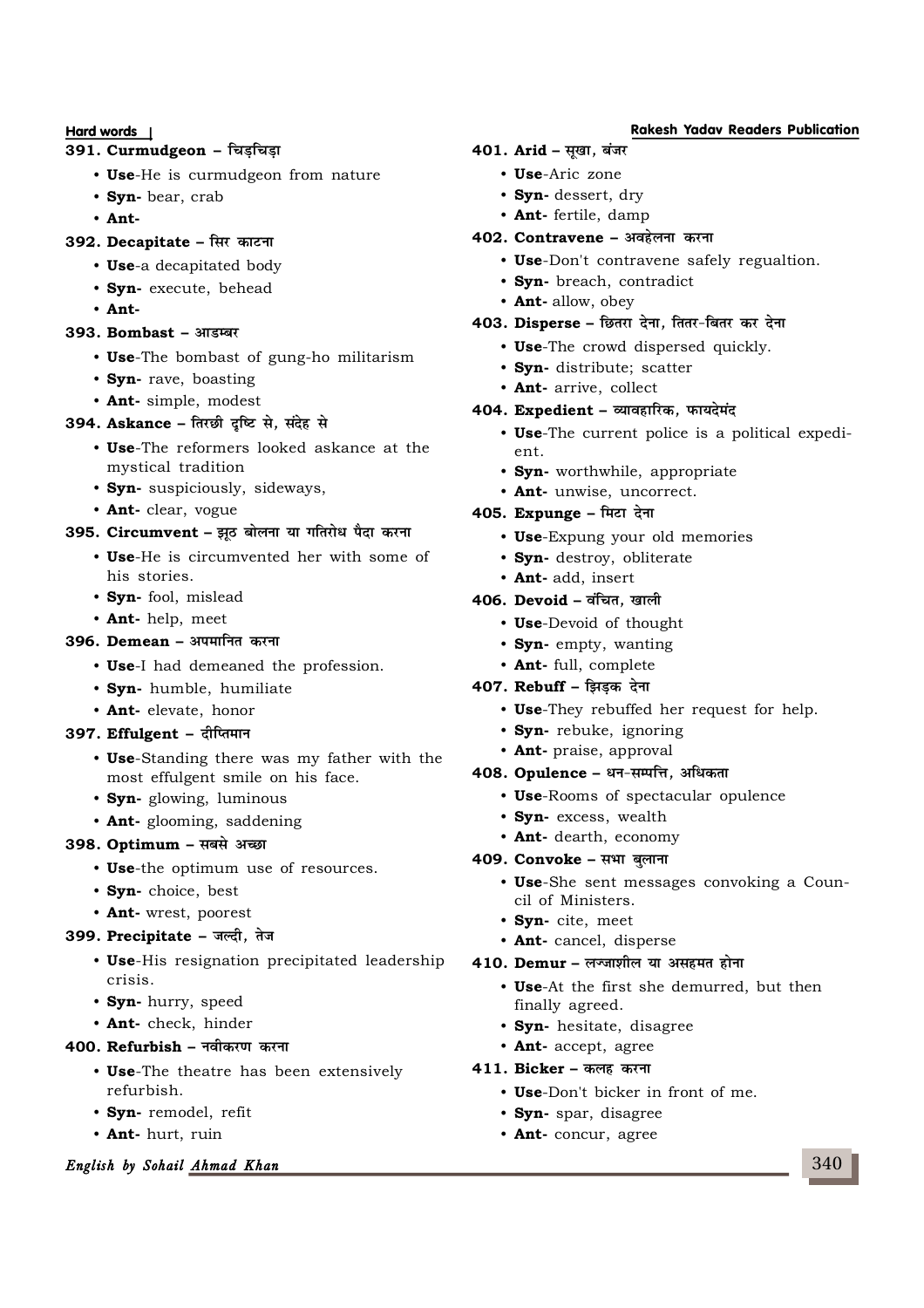## **391. Curmudgeon - चिड़चिड़ा**

- **Use**-He is curmudgeon from nature
- **Syn-** bear, crab
- **Ant-**

## **392. Decapitate – सिर काटना**

- **Use**-a decapitated body
- **Syn-** execute, behead
- **Ant-**

## **393. Bombast – आडम्बर**

- **Use**-The bombast of gung-ho militarism
- **Syn-** rave, boasting
- **Ant-** simple, modest

## **394. Askance - तिरछी दृष्टि से, संदेह से**

- **Use**-The reformers looked askance at the mystical tradition
- **Syn-** suspiciously, sideways,
- **Ant-** clear, vogue

## **395. Circumvent – झूठ बोलना या गतिरोध पैदा करना**

- **Use**-He is circumvented her with some of his stories.
- **Syn-** fool, mislead
- **Ant-** help, meet

## **396. Demean – अपमानित करना**

- **Use**-I had demeaned the profession.
- **Syn-** humble, humiliate
- **Ant-** elevate, honor

## $397.$  **Effulgent - दी**फ्तिमान

- **Use**-Standing there was my father with the most effulgent smile on his face.
- **Syn-** glowing, luminous
- **Ant-** glooming, saddening

## **398. Optimum - सबसे अच्छा**

- **Use**-the optimum use of resources.
- **Syn-** choice, best
- **Ant-** wrest, poorest

## 399. Precipitate - जल्दी, तेज

- **Use**-His resignation precipitated leadership crisis.
- **Syn-** hurry, speed
- **Ant-** check, hinder

## **400. Refurbish – नवीकरण करना**

- **Use**-The theatre has been extensively refurbish.
- **Syn-** remodel, refit
- **Ant-** hurt, ruin

## **English by Sohail Ahmad Khan**

## **401. Arid - सुखा, बंजर**

- **Use**-Aric zone
- **Syn-** dessert, dry
- **Ant-** fertile, damp

#### **402. Contravene – v ogsyuk djuk**

- **Use**-Don't contravene safely regualtion.
- **Syn-** breach, contradict
- **Ant-** allow, obey

## **403. Disperse – छितरा देना, तितर-बितर कर देना**

- **Use**-The crowd dispersed quickly.
- **Syn-** distribute; scatter
- **Ant-** arrive, collect

#### **404. Expedient – व्यावहारिक. फायदेमंद**

- **Use**-The current police is a political expedient.
- **Syn-** worthwhile, appropriate
- **Ant-** unwise, uncorrect.

## **405. Expunge – मिटा देना**

- **Use**-Expung your old memories
- **Syn-** destroy, obliterate
- **Ant-** add, insert

#### **406. Devoid - वंचित, खाली**

- **Use**-Devoid of thought
- **Syn-** empty, wanting
- **Ant-** full, complete

## **407. Rebuff – झिड़क देना**

- **Use**-They rebuffed her request for help.
- **Syn-** rebuke, ignoring
- **Ant-** praise, approval

#### **408. Opulence - धन-सम्पत्ति, अधिकता**

- **Use**-Rooms of spectacular opulence
- **Syn-** excess, wealth
- **Ant-** dearth, economy

## **409. Convoke - सभा बलाना**

- **Use**-She sent messages convoking a Council of Ministers.
- **Syn-** cite, meet
- **Ant-** cancel, disperse

#### **410. Demur – लज्जाशील या असहमत होना**

- **Use**-At the first she demurred, but then finally agreed.
- **Syn-** hesitate, disagree
- **Ant-** accept, agree

## **411. Bicker – कलह करना**

- **Use**-Don't bicker in front of me.
- **Syn-** spar, disagree
- **Ant-** concur, agree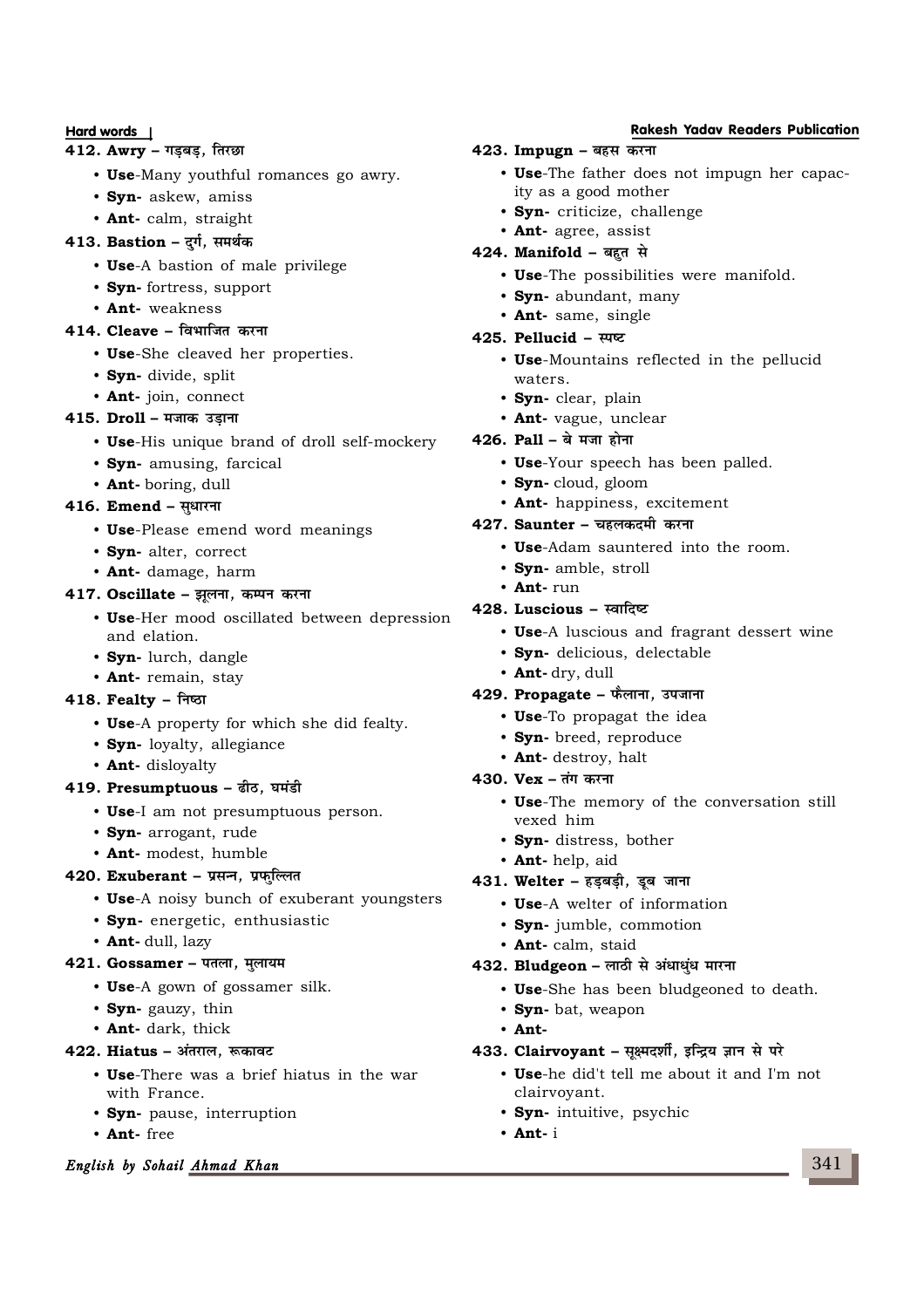## $412.$  Awry - गड़बड़, तिरछा

- **Use**-Many youthful romances go awry.
- **Syn-** askew, amiss
- **Ant-** calm, straight

## **413. Bastion - दुर्ग, समर्थक**

- **Use**-A bastion of male privilege
- **Syn-** fortress, support
- **Ant-** weakness

## $414.$  Cleave - विभाजित करना

- **Use**-She cleaved her properties.
- **Syn-** divide, split
- **Ant-** join, connect

## **415. Droll - मजाक उड़ाना**

- **Use**-His unique brand of droll self-mockery
- **Syn-** amusing, farcical
- **Ant-** boring, dull

## **416. Emend - सधारना**

- **Use**-Please emend word meanings
- **Syn-** alter, correct
- **Ant-** damage, harm

## 417. Oscillate - झूलना, कम्पन करना

- **Use**-Her mood oscillated between depression and elation.
- **Syn-** lurch, dangle
- **Ant-** remain, stay

## **418. Fealty - निष्ठा**

- **Use**-A property for which she did fealty.
- **Syn-** loyalty, allegiance
- **Ant-** disloyalty

## **419. Presumptuous - ढीठ, घमंडी**

- **Use**-I am not presumptuous person.
- **Syn-** arrogant, rude
- **Ant-** modest, humble

## 420. Exuberant - प्रसन्न, प्रफुल्लित

- **Use**-A noisy bunch of exuberant youngsters
- **Syn-** energetic, enthusiastic
- **Ant-** dull, lazy

## **421. Gossamer - पतला, मुलायम**

- **Use**-A gown of gossamer silk.
- **Syn-** gauzy, thin
- **Ant-** dark, thick

## **422. Hiatus – अंतराल, रूकावट**

- **Use**-There was a brief hiatus in the war with France.
- **Syn-** pause, interruption
- **Ant-** free

## **English by Sohail Ahmad Khan**

## **Hard words Rakesh Yadav Readers Publication**

- **423. Impugn बहस करना** 
	- **Use**-The father does not impugn her capacity as a good mother
	- **Syn-** criticize, challenge
	- **Ant-** agree, assist

## **424. Manifold - बहत से**

- **Use**-The possibilities were manifold.
- **Syn-** abundant, many
- **Ant-** same, single

## **425. Pellucid – स्पष्ट**

- **Use**-Mountains reflected in the pellucid waters.
- **Syn-** clear, plain
- **Ant-** vague, unclear

## **426. Pall - बे मजा होना**

- **Use**-Your speech has been palled.
- **Syn-** cloud, gloom
	- **Ant-** happiness, excitement

## **427. Saunter – चहलकदमी करना**

- **Use**-Adam sauntered into the room.
- **Syn-** amble, stroll
- **Ant-** run

## $428.$  **Luscious - स्वादिष्ट**

- **Use**-A luscious and fragrant dessert wine
- **Syn-** delicious, delectable
- **Ant-** dry, dull

## **429. Propagate – फैलाना, उपजाना**

- **Use**-To propagat the idea
- **Syn-** breed, reproduce
- **Ant-** destroy, halt

## **430. Vex – तंग करना**

- **Use**-The memory of the conversation still vexed him
- **Syn-** distress, bother
- **Ant-** help, aid

## $431.$  Welter - हड़बड़ी, डूब जाना

- **Use**-A welter of information
- **Syn-** jumble, commotion
- **Ant-** calm, staid

## **432. Bludgeon – लाठी से अंधाधंध मारना**

- **Use**-She has been bludgeoned to death.
- **Syn-** bat, weapon
- **Ant-**

## 433. Clairvoyant - सक्ष्मदर्शी, इन्द्रिय ज्ञान से परे

- **Use**-he did't tell me about it and I'm not clairvoyant.
- **Syn-** intuitive, psychic
- **Ant-** i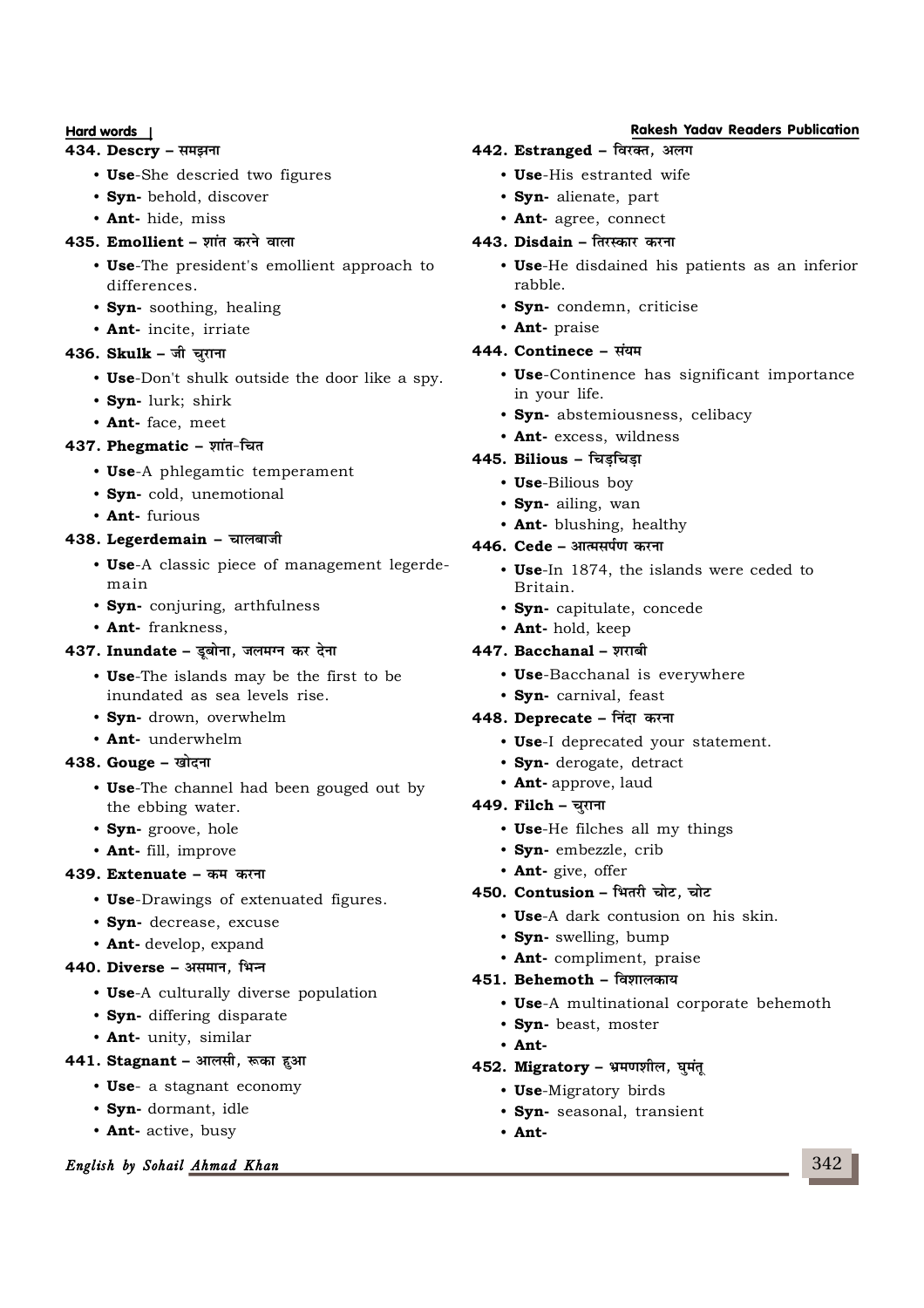#### $434.$  **Descry - समझना**

- **Use**-She descried two figures
- **Syn-** behold, discover
- **Ant-** hide, miss

## **435. Emollient – शांत करने वाला**

- **Use**-The president's emollient approach to differences.
- **Syn-** soothing, healing
- **Ant-** incite, irriate

## **436. Skulk - जी चुराना**

- **Use**-Don't shulk outside the door like a spy.
- **Syn-** lurk; shirk
- **Ant-** face, meet

## **437. Phegmatic - शांत-चित**

- **Use**-A phlegamtic temperament
- **Syn-** cold, unemotional
- **Ant-** furious

## **438. Legerdemain - चालबाजी**

- **Use**-A classic piece of management legerdemain
- **Syn-** conjuring, arthfulness
- **Ant-** frankness,

## **437. Inundate – डबोना. जलमग्न कर देना**

- **Use**-The islands may be the first to be inundated as sea levels rise.
- **Syn-** drown, overwhelm
- **Ant-** underwhelm

## **438. Gouge - खोदना**

- **Use**-The channel had been gouged out by the ebbing water.
- **Syn-** groove, hole
- **Ant-** fill, improve

## **439. Extenuate – कम करना**

- **Use**-Drawings of extenuated figures.
- **Syn-** decrease, excuse
- **Ant-** develop, expand

## **440. Diverse - असमान, भिन्न**

- **Use**-A culturally diverse population
- **Syn-** differing disparate
- **Ant-** unity, similar

## **441. Stagnant - आलसी, रूका हुआ**

- **Use** a stagnant economy
- **Syn-** dormant, idle
- **Ant-** active, busy

## **English by Sohail Ahmad Khan**

## **Hard words Rakesh Yadav Readers Publication**

- **442. Estranged विरक्त, अलग** 
	- **Use**-His estranted wife
	- **Syn-** alienate, part
	- **Ant-** agree, connect
- **443. Disdain तिरस्कार करना** 
	- **Use**-He disdained his patients as an inferior rabble.
	- **Syn-** condemn, criticise
	- **Ant-** praise

## **444. Continece - संयम**

- **Use**-Continence has significant importance in your life.
- **Syn-** abstemiousness, celibacy
- **Ant-** excess, wildness

## **445. Bilious - चिडचिडा**

- **Use**-Bilious boy
- **Syn-** ailing, wan
- **Ant-** blushing, healthy

## **446. Cede – आत्मसर्पण करना**

- **Use**-In 1874, the islands were ceded to Britain.
- **Syn-** capitulate, concede
- **Ant-** hold, keep

## **447. Bacchanal - शराबी**

- **Use**-Bacchanal is everywhere
- **Syn-** carnival, feast

## $448.$  **Deprecate - निंदा करना**

- **Use**-I deprecated your statement.
- **Syn-** derogate, detract
- **Ant-** approve, laud

## **449. Filch - चुराना**

- **Use**-He filches all my things
- **Syn-** embezzle, crib
- **Ant-** give, offer

## **450. Contusion - भितरी चोट, चोट**

- **Use**-A dark contusion on his skin.
- **Syn-** swelling, bump
- **Ant-** compliment, praise

## **451. Behemoth - बिशालकाय**

- **Use**-A multinational corporate behemoth
- **Syn-** beast, moster
- **Ant-**

## **452. Migratory – भ्रमणशील, घुमंतू**

- **Use**-Migratory birds
	- **Syn-** seasonal, transient
	- **Ant-**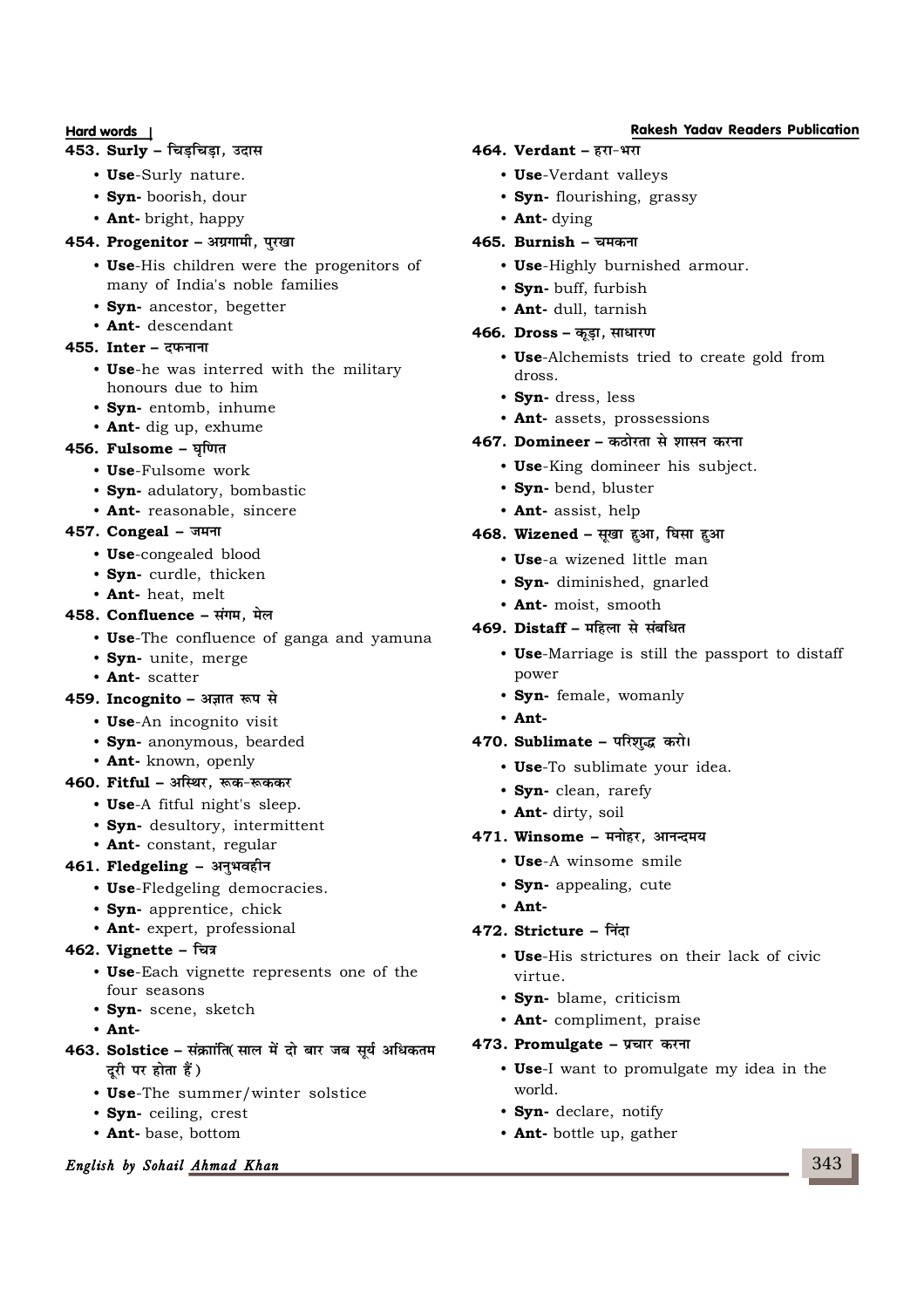## **453. Surly - चिड़चिड़ा, उदास**

- **Use**-Surly nature.
- **Syn-** boorish, dour
- **Ant-** bright, happy

## 454. **Progenitor - अग्रगामी, पुरखा**

- **Use**-His children were the progenitors of many of India's noble families
- **Syn-** ancestor, begetter
- **Ant-** descendant

## $455.$  Inter – दफनाना

- **Use**-he was interred with the military honours due to him
- **Syn-** entomb, inhume
- **Ant-** dig up, exhume

## **456. Fulsome - घृणित**

- **Use**-Fulsome work
- **Syn-** adulatory, bombastic
- **Ant-** reasonable, sincere

## $457.$  **Congeal - जमना**

- **Use**-congealed blood
- **Syn-** curdle, thicken
- **Ant-** heat, melt

## **458. Confluence - संगम, मेल**

- **Use**-The confluence of ganga and yamuna
- **Syn-** unite, merge
- **Ant-** scatter

## **459. Incognito – अज्ञात रूप से**

- **Use**-An incognito visit
- **Syn-** anonymous, bearded
- **Ant-** known, openly
- **460. Fitful अस्थिर, रूक-रूककर** 
	- **Use**-A fitful night's sleep.
	- **Syn-** desultory, intermittent
	- **Ant-** constant, regular

## $461.$  **Fledgeling - अनुभवहीन**

- **Use**-Fledgeling democracies.
- **Syn-** apprentice, chick
- **Ant-** expert, professional

## <u>**462. Vignette – चित्र**</u>

- **Use**-Each vignette represents one of the four seasons
- **Syn-** scene, sketch
- **Ant-**
- **463. Solstice संक्राांति साल में दो बार जब सर्य अधिकतम दुरी पर होता हैं** )
	- **Use**-The summer/winter solstice
	- **Syn-** ceiling, crest
	- **Ant-** base, bottom

## **English by Sohail Ahmad Khan**

## **Hard words Rakesh Yadav Readers Publication**

- **464. Verdant हरा-भरा** 
	- **Use**-Verdant valleys
	- **Syn-** flourishing, grassy
	- **Ant-** dying
- $465.$  **Burnish चमकना** 
	- **Use**-Highly burnished armour.
	- **Syn-** buff, furbish
	- **Ant-** dull, tarnish

## **466. Dross - कड़ा, साधारण**

- **Use**-Alchemists tried to create gold from dross.
- **Syn-** dress, less
- **Ant-** assets, prossessions

## **467. Domineer – कठोरता से शासन करना**

- **Use**-King domineer his subject.
- **Syn-** bend, bluster
- **Ant-** assist, help

## **468. Wizened - सूखा हुआ, घिसा हुआ**

- **Use**-a wizened little man
- **Syn-** diminished, gnarled
- **Ant-** moist, smooth

## **469. Distaff - महिला से संबंधित**

- **Use**-Marriage is still the passport to distaff power
- **Syn-** female, womanly
- **Ant-**

## **470. Sublimate - परिशुद्ध करो।**

- **Use**-To sublimate your idea.
- **Syn-** clean, rarefy
- **Ant-** dirty, soil

## **471. Winsome - मनोहर, आनन्दमय**

- **Use**-A winsome smile
- **Syn-** appealing, cute
- **Ant-**

## **472. Stricture - निंदा**

- **Use**-His strictures on their lack of civic virtue.
- **Syn-** blame, criticism
- **Ant-** compliment, praise

## **473. Promulgate - प्रचार करना**

- **Use**-I want to promulgate my idea in the world.
- **Syn-** declare, notify
- **Ant-** bottle up, gather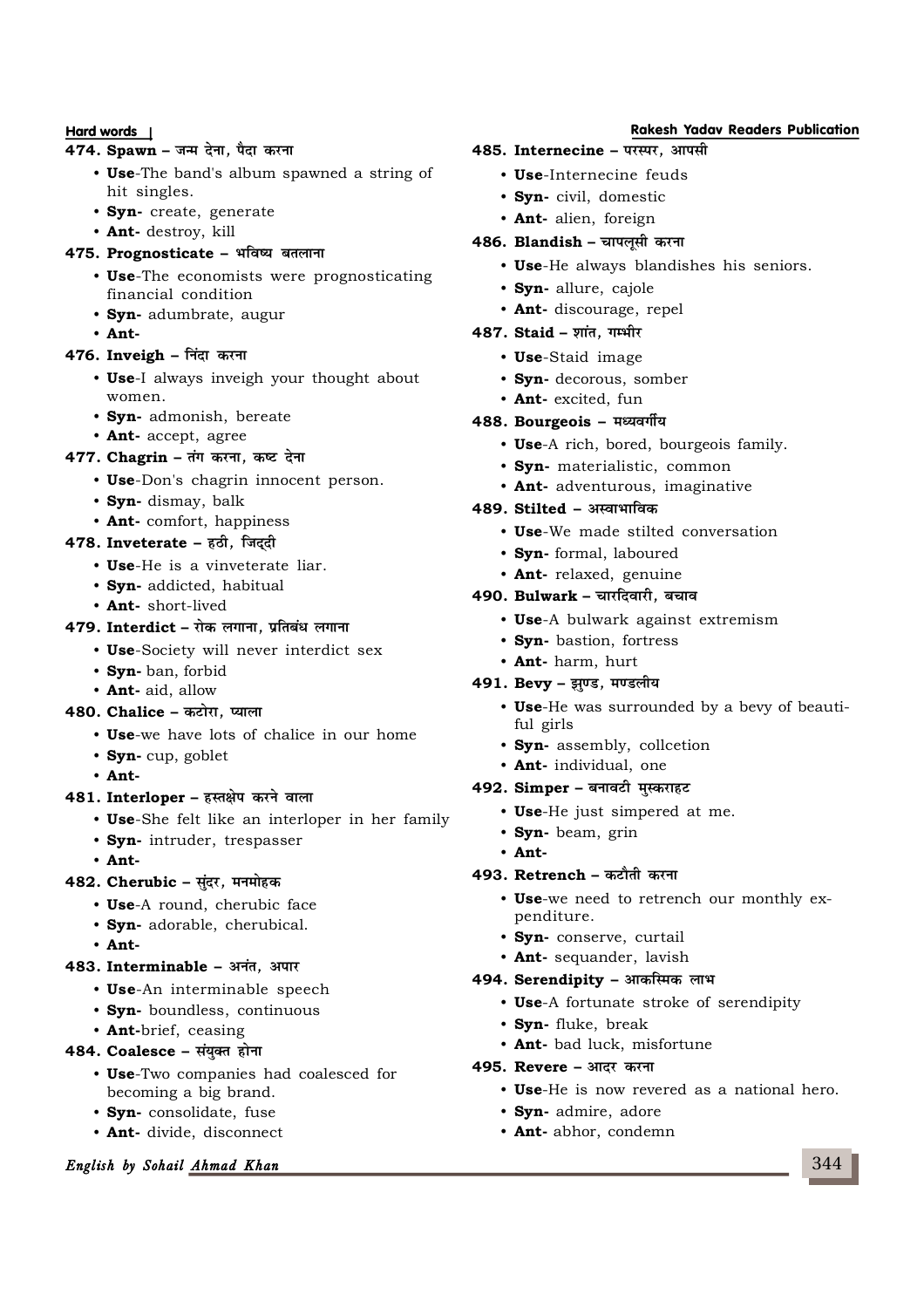## **474. Spawn - जन्म देना, पैदा करना**

- **Use**-The band's album spawned a string of hit singles.
- **Syn-** create, generate
- **Ant-** destroy, kill

## **475. Prognosticate - भविष्य बतलाना**

- **Use**-The economists were prognosticating financial condition
- **Syn-** adumbrate, augur
- **Ant-**

#### **476. Inveigh – निंदा करना**

- **Use**-I always inveigh your thought about women.
- **Syn-** admonish, bereate
- **Ant-** accept, agree

## **477. Chagrin – तंग करना. कष्ट देना**

- **Use**-Don's chagrin innocent person.
- **Syn-** dismay, balk
- **Ant-** comfort, happiness

## **478. Inveterate - हठी. जिददी**

- **Use**-He is a vinveterate liar.
- **Syn-** addicted, habitual
- **Ant-** short-lived

## **479. Interdict – रोक लगाना, प्रतिबंध लगाना**

- **Use**-Society will never interdict sex
- **Syn-** ban, forbid
- **Ant-** aid, allow

## **480. Chalice – कटोरा. प्याला**

- **Use**-we have lots of chalice in our home
- **Syn-** cup, goblet
- **Ant-**

## **481. Interloper – हस्तक्षेप करने वाला**

- **Use**-She felt like an interloper in her family
- **Syn-** intruder, trespasser
- **Ant-**

## **482. Cherubic - सुंदर, मनमोहक**

- **Use**-A round, cherubic face
- **Syn-** adorable, cherubical.
- **Ant-**

## **483. Interminable - अनंत, अपार**

- **Use**-An interminable speech
- **Syn-** boundless, continuous
- **Ant-**brief, ceasing

## **484. Coalesce - संयुक्त होना**

- **Use**-Two companies had coalesced for becoming a big brand.
- **Syn-** consolidate, fuse
- **Ant-** divide, disconnect

## **English by Sohail Ahmad Khan**

### **Hard words Rakesh Yadav Readers Publication**

- **485. Internecine परस्पर, आपसी** 
	- **Use**-Internecine feuds
	- **Syn-** civil, domestic
	- **Ant-** alien, foreign

#### **486. Blandish - चापलूसी करना**

- **Use**-He always blandishes his seniors.
- **Syn-** allure, cajole
- **Ant-** discourage, repel

### **487. Staid – शांत, गम्भीर**

- **Use**-Staid image
- **Syn-** decorous, somber
- **Ant-** excited, fun

## **488. Bourgeois - मध्यवर्गीय**

- **Use**-A rich, bored, bourgeois family.
- **Syn-** materialistic, common
- **Ant-** adventurous, imaginative

## **489. Stilted - अस्वाभाविक**

- **Use**-We made stilted conversation
- **Syn-** formal, laboured
- **Ant-** relaxed, genuine

#### **490. Bulwark - चारदिवारी, बचाव**

- **Use**-A bulwark against extremism
- **Syn-** bastion, fortress
- **Ant-** harm, hurt

## **491. Bevy - झण्ड, मण्डलीय**

- **Use**-He was surrounded by a bevy of beautiful girls
- **Syn-** assembly, collcetion
- **Ant-** individual, one

## **492. Simper - बनावटी मुस्कराहट**

- **Use**-He just simpered at me.
- **Syn-** beam, grin
- **Ant-**

## **493. Retrench – कटौती करना**

- **Use**-we need to retrench our monthly expenditure.
- **Syn-** conserve, curtail
- **Ant-** sequander, lavish

## **494. Serendipity - आकस्मिक लाभ**

- **Use**-A fortunate stroke of serendipity
- **Syn-** fluke, break
- **Ant-** bad luck, misfortune

## **495. Revere – आदर करना**

- **Use**-He is now revered as a national hero.
- **Syn-** admire, adore
- **Ant-** abhor, condemn